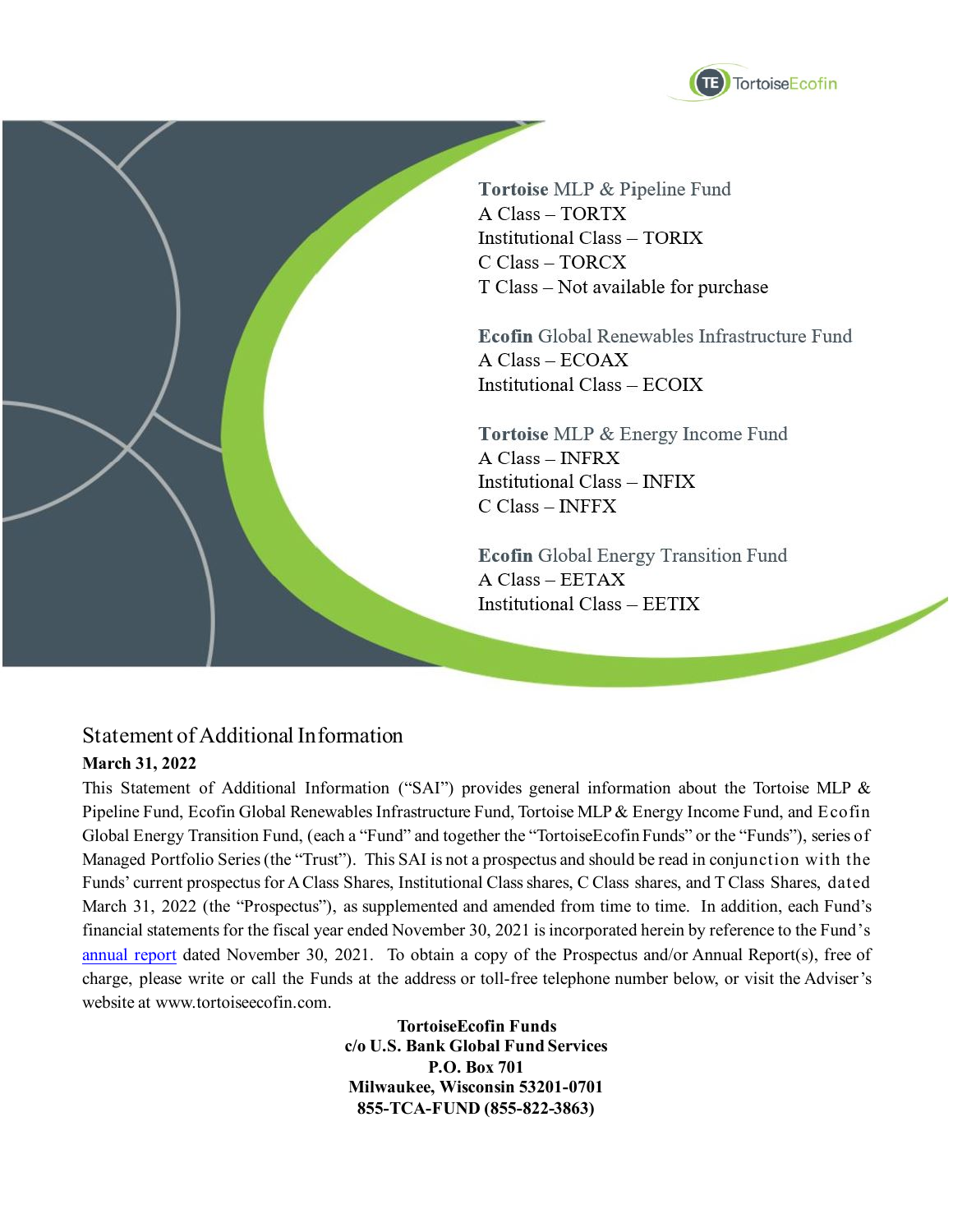

Tortoise MLP & Pipeline Fund A Class - TORTX **Institutional Class - TORIX** C Class - TORCX T Class - Not available for purchase

Ecofin Global Renewables Infrastructure Fund A Class - ECOAX **Institutional Class - ECOIX** 

**Tortoise MLP & Energy Income Fund** A Class - INFRX **Institutional Class - INFIX** C Class - INFFX

**Ecofin** Global Energy Transition Fund A Class - EETAX Institutional Class - EETIX

# Statement of Additional Information **March 31, 2022**

This Statement of Additional Information ("SAI") provides general information about the Tortoise MLP & Pipeline Fund, Ecofin Global Renewables Infrastructure Fund, Tortoise MLP & Energy Income Fund, and Ecofin Global Energy Transition Fund, (each a "Fund" and together the "TortoiseEcofin Funds" or the "Funds"), series of Managed Portfolio Series (the "Trust"). This SAI is not a prospectus and should be read in conjunction with the Funds' current prospectus for A Class Shares, Institutional Class shares, C Class shares, and T Class Shares, dated March 31, 2022 (the "Prospectus"), as supplemented and amended from time to time. In addition, each Fund's financial statements for the fiscal year ended November 30, 2021 is incorporated herein by reference to the Fund's [annual report](https://www.sec.gov/Archives/edgar/data/1511699/000120677422000349/tortoise4015231-ncsr.htm) dated November 30, 2021. To obtain a copy of the Prospectus and/or Annual Report(s), free of charge, please write or call the Funds at the address or toll-free telephone number below, or visit the Adviser's website at www.tortoiseecofin.com.

> **TortoiseEcofin Funds c/o U.S. Bank Global Fund Services P.O. Box 701 Milwaukee, Wisconsin 53201-0701 855-TCA-FUND (855-822-3863)**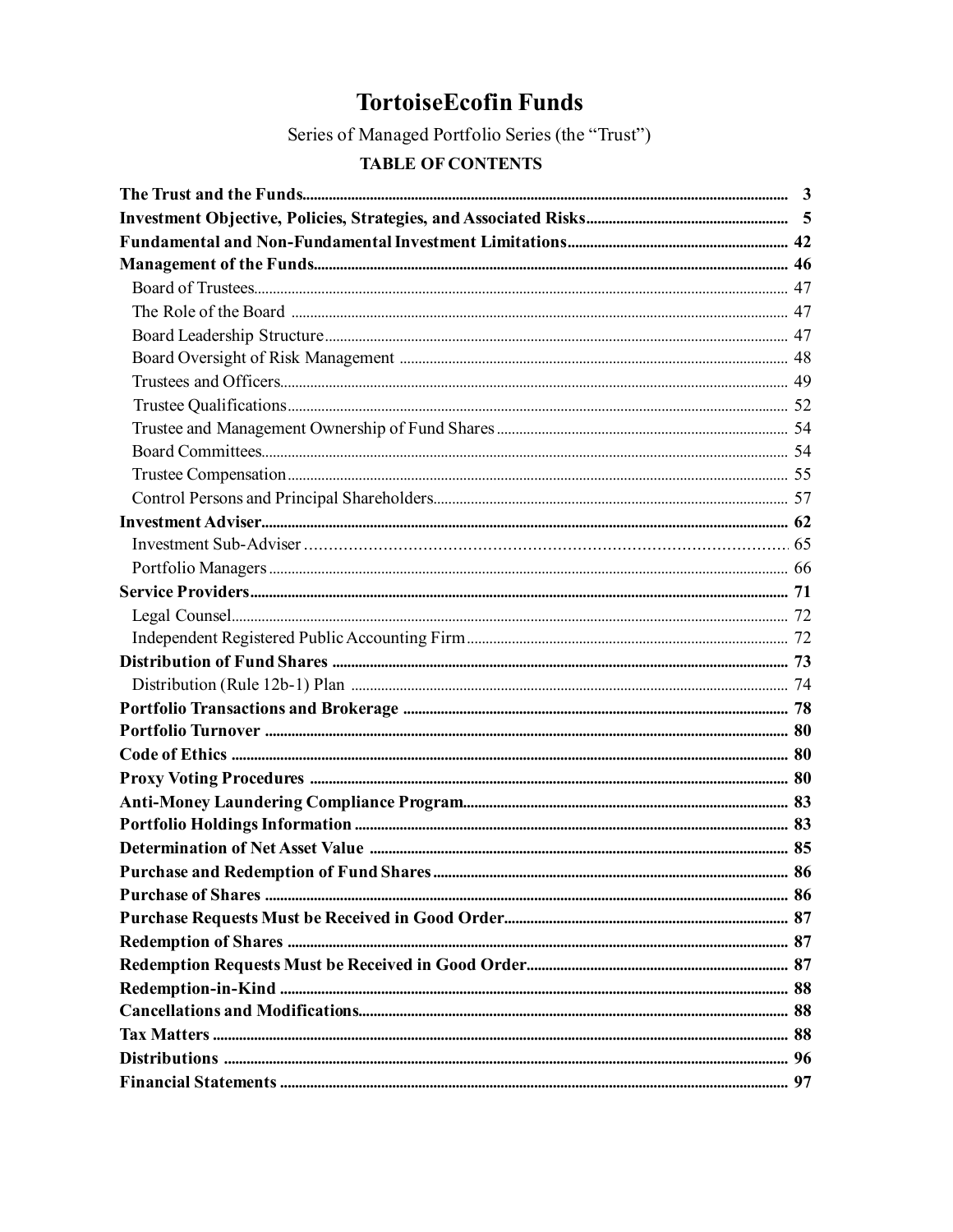# **TortoiseEcofin Funds**

Series of Managed Portfolio Series (the "Trust")

# **TABLE OF CONTENTS**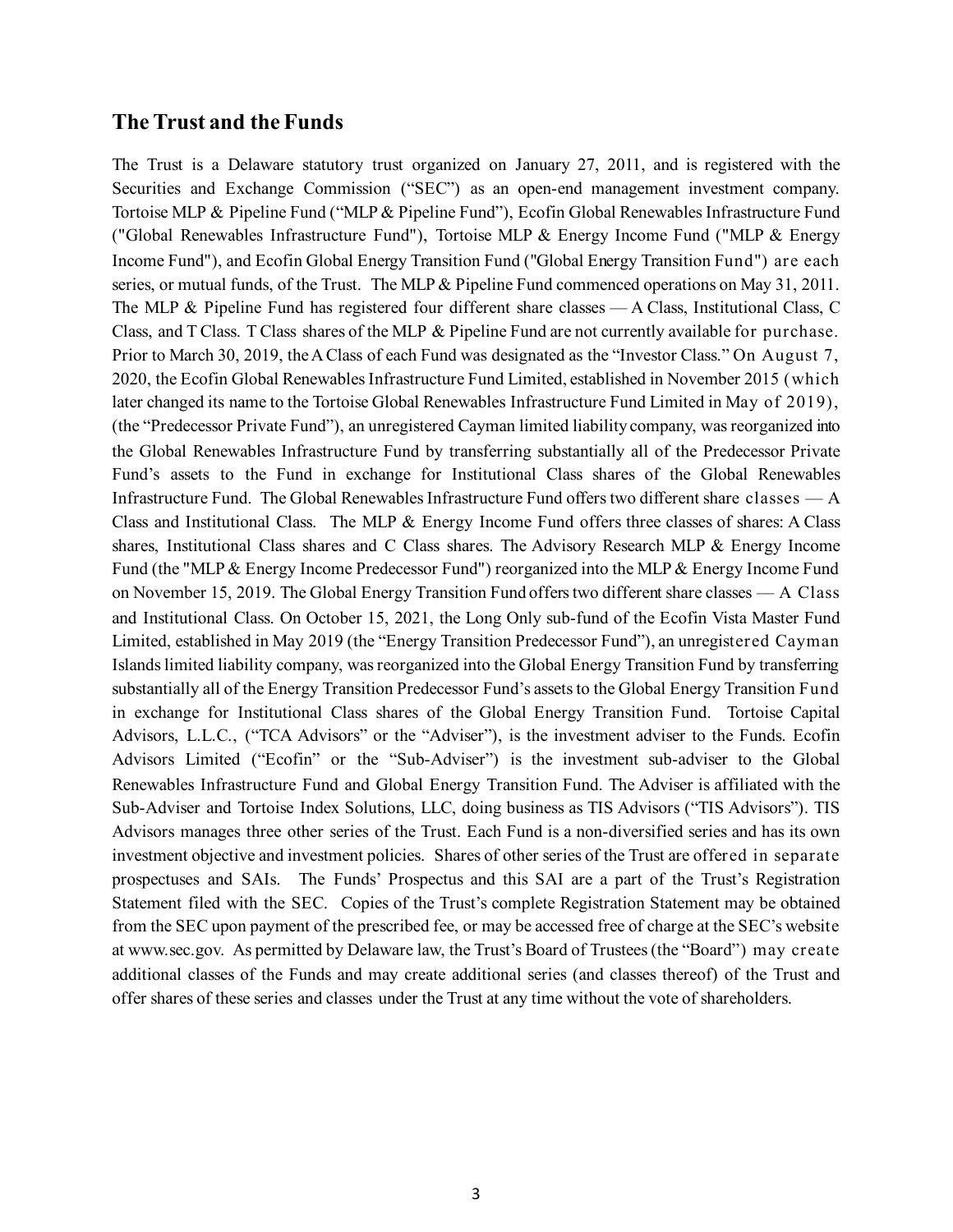# <span id="page-2-0"></span>**The Trust and the Funds**

The Trust is a Delaware statutory trust organized on January 27, 2011, and is registered with the Securities and Exchange Commission ("SEC") as an open-end management investment company. Tortoise MLP & Pipeline Fund ("MLP & Pipeline Fund"), Ecofin Global Renewables Infrastructure Fund ("Global Renewables Infrastructure Fund"), Tortoise MLP & Energy Income Fund ("MLP & Energy Income Fund"), and Ecofin Global Energy Transition Fund ("Global Energy Transition Fund") are each series, or mutual funds, of the Trust. The MLP & Pipeline Fund commenced operations on May 31, 2011. The MLP & Pipeline Fund has registered four different share classes — A Class, Institutional Class, C Class, and T Class. T Class shares of the MLP & Pipeline Fund are not currently available for purchase. Prior to March 30, 2019, the A Class of each Fund was designated as the "Investor Class." On August 7, 2020, the Ecofin Global Renewables Infrastructure Fund Limited, established in November 2015 (which later changed its name to the Tortoise Global Renewables Infrastructure Fund Limited in May of 2019), (the "Predecessor Private Fund"), an unregistered Cayman limited liability company, was reorganized into the Global Renewables Infrastructure Fund by transferring substantially all of the Predecessor Private Fund's assets to the Fund in exchange for Institutional Class shares of the Global Renewables Infrastructure Fund. The Global Renewables Infrastructure Fund offers two different share classes — A Class and Institutional Class. The MLP & Energy Income Fund offers three classes of shares: A Class shares, Institutional Class shares and C Class shares. The Advisory Research MLP & Energy Income Fund (the "MLP & Energy Income Predecessor Fund") reorganized into the MLP & Energy Income Fund on November 15, 2019. The Global Energy Transition Fund offers two different share classes — A Class and Institutional Class. On October 15, 2021, the Long Only sub-fund of the Ecofin Vista Master Fund Limited, established in May 2019 (the "Energy Transition Predecessor Fund"), an unregistered Cayman Islands limited liability company, was reorganized into the Global Energy Transition Fund by transferring substantially all of the Energy Transition Predecessor Fund's assets to the Global Energy Transition Fund in exchange for Institutional Class shares of the Global Energy Transition Fund. Tortoise Capital Advisors, L.L.C., ("TCA Advisors" or the "Adviser"), is the investment adviser to the Funds. Ecofin Advisors Limited ("Ecofin" or the "Sub-Adviser") is the investment sub-adviser to the Global Renewables Infrastructure Fund and Global Energy Transition Fund. The Adviser is affiliated with the Sub-Adviser and Tortoise Index Solutions, LLC, doing business as TIS Advisors ("TIS Advisors"). TIS Advisors manages three other series of the Trust. Each Fund is a non-diversified series and has its own investment objective and investment policies. Shares of other series of the Trust are offered in separate prospectuses and SAIs. The Funds' Prospectus and this SAI are a part of the Trust's Registration Statement filed with the SEC. Copies of the Trust's complete Registration Statement may be obtained from the SEC upon payment of the prescribed fee, or may be accessed free of charge at the SEC's website at www.sec.gov. As permitted by Delaware law, the Trust's Board of Trustees (the "Board") may create additional classes of the Funds and may create additional series (and classes thereof) of the Trust and offer shares of these series and classes under the Trust at any time without the vote of shareholders.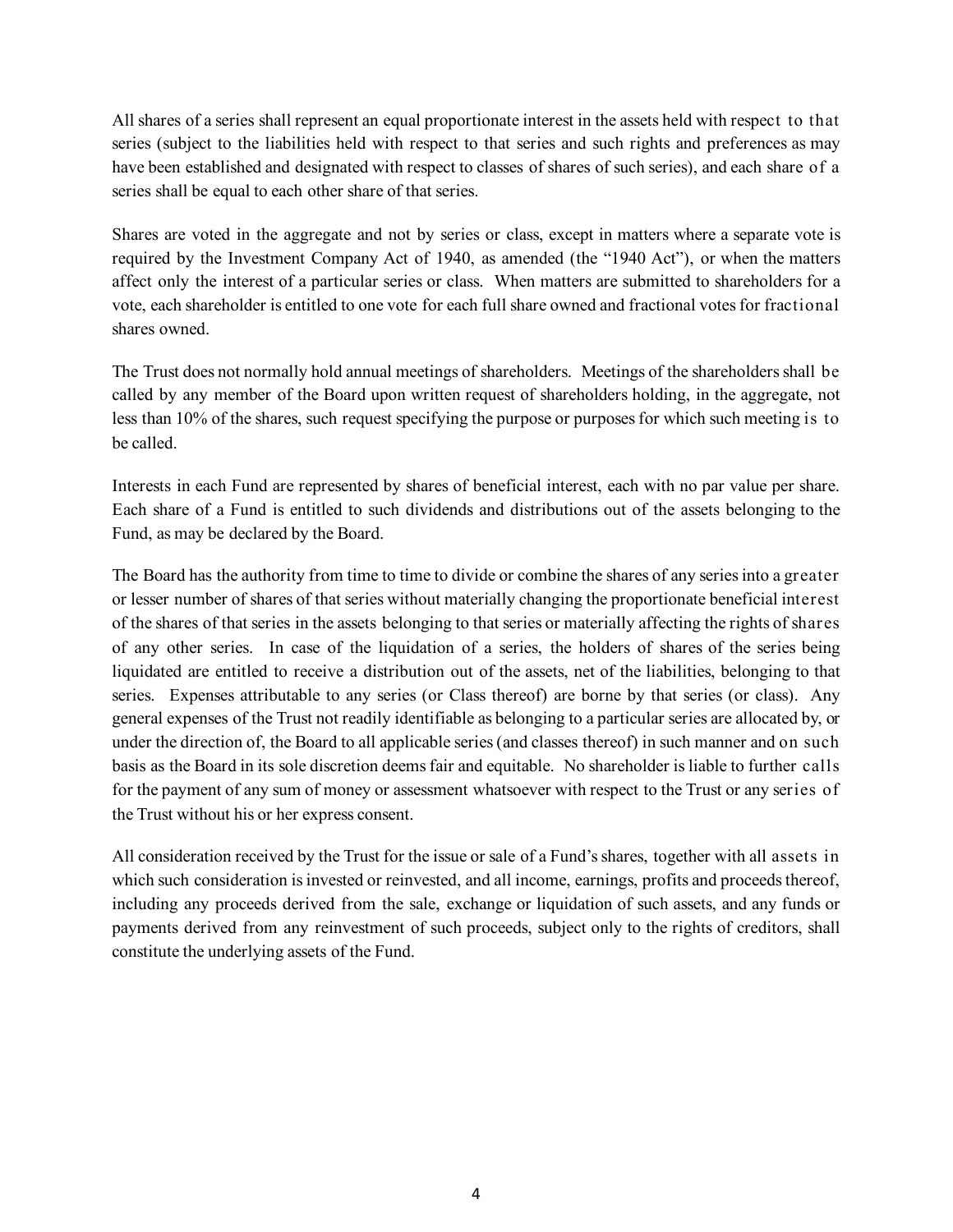All shares of a series shall represent an equal proportionate interest in the assets held with respect to that series (subject to the liabilities held with respect to that series and such rights and preferences as may have been established and designated with respect to classes of shares of such series), and each share of a series shall be equal to each other share of that series.

Shares are voted in the aggregate and not by series or class, except in matters where a separate vote is required by the Investment Company Act of 1940, as amended (the "1940 Act"), or when the matters affect only the interest of a particular series or class. When matters are submitted to shareholders for a vote, each shareholder is entitled to one vote for each full share owned and fractional votes for fractional shares owned.

The Trust does not normally hold annual meetings of shareholders. Meetings of the shareholders shall be called by any member of the Board upon written request of shareholders holding, in the aggregate, not less than 10% of the shares, such request specifying the purpose or purposes for which such meeting is to be called.

Interests in each Fund are represented by shares of beneficial interest, each with no par value per share. Each share of a Fund is entitled to such dividends and distributions out of the assets belonging to the Fund, as may be declared by the Board.

The Board has the authority from time to time to divide or combine the shares of any series into a greater or lesser number of shares of that series without materially changing the proportionate beneficial interest of the shares of that series in the assets belonging to that series or materially affecting the rights of shares of any other series. In case of the liquidation of a series, the holders of shares of the series being liquidated are entitled to receive a distribution out of the assets, net of the liabilities, belonging to that series. Expenses attributable to any series (or Class thereof) are borne by that series (or class). Any general expenses of the Trust not readily identifiable as belonging to a particular series are allocated by, or under the direction of, the Board to all applicable series (and classes thereof) in such manner and on such basis as the Board in its sole discretion deems fair and equitable. No shareholder is liable to further calls for the payment of any sum of money or assessment whatsoever with respect to the Trust or any series of the Trust without his or her express consent.

All consideration received by the Trust for the issue or sale of a Fund's shares, together with all assets in which such consideration is invested or reinvested, and all income, earnings, profits and proceeds thereof, including any proceeds derived from the sale, exchange or liquidation of such assets, and any funds or payments derived from any reinvestment of such proceeds, subject only to the rights of creditors, shall constitute the underlying assets of the Fund.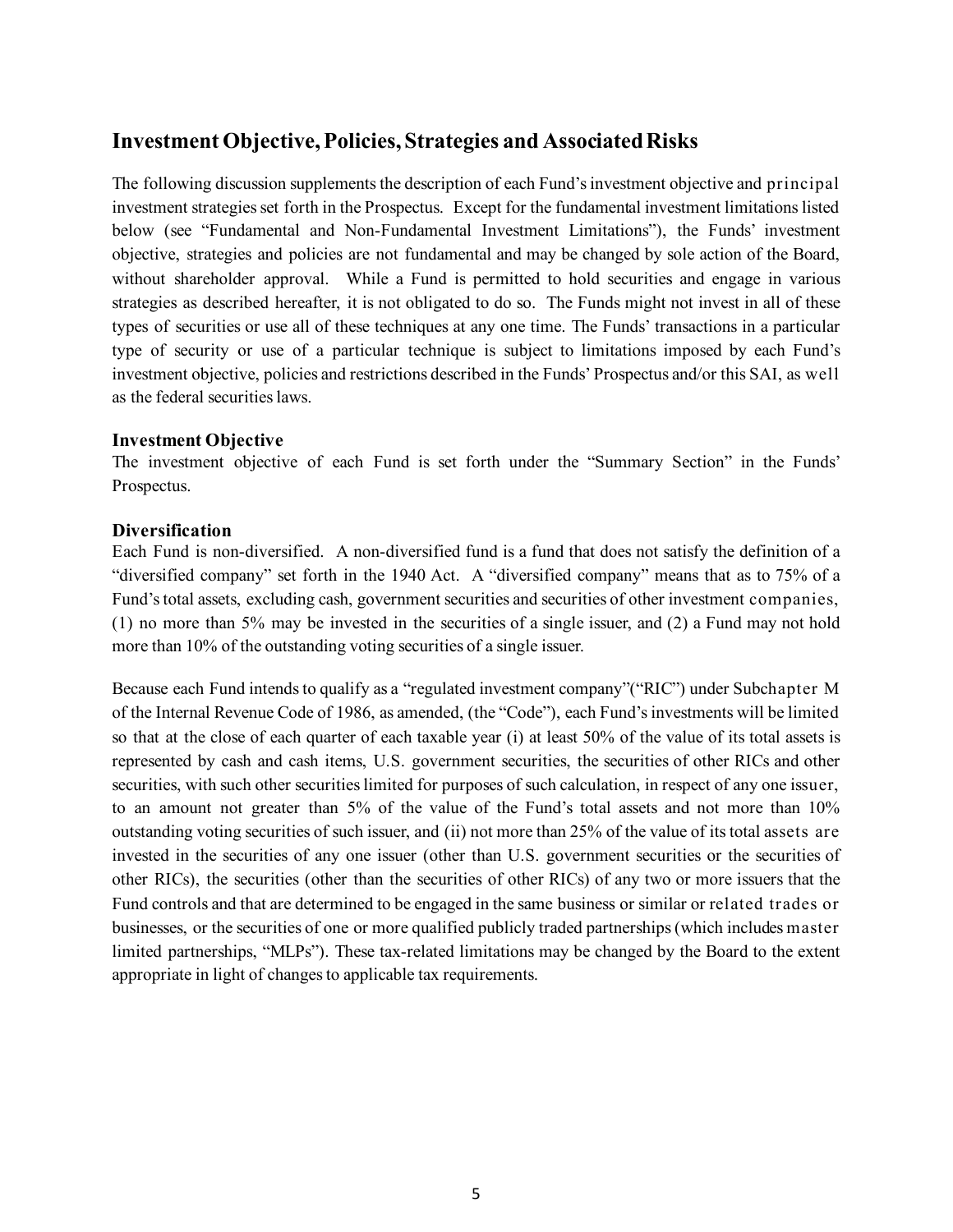# <span id="page-4-0"></span>**Investment Objective, Policies, Strategies and Associated Risks**

The following discussion supplements the description of each Fund's investment objective and principal investment strategies set forth in the Prospectus. Except for the fundamental investment limitations listed below (see "Fundamental and Non-Fundamental Investment Limitations"), the Funds' investment objective, strategies and policies are not fundamental and may be changed by sole action of the Board, without shareholder approval. While a Fund is permitted to hold securities and engage in various strategies as described hereafter, it is not obligated to do so. The Funds might not invest in all of these types of securities or use all of these techniques at any one time. The Funds' transactions in a particular type of security or use of a particular technique is subject to limitations imposed by each Fund's investment objective, policies and restrictions described in the Funds' Prospectus and/or this SAI, as well as the federal securities laws.

#### **Investment Objective**

The investment objective of each Fund is set forth under the "Summary Section" in the Funds' Prospectus.

#### **Diversification**

Each Fund is non-diversified. A non-diversified fund is a fund that does not satisfy the definition of a "diversified company" set forth in the 1940 Act. A "diversified company" means that as to 75% of a Fund's total assets, excluding cash, government securities and securities of other investment companies, (1) no more than 5% may be invested in the securities of a single issuer, and (2) a Fund may not hold more than 10% of the outstanding voting securities of a single issuer.

Because each Fund intends to qualify as a "regulated investment company"("RIC") under Subchapter M of the Internal Revenue Code of 1986, as amended, (the "Code"), each Fund's investments will be limited so that at the close of each quarter of each taxable year (i) at least 50% of the value of its total assets is represented by cash and cash items, U.S. government securities, the securities of other RICs and other securities, with such other securities limited for purposes of such calculation, in respect of any one issuer, to an amount not greater than 5% of the value of the Fund's total assets and not more than 10% outstanding voting securities of such issuer, and (ii) not more than 25% of the value of its total assets are invested in the securities of any one issuer (other than U.S. government securities or the securities of other RICs), the securities (other than the securities of other RICs) of any two or more issuers that the Fund controls and that are determined to be engaged in the same business or similar or related trades or businesses, or the securities of one or more qualified publicly traded partnerships (which includes master limited partnerships, "MLPs"). These tax-related limitations may be changed by the Board to the extent appropriate in light of changes to applicable tax requirements.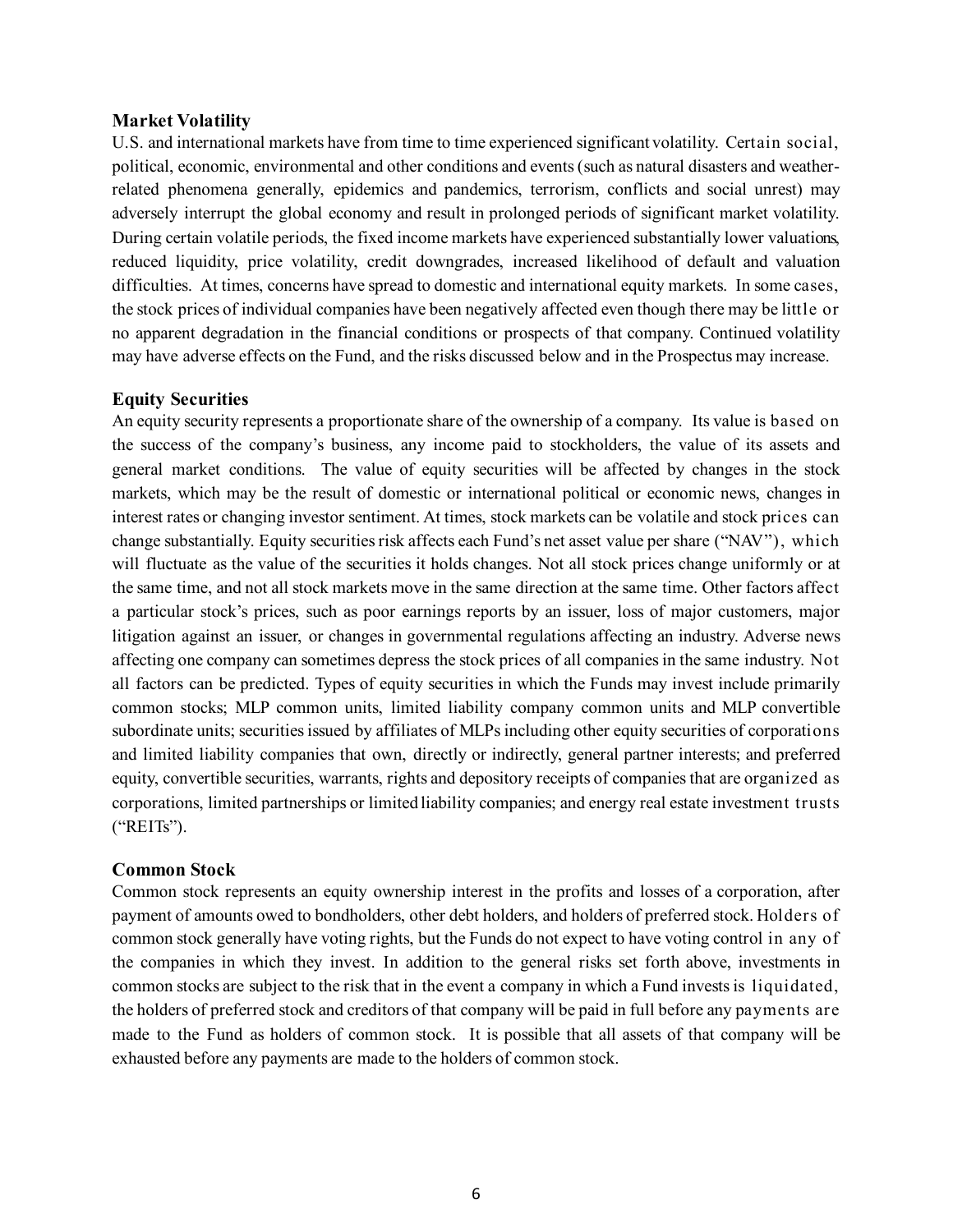#### **Market Volatility**

U.S. and international markets have from time to time experienced significant volatility. Certain social, political, economic, environmental and other conditions and events (such as natural disasters and weatherrelated phenomena generally, epidemics and pandemics, terrorism, conflicts and social unrest) may adversely interrupt the global economy and result in prolonged periods of significant market volatility. During certain volatile periods, the fixed income markets have experienced substantially lower valuations, reduced liquidity, price volatility, credit downgrades, increased likelihood of default and valuation difficulties. At times, concerns have spread to domestic and international equity markets. In some cases, the stock prices of individual companies have been negatively affected even though there may be little or no apparent degradation in the financial conditions or prospects of that company. Continued volatility may have adverse effects on the Fund, and the risks discussed below and in the Prospectus may increase.

#### **Equity Securities**

An equity security represents a proportionate share of the ownership of a company. Its value is based on the success of the company's business, any income paid to stockholders, the value of its assets and general market conditions. The value of equity securities will be affected by changes in the stock markets, which may be the result of domestic or international political or economic news, changes in interest rates or changing investor sentiment. At times, stock markets can be volatile and stock prices can change substantially. Equity securities risk affects each Fund's net asset value per share ("NAV"), which will fluctuate as the value of the securities it holds changes. Not all stock prices change uniformly or at the same time, and not all stock markets move in the same direction at the same time. Other factors affect a particular stock's prices, such as poor earnings reports by an issuer, loss of major customers, major litigation against an issuer, or changes in governmental regulations affecting an industry. Adverse news affecting one company can sometimes depress the stock prices of all companies in the same industry. Not all factors can be predicted. Types of equity securities in which the Funds may invest include primarily common stocks; MLP common units, limited liability company common units and MLP convertible subordinate units; securities issued by affiliates of MLPs including other equity securities of corporations and limited liability companies that own, directly or indirectly, general partner interests; and preferred equity, convertible securities, warrants, rights and depository receipts of companies that are organized as corporations, limited partnerships or limited liability companies; and energy real estate investment trusts ("REITs").

#### **Common Stock**

Common stock represents an equity ownership interest in the profits and losses of a corporation, after payment of amounts owed to bondholders, other debt holders, and holders of preferred stock. Holders of common stock generally have voting rights, but the Funds do not expect to have voting control in any of the companies in which they invest. In addition to the general risks set forth above, investments in common stocks are subject to the risk that in the event a company in which a Fund invests is liquidated, the holders of preferred stock and creditors of that company will be paid in full before any payments are made to the Fund as holders of common stock. It is possible that all assets of that company will be exhausted before any payments are made to the holders of common stock.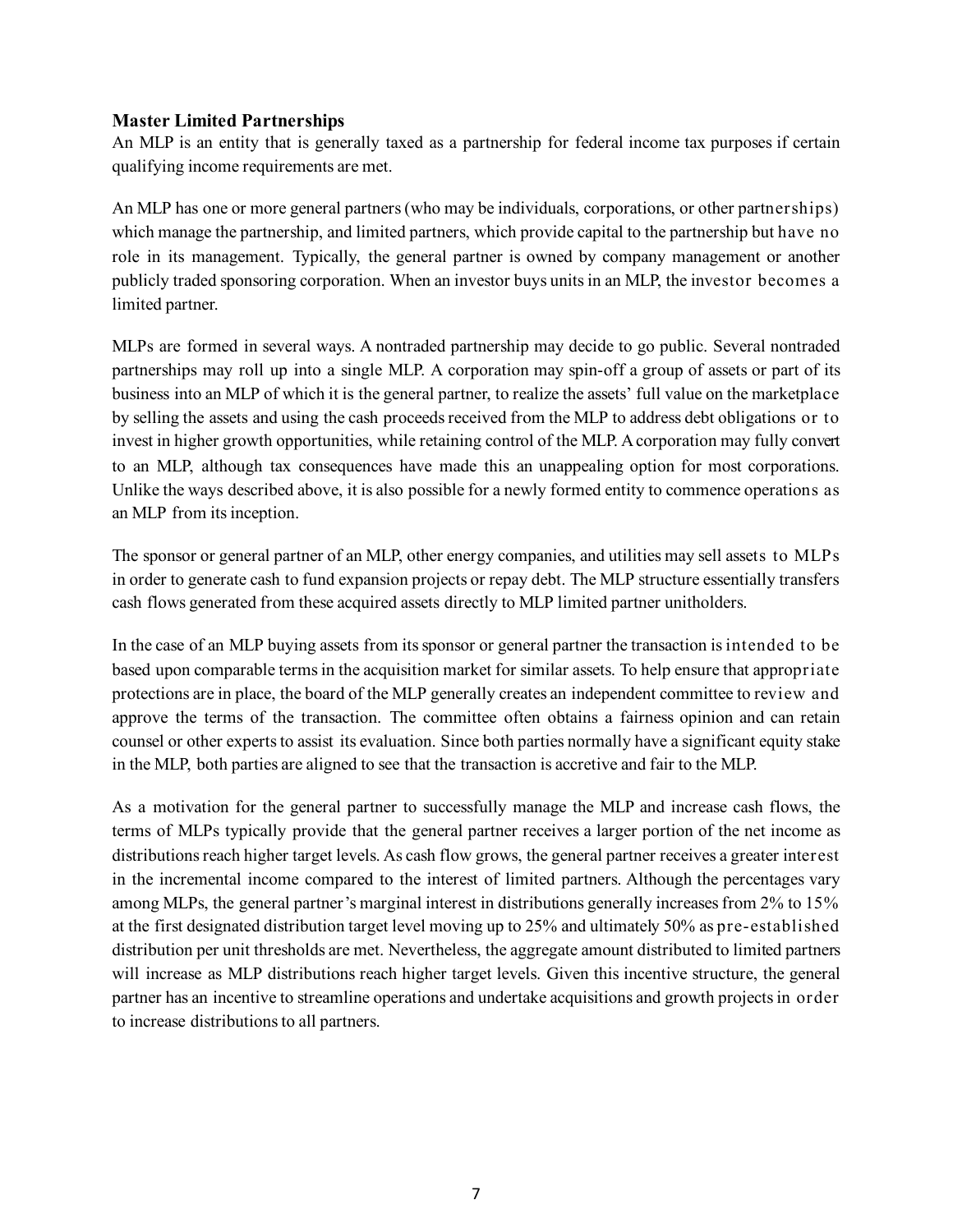# **Master Limited Partnerships**

An MLP is an entity that is generally taxed as a partnership for federal income tax purposes if certain qualifying income requirements are met.

An MLP has one or more general partners (who may be individuals, corporations, or other partnerships) which manage the partnership, and limited partners, which provide capital to the partnership but have no role in its management. Typically, the general partner is owned by company management or another publicly traded sponsoring corporation. When an investor buys units in an MLP, the investor becomes a limited partner.

MLPs are formed in several ways. A nontraded partnership may decide to go public. Several nontraded partnerships may roll up into a single MLP. A corporation may spin-off a group of assets or part of its business into an MLP of which it is the general partner, to realize the assets' full value on the marketplace by selling the assets and using the cash proceeds received from the MLP to address debt obligations or to invest in higher growth opportunities, while retaining control of the MLP. A corporation may fully convert to an MLP, although tax consequences have made this an unappealing option for most corporations. Unlike the ways described above, it is also possible for a newly formed entity to commence operations as an MLP from its inception.

The sponsor or general partner of an MLP, other energy companies, and utilities may sell assets to MLPs in order to generate cash to fund expansion projects or repay debt. The MLP structure essentially transfers cash flows generated from these acquired assets directly to MLP limited partner unitholders.

In the case of an MLP buying assets from its sponsor or general partner the transaction is intended to be based upon comparable terms in the acquisition market for similar assets. To help ensure that appropriate protections are in place, the board of the MLP generally creates an independent committee to review and approve the terms of the transaction. The committee often obtains a fairness opinion and can retain counsel or other experts to assist its evaluation. Since both parties normally have a significant equity stake in the MLP, both parties are aligned to see that the transaction is accretive and fair to the MLP.

As a motivation for the general partner to successfully manage the MLP and increase cash flows, the terms of MLPs typically provide that the general partner receives a larger portion of the net income as distributions reach higher target levels. As cash flow grows, the general partner receives a greater interest in the incremental income compared to the interest of limited partners. Although the percentages vary among MLPs, the general partner's marginal interest in distributions generally increases from 2% to 15% at the first designated distribution target level moving up to 25% and ultimately 50% as pre-established distribution per unit thresholds are met. Nevertheless, the aggregate amount distributed to limited partners will increase as MLP distributions reach higher target levels. Given this incentive structure, the general partner has an incentive to streamline operations and undertake acquisitions and growth projects in order to increase distributions to all partners.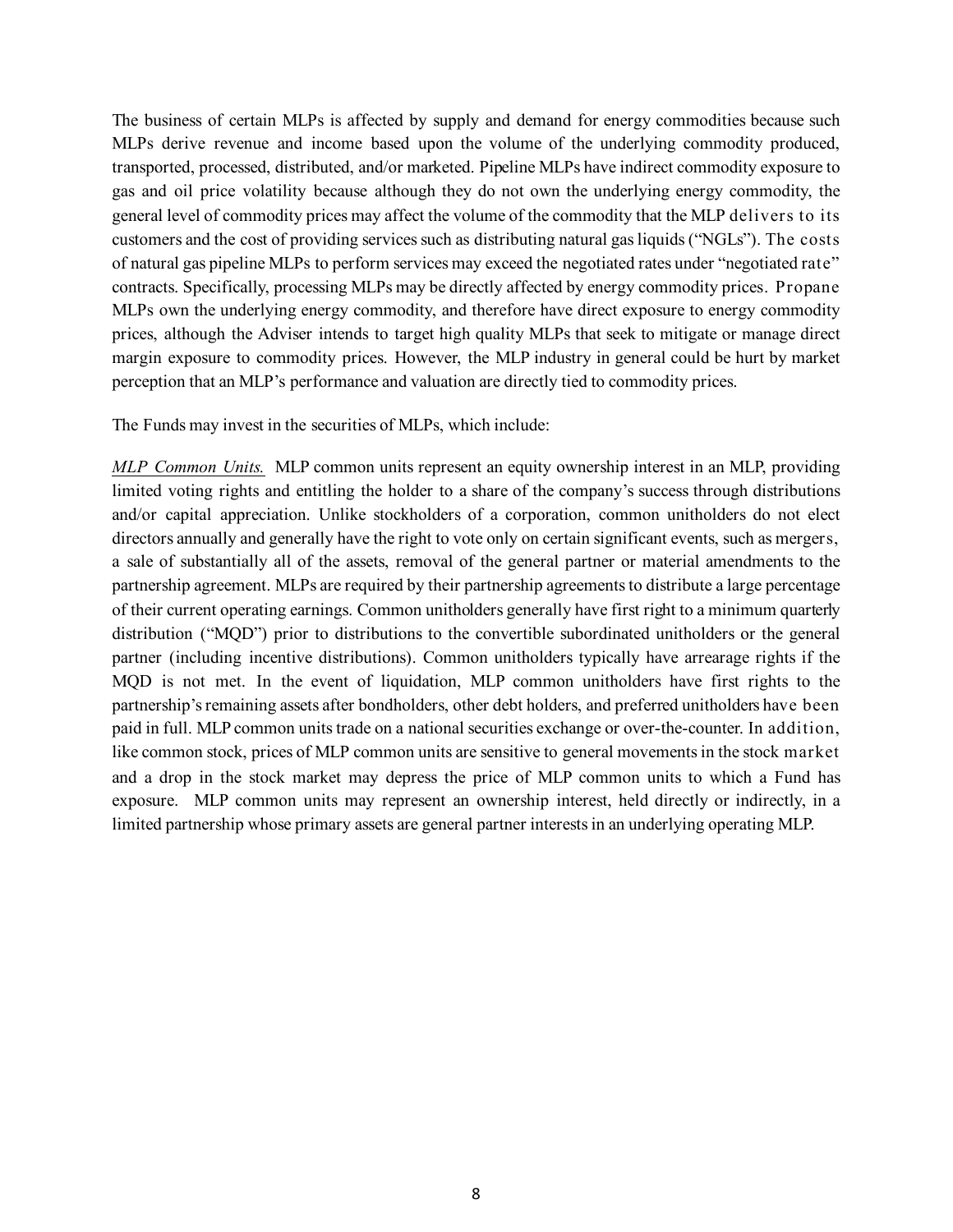The business of certain MLPs is affected by supply and demand for energy commodities because such MLPs derive revenue and income based upon the volume of the underlying commodity produced, transported, processed, distributed, and/or marketed. Pipeline MLPs have indirect commodity exposure to gas and oil price volatility because although they do not own the underlying energy commodity, the general level of commodity prices may affect the volume of the commodity that the MLP delivers to its customers and the cost of providing services such as distributing natural gas liquids ("NGLs"). The costs of natural gas pipeline MLPs to perform services may exceed the negotiated rates under "negotiated rate" contracts. Specifically, processing MLPs may be directly affected by energy commodity prices. Propane MLPs own the underlying energy commodity, and therefore have direct exposure to energy commodity prices, although the Adviser intends to target high quality MLPs that seek to mitigate or manage direct margin exposure to commodity prices. However, the MLP industry in general could be hurt by market perception that an MLP's performance and valuation are directly tied to commodity prices.

The Funds may invest in the securities of MLPs, which include:

*MLP Common Units.* MLP common units represent an equity ownership interest in an MLP, providing limited voting rights and entitling the holder to a share of the company's success through distributions and/or capital appreciation. Unlike stockholders of a corporation, common unitholders do not elect directors annually and generally have the right to vote only on certain significant events, such as mergers, a sale of substantially all of the assets, removal of the general partner or material amendments to the partnership agreement. MLPs are required by their partnership agreements to distribute a large percentage of their current operating earnings. Common unitholders generally have first right to a minimum quarterly distribution ("MQD") prior to distributions to the convertible subordinated unitholders or the general partner (including incentive distributions). Common unitholders typically have arrearage rights if the MQD is not met. In the event of liquidation, MLP common unitholders have first rights to the partnership's remaining assets after bondholders, other debt holders, and preferred unitholders have been paid in full. MLP common units trade on a national securities exchange or over-the-counter. In addition, like common stock, prices of MLP common units are sensitive to general movements in the stock market and a drop in the stock market may depress the price of MLP common units to which a Fund has exposure. MLP common units may represent an ownership interest, held directly or indirectly, in a limited partnership whose primary assets are general partner interests in an underlying operating MLP.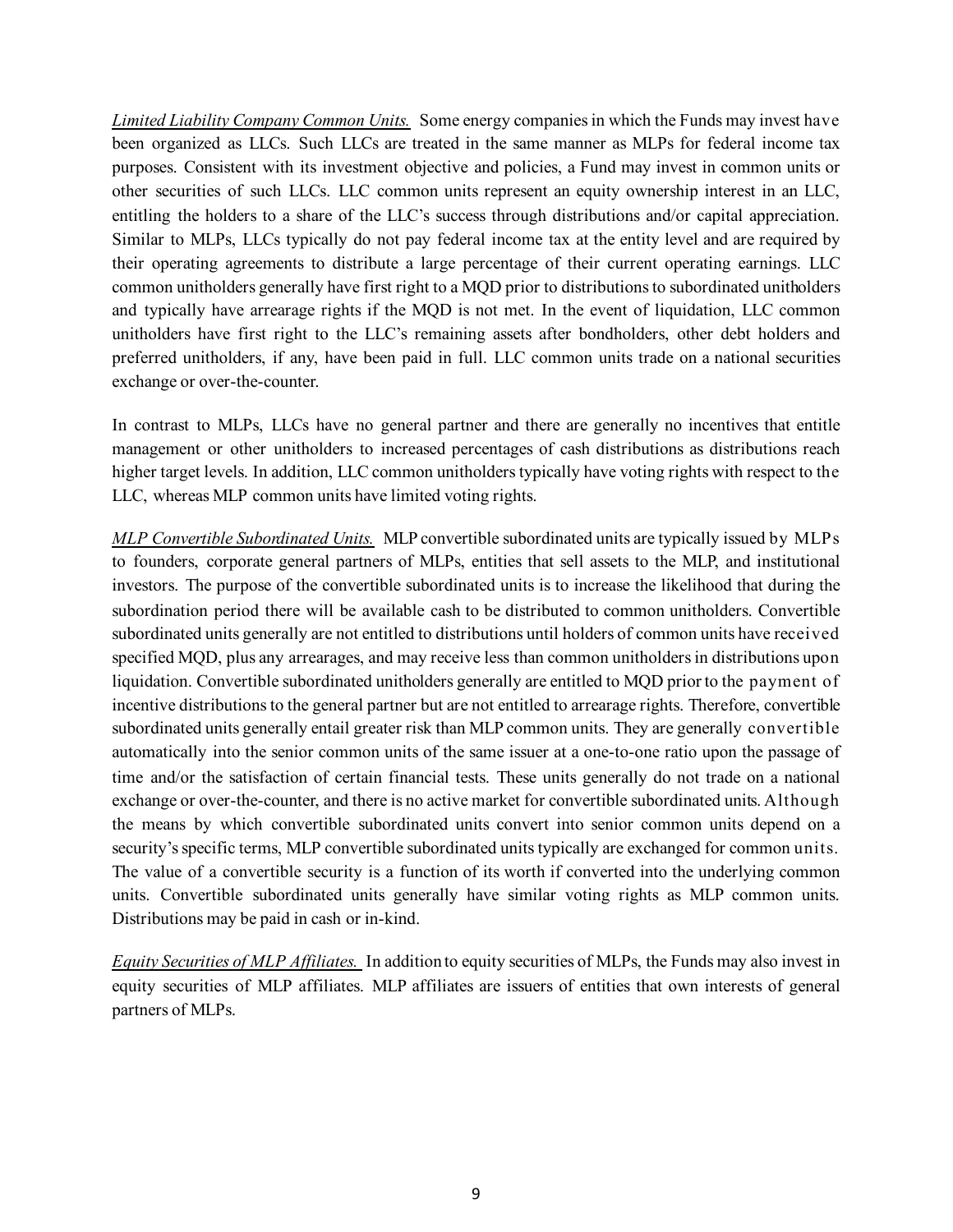*Limited Liability Company Common Units.* Some energy companies in which the Funds may invest have been organized as LLCs. Such LLCs are treated in the same manner as MLPs for federal income tax purposes. Consistent with its investment objective and policies, a Fund may invest in common units or other securities of such LLCs. LLC common units represent an equity ownership interest in an LLC, entitling the holders to a share of the LLC's success through distributions and/or capital appreciation. Similar to MLPs, LLCs typically do not pay federal income tax at the entity level and are required by their operating agreements to distribute a large percentage of their current operating earnings. LLC common unitholders generally have first right to a MQD prior to distributions to subordinated unitholders and typically have arrearage rights if the MQD is not met. In the event of liquidation, LLC common unitholders have first right to the LLC's remaining assets after bondholders, other debt holders and preferred unitholders, if any, have been paid in full. LLC common units trade on a national securities exchange or over-the-counter.

In contrast to MLPs, LLCs have no general partner and there are generally no incentives that entitle management or other unitholders to increased percentages of cash distributions as distributions reach higher target levels. In addition, LLC common unitholders typically have voting rights with respect to the LLC, whereas MLP common units have limited voting rights.

*MLP Convertible Subordinated Units.* MLP convertible subordinated units are typically issued by MLPs to founders, corporate general partners of MLPs, entities that sell assets to the MLP, and institutional investors. The purpose of the convertible subordinated units is to increase the likelihood that during the subordination period there will be available cash to be distributed to common unitholders. Convertible subordinated units generally are not entitled to distributions until holders of common units have received specified MQD, plus any arrearages, and may receive less than common unitholders in distributions upon liquidation. Convertible subordinated unitholders generally are entitled to MQD prior to the payment of incentive distributions to the general partner but are not entitled to arrearage rights. Therefore, convertible subordinated units generally entail greater risk than MLP common units. They are generally convertible automatically into the senior common units of the same issuer at a one-to-one ratio upon the passage of time and/or the satisfaction of certain financial tests. These units generally do not trade on a national exchange or over-the-counter, and there is no active market for convertible subordinated units. Although the means by which convertible subordinated units convert into senior common units depend on a security's specific terms, MLP convertible subordinated units typically are exchanged for common units. The value of a convertible security is a function of its worth if converted into the underlying common units. Convertible subordinated units generally have similar voting rights as MLP common units. Distributions may be paid in cash or in-kind.

*Equity Securities of MLP Affiliates.* In addition to equity securities of MLPs, the Funds may also invest in equity securities of MLP affiliates. MLP affiliates are issuers of entities that own interests of general partners of MLPs.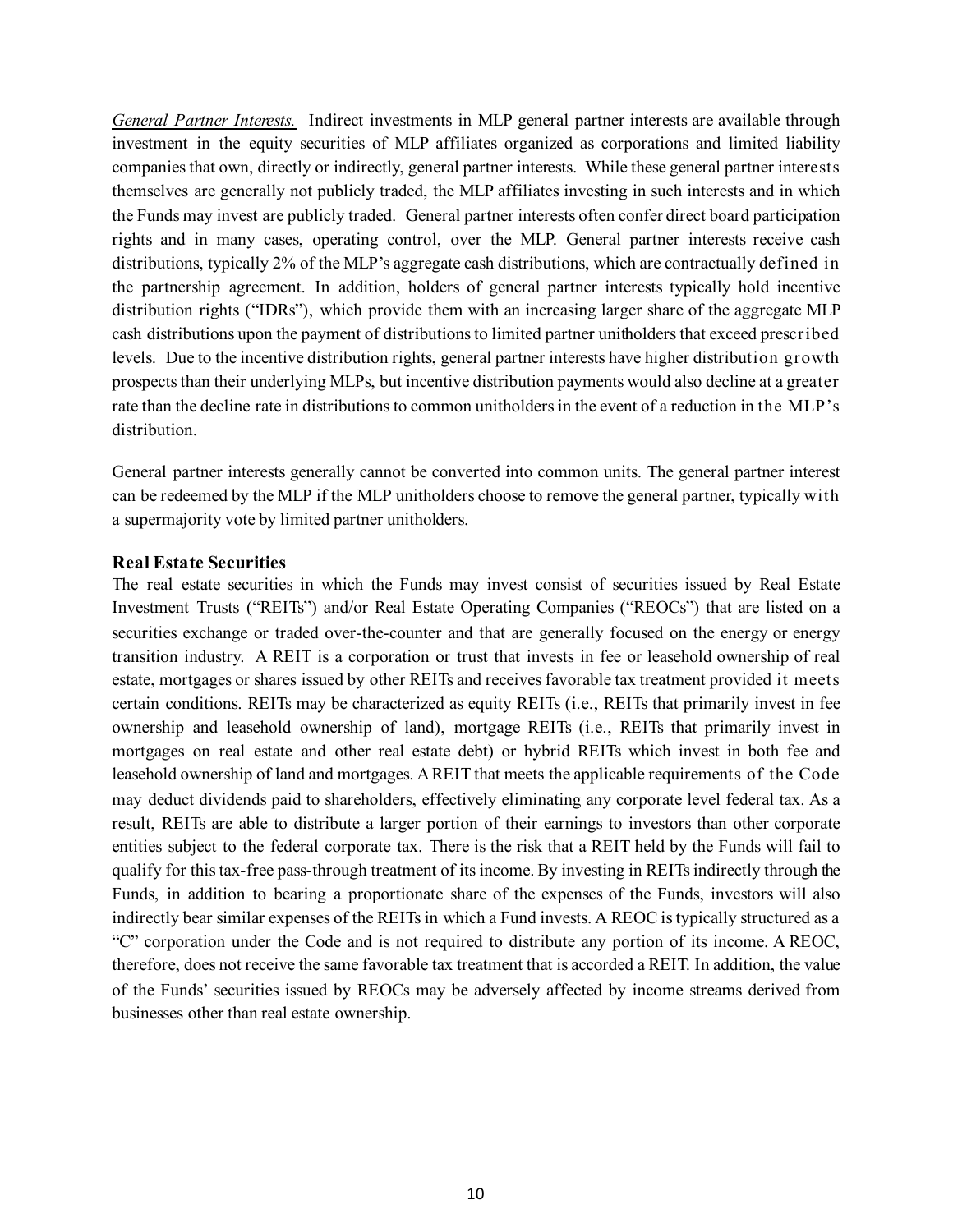*General Partner Interests.* Indirect investments in MLP general partner interests are available through investment in the equity securities of MLP affiliates organized as corporations and limited liability companies that own, directly or indirectly, general partner interests. While these general partner interests themselves are generally not publicly traded, the MLP affiliates investing in such interests and in which the Funds may invest are publicly traded. General partner interests often confer direct board participation rights and in many cases, operating control, over the MLP. General partner interests receive cash distributions, typically 2% of the MLP's aggregate cash distributions, which are contractually defined in the partnership agreement. In addition, holders of general partner interests typically hold incentive distribution rights ("IDRs"), which provide them with an increasing larger share of the aggregate MLP cash distributions upon the payment of distributions to limited partner unitholders that exceed prescribed levels. Due to the incentive distribution rights, general partner interests have higher distribution growth prospects than their underlying MLPs, but incentive distribution payments would also decline at a greater rate than the decline rate in distributions to common unitholders in the event of a reduction in the MLP's distribution.

General partner interests generally cannot be converted into common units. The general partner interest can be redeemed by the MLP if the MLP unitholders choose to remove the general partner, typically with a supermajority vote by limited partner unitholders.

#### **Real Estate Securities**

The real estate securities in which the Funds may invest consist of securities issued by Real Estate Investment Trusts ("REITs") and/or Real Estate Operating Companies ("REOCs") that are listed on a securities exchange or traded over-the-counter and that are generally focused on the energy or energy transition industry. A REIT is a corporation or trust that invests in fee or leasehold ownership of real estate, mortgages or shares issued by other REITs and receives favorable tax treatment provided it meets certain conditions. REITs may be characterized as equity REITs (i.e., REITs that primarily invest in fee ownership and leasehold ownership of land), mortgage REITs (i.e., REITs that primarily invest in mortgages on real estate and other real estate debt) or hybrid REITs which invest in both fee and leasehold ownership of land and mortgages. A REIT that meets the applicable requirements of the Code may deduct dividends paid to shareholders, effectively eliminating any corporate level federal tax. As a result, REITs are able to distribute a larger portion of their earnings to investors than other corporate entities subject to the federal corporate tax. There is the risk that a REIT held by the Funds will fail to qualify for this tax-free pass-through treatment of its income. By investing in REITs indirectly through the Funds, in addition to bearing a proportionate share of the expenses of the Funds, investors will also indirectly bear similar expenses of the REITs in which a Fund invests. A REOC is typically structured as a "C" corporation under the Code and is not required to distribute any portion of its income. A REOC, therefore, does not receive the same favorable tax treatment that is accorded a REIT. In addition, the value of the Funds' securities issued by REOCs may be adversely affected by income streams derived from businesses other than real estate ownership.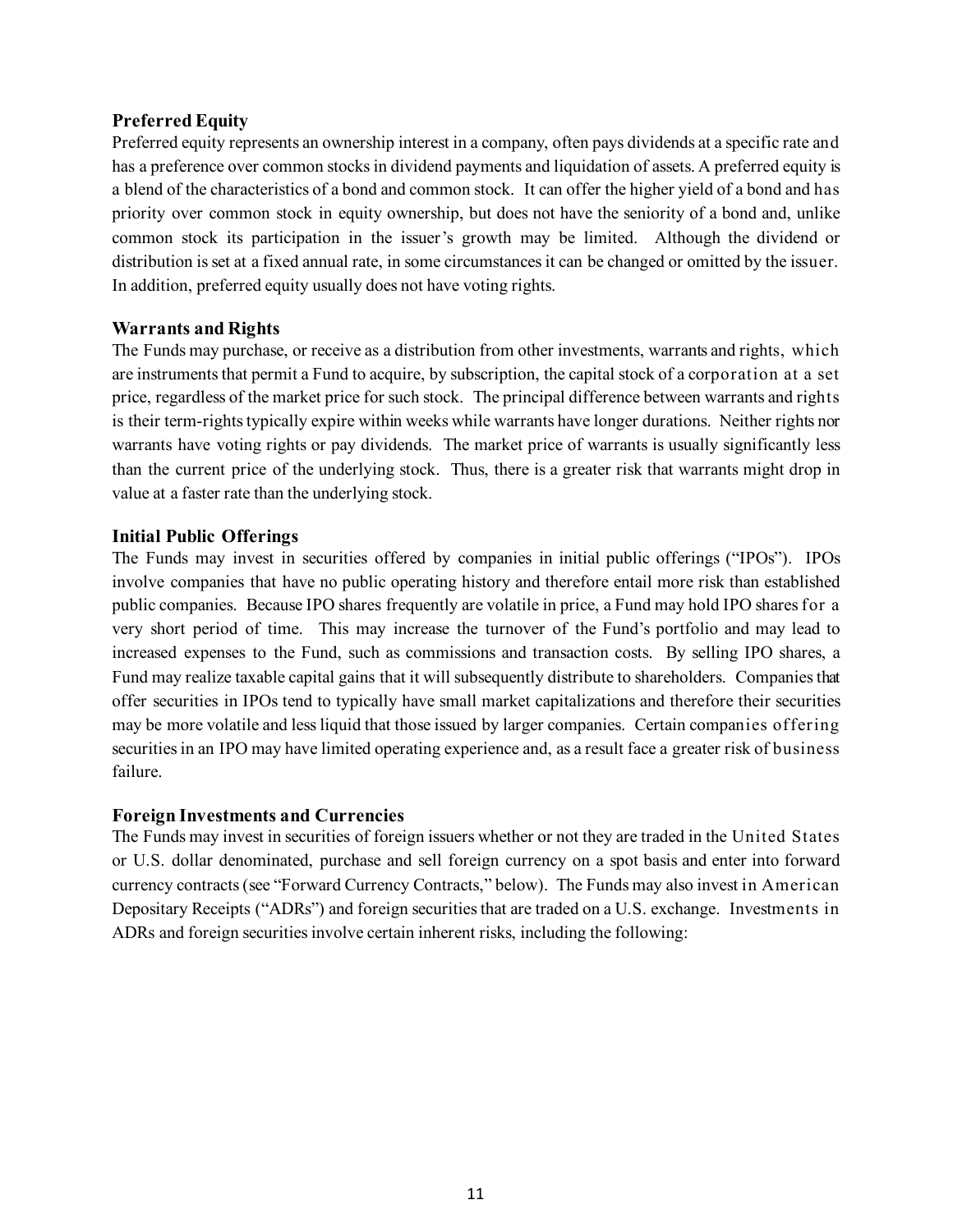# **Preferred Equity**

Preferred equity represents an ownership interest in a company, often pays dividends at a specific rate and has a preference over common stocks in dividend payments and liquidation of assets. A preferred equity is a blend of the characteristics of a bond and common stock. It can offer the higher yield of a bond and has priority over common stock in equity ownership, but does not have the seniority of a bond and, unlike common stock its participation in the issuer's growth may be limited. Although the dividend or distribution is set at a fixed annual rate, in some circumstances it can be changed or omitted by the issuer. In addition, preferred equity usually does not have voting rights.

# **Warrants and Rights**

The Funds may purchase, or receive as a distribution from other investments, warrants and rights, which are instruments that permit a Fund to acquire, by subscription, the capital stock of a corporation at a set price, regardless of the market price for such stock. The principal difference between warrants and rights is their term-rights typically expire within weeks while warrants have longer durations. Neither rights nor warrants have voting rights or pay dividends. The market price of warrants is usually significantly less than the current price of the underlying stock. Thus, there is a greater risk that warrants might drop in value at a faster rate than the underlying stock.

# **Initial Public Offerings**

The Funds may invest in securities offered by companies in initial public offerings ("IPOs"). IPOs involve companies that have no public operating history and therefore entail more risk than established public companies. Because IPO shares frequently are volatile in price, a Fund may hold IPO shares for a very short period of time. This may increase the turnover of the Fund's portfolio and may lead to increased expenses to the Fund, such as commissions and transaction costs. By selling IPO shares, a Fund may realize taxable capital gains that it will subsequently distribute to shareholders. Companies that offer securities in IPOs tend to typically have small market capitalizations and therefore their securities may be more volatile and less liquid that those issued by larger companies. Certain companies offering securities in an IPO may have limited operating experience and, as a result face a greater risk of business failure.

# **Foreign Investments and Currencies**

The Funds may invest in securities of foreign issuers whether or not they are traded in the United States or U.S. dollar denominated, purchase and sell foreign currency on a spot basis and enter into forward currency contracts (see "Forward Currency Contracts," below). The Funds may also invest in American Depositary Receipts ("ADRs") and foreign securities that are traded on a U.S. exchange. Investments in ADRs and foreign securities involve certain inherent risks, including the following: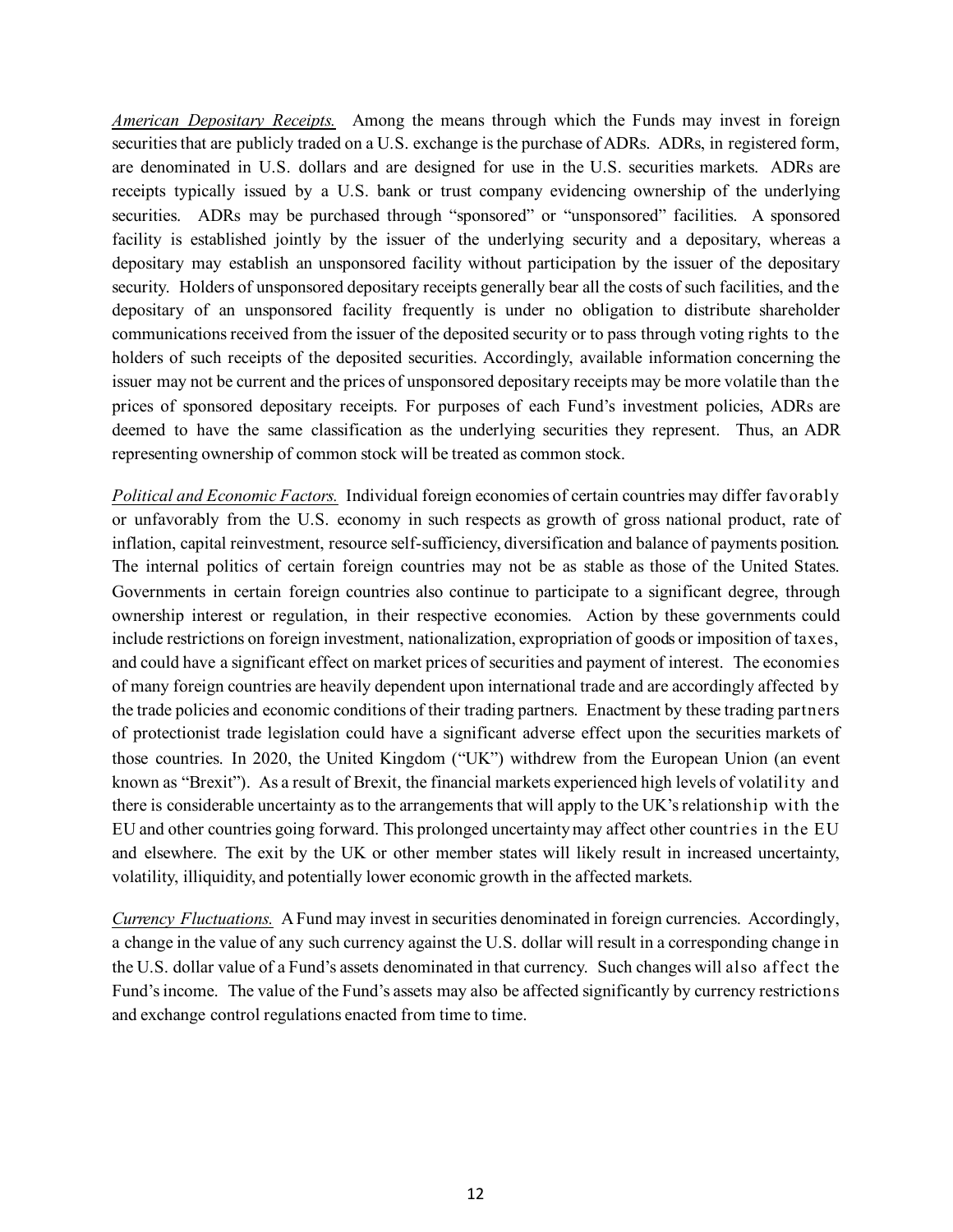*American Depositary Receipts.* Among the means through which the Funds may invest in foreign securities that are publicly traded on a U.S. exchange is the purchase of ADRs. ADRs, in registered form, are denominated in U.S. dollars and are designed for use in the U.S. securities markets. ADRs are receipts typically issued by a U.S. bank or trust company evidencing ownership of the underlying securities. ADRs may be purchased through "sponsored" or "unsponsored" facilities. A sponsored facility is established jointly by the issuer of the underlying security and a depositary, whereas a depositary may establish an unsponsored facility without participation by the issuer of the depositary security. Holders of unsponsored depositary receipts generally bear all the costs of such facilities, and the depositary of an unsponsored facility frequently is under no obligation to distribute shareholder communications received from the issuer of the deposited security or to pass through voting rights to the holders of such receipts of the deposited securities. Accordingly, available information concerning the issuer may not be current and the prices of unsponsored depositary receipts may be more volatile than the prices of sponsored depositary receipts. For purposes of each Fund's investment policies, ADRs are deemed to have the same classification as the underlying securities they represent. Thus, an ADR representing ownership of common stock will be treated as common stock.

*Political and Economic Factors.* Individual foreign economies of certain countries may differ favorably or unfavorably from the U.S. economy in such respects as growth of gross national product, rate of inflation, capital reinvestment, resource self-sufficiency, diversification and balance of payments position. The internal politics of certain foreign countries may not be as stable as those of the United States. Governments in certain foreign countries also continue to participate to a significant degree, through ownership interest or regulation, in their respective economies. Action by these governments could include restrictions on foreign investment, nationalization, expropriation of goods or imposition of taxes, and could have a significant effect on market prices of securities and payment of interest. The economies of many foreign countries are heavily dependent upon international trade and are accordingly affected by the trade policies and economic conditions of their trading partners. Enactment by these trading partners of protectionist trade legislation could have a significant adverse effect upon the securities markets of those countries. In 2020, the United Kingdom ("UK") withdrew from the European Union (an event known as "Brexit"). As a result of Brexit, the financial markets experienced high levels of volatility and there is considerable uncertainty as to the arrangements that will apply to the UK's relationship with the EU and other countries going forward. This prolonged uncertainty may affect other countries in the EU and elsewhere. The exit by the UK or other member states will likely result in increased uncertainty, volatility, illiquidity, and potentially lower economic growth in the affected markets.

*Currency Fluctuations.* A Fund may invest in securities denominated in foreign currencies. Accordingly, a change in the value of any such currency against the U.S. dollar will result in a corresponding change in the U.S. dollar value of a Fund's assets denominated in that currency. Such changes will also affect the Fund's income. The value of the Fund's assets may also be affected significantly by currency restrictions and exchange control regulations enacted from time to time.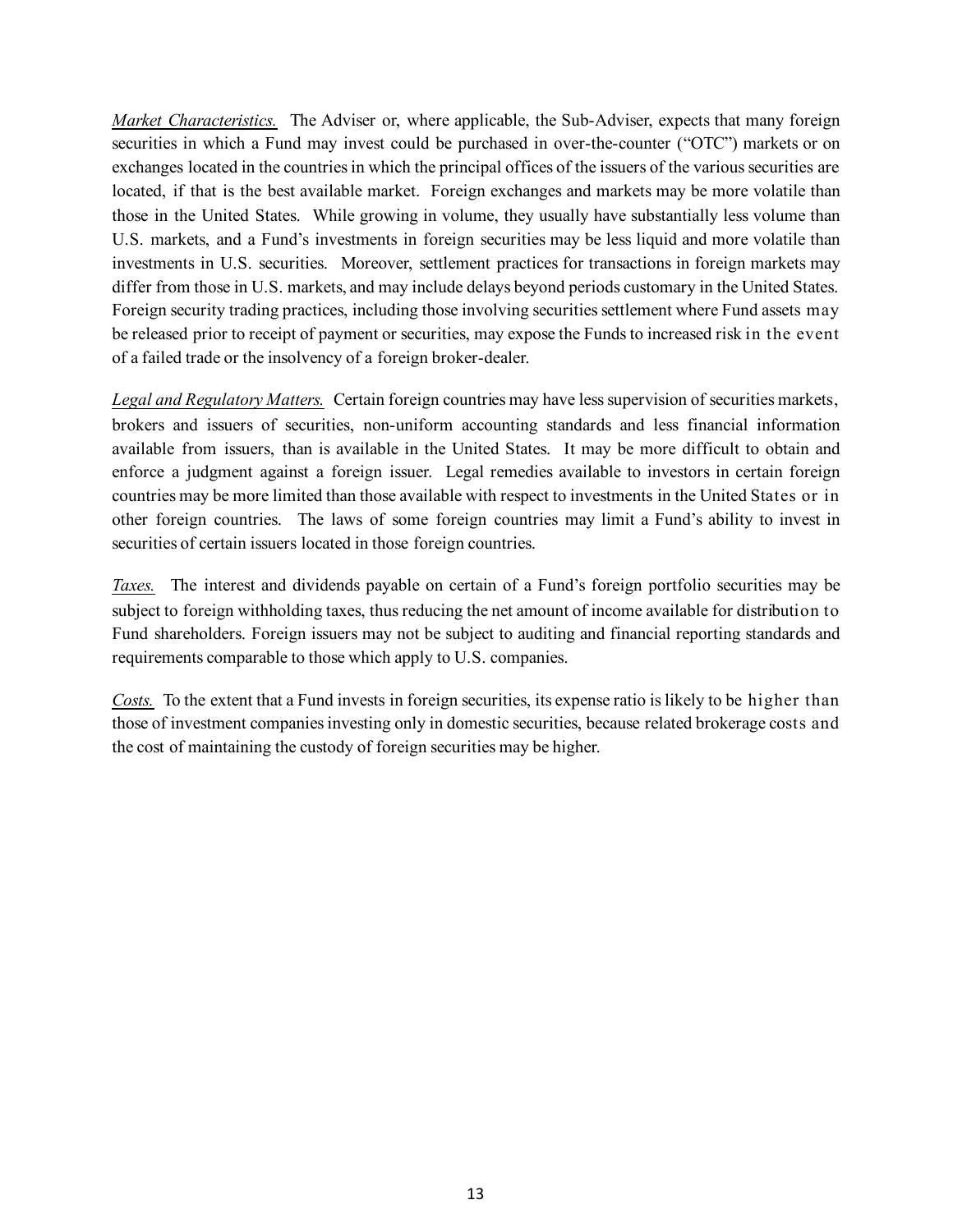*Market Characteristics.* The Adviser or, where applicable, the Sub-Adviser, expects that many foreign securities in which a Fund may invest could be purchased in over-the-counter ("OTC") markets or on exchanges located in the countries in which the principal offices of the issuers of the various securities are located, if that is the best available market. Foreign exchanges and markets may be more volatile than those in the United States. While growing in volume, they usually have substantially less volume than U.S. markets, and a Fund's investments in foreign securities may be less liquid and more volatile than investments in U.S. securities. Moreover, settlement practices for transactions in foreign markets may differ from those in U.S. markets, and may include delays beyond periods customary in the United States. Foreign security trading practices, including those involving securities settlement where Fund assets may be released prior to receipt of payment or securities, may expose the Funds to increased risk in the event of a failed trade or the insolvency of a foreign broker-dealer.

*Legal and Regulatory Matters.* Certain foreign countries may have less supervision of securities markets, brokers and issuers of securities, non-uniform accounting standards and less financial information available from issuers, than is available in the United States. It may be more difficult to obtain and enforce a judgment against a foreign issuer. Legal remedies available to investors in certain foreign countries may be more limited than those available with respect to investments in the United States or in other foreign countries. The laws of some foreign countries may limit a Fund's ability to invest in securities of certain issuers located in those foreign countries.

*Taxes.* The interest and dividends payable on certain of a Fund's foreign portfolio securities may be subject to foreign withholding taxes, thus reducing the net amount of income available for distribution to Fund shareholders. Foreign issuers may not be subject to auditing and financial reporting standards and requirements comparable to those which apply to U.S. companies.

*Costs.* To the extent that a Fund invests in foreign securities, its expense ratio is likely to be higher than those of investment companies investing only in domestic securities, because related brokerage costs and the cost of maintaining the custody of foreign securities may be higher.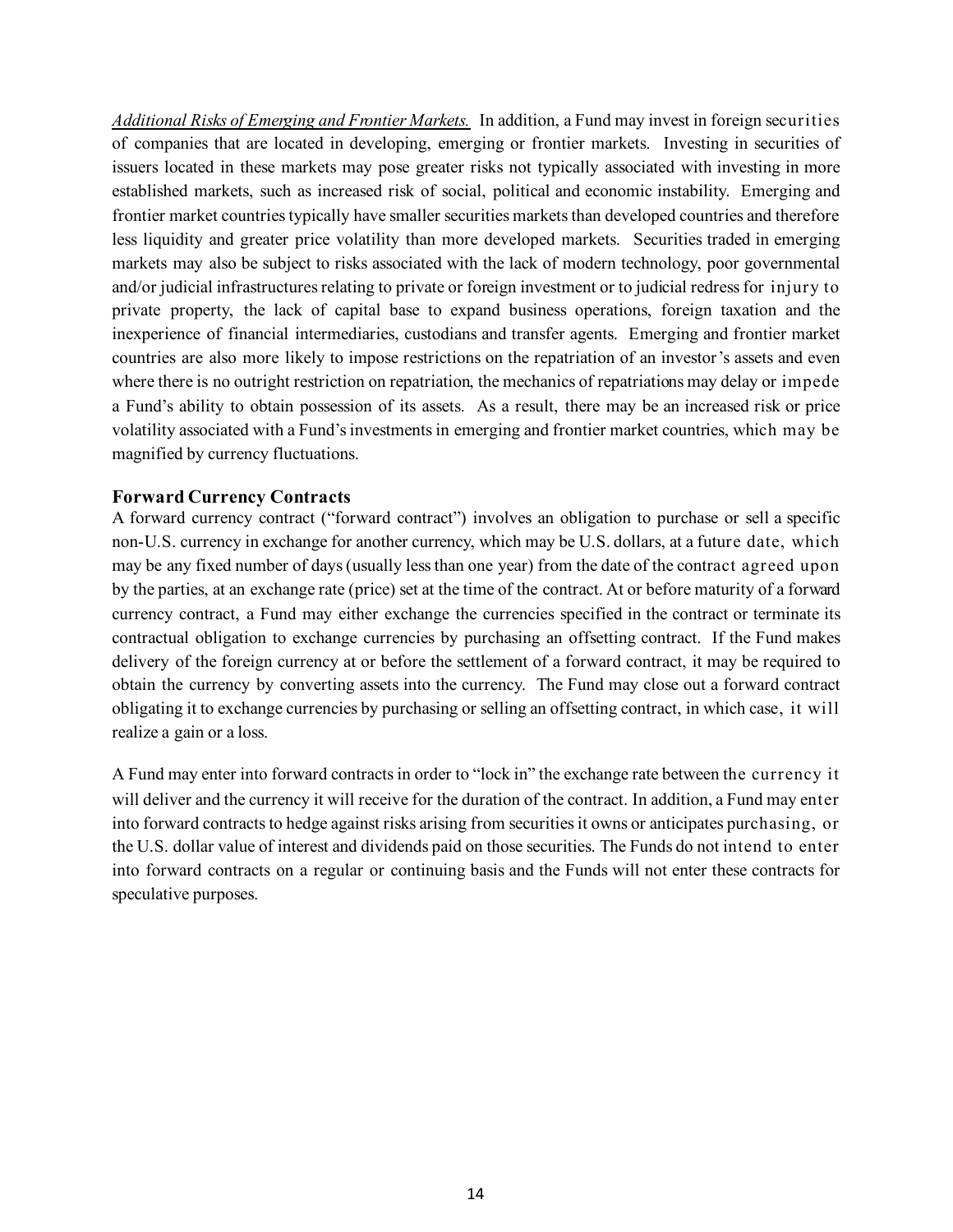*Additional Risks of Emerging and Frontier Markets.* In addition, a Fund may invest in foreign securities of companies that are located in developing, emerging or frontier markets. Investing in securities of issuers located in these markets may pose greater risks not typically associated with investing in more established markets, such as increased risk of social, political and economic instability. Emerging and frontier market countries typically have smaller securities markets than developed countries and therefore less liquidity and greater price volatility than more developed markets. Securities traded in emerging markets may also be subject to risks associated with the lack of modern technology, poor governmental and/or judicial infrastructures relating to private or foreign investment or to judicial redress for injury to private property, the lack of capital base to expand business operations, foreign taxation and the inexperience of financial intermediaries, custodians and transfer agents. Emerging and frontier market countries are also more likely to impose restrictions on the repatriation of an investor's assets and even where there is no outright restriction on repatriation, the mechanics of repatriations may delay or impede a Fund's ability to obtain possession of its assets. As a result, there may be an increased risk or price volatility associated with a Fund's investments in emerging and frontier market countries, which may be magnified by currency fluctuations.

# **Forward Currency Contracts**

A forward currency contract ("forward contract") involves an obligation to purchase or sell a specific non-U.S. currency in exchange for another currency, which may be U.S. dollars, at a future date, which may be any fixed number of days (usually less than one year) from the date of the contract agreed upon by the parties, at an exchange rate (price) set at the time of the contract. At or before maturity of a forward currency contract, a Fund may either exchange the currencies specified in the contract or terminate its contractual obligation to exchange currencies by purchasing an offsetting contract. If the Fund makes delivery of the foreign currency at or before the settlement of a forward contract, it may be required to obtain the currency by converting assets into the currency. The Fund may close out a forward contract obligating it to exchange currencies by purchasing or selling an offsetting contract, in which case, it will realize a gain or a loss.

A Fund may enter into forward contracts in order to "lock in" the exchange rate between the currency it will deliver and the currency it will receive for the duration of the contract. In addition, a Fund may enter into forward contracts to hedge against risks arising from securities it owns or anticipates purchasing, or the U.S. dollar value of interest and dividends paid on those securities. The Funds do not intend to enter into forward contracts on a regular or continuing basis and the Funds will not enter these contracts for speculative purposes.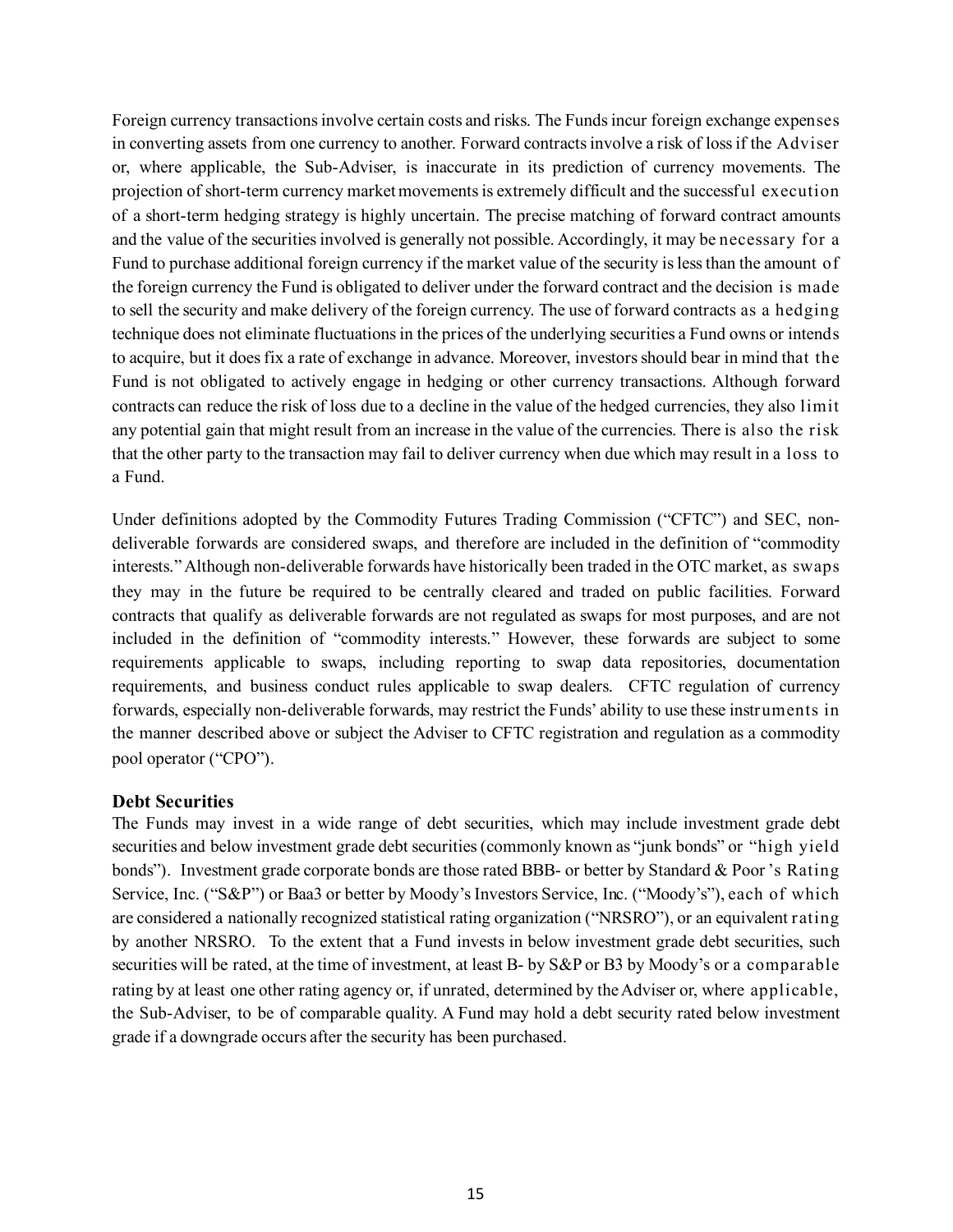Foreign currency transactions involve certain costs and risks. The Funds incur foreign exchange expenses in converting assets from one currency to another. Forward contracts involve a risk of loss if the Adviser or, where applicable, the Sub-Adviser, is inaccurate in its prediction of currency movements. The projection of short-term currency market movements is extremely difficult and the successful execution of a short-term hedging strategy is highly uncertain. The precise matching of forward contract amounts and the value of the securities involved is generally not possible. Accordingly, it may be necessary for a Fund to purchase additional foreign currency if the market value of the security is less than the amount of the foreign currency the Fund is obligated to deliver under the forward contract and the decision is made to sell the security and make delivery of the foreign currency. The use of forward contracts as a hedging technique does not eliminate fluctuations in the prices of the underlying securities a Fund owns or intends to acquire, but it does fix a rate of exchange in advance. Moreover, investors should bear in mind that the Fund is not obligated to actively engage in hedging or other currency transactions. Although forward contracts can reduce the risk of loss due to a decline in the value of the hedged currencies, they also limit any potential gain that might result from an increase in the value of the currencies. There is also the risk that the other party to the transaction may fail to deliver currency when due which may result in a loss to a Fund.

Under definitions adopted by the Commodity Futures Trading Commission ("CFTC") and SEC, nondeliverable forwards are considered swaps, and therefore are included in the definition of "commodity interests." Although non-deliverable forwards have historically been traded in the OTC market, as swaps they may in the future be required to be centrally cleared and traded on public facilities. Forward contracts that qualify as deliverable forwards are not regulated as swaps for most purposes, and are not included in the definition of "commodity interests." However, these forwards are subject to some requirements applicable to swaps, including reporting to swap data repositories, documentation requirements, and business conduct rules applicable to swap dealers. CFTC regulation of currency forwards, especially non-deliverable forwards, may restrict the Funds' ability to use these instruments in the manner described above or subject the Adviser to CFTC registration and regulation as a commodity pool operator ("CPO").

#### **Debt Securities**

The Funds may invest in a wide range of debt securities, which may include investment grade debt securities and below investment grade debt securities (commonly known as "junk bonds" or "high yield bonds"). Investment grade corporate bonds are those rated BBB- or better by Standard & Poor 's Rating Service, Inc. ("S&P") or Baa3 or better by Moody's Investors Service, Inc. ("Moody's"), each of which are considered a nationally recognized statistical rating organization ("NRSRO"), or an equivalent rating by another NRSRO. To the extent that a Fund invests in below investment grade debt securities, such securities will be rated, at the time of investment, at least B- by S&P or B3 by Moody's or a comparable rating by at least one other rating agency or, if unrated, determined by the Adviser or, where applicable, the Sub-Adviser, to be of comparable quality. A Fund may hold a debt security rated below investment grade if a downgrade occurs after the security has been purchased.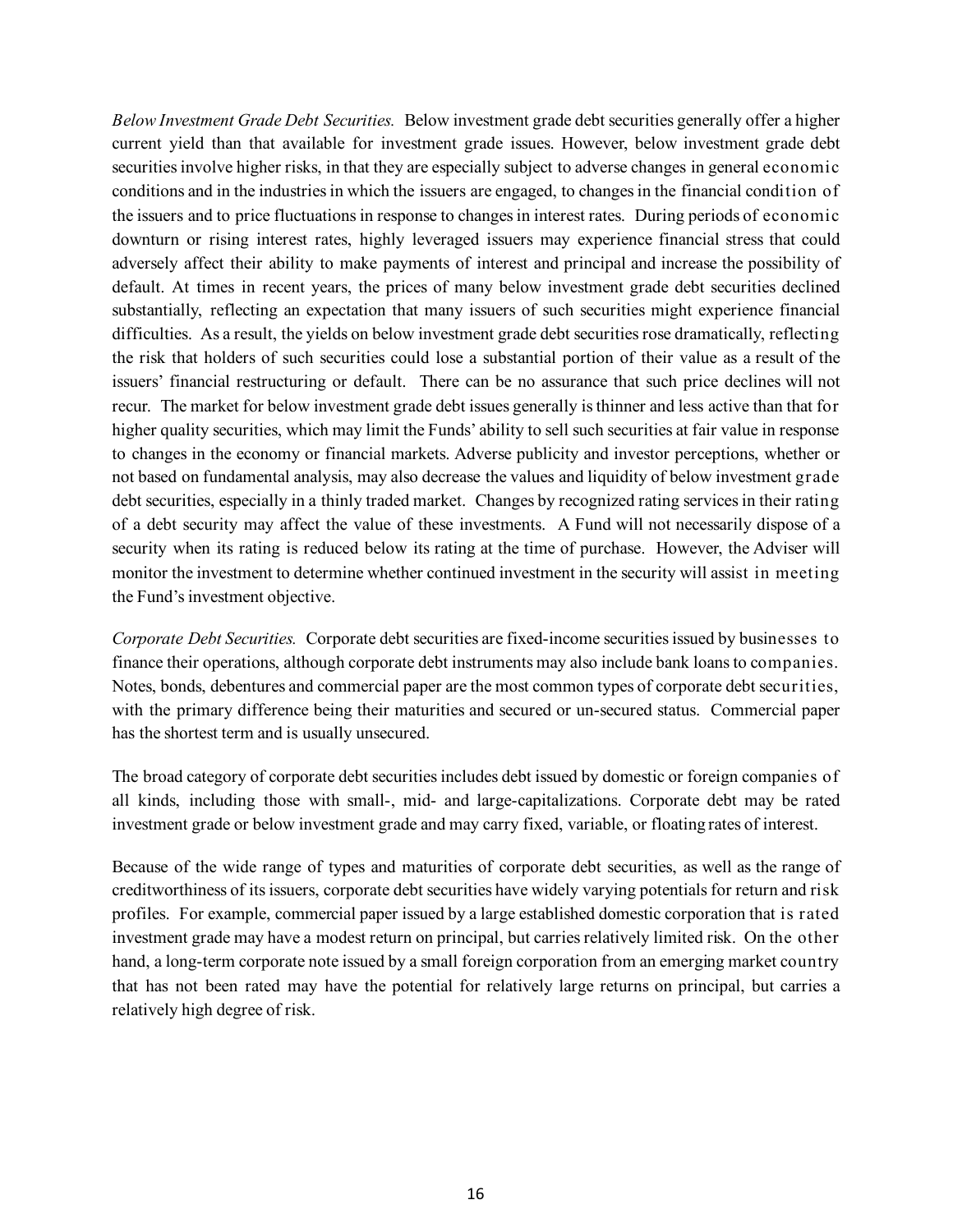*Below Investment Grade Debt Securities.* Below investment grade debt securities generally offer a higher current yield than that available for investment grade issues. However, below investment grade debt securities involve higher risks, in that they are especially subject to adverse changes in general economic conditions and in the industries in which the issuers are engaged, to changes in the financial condition of the issuers and to price fluctuations in response to changes in interest rates. During periods of economic downturn or rising interest rates, highly leveraged issuers may experience financial stress that could adversely affect their ability to make payments of interest and principal and increase the possibility of default. At times in recent years, the prices of many below investment grade debt securities declined substantially, reflecting an expectation that many issuers of such securities might experience financial difficulties. As a result, the yields on below investment grade debt securities rose dramatically, reflecting the risk that holders of such securities could lose a substantial portion of their value as a result of the issuers' financial restructuring or default. There can be no assurance that such price declines will not recur. The market for below investment grade debt issues generally is thinner and less active than that for higher quality securities, which may limit the Funds' ability to sell such securities at fair value in response to changes in the economy or financial markets. Adverse publicity and investor perceptions, whether or not based on fundamental analysis, may also decrease the values and liquidity of below investment grade debt securities, especially in a thinly traded market. Changes by recognized rating services in their rating of a debt security may affect the value of these investments. A Fund will not necessarily dispose of a security when its rating is reduced below its rating at the time of purchase. However, the Adviser will monitor the investment to determine whether continued investment in the security will assist in meeting the Fund's investment objective.

*Corporate Debt Securities.* Corporate debt securities are fixed-income securities issued by businesses to finance their operations, although corporate debt instruments may also include bank loans to companies. Notes, bonds, debentures and commercial paper are the most common types of corporate debt securities, with the primary difference being their maturities and secured or un-secured status. Commercial paper has the shortest term and is usually unsecured.

The broad category of corporate debt securities includes debt issued by domestic or foreign companies of all kinds, including those with small-, mid- and large-capitalizations. Corporate debt may be rated investment grade or below investment grade and may carry fixed, variable, or floating rates of interest.

Because of the wide range of types and maturities of corporate debt securities, as well as the range of creditworthiness of its issuers, corporate debt securities have widely varying potentials for return and risk profiles. For example, commercial paper issued by a large established domestic corporation that is rated investment grade may have a modest return on principal, but carries relatively limited risk. On the other hand, a long-term corporate note issued by a small foreign corporation from an emerging market country that has not been rated may have the potential for relatively large returns on principal, but carries a relatively high degree of risk.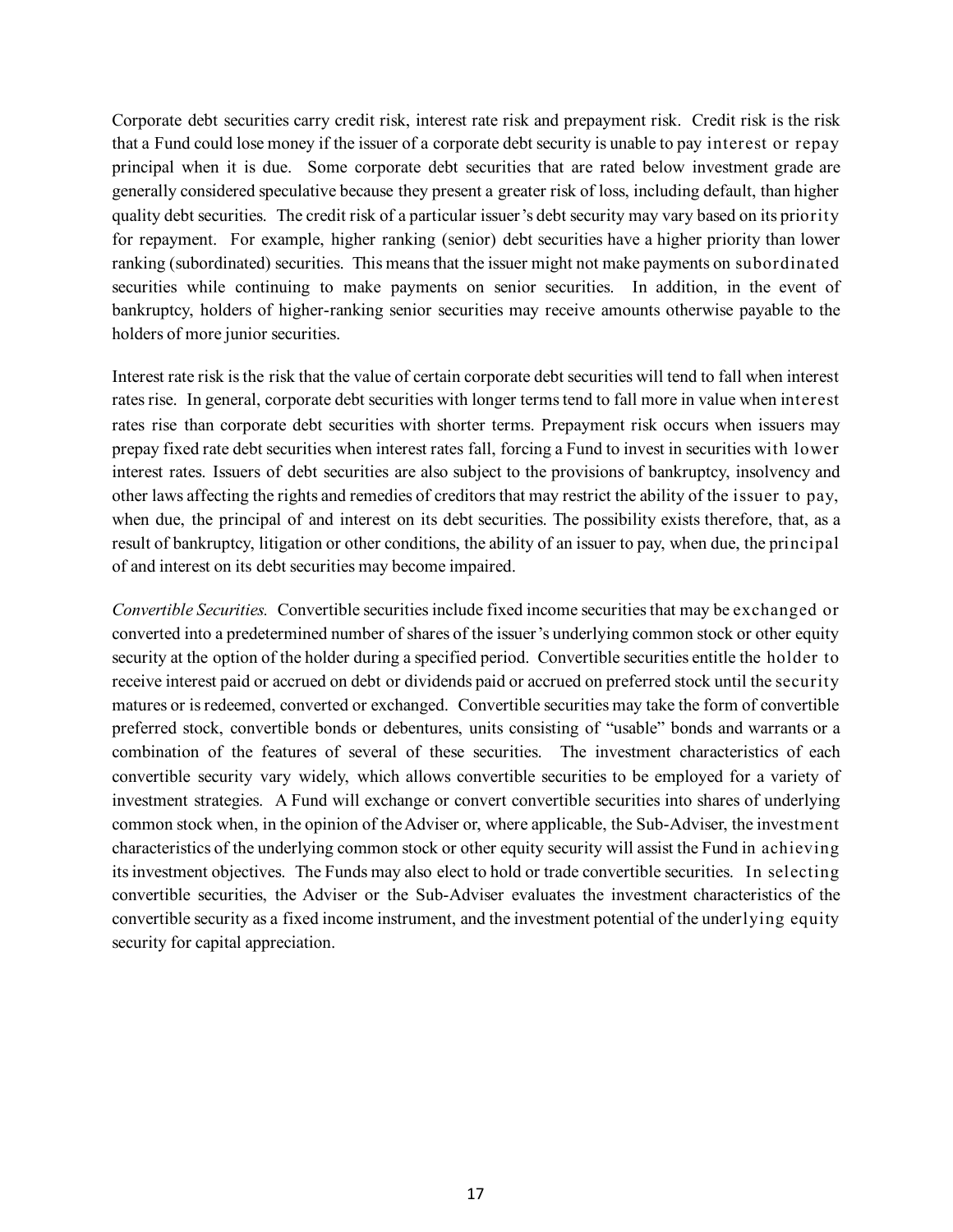Corporate debt securities carry credit risk, interest rate risk and prepayment risk. Credit risk is the risk that a Fund could lose money if the issuer of a corporate debt security is unable to pay interest or repay principal when it is due. Some corporate debt securities that are rated below investment grade are generally considered speculative because they present a greater risk of loss, including default, than higher quality debt securities. The credit risk of a particular issuer's debt security may vary based on its priority for repayment. For example, higher ranking (senior) debt securities have a higher priority than lower ranking (subordinated) securities. This means that the issuer might not make payments on subordinated securities while continuing to make payments on senior securities. In addition, in the event of bankruptcy, holders of higher-ranking senior securities may receive amounts otherwise payable to the holders of more junior securities.

Interest rate risk is the risk that the value of certain corporate debt securities will tend to fall when interest rates rise. In general, corporate debt securities with longer terms tend to fall more in value when interest rates rise than corporate debt securities with shorter terms. Prepayment risk occurs when issuers may prepay fixed rate debt securities when interest rates fall, forcing a Fund to invest in securities with lower interest rates. Issuers of debt securities are also subject to the provisions of bankruptcy, insolvency and other laws affecting the rights and remedies of creditors that may restrict the ability of the issuer to pay, when due, the principal of and interest on its debt securities. The possibility exists therefore, that, as a result of bankruptcy, litigation or other conditions, the ability of an issuer to pay, when due, the principal of and interest on its debt securities may become impaired.

*Convertible Securities.* Convertible securities include fixed income securities that may be exchanged or converted into a predetermined number of shares of the issuer's underlying common stock or other equity security at the option of the holder during a specified period. Convertible securities entitle the holder to receive interest paid or accrued on debt or dividends paid or accrued on preferred stock until the security matures or is redeemed, converted or exchanged. Convertible securities may take the form of convertible preferred stock, convertible bonds or debentures, units consisting of "usable" bonds and warrants or a combination of the features of several of these securities. The investment characteristics of each convertible security vary widely, which allows convertible securities to be employed for a variety of investment strategies. A Fund will exchange or convert convertible securities into shares of underlying common stock when, in the opinion of the Adviser or, where applicable, the Sub-Adviser, the investment characteristics of the underlying common stock or other equity security will assist the Fund in achieving its investment objectives. The Funds may also elect to hold or trade convertible securities. In selecting convertible securities, the Adviser or the Sub-Adviser evaluates the investment characteristics of the convertible security as a fixed income instrument, and the investment potential of the underlying equity security for capital appreciation.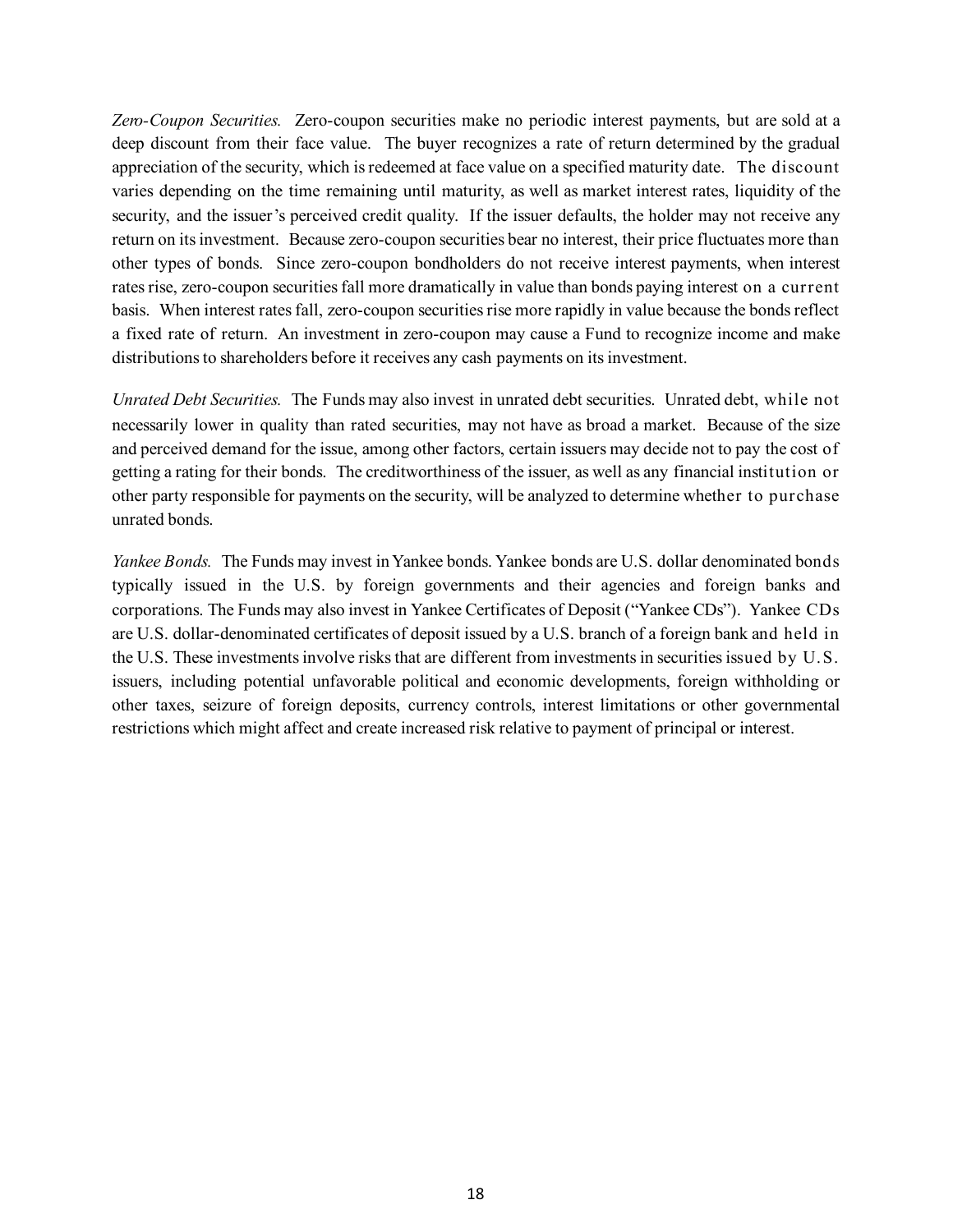*Zero-Coupon Securities.* Zero-coupon securities make no periodic interest payments, but are sold at a deep discount from their face value. The buyer recognizes a rate of return determined by the gradual appreciation of the security, which is redeemed at face value on a specified maturity date. The discount varies depending on the time remaining until maturity, as well as market interest rates, liquidity of the security, and the issuer's perceived credit quality. If the issuer defaults, the holder may not receive any return on its investment. Because zero-coupon securities bear no interest, their price fluctuates more than other types of bonds. Since zero-coupon bondholders do not receive interest payments, when interest rates rise, zero-coupon securities fall more dramatically in value than bonds paying interest on a current basis. When interest rates fall, zero-coupon securities rise more rapidly in value because the bonds reflect a fixed rate of return. An investment in zero-coupon may cause a Fund to recognize income and make distributions to shareholders before it receives any cash payments on its investment.

*Unrated Debt Securities.* The Funds may also invest in unrated debt securities. Unrated debt, while not necessarily lower in quality than rated securities, may not have as broad a market. Because of the size and perceived demand for the issue, among other factors, certain issuers may decide not to pay the cost of getting a rating for their bonds. The creditworthiness of the issuer, as well as any financial institution or other party responsible for payments on the security, will be analyzed to determine whether to purchase unrated bonds.

*Yankee Bonds.* The Funds may invest in Yankee bonds. Yankee bonds are U.S. dollar denominated bonds typically issued in the U.S. by foreign governments and their agencies and foreign banks and corporations. The Funds may also invest in Yankee Certificates of Deposit ("Yankee CDs"). Yankee CDs are U.S. dollar-denominated certificates of deposit issued by a U.S. branch of a foreign bank and held in the U.S. These investments involve risks that are different from investments in securities issued by U.S. issuers, including potential unfavorable political and economic developments, foreign withholding or other taxes, seizure of foreign deposits, currency controls, interest limitations or other governmental restrictions which might affect and create increased risk relative to payment of principal or interest.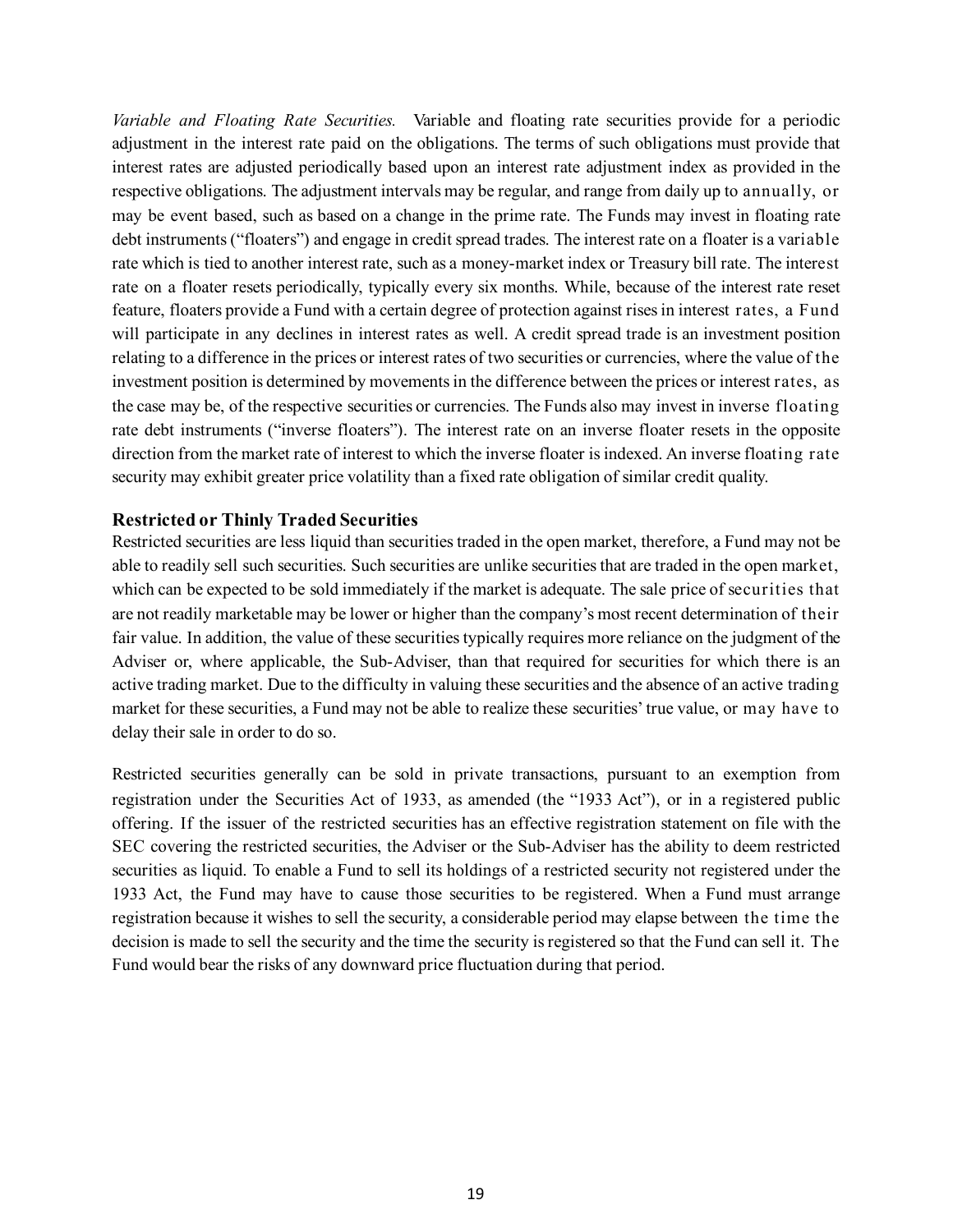*Variable and Floating Rate Securities.* Variable and floating rate securities provide for a periodic adjustment in the interest rate paid on the obligations. The terms of such obligations must provide that interest rates are adjusted periodically based upon an interest rate adjustment index as provided in the respective obligations. The adjustment intervals may be regular, and range from daily up to annually, or may be event based, such as based on a change in the prime rate. The Funds may invest in floating rate debt instruments ("floaters") and engage in credit spread trades. The interest rate on a floater is a variable rate which is tied to another interest rate, such as a money-market index or Treasury bill rate. The interest rate on a floater resets periodically, typically every six months. While, because of the interest rate reset feature, floaters provide a Fund with a certain degree of protection against rises in interest rates, a Fund will participate in any declines in interest rates as well. A credit spread trade is an investment position relating to a difference in the prices or interest rates of two securities or currencies, where the value of the investment position is determined by movements in the difference between the prices or interest rates, as the case may be, of the respective securities or currencies. The Funds also may invest in inverse floating rate debt instruments ("inverse floaters"). The interest rate on an inverse floater resets in the opposite direction from the market rate of interest to which the inverse floater is indexed. An inverse floating rate security may exhibit greater price volatility than a fixed rate obligation of similar credit quality.

# **Restricted or Thinly Traded Securities**

Restricted securities are less liquid than securities traded in the open market, therefore, a Fund may not be able to readily sell such securities. Such securities are unlike securities that are traded in the open market, which can be expected to be sold immediately if the market is adequate. The sale price of securities that are not readily marketable may be lower or higher than the company's most recent determination of their fair value. In addition, the value of these securities typically requires more reliance on the judgment of the Adviser or, where applicable, the Sub-Adviser, than that required for securities for which there is an active trading market. Due to the difficulty in valuing these securities and the absence of an active trading market for these securities, a Fund may not be able to realize these securities' true value, or may have to delay their sale in order to do so.

Restricted securities generally can be sold in private transactions, pursuant to an exemption from registration under the Securities Act of 1933, as amended (the "1933 Act"), or in a registered public offering. If the issuer of the restricted securities has an effective registration statement on file with the SEC covering the restricted securities, the Adviser or the Sub-Adviser has the ability to deem restricted securities as liquid. To enable a Fund to sell its holdings of a restricted security not registered under the 1933 Act, the Fund may have to cause those securities to be registered. When a Fund must arrange registration because it wishes to sell the security, a considerable period may elapse between the time the decision is made to sell the security and the time the security is registered so that the Fund can sell it. The Fund would bear the risks of any downward price fluctuation during that period.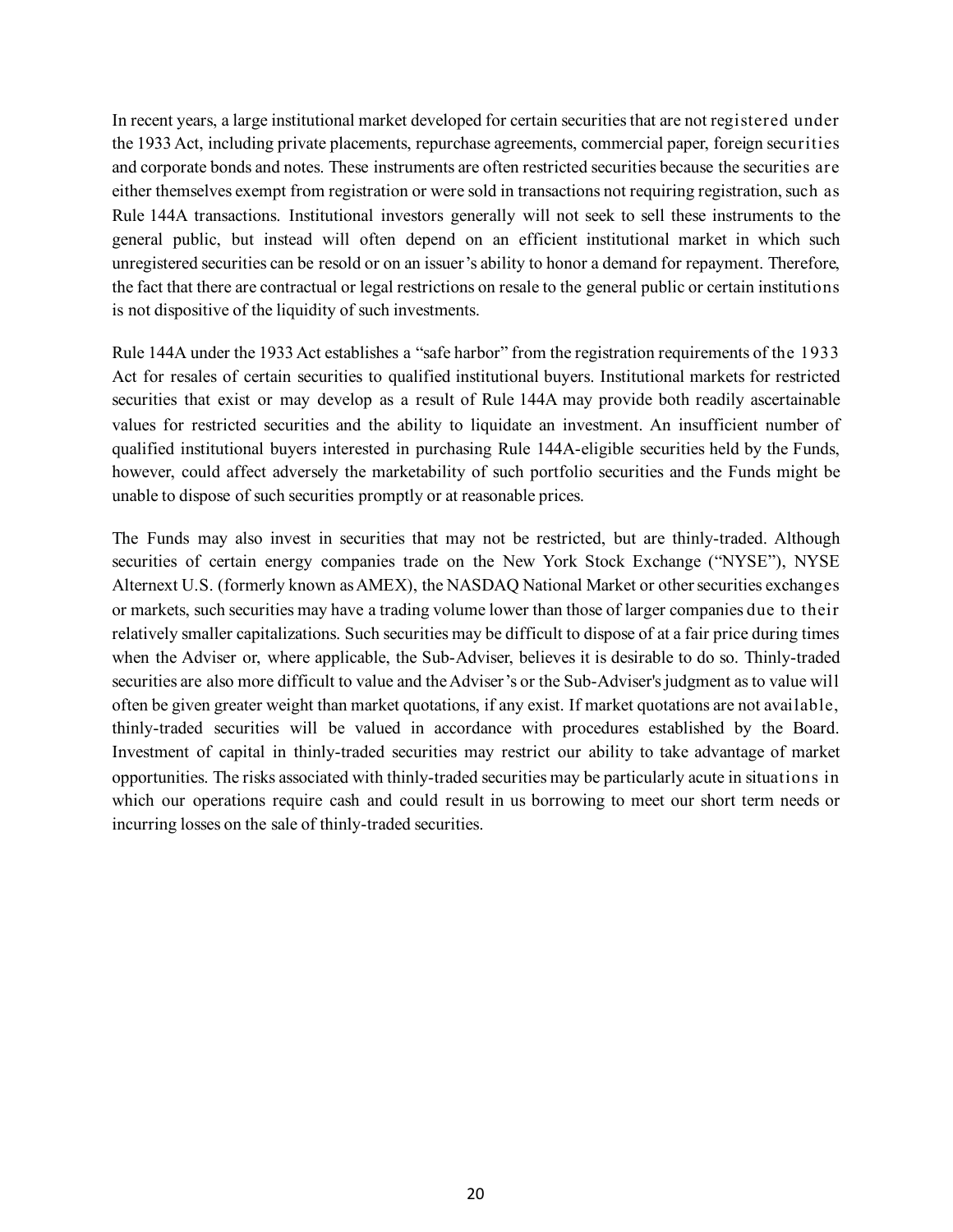In recent years, a large institutional market developed for certain securities that are not registered under the 1933 Act, including private placements, repurchase agreements, commercial paper, foreign securities and corporate bonds and notes. These instruments are often restricted securities because the securities are either themselves exempt from registration or were sold in transactions not requiring registration, such as Rule 144A transactions. Institutional investors generally will not seek to sell these instruments to the general public, but instead will often depend on an efficient institutional market in which such unregistered securities can be resold or on an issuer's ability to honor a demand for repayment. Therefore, the fact that there are contractual or legal restrictions on resale to the general public or certain institutions is not dispositive of the liquidity of such investments.

Rule 144A under the 1933 Act establishes a "safe harbor" from the registration requirements of the 1933 Act for resales of certain securities to qualified institutional buyers. Institutional markets for restricted securities that exist or may develop as a result of Rule 144A may provide both readily ascertainable values for restricted securities and the ability to liquidate an investment. An insufficient number of qualified institutional buyers interested in purchasing Rule 144A-eligible securities held by the Funds, however, could affect adversely the marketability of such portfolio securities and the Funds might be unable to dispose of such securities promptly or at reasonable prices.

The Funds may also invest in securities that may not be restricted, but are thinly-traded. Although securities of certain energy companies trade on the New York Stock Exchange ("NYSE"), NYSE Alternext U.S. (formerly known as AMEX), the NASDAQ National Market or other securities exchanges or markets, such securities may have a trading volume lower than those of larger companies due to their relatively smaller capitalizations. Such securities may be difficult to dispose of at a fair price during times when the Adviser or, where applicable, the Sub-Adviser, believes it is desirable to do so. Thinly-traded securities are also more difficult to value and the Adviser's or the Sub-Adviser's judgment as to value will often be given greater weight than market quotations, if any exist. If market quotations are not available, thinly-traded securities will be valued in accordance with procedures established by the Board. Investment of capital in thinly-traded securities may restrict our ability to take advantage of market opportunities. The risks associated with thinly-traded securities may be particularly acute in situations in which our operations require cash and could result in us borrowing to meet our short term needs or incurring losses on the sale of thinly-traded securities.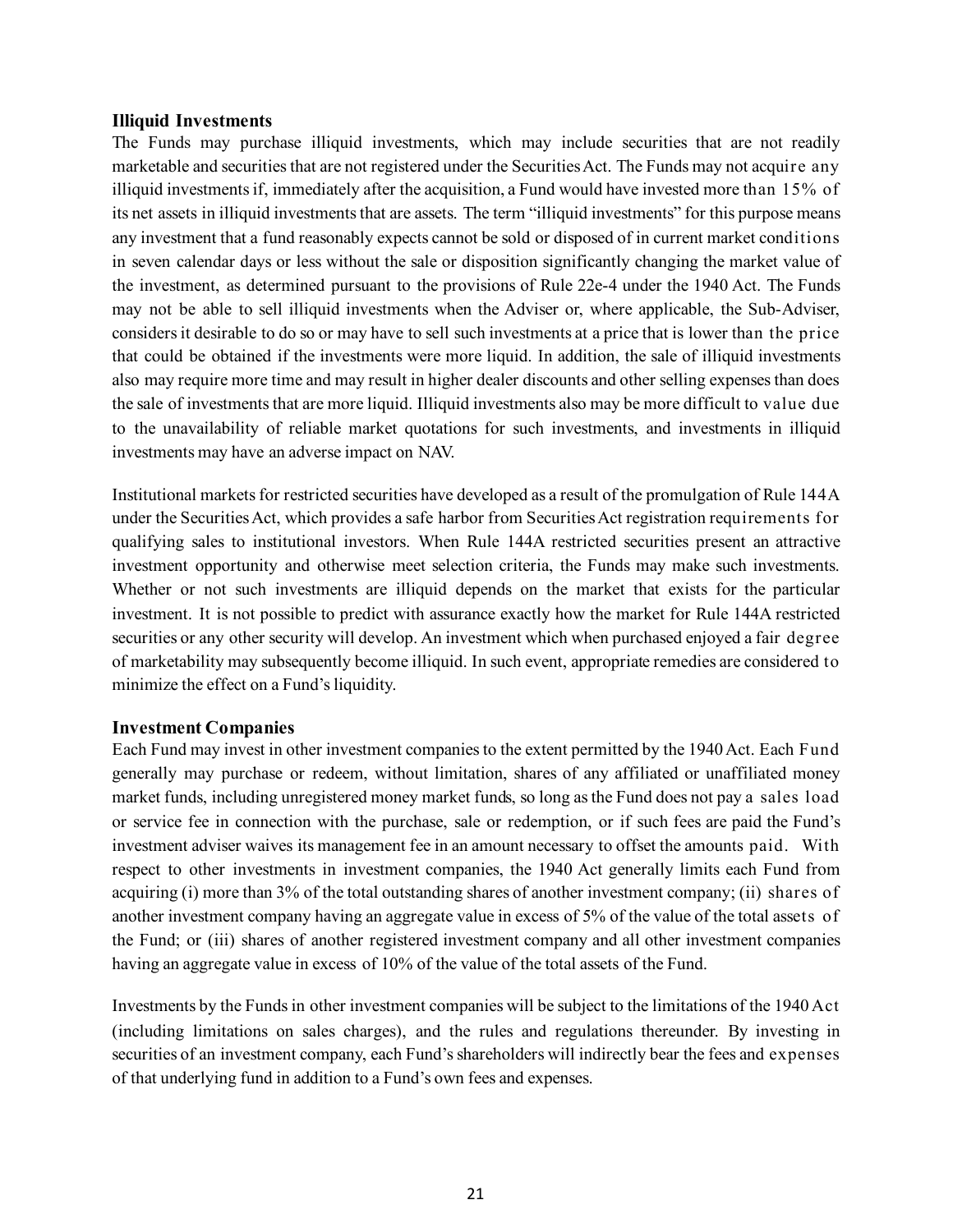#### **Illiquid Investments**

The Funds may purchase illiquid investments, which may include securities that are not readily marketable and securities that are not registered under the Securities Act. The Funds may not acquire any illiquid investments if, immediately after the acquisition, a Fund would have invested more than 15% of its net assets in illiquid investments that are assets. The term "illiquid investments" for this purpose means any investment that a fund reasonably expects cannot be sold or disposed of in current market conditions in seven calendar days or less without the sale or disposition significantly changing the market value of the investment, as determined pursuant to the provisions of Rule 22e-4 under the 1940 Act. The Funds may not be able to sell illiquid investments when the Adviser or, where applicable, the Sub-Adviser, considers it desirable to do so or may have to sell such investments at a price that is lower than the price that could be obtained if the investments were more liquid. In addition, the sale of illiquid investments also may require more time and may result in higher dealer discounts and other selling expenses than does the sale of investments that are more liquid. Illiquid investments also may be more difficult to value due to the unavailability of reliable market quotations for such investments, and investments in illiquid investments may have an adverse impact on NAV.

Institutional markets for restricted securities have developed as a result of the promulgation of Rule 144A under the Securities Act, which provides a safe harbor from Securities Act registration requirements for qualifying sales to institutional investors. When Rule 144A restricted securities present an attractive investment opportunity and otherwise meet selection criteria, the Funds may make such investments. Whether or not such investments are illiquid depends on the market that exists for the particular investment. It is not possible to predict with assurance exactly how the market for Rule 144A restricted securities or any other security will develop. An investment which when purchased enjoyed a fair degree of marketability may subsequently become illiquid. In such event, appropriate remedies are considered to minimize the effect on a Fund's liquidity.

#### **Investment Companies**

Each Fund may invest in other investment companies to the extent permitted by the 1940 Act. Each Fund generally may purchase or redeem, without limitation, shares of any affiliated or unaffiliated money market funds, including unregistered money market funds, so long as the Fund does not pay a sales load or service fee in connection with the purchase, sale or redemption, or if such fees are paid the Fund's investment adviser waives its management fee in an amount necessary to offset the amounts paid. With respect to other investments in investment companies, the 1940 Act generally limits each Fund from acquiring (i) more than 3% of the total outstanding shares of another investment company; (ii) shares of another investment company having an aggregate value in excess of 5% of the value of the total assets of the Fund; or (iii) shares of another registered investment company and all other investment companies having an aggregate value in excess of 10% of the value of the total assets of the Fund.

Investments by the Funds in other investment companies will be subject to the limitations of the 1940 Act (including limitations on sales charges), and the rules and regulations thereunder. By investing in securities of an investment company, each Fund's shareholders will indirectly bear the fees and expenses of that underlying fund in addition to a Fund's own fees and expenses.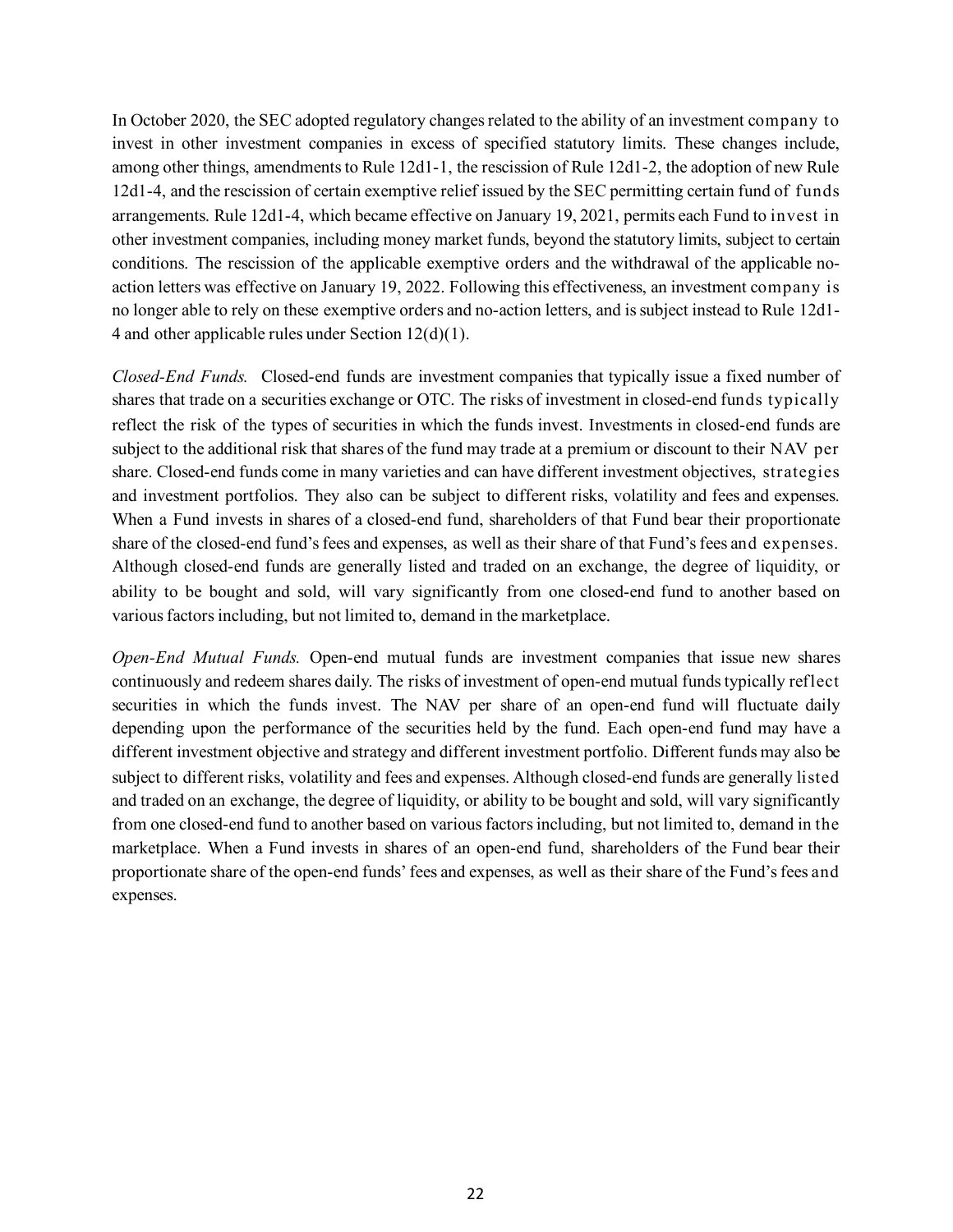In October 2020, the SEC adopted regulatory changes related to the ability of an investment company to invest in other investment companies in excess of specified statutory limits. These changes include, among other things, amendments to Rule 12d1-1, the rescission of Rule 12d1-2, the adoption of new Rule 12d1-4, and the rescission of certain exemptive relief issued by the SEC permitting certain fund of funds arrangements. Rule 12d1-4, which became effective on January 19, 2021, permits each Fund to invest in other investment companies, including money market funds, beyond the statutory limits, subject to certain conditions. The rescission of the applicable exemptive orders and the withdrawal of the applicable noaction letters was effective on January 19, 2022. Following this effectiveness, an investment company is no longer able to rely on these exemptive orders and no-action letters, and is subject instead to Rule 12d1- 4 and other applicable rules under Section 12(d)(1).

*Closed-End Funds.* Closed-end funds are investment companies that typically issue a fixed number of shares that trade on a securities exchange or OTC. The risks of investment in closed-end funds typically reflect the risk of the types of securities in which the funds invest. Investments in closed-end funds are subject to the additional risk that shares of the fund may trade at a premium or discount to their NAV per share. Closed-end funds come in many varieties and can have different investment objectives, strategies and investment portfolios. They also can be subject to different risks, volatility and fees and expenses. When a Fund invests in shares of a closed-end fund, shareholders of that Fund bear their proportionate share of the closed-end fund's fees and expenses, as well as their share of that Fund's fees and expenses. Although closed-end funds are generally listed and traded on an exchange, the degree of liquidity, or ability to be bought and sold, will vary significantly from one closed-end fund to another based on various factors including, but not limited to, demand in the marketplace.

*Open-End Mutual Funds.* Open-end mutual funds are investment companies that issue new shares continuously and redeem shares daily. The risks of investment of open-end mutual funds typically reflect securities in which the funds invest. The NAV per share of an open-end fund will fluctuate daily depending upon the performance of the securities held by the fund. Each open-end fund may have a different investment objective and strategy and different investment portfolio. Different funds may also be subject to different risks, volatility and fees and expenses. Although closed-end funds are generally listed and traded on an exchange, the degree of liquidity, or ability to be bought and sold, will vary significantly from one closed-end fund to another based on various factors including, but not limited to, demand in the marketplace. When a Fund invests in shares of an open-end fund, shareholders of the Fund bear their proportionate share of the open-end funds' fees and expenses, as well as their share of the Fund's fees and expenses.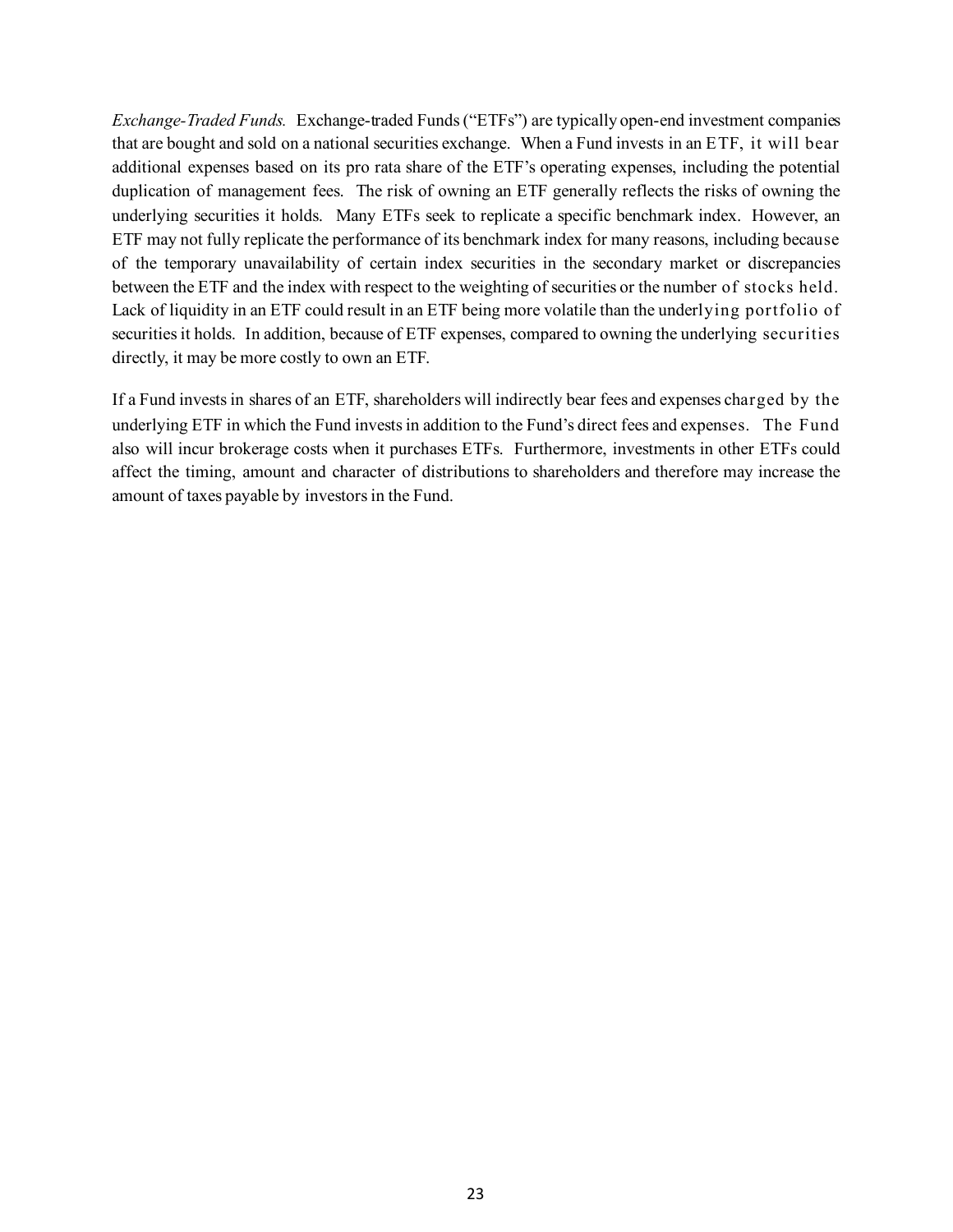*Exchange-Traded Funds.* Exchange-traded Funds ("ETFs") are typically open-end investment companies that are bought and sold on a national securities exchange. When a Fund invests in an ETF, it will bear additional expenses based on its pro rata share of the ETF's operating expenses, including the potential duplication of management fees. The risk of owning an ETF generally reflects the risks of owning the underlying securities it holds. Many ETFs seek to replicate a specific benchmark index. However, an ETF may not fully replicate the performance of its benchmark index for many reasons, including because of the temporary unavailability of certain index securities in the secondary market or discrepancies between the ETF and the index with respect to the weighting of securities or the number of stocks held. Lack of liquidity in an ETF could result in an ETF being more volatile than the underlying portfolio of securities it holds. In addition, because of ETF expenses, compared to owning the underlying securities directly, it may be more costly to own an ETF.

If a Fund invests in shares of an ETF, shareholders will indirectly bear fees and expenses charged by the underlying ETF in which the Fund invests in addition to the Fund's direct fees and expenses. The Fund also will incur brokerage costs when it purchases ETFs. Furthermore, investments in other ETFs could affect the timing, amount and character of distributions to shareholders and therefore may increase the amount of taxes payable by investors in the Fund.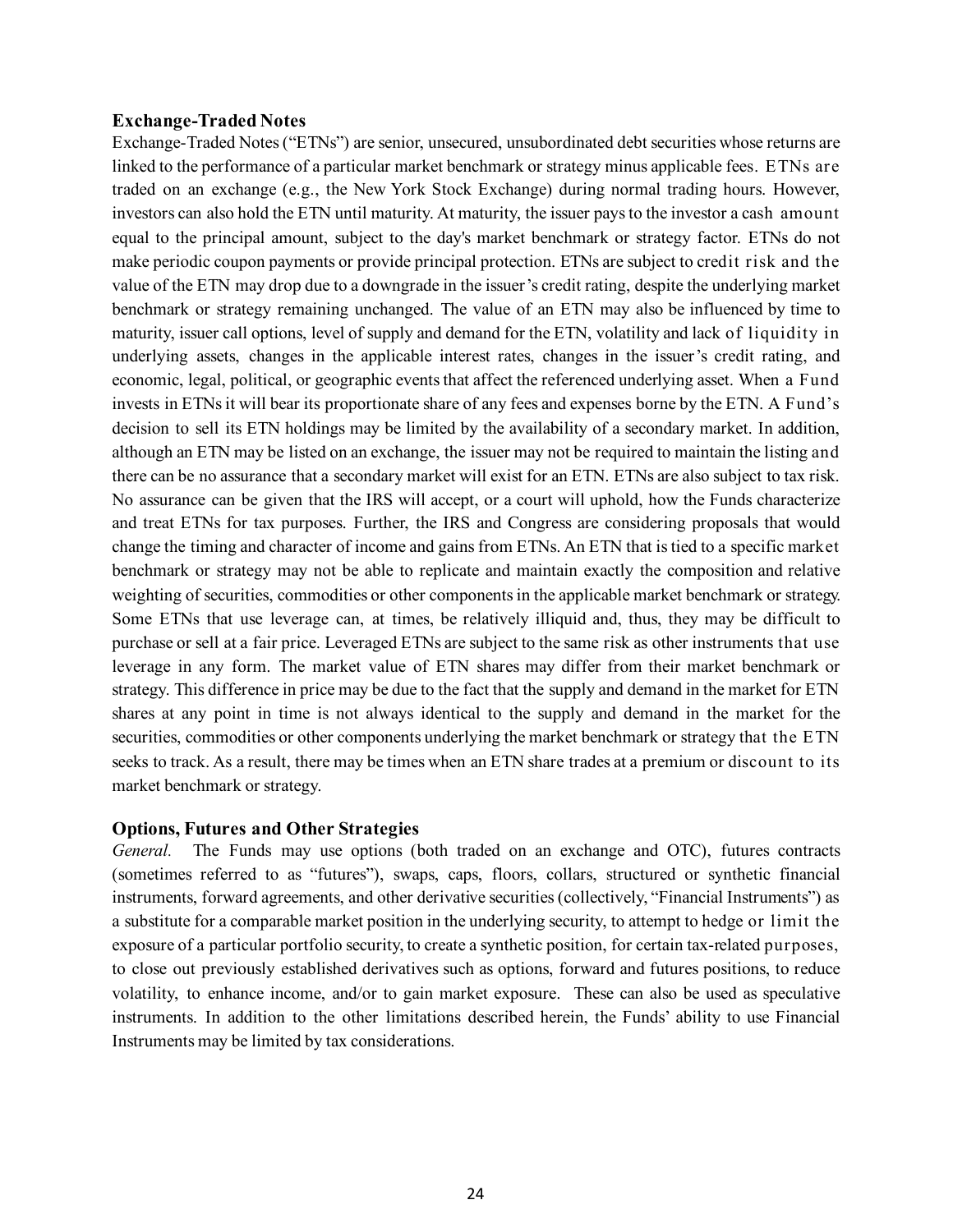#### **Exchange-Traded Notes**

Exchange-Traded Notes ("ETNs") are senior, unsecured, unsubordinated debt securities whose returns are linked to the performance of a particular market benchmark or strategy minus applicable fees. ETNs are traded on an exchange (e.g., the New York Stock Exchange) during normal trading hours. However, investors can also hold the ETN until maturity. At maturity, the issuer pays to the investor a cash amount equal to the principal amount, subject to the day's market benchmark or strategy factor. ETNs do not make periodic coupon payments or provide principal protection. ETNs are subject to credit risk and the value of the ETN may drop due to a downgrade in the issuer's credit rating, despite the underlying market benchmark or strategy remaining unchanged. The value of an ETN may also be influenced by time to maturity, issuer call options, level of supply and demand for the ETN, volatility and lack of liquidity in underlying assets, changes in the applicable interest rates, changes in the issuer's credit rating, and economic, legal, political, or geographic events that affect the referenced underlying asset. When a Fund invests in ETNs it will bear its proportionate share of any fees and expenses borne by the ETN. A Fund's decision to sell its ETN holdings may be limited by the availability of a secondary market. In addition, although an ETN may be listed on an exchange, the issuer may not be required to maintain the listing and there can be no assurance that a secondary market will exist for an ETN. ETNs are also subject to tax risk. No assurance can be given that the IRS will accept, or a court will uphold, how the Funds characterize and treat ETNs for tax purposes. Further, the IRS and Congress are considering proposals that would change the timing and character of income and gains from ETNs. An ETN that is tied to a specific market benchmark or strategy may not be able to replicate and maintain exactly the composition and relative weighting of securities, commodities or other components in the applicable market benchmark or strategy. Some ETNs that use leverage can, at times, be relatively illiquid and, thus, they may be difficult to purchase or sell at a fair price. Leveraged ETNs are subject to the same risk as other instruments that use leverage in any form. The market value of ETN shares may differ from their market benchmark or strategy. This difference in price may be due to the fact that the supply and demand in the market for ETN shares at any point in time is not always identical to the supply and demand in the market for the securities, commodities or other components underlying the market benchmark or strategy that the ETN seeks to track. As a result, there may be times when an ETN share trades at a premium or discount to its market benchmark or strategy.

#### **Options, Futures and Other Strategies**

*General.* The Funds may use options (both traded on an exchange and OTC), futures contracts (sometimes referred to as "futures"), swaps, caps, floors, collars, structured or synthetic financial instruments, forward agreements, and other derivative securities (collectively, "Financial Instruments") as a substitute for a comparable market position in the underlying security, to attempt to hedge or limit the exposure of a particular portfolio security, to create a synthetic position, for certain tax-related purposes, to close out previously established derivatives such as options, forward and futures positions, to reduce volatility, to enhance income, and/or to gain market exposure. These can also be used as speculative instruments. In addition to the other limitations described herein, the Funds' ability to use Financial Instruments may be limited by tax considerations.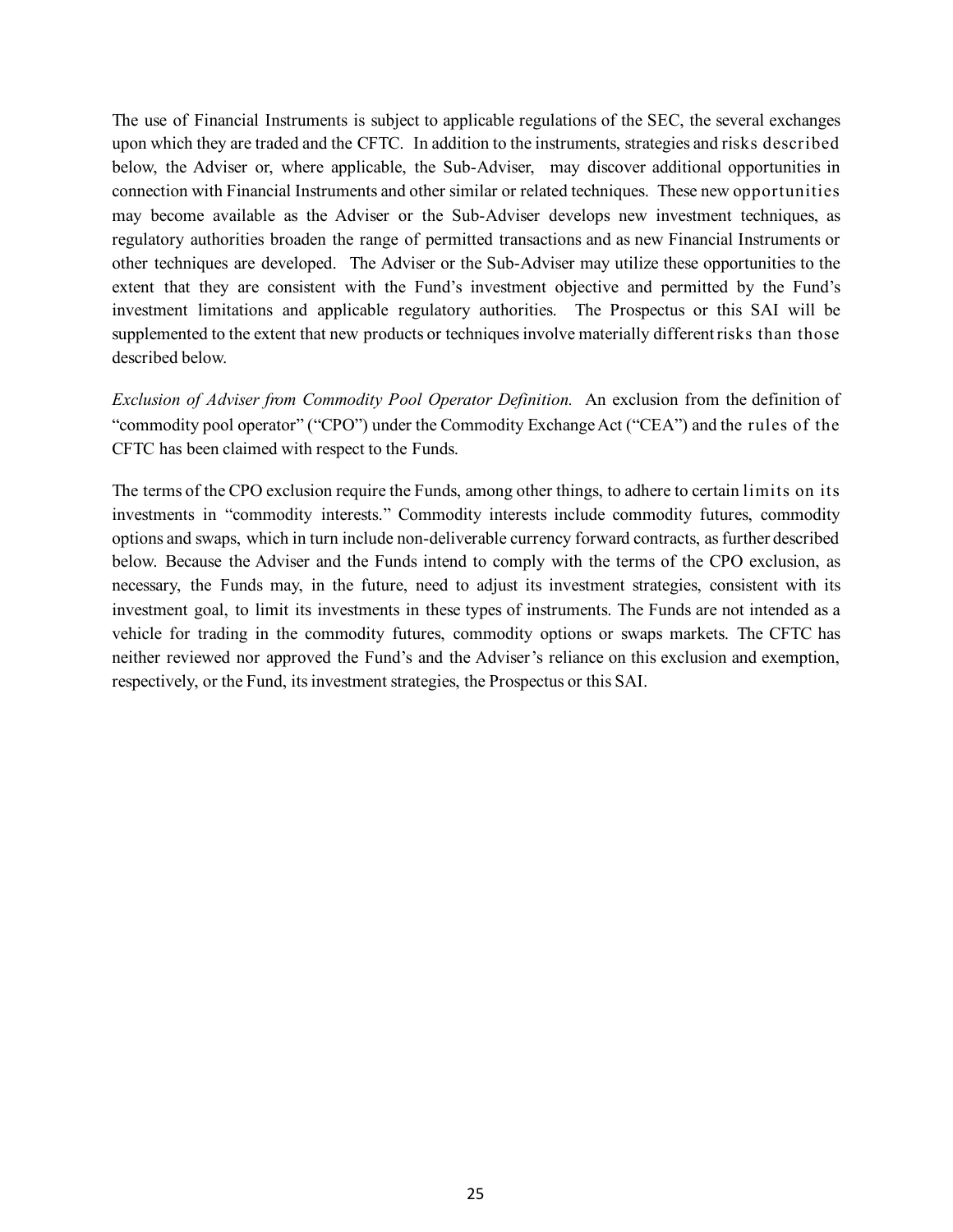The use of Financial Instruments is subject to applicable regulations of the SEC, the several exchanges upon which they are traded and the CFTC. In addition to the instruments, strategies and risks described below, the Adviser or, where applicable, the Sub-Adviser, may discover additional opportunities in connection with Financial Instruments and other similar or related techniques. These new opportunities may become available as the Adviser or the Sub-Adviser develops new investment techniques, as regulatory authorities broaden the range of permitted transactions and as new Financial Instruments or other techniques are developed. The Adviser or the Sub-Adviser may utilize these opportunities to the extent that they are consistent with the Fund's investment objective and permitted by the Fund's investment limitations and applicable regulatory authorities. The Prospectus or this SAI will be supplemented to the extent that new products or techniques involve materially different risks than those described below.

*Exclusion of Adviser from Commodity Pool Operator Definition.* An exclusion from the definition of "commodity pool operator" ("CPO") under the Commodity Exchange Act ("CEA") and the rules of the CFTC has been claimed with respect to the Funds.

The terms of the CPO exclusion require the Funds, among other things, to adhere to certain limits on its investments in "commodity interests." Commodity interests include commodity futures, commodity options and swaps, which in turn include non-deliverable currency forward contracts, as further described below. Because the Adviser and the Funds intend to comply with the terms of the CPO exclusion, as necessary, the Funds may, in the future, need to adjust its investment strategies, consistent with its investment goal, to limit its investments in these types of instruments. The Funds are not intended as a vehicle for trading in the commodity futures, commodity options or swaps markets. The CFTC has neither reviewed nor approved the Fund's and the Adviser's reliance on this exclusion and exemption, respectively, or the Fund, its investment strategies, the Prospectus or this SAI.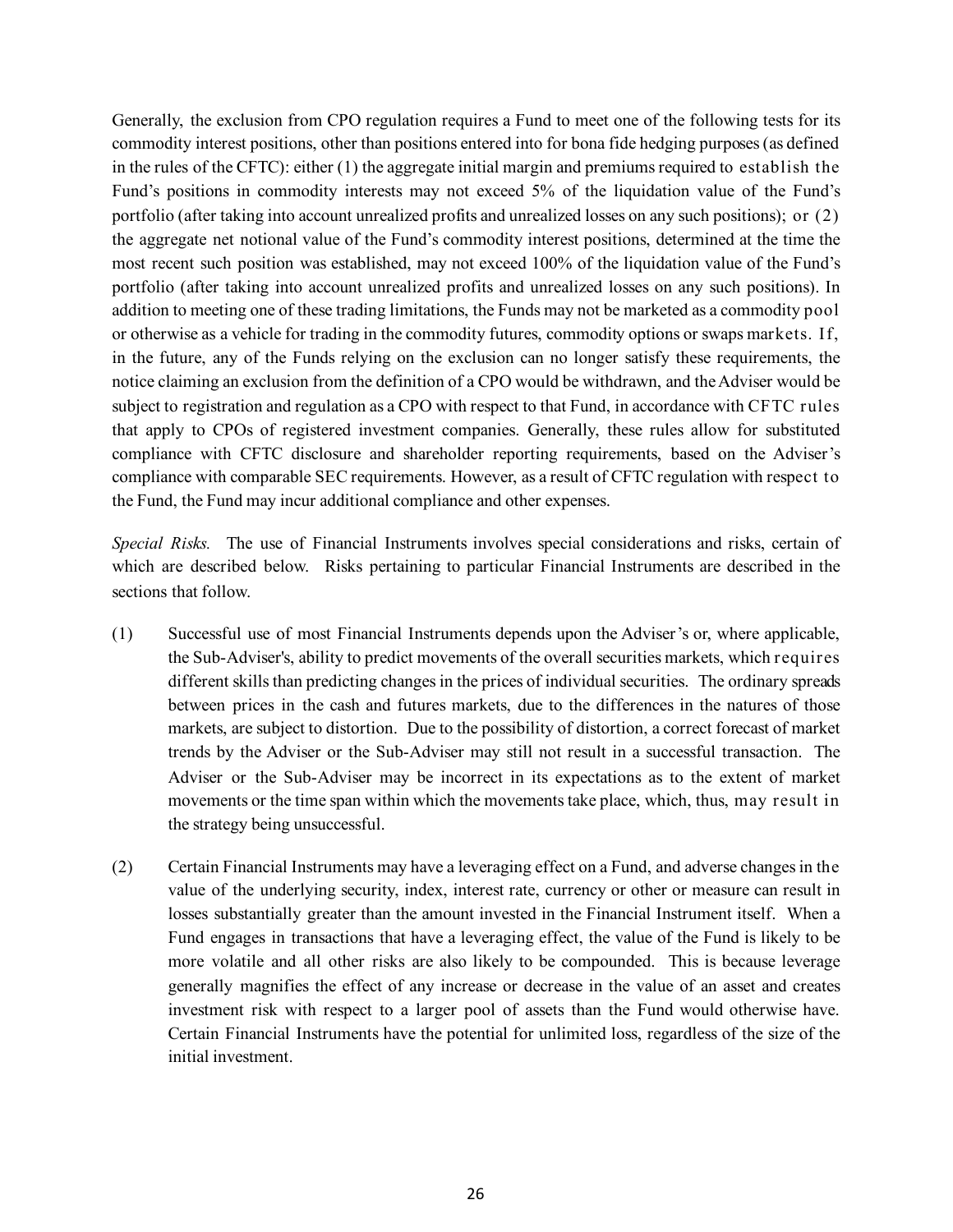Generally, the exclusion from CPO regulation requires a Fund to meet one of the following tests for its commodity interest positions, other than positions entered into for bona fide hedging purposes (as defined in the rules of the CFTC): either (1) the aggregate initial margin and premiums required to establish the Fund's positions in commodity interests may not exceed 5% of the liquidation value of the Fund's portfolio (after taking into account unrealized profits and unrealized losses on any such positions); or (2) the aggregate net notional value of the Fund's commodity interest positions, determined at the time the most recent such position was established, may not exceed 100% of the liquidation value of the Fund's portfolio (after taking into account unrealized profits and unrealized losses on any such positions). In addition to meeting one of these trading limitations, the Funds may not be marketed as a commodity pool or otherwise as a vehicle for trading in the commodity futures, commodity options or swaps markets. If, in the future, any of the Funds relying on the exclusion can no longer satisfy these requirements, the notice claiming an exclusion from the definition of a CPO would be withdrawn, and the Adviser would be subject to registration and regulation as a CPO with respect to that Fund, in accordance with CFTC rules that apply to CPOs of registered investment companies. Generally, these rules allow for substituted compliance with CFTC disclosure and shareholder reporting requirements, based on the Adviser's compliance with comparable SEC requirements. However, as a result of CFTC regulation with respect to the Fund, the Fund may incur additional compliance and other expenses.

*Special Risks.* The use of Financial Instruments involves special considerations and risks, certain of which are described below. Risks pertaining to particular Financial Instruments are described in the sections that follow.

- (1) Successful use of most Financial Instruments depends upon the Adviser's or, where applicable, the Sub-Adviser's, ability to predict movements of the overall securities markets, which requires different skills than predicting changes in the prices of individual securities. The ordinary spreads between prices in the cash and futures markets, due to the differences in the natures of those markets, are subject to distortion. Due to the possibility of distortion, a correct forecast of market trends by the Adviser or the Sub-Adviser may still not result in a successful transaction. The Adviser or the Sub-Adviser may be incorrect in its expectations as to the extent of market movements or the time span within which the movements take place, which, thus, may result in the strategy being unsuccessful.
- (2) Certain Financial Instruments may have a leveraging effect on a Fund, and adverse changes in the value of the underlying security, index, interest rate, currency or other or measure can result in losses substantially greater than the amount invested in the Financial Instrument itself. When a Fund engages in transactions that have a leveraging effect, the value of the Fund is likely to be more volatile and all other risks are also likely to be compounded. This is because leverage generally magnifies the effect of any increase or decrease in the value of an asset and creates investment risk with respect to a larger pool of assets than the Fund would otherwise have. Certain Financial Instruments have the potential for unlimited loss, regardless of the size of the initial investment.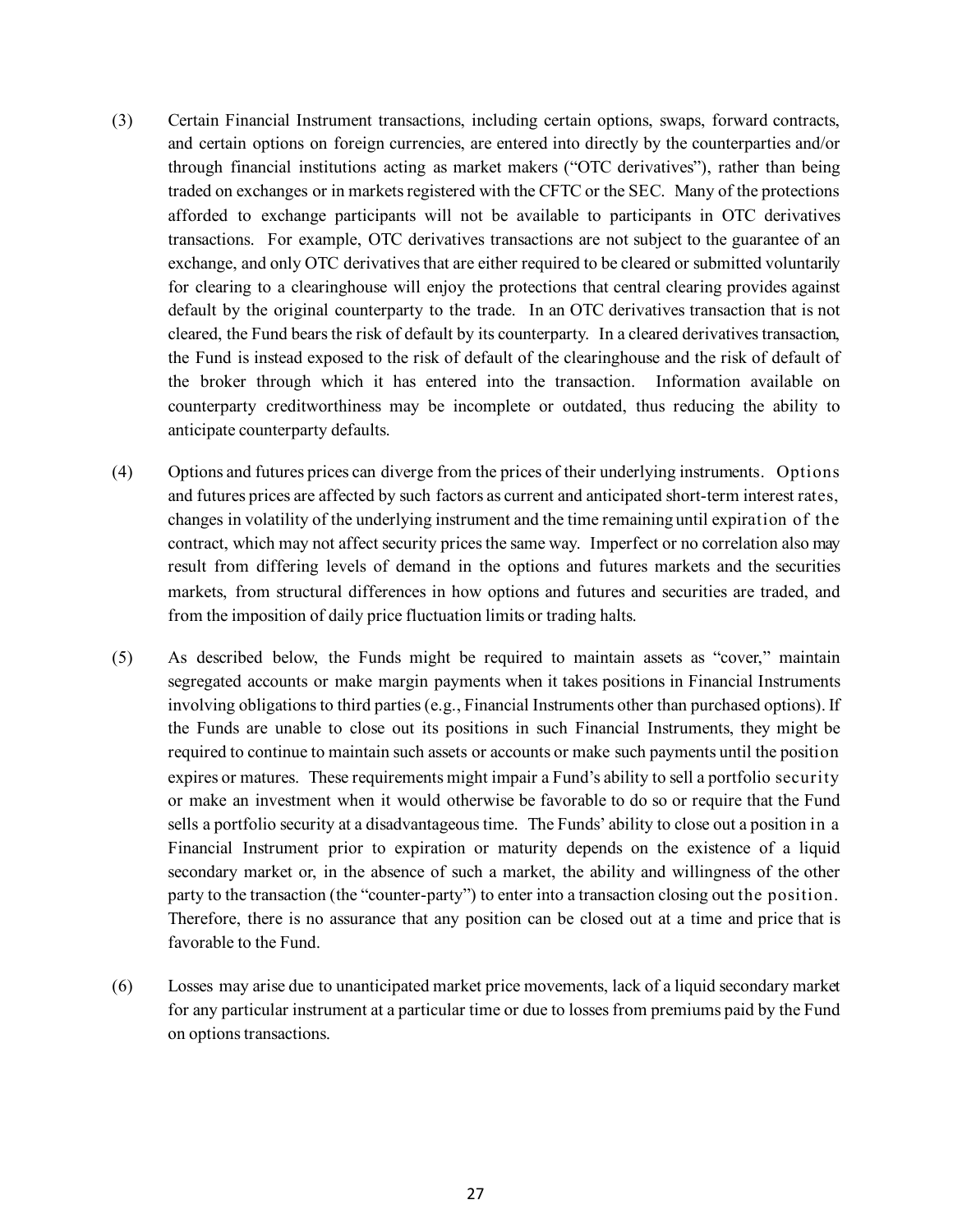- (3) Certain Financial Instrument transactions, including certain options, swaps, forward contracts, and certain options on foreign currencies, are entered into directly by the counterparties and/or through financial institutions acting as market makers ("OTC derivatives"), rather than being traded on exchanges or in markets registered with the CFTC or the SEC. Many of the protections afforded to exchange participants will not be available to participants in OTC derivatives transactions. For example, OTC derivatives transactions are not subject to the guarantee of an exchange, and only OTC derivatives that are either required to be cleared or submitted voluntarily for clearing to a clearinghouse will enjoy the protections that central clearing provides against default by the original counterparty to the trade. In an OTC derivatives transaction that is not cleared, the Fund bears the risk of default by its counterparty. In a cleared derivatives transaction, the Fund is instead exposed to the risk of default of the clearinghouse and the risk of default of the broker through which it has entered into the transaction. Information available on counterparty creditworthiness may be incomplete or outdated, thus reducing the ability to anticipate counterparty defaults.
- (4) Options and futures prices can diverge from the prices of their underlying instruments. Options and futures prices are affected by such factors as current and anticipated short-term interest rates, changes in volatility of the underlying instrument and the time remaining until expiration of the contract, which may not affect security prices the same way. Imperfect or no correlation also may result from differing levels of demand in the options and futures markets and the securities markets, from structural differences in how options and futures and securities are traded, and from the imposition of daily price fluctuation limits or trading halts.
- (5) As described below, the Funds might be required to maintain assets as "cover," maintain segregated accounts or make margin payments when it takes positions in Financial Instruments involving obligations to third parties (e.g., Financial Instruments other than purchased options). If the Funds are unable to close out its positions in such Financial Instruments, they might be required to continue to maintain such assets or accounts or make such payments until the position expires or matures. These requirements might impair a Fund's ability to sell a portfolio security or make an investment when it would otherwise be favorable to do so or require that the Fund sells a portfolio security at a disadvantageous time. The Funds' ability to close out a position in a Financial Instrument prior to expiration or maturity depends on the existence of a liquid secondary market or, in the absence of such a market, the ability and willingness of the other party to the transaction (the "counter-party") to enter into a transaction closing out the position. Therefore, there is no assurance that any position can be closed out at a time and price that is favorable to the Fund.
- (6) Losses may arise due to unanticipated market price movements, lack of a liquid secondary market for any particular instrument at a particular time or due to losses from premiums paid by the Fund on options transactions.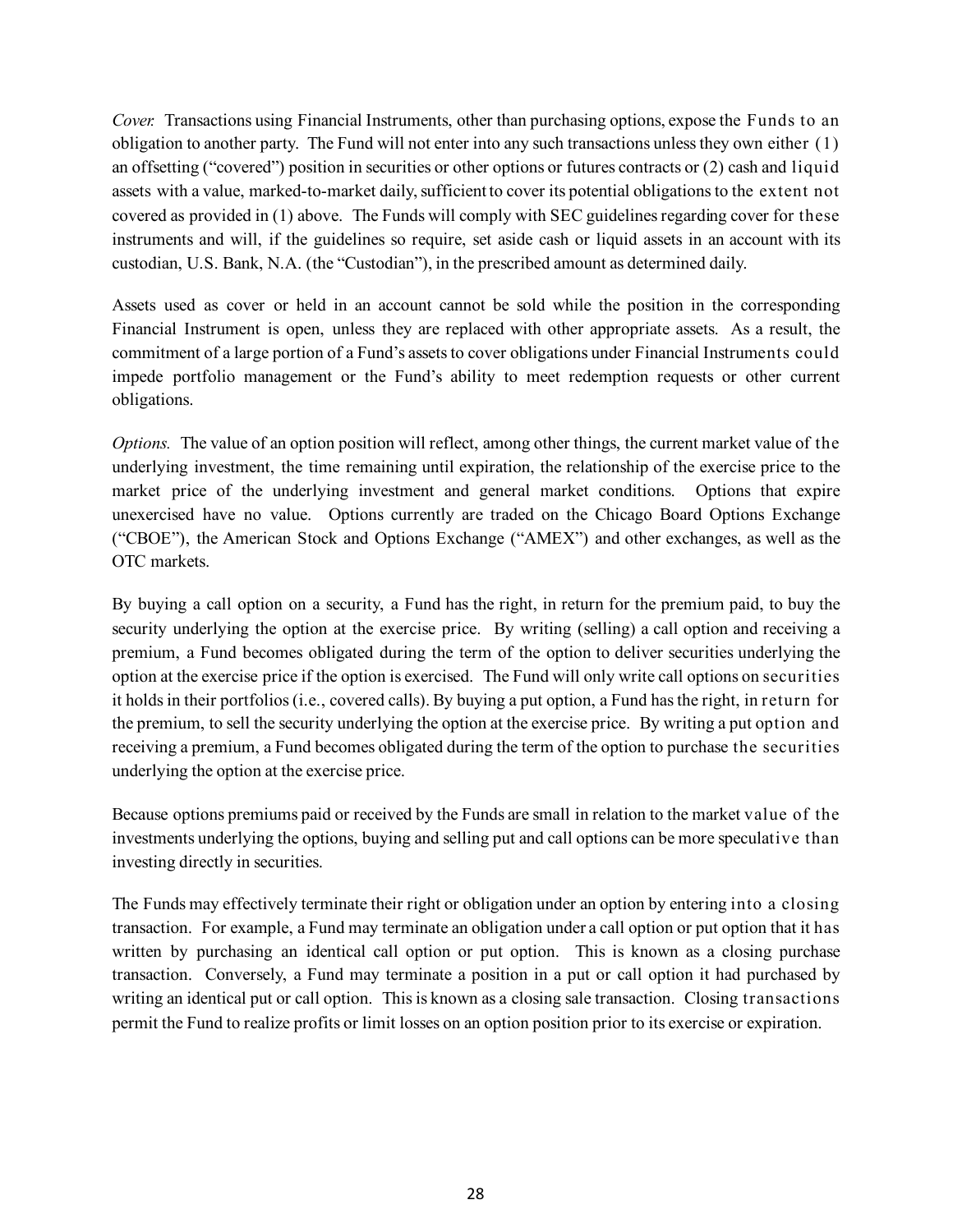*Cover.* Transactions using Financial Instruments, other than purchasing options, expose the Funds to an obligation to another party. The Fund will not enter into any such transactions unless they own either (1) an offsetting ("covered") position in securities or other options or futures contracts or (2) cash and liquid assets with a value, marked-to-market daily, sufficient to cover its potential obligations to the extent not covered as provided in (1) above. The Funds will comply with SEC guidelines regarding cover for these instruments and will, if the guidelines so require, set aside cash or liquid assets in an account with its custodian, U.S. Bank, N.A. (the "Custodian"), in the prescribed amount as determined daily.

Assets used as cover or held in an account cannot be sold while the position in the corresponding Financial Instrument is open, unless they are replaced with other appropriate assets. As a result, the commitment of a large portion of a Fund's assets to cover obligations under Financial Instruments could impede portfolio management or the Fund's ability to meet redemption requests or other current obligations.

*Options.* The value of an option position will reflect, among other things, the current market value of the underlying investment, the time remaining until expiration, the relationship of the exercise price to the market price of the underlying investment and general market conditions. Options that expire unexercised have no value. Options currently are traded on the Chicago Board Options Exchange ("CBOE"), the American Stock and Options Exchange ("AMEX") and other exchanges, as well as the OTC markets.

By buying a call option on a security, a Fund has the right, in return for the premium paid, to buy the security underlying the option at the exercise price. By writing (selling) a call option and receiving a premium, a Fund becomes obligated during the term of the option to deliver securities underlying the option at the exercise price if the option is exercised. The Fund will only write call options on securities it holds in their portfolios (i.e., covered calls). By buying a put option, a Fund has the right, in return for the premium, to sell the security underlying the option at the exercise price. By writing a put option and receiving a premium, a Fund becomes obligated during the term of the option to purchase the securities underlying the option at the exercise price.

Because options premiums paid or received by the Funds are small in relation to the market value of the investments underlying the options, buying and selling put and call options can be more speculative than investing directly in securities.

The Funds may effectively terminate their right or obligation under an option by entering into a closing transaction. For example, a Fund may terminate an obligation under a call option or put option that it has written by purchasing an identical call option or put option. This is known as a closing purchase transaction. Conversely, a Fund may terminate a position in a put or call option it had purchased by writing an identical put or call option. This is known as a closing sale transaction. Closing transactions permit the Fund to realize profits or limit losses on an option position prior to its exercise or expiration.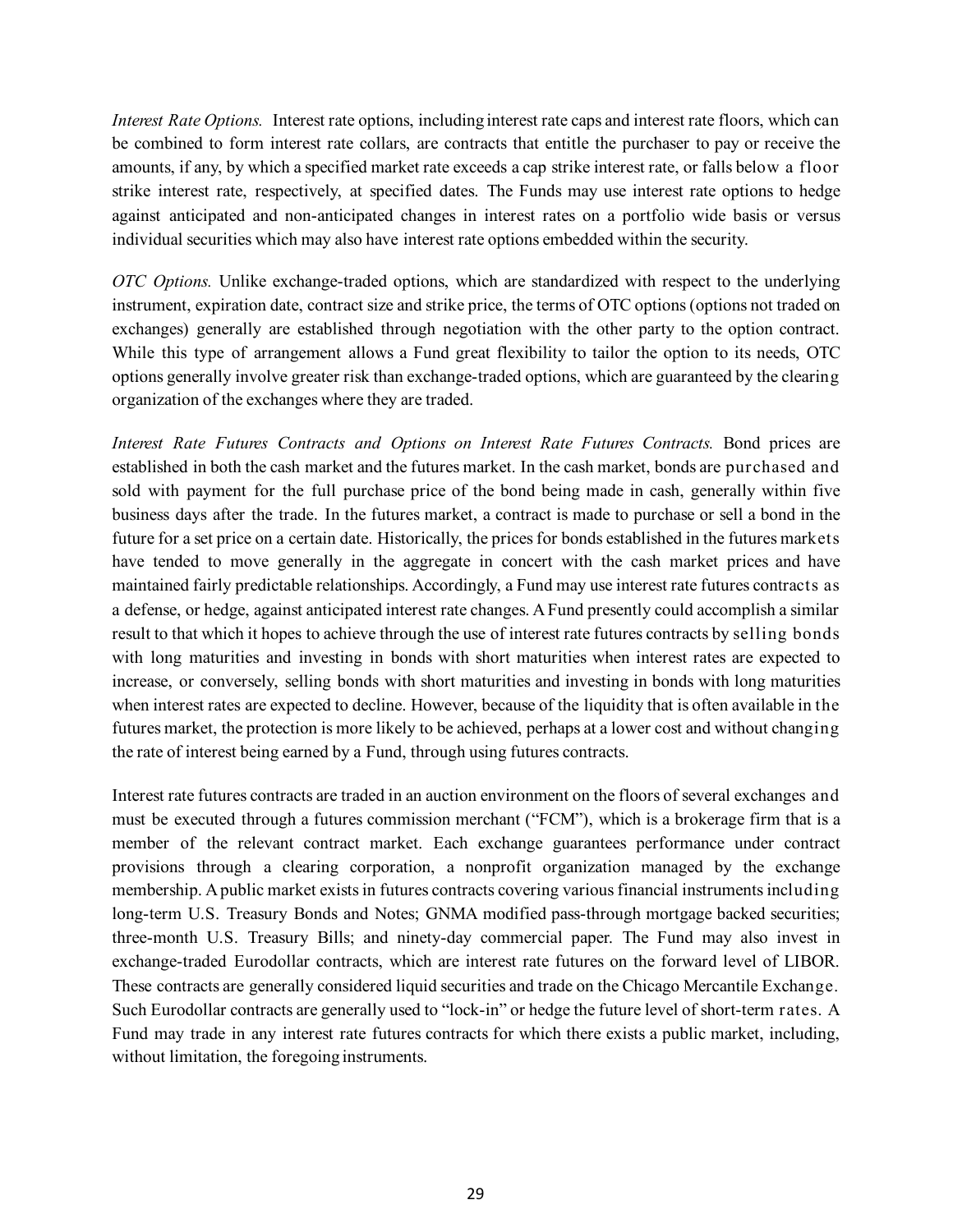*Interest Rate Options.* Interest rate options, including interest rate caps and interest rate floors, which can be combined to form interest rate collars, are contracts that entitle the purchaser to pay or receive the amounts, if any, by which a specified market rate exceeds a cap strike interest rate, or falls below a floor strike interest rate, respectively, at specified dates. The Funds may use interest rate options to hedge against anticipated and non-anticipated changes in interest rates on a portfolio wide basis or versus individual securities which may also have interest rate options embedded within the security.

*OTC Options.* Unlike exchange-traded options, which are standardized with respect to the underlying instrument, expiration date, contract size and strike price, the terms of OTC options (options not traded on exchanges) generally are established through negotiation with the other party to the option contract. While this type of arrangement allows a Fund great flexibility to tailor the option to its needs, OTC options generally involve greater risk than exchange-traded options, which are guaranteed by the clearing organization of the exchanges where they are traded.

*Interest Rate Futures Contracts and Options on Interest Rate Futures Contracts.* Bond prices are established in both the cash market and the futures market. In the cash market, bonds are purchased and sold with payment for the full purchase price of the bond being made in cash, generally within five business days after the trade. In the futures market, a contract is made to purchase or sell a bond in the future for a set price on a certain date. Historically, the prices for bonds established in the futures markets have tended to move generally in the aggregate in concert with the cash market prices and have maintained fairly predictable relationships. Accordingly, a Fund may use interest rate futures contracts as a defense, or hedge, against anticipated interest rate changes. A Fund presently could accomplish a similar result to that which it hopes to achieve through the use of interest rate futures contracts by selling bonds with long maturities and investing in bonds with short maturities when interest rates are expected to increase, or conversely, selling bonds with short maturities and investing in bonds with long maturities when interest rates are expected to decline. However, because of the liquidity that is often available in the futures market, the protection is more likely to be achieved, perhaps at a lower cost and without changing the rate of interest being earned by a Fund, through using futures contracts.

Interest rate futures contracts are traded in an auction environment on the floors of several exchanges and must be executed through a futures commission merchant ("FCM"), which is a brokerage firm that is a member of the relevant contract market. Each exchange guarantees performance under contract provisions through a clearing corporation, a nonprofit organization managed by the exchange membership. A public market exists in futures contracts covering various financial instruments including long-term U.S. Treasury Bonds and Notes; GNMA modified pass-through mortgage backed securities; three-month U.S. Treasury Bills; and ninety-day commercial paper. The Fund may also invest in exchange-traded Eurodollar contracts, which are interest rate futures on the forward level of LIBOR. These contracts are generally considered liquid securities and trade on the Chicago Mercantile Exchange. Such Eurodollar contracts are generally used to "lock-in" or hedge the future level of short-term rates. A Fund may trade in any interest rate futures contracts for which there exists a public market, including, without limitation, the foregoing instruments.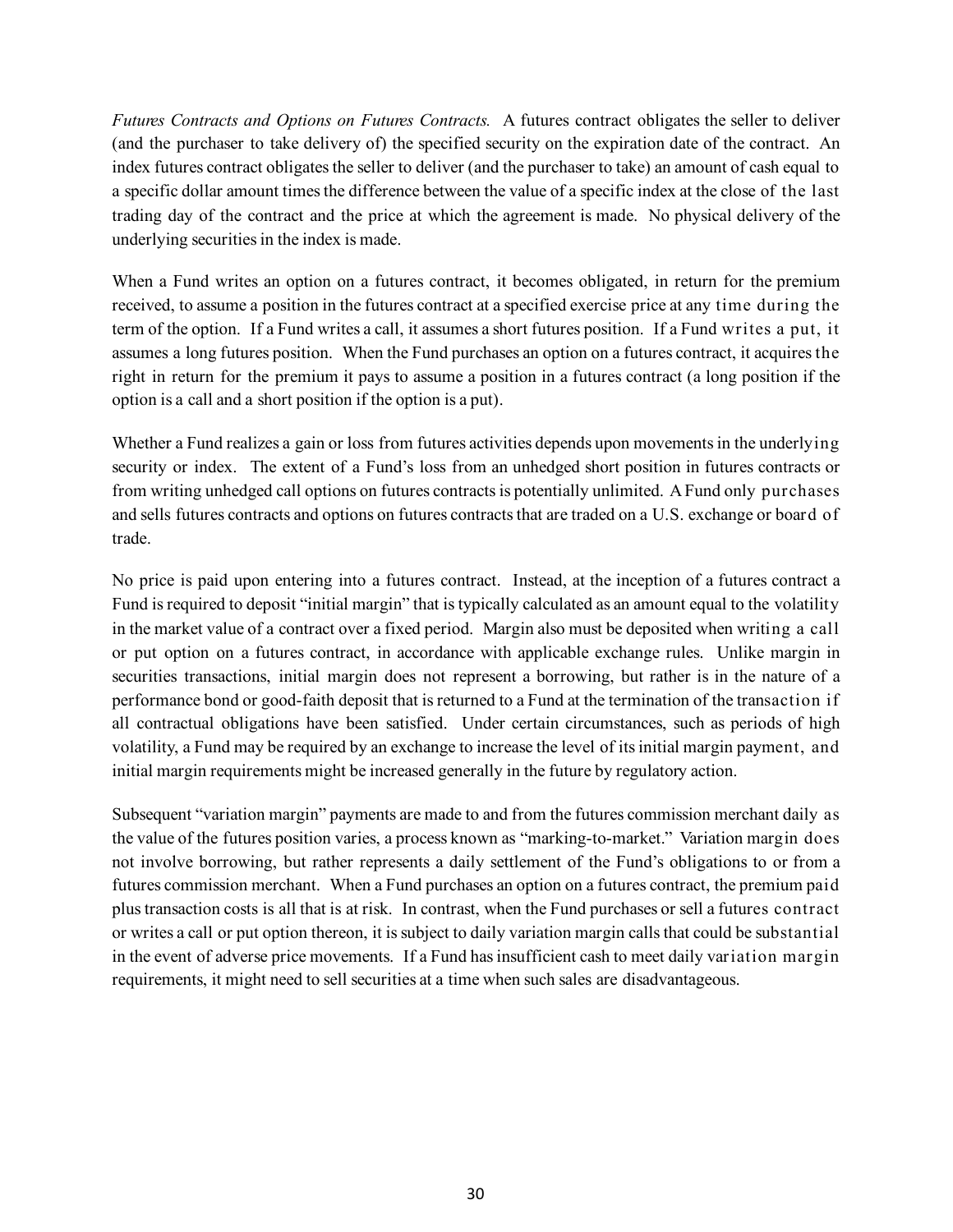*Futures Contracts and Options on Futures Contracts.* A futures contract obligates the seller to deliver (and the purchaser to take delivery of) the specified security on the expiration date of the contract. An index futures contract obligates the seller to deliver (and the purchaser to take) an amount of cash equal to a specific dollar amount times the difference between the value of a specific index at the close of the last trading day of the contract and the price at which the agreement is made. No physical delivery of the underlying securities in the index is made.

When a Fund writes an option on a futures contract, it becomes obligated, in return for the premium received, to assume a position in the futures contract at a specified exercise price at any time during the term of the option. If a Fund writes a call, it assumes a short futures position. If a Fund writes a put, it assumes a long futures position. When the Fund purchases an option on a futures contract, it acquires the right in return for the premium it pays to assume a position in a futures contract (a long position if the option is a call and a short position if the option is a put).

Whether a Fund realizes a gain or loss from futures activities depends upon movements in the underlying security or index. The extent of a Fund's loss from an unhedged short position in futures contracts or from writing unhedged call options on futures contracts is potentially unlimited. A Fund only purchases and sells futures contracts and options on futures contracts that are traded on a U.S. exchange or board of trade.

No price is paid upon entering into a futures contract. Instead, at the inception of a futures contract a Fund is required to deposit "initial margin" that is typically calculated as an amount equal to the volatility in the market value of a contract over a fixed period. Margin also must be deposited when writing a call or put option on a futures contract, in accordance with applicable exchange rules. Unlike margin in securities transactions, initial margin does not represent a borrowing, but rather is in the nature of a performance bond or good-faith deposit that is returned to a Fund at the termination of the transaction if all contractual obligations have been satisfied. Under certain circumstances, such as periods of high volatility, a Fund may be required by an exchange to increase the level of its initial margin payment, and initial margin requirements might be increased generally in the future by regulatory action.

Subsequent "variation margin" payments are made to and from the futures commission merchant daily as the value of the futures position varies, a process known as "marking-to-market." Variation margin does not involve borrowing, but rather represents a daily settlement of the Fund's obligations to or from a futures commission merchant. When a Fund purchases an option on a futures contract, the premium paid plus transaction costs is all that is at risk. In contrast, when the Fund purchases or sell a futures contract or writes a call or put option thereon, it is subject to daily variation margin calls that could be substantial in the event of adverse price movements. If a Fund has insufficient cash to meet daily variation margin requirements, it might need to sell securities at a time when such sales are disadvantageous.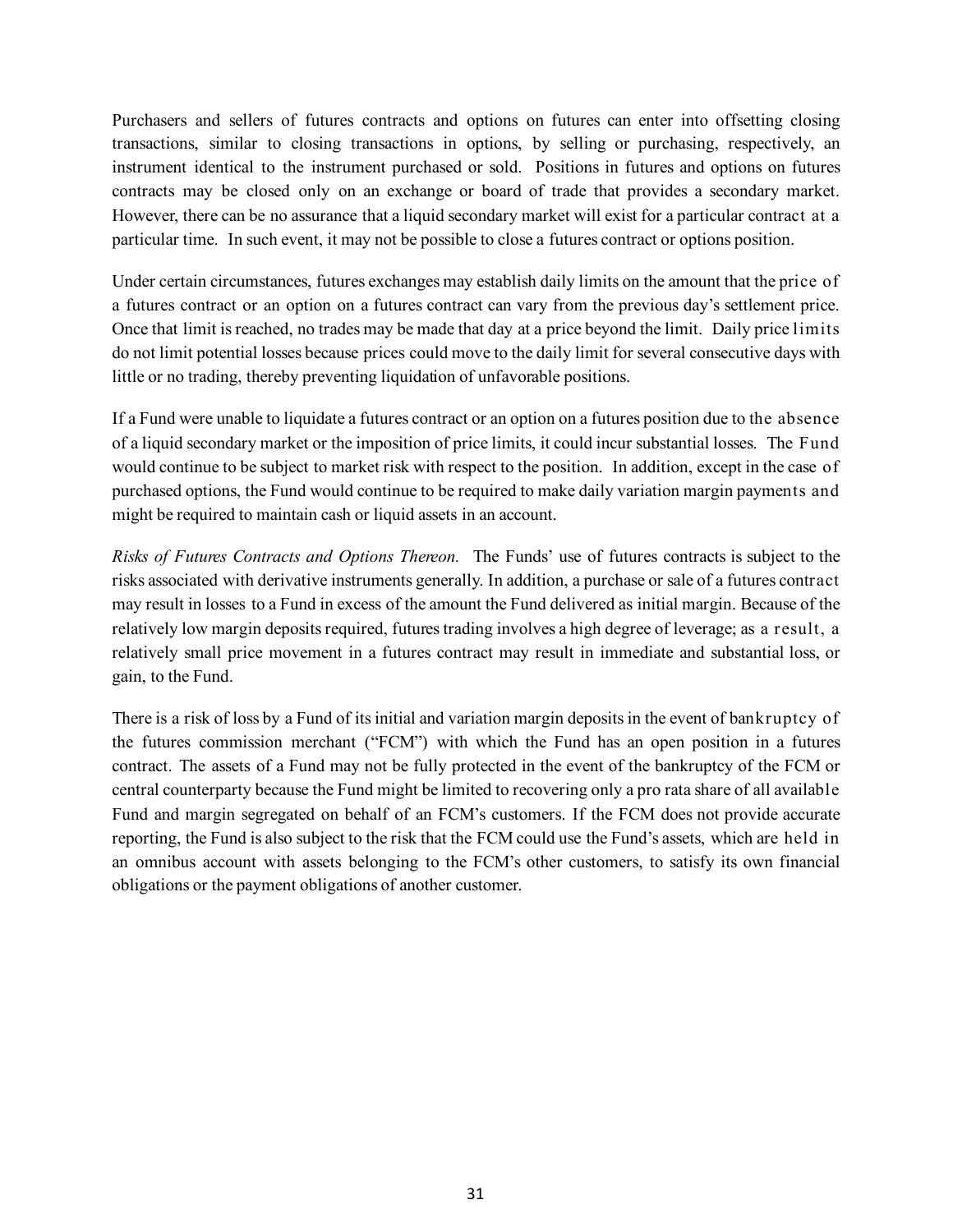Purchasers and sellers of futures contracts and options on futures can enter into offsetting closing transactions, similar to closing transactions in options, by selling or purchasing, respectively, an instrument identical to the instrument purchased or sold. Positions in futures and options on futures contracts may be closed only on an exchange or board of trade that provides a secondary market. However, there can be no assurance that a liquid secondary market will exist for a particular contract at a particular time. In such event, it may not be possible to close a futures contract or options position.

Under certain circumstances, futures exchanges may establish daily limits on the amount that the price of a futures contract or an option on a futures contract can vary from the previous day's settlement price. Once that limit is reached, no trades may be made that day at a price beyond the limit. Daily price limits do not limit potential losses because prices could move to the daily limit for several consecutive days with little or no trading, thereby preventing liquidation of unfavorable positions.

If a Fund were unable to liquidate a futures contract or an option on a futures position due to the absence of a liquid secondary market or the imposition of price limits, it could incur substantial losses. The Fund would continue to be subject to market risk with respect to the position. In addition, except in the case of purchased options, the Fund would continue to be required to make daily variation margin payments and might be required to maintain cash or liquid assets in an account.

*Risks of Futures Contracts and Options Thereon.* The Funds' use of futures contracts is subject to the risks associated with derivative instruments generally. In addition, a purchase or sale of a futures contract may result in losses to a Fund in excess of the amount the Fund delivered as initial margin. Because of the relatively low margin deposits required, futures trading involves a high degree of leverage; as a result, a relatively small price movement in a futures contract may result in immediate and substantial loss, or gain, to the Fund.

There is a risk of loss by a Fund of its initial and variation margin deposits in the event of bankruptcy of the futures commission merchant ("FCM") with which the Fund has an open position in a futures contract. The assets of a Fund may not be fully protected in the event of the bankruptcy of the FCM or central counterparty because the Fund might be limited to recovering only a pro rata share of all available Fund and margin segregated on behalf of an FCM's customers. If the FCM does not provide accurate reporting, the Fund is also subject to the risk that the FCM could use the Fund's assets, which are held in an omnibus account with assets belonging to the FCM's other customers, to satisfy its own financial obligations or the payment obligations of another customer.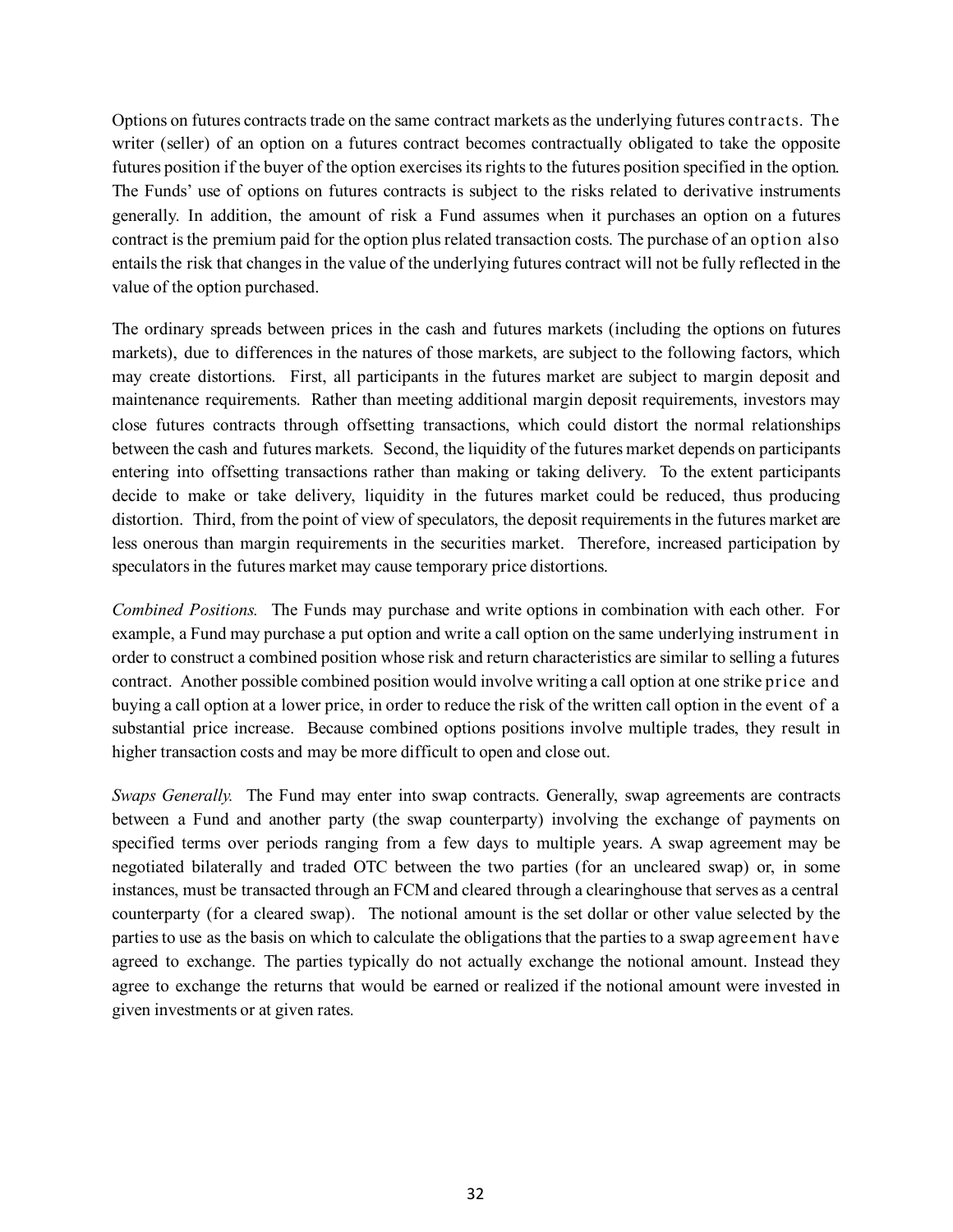Options on futures contracts trade on the same contract markets as the underlying futures contracts. The writer (seller) of an option on a futures contract becomes contractually obligated to take the opposite futures position if the buyer of the option exercises its rights to the futures position specified in the option. The Funds' use of options on futures contracts is subject to the risks related to derivative instruments generally. In addition, the amount of risk a Fund assumes when it purchases an option on a futures contract is the premium paid for the option plus related transaction costs. The purchase of an option also entails the risk that changes in the value of the underlying futures contract will not be fully reflected in the value of the option purchased.

The ordinary spreads between prices in the cash and futures markets (including the options on futures markets), due to differences in the natures of those markets, are subject to the following factors, which may create distortions. First, all participants in the futures market are subject to margin deposit and maintenance requirements. Rather than meeting additional margin deposit requirements, investors may close futures contracts through offsetting transactions, which could distort the normal relationships between the cash and futures markets. Second, the liquidity of the futures market depends on participants entering into offsetting transactions rather than making or taking delivery. To the extent participants decide to make or take delivery, liquidity in the futures market could be reduced, thus producing distortion. Third, from the point of view of speculators, the deposit requirements in the futures market are less onerous than margin requirements in the securities market. Therefore, increased participation by speculators in the futures market may cause temporary price distortions.

*Combined Positions.* The Funds may purchase and write options in combination with each other. For example, a Fund may purchase a put option and write a call option on the same underlying instrument in order to construct a combined position whose risk and return characteristics are similar to selling a futures contract. Another possible combined position would involve writing a call option at one strike price and buying a call option at a lower price, in order to reduce the risk of the written call option in the event of a substantial price increase. Because combined options positions involve multiple trades, they result in higher transaction costs and may be more difficult to open and close out.

*Swaps Generally.* The Fund may enter into swap contracts. Generally, swap agreements are contracts between a Fund and another party (the swap counterparty) involving the exchange of payments on specified terms over periods ranging from a few days to multiple years. A swap agreement may be negotiated bilaterally and traded OTC between the two parties (for an uncleared swap) or, in some instances, must be transacted through an FCM and cleared through a clearinghouse that serves as a central counterparty (for a cleared swap). The notional amount is the set dollar or other value selected by the parties to use as the basis on which to calculate the obligations that the parties to a swap agreement have agreed to exchange. The parties typically do not actually exchange the notional amount. Instead they agree to exchange the returns that would be earned or realized if the notional amount were invested in given investments or at given rates.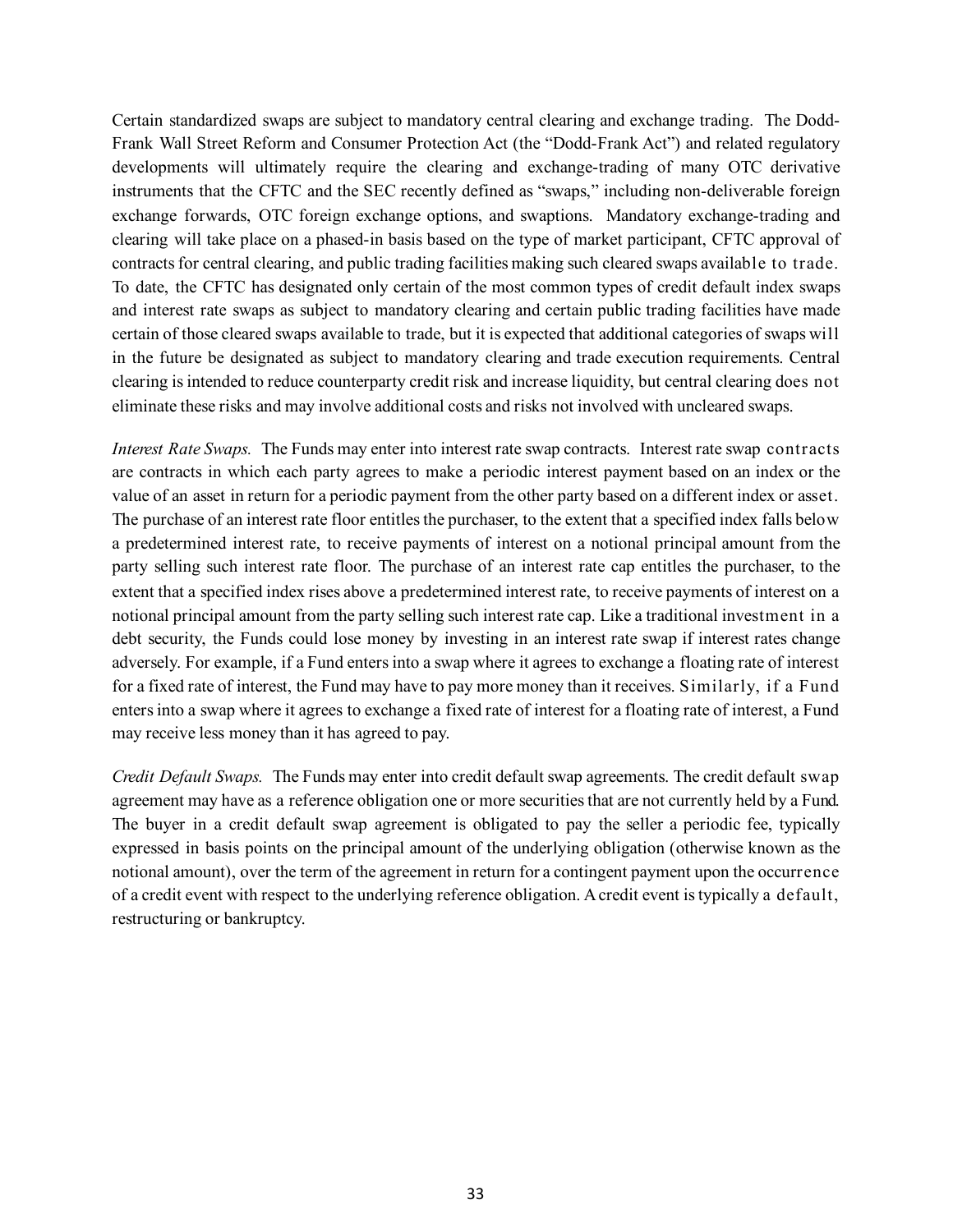Certain standardized swaps are subject to mandatory central clearing and exchange trading. The Dodd-Frank Wall Street Reform and Consumer Protection Act (the "Dodd-Frank Act") and related regulatory developments will ultimately require the clearing and exchange-trading of many OTC derivative instruments that the CFTC and the SEC recently defined as "swaps," including non-deliverable foreign exchange forwards, OTC foreign exchange options, and swaptions. Mandatory exchange-trading and clearing will take place on a phased-in basis based on the type of market participant, CFTC approval of contracts for central clearing, and public trading facilities making such cleared swaps available to trade. To date, the CFTC has designated only certain of the most common types of credit default index swaps and interest rate swaps as subject to mandatory clearing and certain public trading facilities have made certain of those cleared swaps available to trade, but it is expected that additional categories of swaps will in the future be designated as subject to mandatory clearing and trade execution requirements. Central clearing is intended to reduce counterparty credit risk and increase liquidity, but central clearing does not eliminate these risks and may involve additional costs and risks not involved with uncleared swaps.

*Interest Rate Swaps.* The Funds may enter into interest rate swap contracts. Interest rate swap contracts are contracts in which each party agrees to make a periodic interest payment based on an index or the value of an asset in return for a periodic payment from the other party based on a different index or asset. The purchase of an interest rate floor entitles the purchaser, to the extent that a specified index falls below a predetermined interest rate, to receive payments of interest on a notional principal amount from the party selling such interest rate floor. The purchase of an interest rate cap entitles the purchaser, to the extent that a specified index rises above a predetermined interest rate, to receive payments of interest on a notional principal amount from the party selling such interest rate cap. Like a traditional investment in a debt security, the Funds could lose money by investing in an interest rate swap if interest rates change adversely. For example, if a Fund enters into a swap where it agrees to exchange a floating rate of interest for a fixed rate of interest, the Fund may have to pay more money than it receives. Similarly, if a Fund enters into a swap where it agrees to exchange a fixed rate of interest for a floating rate of interest, a Fund may receive less money than it has agreed to pay.

*Credit Default Swaps.* The Funds may enter into credit default swap agreements. The credit default swap agreement may have as a reference obligation one or more securities that are not currently held by a Fund. The buyer in a credit default swap agreement is obligated to pay the seller a periodic fee, typically expressed in basis points on the principal amount of the underlying obligation (otherwise known as the notional amount), over the term of the agreement in return for a contingent payment upon the occurrence of a credit event with respect to the underlying reference obligation. A credit event is typically a default, restructuring or bankruptcy.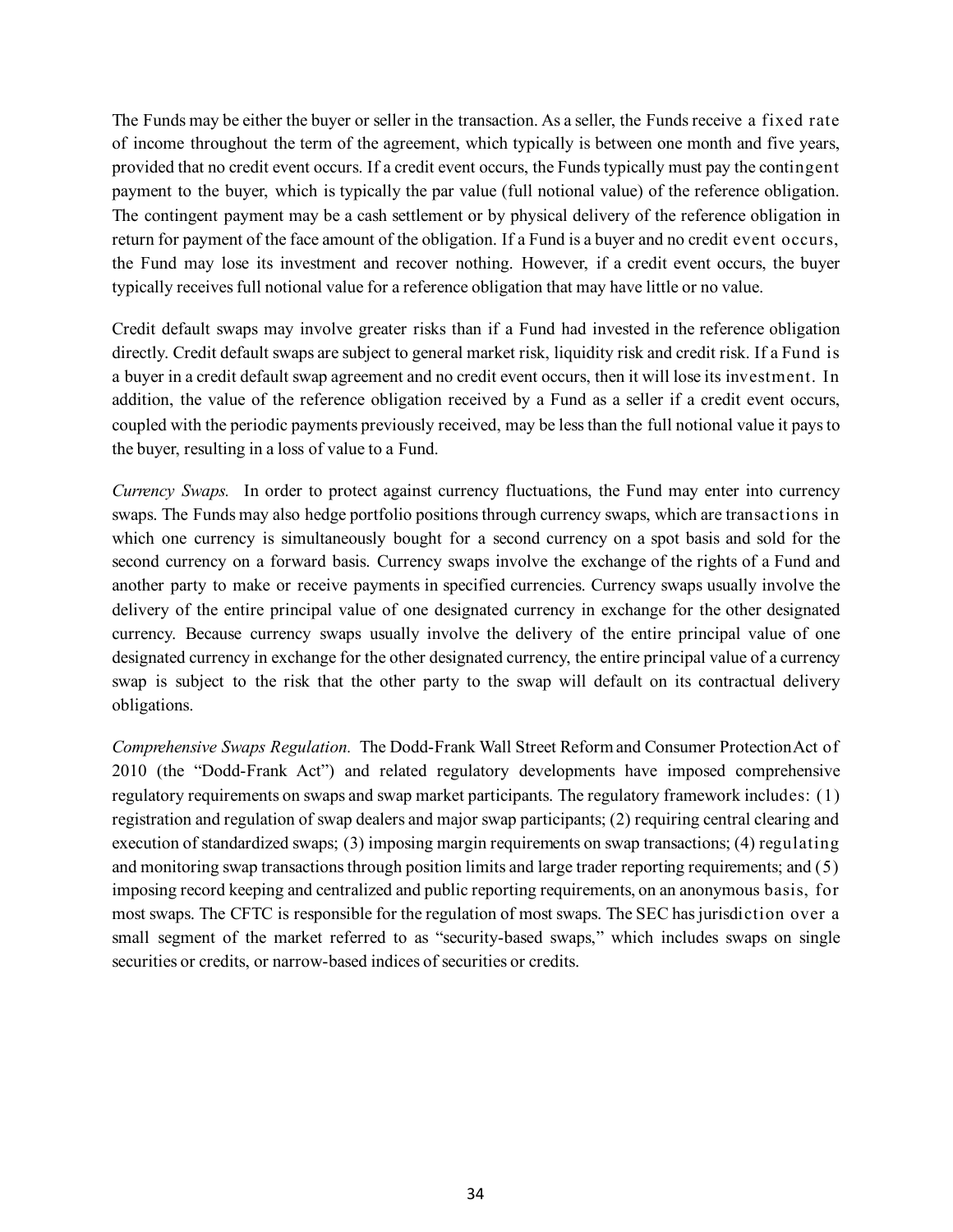The Funds may be either the buyer or seller in the transaction. As a seller, the Funds receive a fixed rate of income throughout the term of the agreement, which typically is between one month and five years, provided that no credit event occurs. If a credit event occurs, the Funds typically must pay the contingent payment to the buyer, which is typically the par value (full notional value) of the reference obligation. The contingent payment may be a cash settlement or by physical delivery of the reference obligation in return for payment of the face amount of the obligation. If a Fund is a buyer and no credit event occurs, the Fund may lose its investment and recover nothing. However, if a credit event occurs, the buyer typically receives full notional value for a reference obligation that may have little or no value.

Credit default swaps may involve greater risks than if a Fund had invested in the reference obligation directly. Credit default swaps are subject to general market risk, liquidity risk and credit risk. If a Fund is a buyer in a credit default swap agreement and no credit event occurs, then it will lose its investment. In addition, the value of the reference obligation received by a Fund as a seller if a credit event occurs, coupled with the periodic payments previously received, may be less than the full notional value it pays to the buyer, resulting in a loss of value to a Fund.

*Currency Swaps.* In order to protect against currency fluctuations, the Fund may enter into currency swaps. The Funds may also hedge portfolio positions through currency swaps, which are transactions in which one currency is simultaneously bought for a second currency on a spot basis and sold for the second currency on a forward basis. Currency swaps involve the exchange of the rights of a Fund and another party to make or receive payments in specified currencies. Currency swaps usually involve the delivery of the entire principal value of one designated currency in exchange for the other designated currency. Because currency swaps usually involve the delivery of the entire principal value of one designated currency in exchange for the other designated currency, the entire principal value of a currency swap is subject to the risk that the other party to the swap will default on its contractual delivery obligations.

*Comprehensive Swaps Regulation.* The Dodd-Frank Wall Street Reform and Consumer Protection Act of 2010 (the "Dodd-Frank Act") and related regulatory developments have imposed comprehensive regulatory requirements on swaps and swap market participants. The regulatory framework includes: (1) registration and regulation of swap dealers and major swap participants; (2) requiring central clearing and execution of standardized swaps; (3) imposing margin requirements on swap transactions; (4) regulating and monitoring swap transactions through position limits and large trader reporting requirements; and (5) imposing record keeping and centralized and public reporting requirements, on an anonymous basis, for most swaps. The CFTC is responsible for the regulation of most swaps. The SEC has jurisdiction over a small segment of the market referred to as "security-based swaps," which includes swaps on single securities or credits, or narrow-based indices of securities or credits.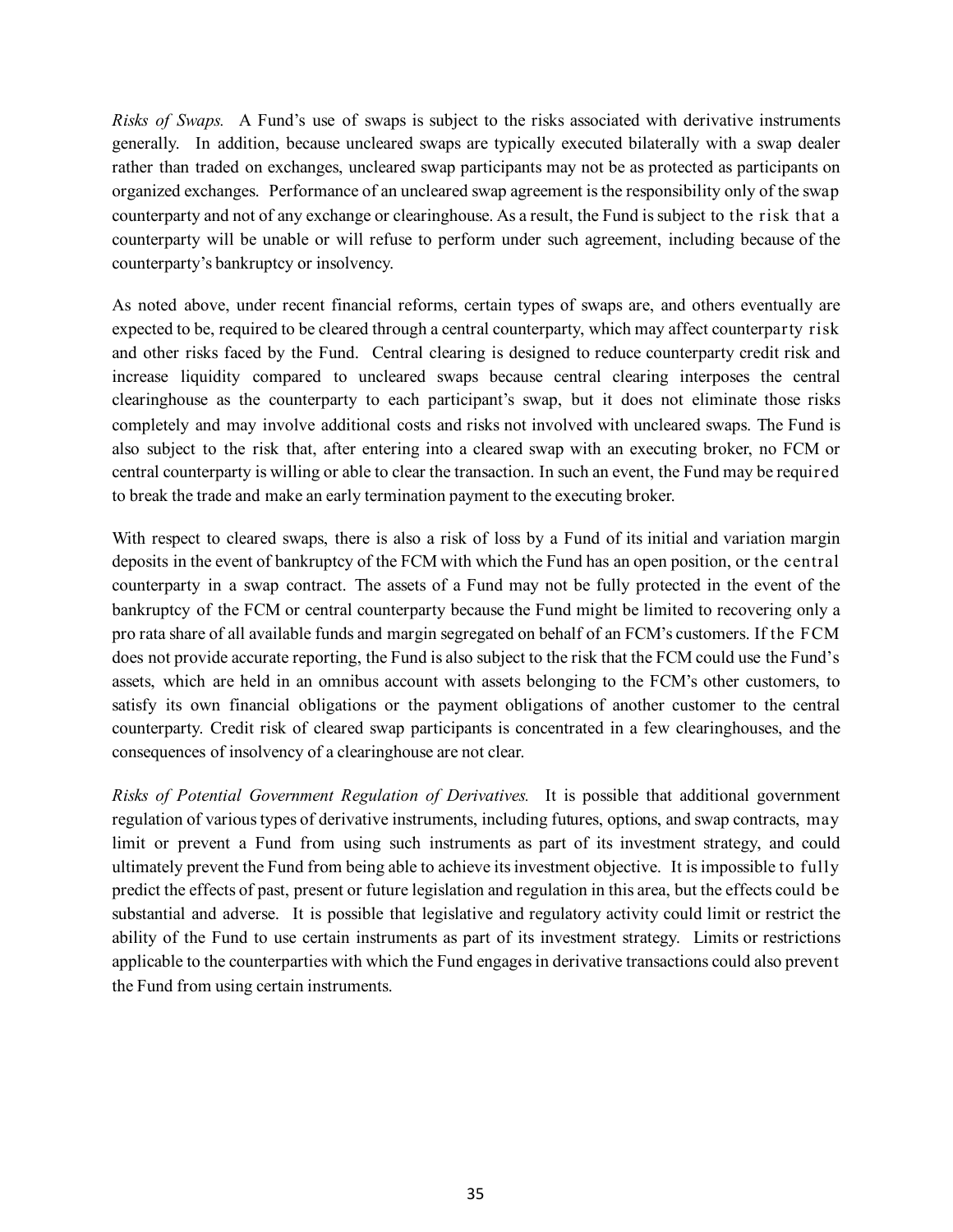*Risks of Swaps.* A Fund's use of swaps is subject to the risks associated with derivative instruments generally. In addition, because uncleared swaps are typically executed bilaterally with a swap dealer rather than traded on exchanges, uncleared swap participants may not be as protected as participants on organized exchanges. Performance of an uncleared swap agreement is the responsibility only of the swap counterparty and not of any exchange or clearinghouse. As a result, the Fund is subject to the risk that a counterparty will be unable or will refuse to perform under such agreement, including because of the counterparty's bankruptcy or insolvency.

As noted above, under recent financial reforms, certain types of swaps are, and others eventually are expected to be, required to be cleared through a central counterparty, which may affect counterparty risk and other risks faced by the Fund. Central clearing is designed to reduce counterparty credit risk and increase liquidity compared to uncleared swaps because central clearing interposes the central clearinghouse as the counterparty to each participant's swap, but it does not eliminate those risks completely and may involve additional costs and risks not involved with uncleared swaps. The Fund is also subject to the risk that, after entering into a cleared swap with an executing broker, no FCM or central counterparty is willing or able to clear the transaction. In such an event, the Fund may be required to break the trade and make an early termination payment to the executing broker.

With respect to cleared swaps, there is also a risk of loss by a Fund of its initial and variation margin deposits in the event of bankruptcy of the FCM with which the Fund has an open position, or the central counterparty in a swap contract. The assets of a Fund may not be fully protected in the event of the bankruptcy of the FCM or central counterparty because the Fund might be limited to recovering only a pro rata share of all available funds and margin segregated on behalf of an FCM's customers. If the FCM does not provide accurate reporting, the Fund is also subject to the risk that the FCM could use the Fund's assets, which are held in an omnibus account with assets belonging to the FCM's other customers, to satisfy its own financial obligations or the payment obligations of another customer to the central counterparty. Credit risk of cleared swap participants is concentrated in a few clearinghouses, and the consequences of insolvency of a clearinghouse are not clear.

*Risks of Potential Government Regulation of Derivatives.* It is possible that additional government regulation of various types of derivative instruments, including futures, options, and swap contracts, may limit or prevent a Fund from using such instruments as part of its investment strategy, and could ultimately prevent the Fund from being able to achieve its investment objective. It is impossible to fully predict the effects of past, present or future legislation and regulation in this area, but the effects could be substantial and adverse. It is possible that legislative and regulatory activity could limit or restrict the ability of the Fund to use certain instruments as part of its investment strategy. Limits or restrictions applicable to the counterparties with which the Fund engages in derivative transactions could also prevent the Fund from using certain instruments.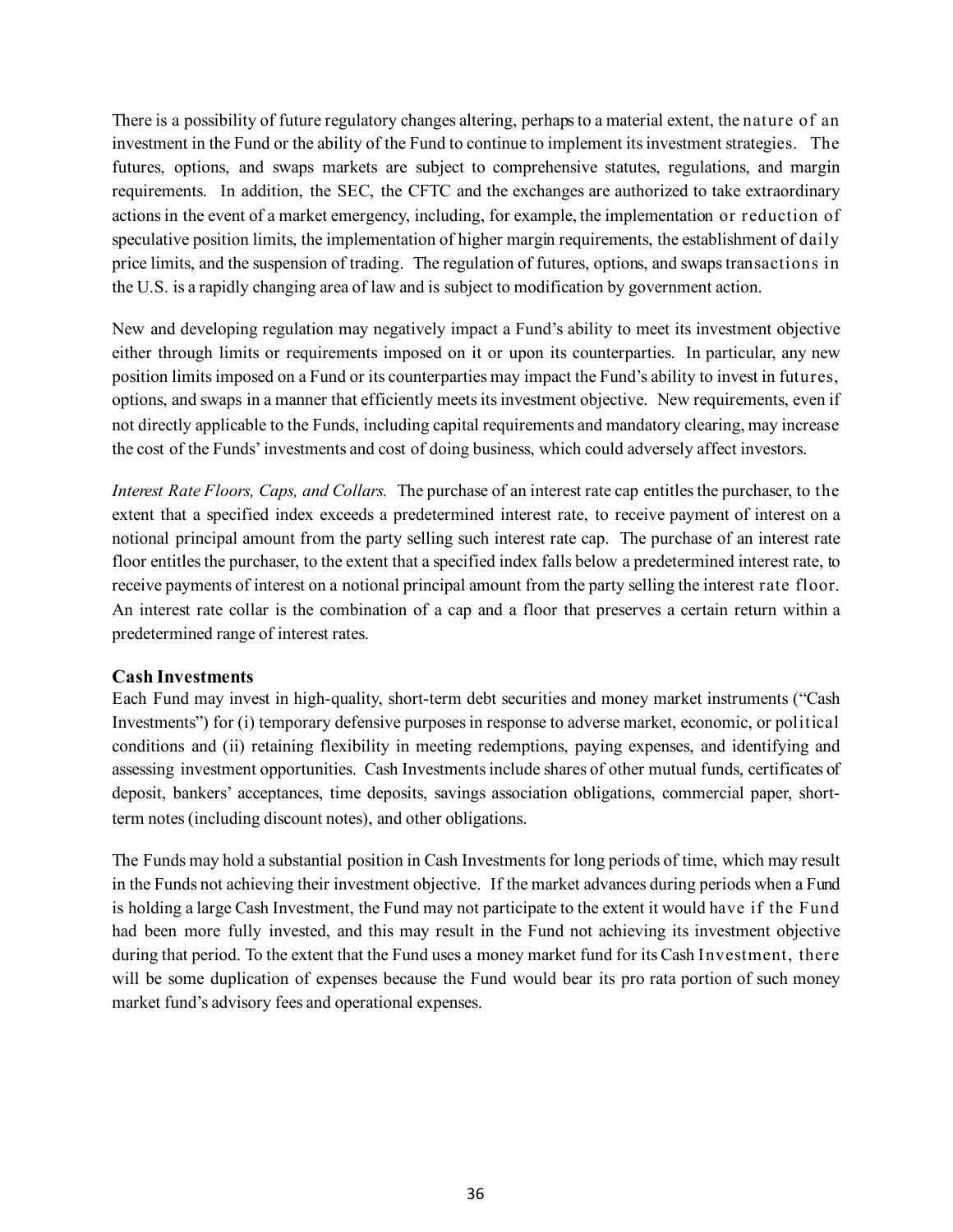There is a possibility of future regulatory changes altering, perhaps to a material extent, the nature of an investment in the Fund or the ability of the Fund to continue to implement its investment strategies. The futures, options, and swaps markets are subject to comprehensive statutes, regulations, and margin requirements. In addition, the SEC, the CFTC and the exchanges are authorized to take extraordinary actions in the event of a market emergency, including, for example, the implementation or reduction of speculative position limits, the implementation of higher margin requirements, the establishment of daily price limits, and the suspension of trading. The regulation of futures, options, and swaps transactions in the U.S. is a rapidly changing area of law and is subject to modification by government action.

New and developing regulation may negatively impact a Fund's ability to meet its investment objective either through limits or requirements imposed on it or upon its counterparties. In particular, any new position limits imposed on a Fund or its counterparties may impact the Fund's ability to invest in futures, options, and swaps in a manner that efficiently meets its investment objective. New requirements, even if not directly applicable to the Funds, including capital requirements and mandatory clearing, may increase the cost of the Funds' investments and cost of doing business, which could adversely affect investors.

*Interest Rate Floors, Caps, and Collars.* The purchase of an interest rate cap entitles the purchaser, to the extent that a specified index exceeds a predetermined interest rate, to receive payment of interest on a notional principal amount from the party selling such interest rate cap. The purchase of an interest rate floor entitles the purchaser, to the extent that a specified index falls below a predetermined interest rate, to receive payments of interest on a notional principal amount from the party selling the interest rate floor. An interest rate collar is the combination of a cap and a floor that preserves a certain return within a predetermined range of interest rates.

# **Cash Investments**

Each Fund may invest in high-quality, short-term debt securities and money market instruments ("Cash Investments") for (i) temporary defensive purposes in response to adverse market, economic, or political conditions and (ii) retaining flexibility in meeting redemptions, paying expenses, and identifying and assessing investment opportunities. Cash Investments include shares of other mutual funds, certificates of deposit, bankers' acceptances, time deposits, savings association obligations, commercial paper, shortterm notes (including discount notes), and other obligations.

The Funds may hold a substantial position in Cash Investments for long periods of time, which may result in the Funds not achieving their investment objective. If the market advances during periods when a Fund is holding a large Cash Investment, the Fund may not participate to the extent it would have if the Fund had been more fully invested, and this may result in the Fund not achieving its investment objective during that period. To the extent that the Fund uses a money market fund for its Cash Investment, there will be some duplication of expenses because the Fund would bear its pro rata portion of such money market fund's advisory fees and operational expenses.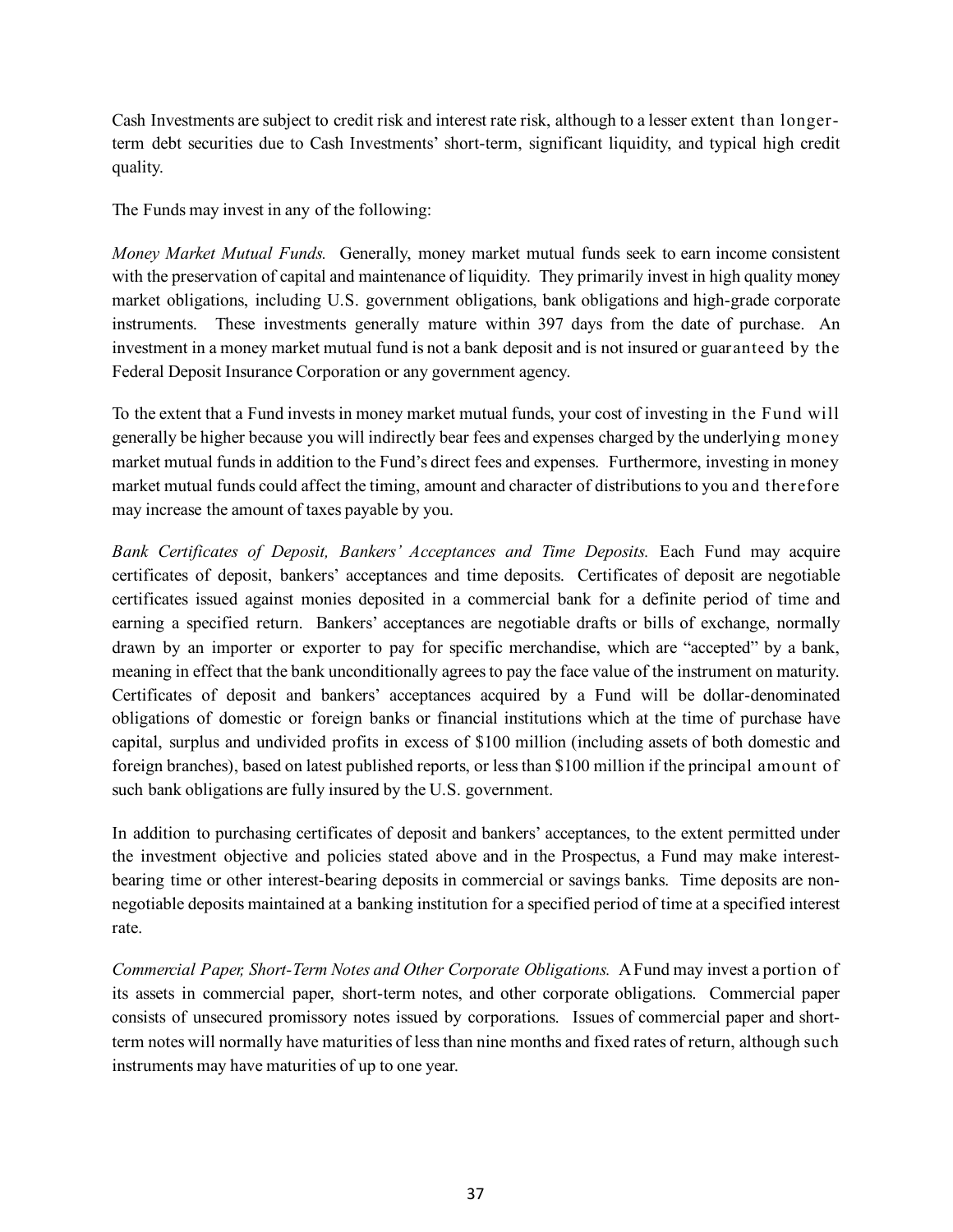Cash Investments are subject to credit risk and interest rate risk, although to a lesser extent than longerterm debt securities due to Cash Investments' short-term, significant liquidity, and typical high credit quality.

The Funds may invest in any of the following:

*Money Market Mutual Funds.* Generally, money market mutual funds seek to earn income consistent with the preservation of capital and maintenance of liquidity. They primarily invest in high quality money market obligations, including U.S. government obligations, bank obligations and high-grade corporate instruments. These investments generally mature within 397 days from the date of purchase. An investment in a money market mutual fund is not a bank deposit and is not insured or guaranteed by the Federal Deposit Insurance Corporation or any government agency.

To the extent that a Fund invests in money market mutual funds, your cost of investing in the Fund will generally be higher because you will indirectly bear fees and expenses charged by the underlying money market mutual funds in addition to the Fund's direct fees and expenses. Furthermore, investing in money market mutual funds could affect the timing, amount and character of distributions to you and therefore may increase the amount of taxes payable by you.

*Bank Certificates of Deposit, Bankers' Acceptances and Time Deposits.* Each Fund may acquire certificates of deposit, bankers' acceptances and time deposits. Certificates of deposit are negotiable certificates issued against monies deposited in a commercial bank for a definite period of time and earning a specified return. Bankers' acceptances are negotiable drafts or bills of exchange, normally drawn by an importer or exporter to pay for specific merchandise, which are "accepted" by a bank, meaning in effect that the bank unconditionally agrees to pay the face value of the instrument on maturity. Certificates of deposit and bankers' acceptances acquired by a Fund will be dollar-denominated obligations of domestic or foreign banks or financial institutions which at the time of purchase have capital, surplus and undivided profits in excess of \$100 million (including assets of both domestic and foreign branches), based on latest published reports, or less than \$100 million if the principal amount of such bank obligations are fully insured by the U.S. government.

In addition to purchasing certificates of deposit and bankers' acceptances, to the extent permitted under the investment objective and policies stated above and in the Prospectus, a Fund may make interestbearing time or other interest-bearing deposits in commercial or savings banks. Time deposits are nonnegotiable deposits maintained at a banking institution for a specified period of time at a specified interest rate.

*Commercial Paper, Short-Term Notes and Other Corporate Obligations.* A Fund may invest a portion of its assets in commercial paper, short-term notes, and other corporate obligations. Commercial paper consists of unsecured promissory notes issued by corporations. Issues of commercial paper and shortterm notes will normally have maturities of less than nine months and fixed rates of return, although such instruments may have maturities of up to one year.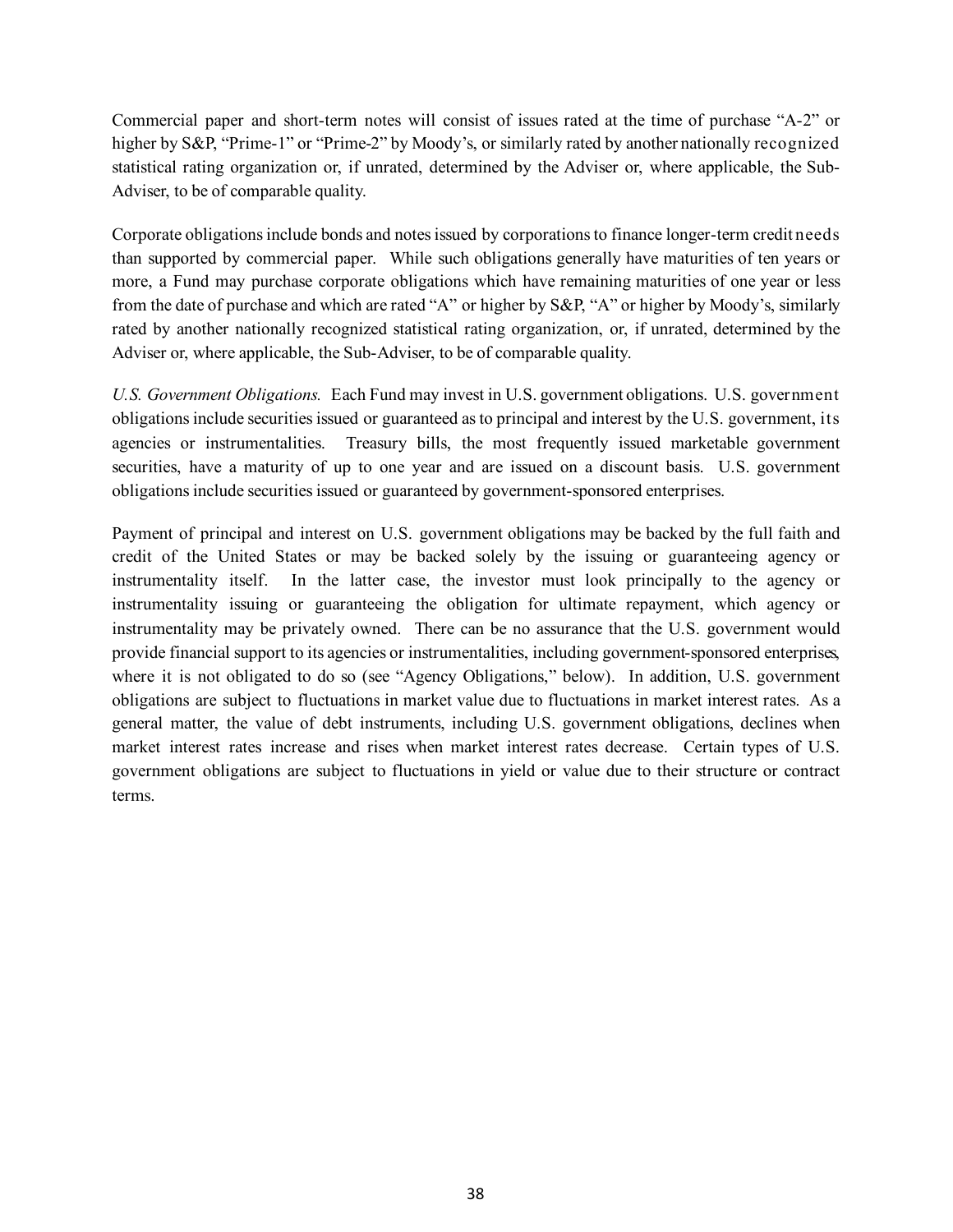Commercial paper and short-term notes will consist of issues rated at the time of purchase "A-2" or higher by S&P, "Prime-1" or "Prime-2" by Moody's, or similarly rated by another nationally recognized statistical rating organization or, if unrated, determined by the Adviser or, where applicable, the Sub-Adviser, to be of comparable quality.

Corporate obligations include bonds and notes issued by corporations to finance longer-term credit needs than supported by commercial paper. While such obligations generally have maturities of ten years or more, a Fund may purchase corporate obligations which have remaining maturities of one year or less from the date of purchase and which are rated "A" or higher by S&P, "A" or higher by Moody's, similarly rated by another nationally recognized statistical rating organization, or, if unrated, determined by the Adviser or, where applicable, the Sub-Adviser, to be of comparable quality.

*U.S. Government Obligations.* Each Fund may invest in U.S. government obligations. U.S. government obligations include securities issued or guaranteed as to principal and interest by the U.S. government, its agencies or instrumentalities. Treasury bills, the most frequently issued marketable government securities, have a maturity of up to one year and are issued on a discount basis. U.S. government obligations include securities issued or guaranteed by government-sponsored enterprises.

Payment of principal and interest on U.S. government obligations may be backed by the full faith and credit of the United States or may be backed solely by the issuing or guaranteeing agency or instrumentality itself. In the latter case, the investor must look principally to the agency or instrumentality issuing or guaranteeing the obligation for ultimate repayment, which agency or instrumentality may be privately owned. There can be no assurance that the U.S. government would provide financial support to its agencies or instrumentalities, including government-sponsored enterprises, where it is not obligated to do so (see "Agency Obligations," below). In addition, U.S. government obligations are subject to fluctuations in market value due to fluctuations in market interest rates. As a general matter, the value of debt instruments, including U.S. government obligations, declines when market interest rates increase and rises when market interest rates decrease. Certain types of U.S. government obligations are subject to fluctuations in yield or value due to their structure or contract terms.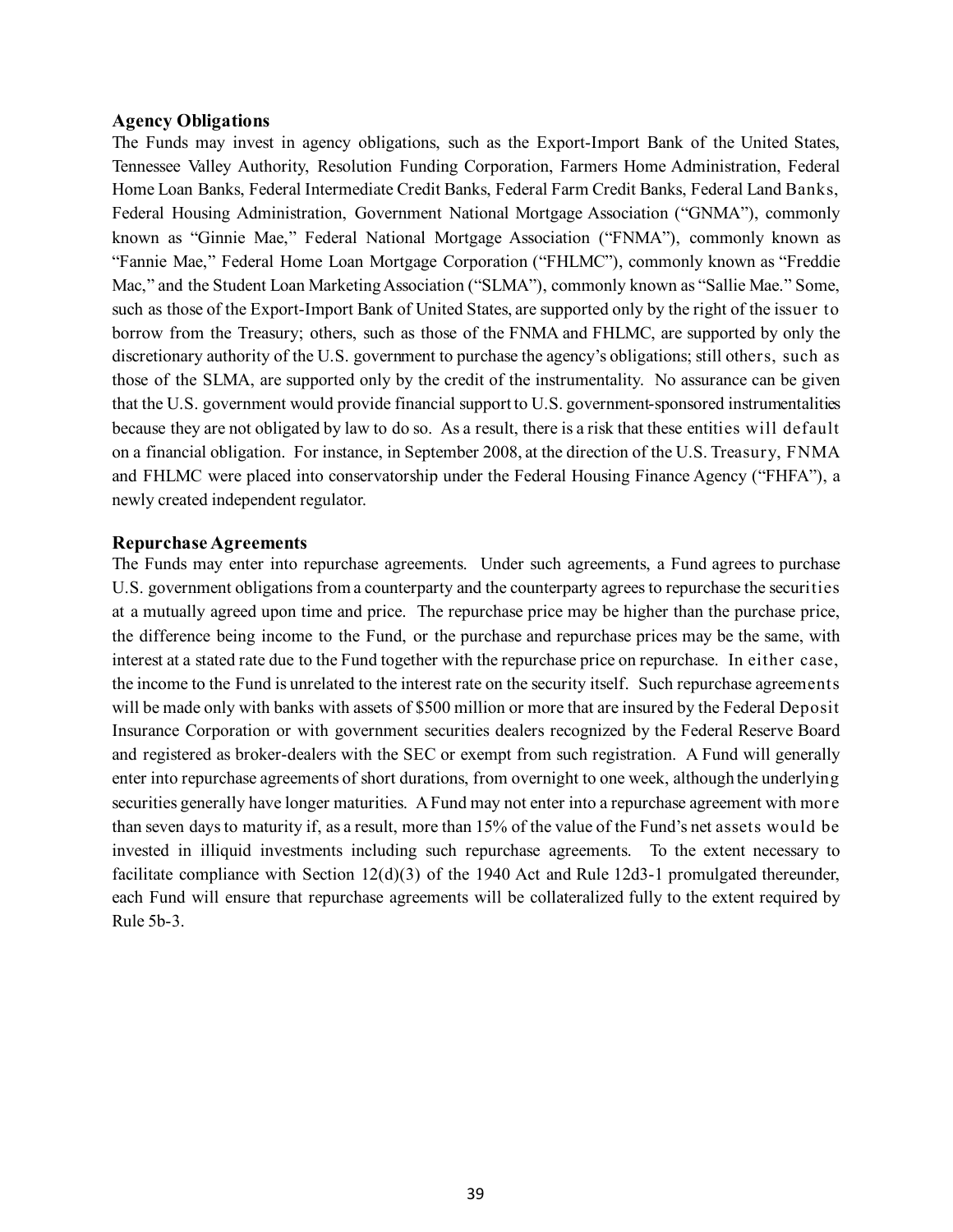#### **Agency Obligations**

The Funds may invest in agency obligations, such as the Export-Import Bank of the United States, Tennessee Valley Authority, Resolution Funding Corporation, Farmers Home Administration, Federal Home Loan Banks, Federal Intermediate Credit Banks, Federal Farm Credit Banks, Federal Land Banks, Federal Housing Administration, Government National Mortgage Association ("GNMA"), commonly known as "Ginnie Mae," Federal National Mortgage Association ("FNMA"), commonly known as "Fannie Mae," Federal Home Loan Mortgage Corporation ("FHLMC"), commonly known as "Freddie Mac," and the Student Loan Marketing Association ("SLMA"), commonly known as "Sallie Mae." Some, such as those of the Export-Import Bank of United States, are supported only by the right of the issuer to borrow from the Treasury; others, such as those of the FNMA and FHLMC, are supported by only the discretionary authority of the U.S. government to purchase the agency's obligations; still others, such as those of the SLMA, are supported only by the credit of the instrumentality. No assurance can be given that the U.S. government would provide financial support to U.S. government-sponsored instrumentalities because they are not obligated by law to do so. As a result, there is a risk that these entities will default on a financial obligation. For instance, in September 2008, at the direction of the U.S. Treasury, FNMA and FHLMC were placed into conservatorship under the Federal Housing Finance Agency ("FHFA"), a newly created independent regulator.

#### **Repurchase Agreements**

The Funds may enter into repurchase agreements. Under such agreements, a Fund agrees to purchase U.S. government obligations from a counterparty and the counterparty agrees to repurchase the securities at a mutually agreed upon time and price. The repurchase price may be higher than the purchase price, the difference being income to the Fund, or the purchase and repurchase prices may be the same, with interest at a stated rate due to the Fund together with the repurchase price on repurchase. In either case, the income to the Fund is unrelated to the interest rate on the security itself. Such repurchase agreements will be made only with banks with assets of \$500 million or more that are insured by the Federal Deposit Insurance Corporation or with government securities dealers recognized by the Federal Reserve Board and registered as broker-dealers with the SEC or exempt from such registration. A Fund will generally enter into repurchase agreements of short durations, from overnight to one week, although the underlying securities generally have longer maturities. A Fund may not enter into a repurchase agreement with more than seven days to maturity if, as a result, more than 15% of the value of the Fund's net assets would be invested in illiquid investments including such repurchase agreements. To the extent necessary to facilitate compliance with Section  $12(d)(3)$  of the 1940 Act and Rule 12d3-1 promulgated thereunder, each Fund will ensure that repurchase agreements will be collateralized fully to the extent required by Rule 5b-3.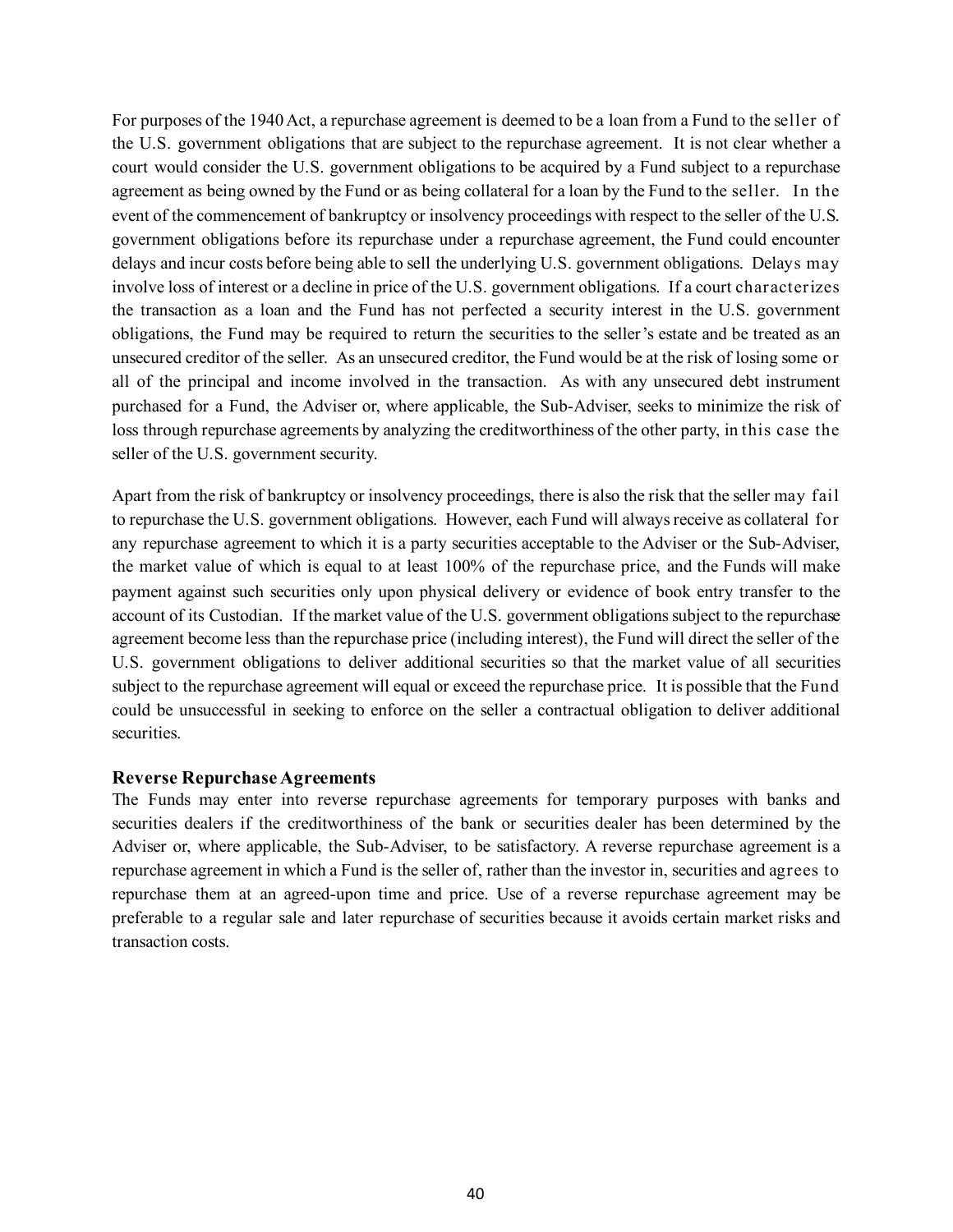For purposes of the 1940 Act, a repurchase agreement is deemed to be a loan from a Fund to the seller of the U.S. government obligations that are subject to the repurchase agreement. It is not clear whether a court would consider the U.S. government obligations to be acquired by a Fund subject to a repurchase agreement as being owned by the Fund or as being collateral for a loan by the Fund to the seller. In the event of the commencement of bankruptcy or insolvency proceedings with respect to the seller of the U.S. government obligations before its repurchase under a repurchase agreement, the Fund could encounter delays and incur costs before being able to sell the underlying U.S. government obligations. Delays may involve loss of interest or a decline in price of the U.S. government obligations. If a court characterizes the transaction as a loan and the Fund has not perfected a security interest in the U.S. government obligations, the Fund may be required to return the securities to the seller's estate and be treated as an unsecured creditor of the seller. As an unsecured creditor, the Fund would be at the risk of losing some or all of the principal and income involved in the transaction. As with any unsecured debt instrument purchased for a Fund, the Adviser or, where applicable, the Sub-Adviser, seeks to minimize the risk of loss through repurchase agreements by analyzing the creditworthiness of the other party, in this case the seller of the U.S. government security.

Apart from the risk of bankruptcy or insolvency proceedings, there is also the risk that the seller may fail to repurchase the U.S. government obligations. However, each Fund will always receive as collateral for any repurchase agreement to which it is a party securities acceptable to the Adviser or the Sub-Adviser, the market value of which is equal to at least 100% of the repurchase price, and the Funds will make payment against such securities only upon physical delivery or evidence of book entry transfer to the account of its Custodian. If the market value of the U.S. government obligations subject to the repurchase agreement become less than the repurchase price (including interest), the Fund will direct the seller of the U.S. government obligations to deliver additional securities so that the market value of all securities subject to the repurchase agreement will equal or exceed the repurchase price. It is possible that the Fund could be unsuccessful in seeking to enforce on the seller a contractual obligation to deliver additional securities.

## **Reverse Repurchase Agreements**

The Funds may enter into reverse repurchase agreements for temporary purposes with banks and securities dealers if the creditworthiness of the bank or securities dealer has been determined by the Adviser or, where applicable, the Sub-Adviser, to be satisfactory. A reverse repurchase agreement is a repurchase agreement in which a Fund is the seller of, rather than the investor in, securities and agrees to repurchase them at an agreed-upon time and price. Use of a reverse repurchase agreement may be preferable to a regular sale and later repurchase of securities because it avoids certain market risks and transaction costs.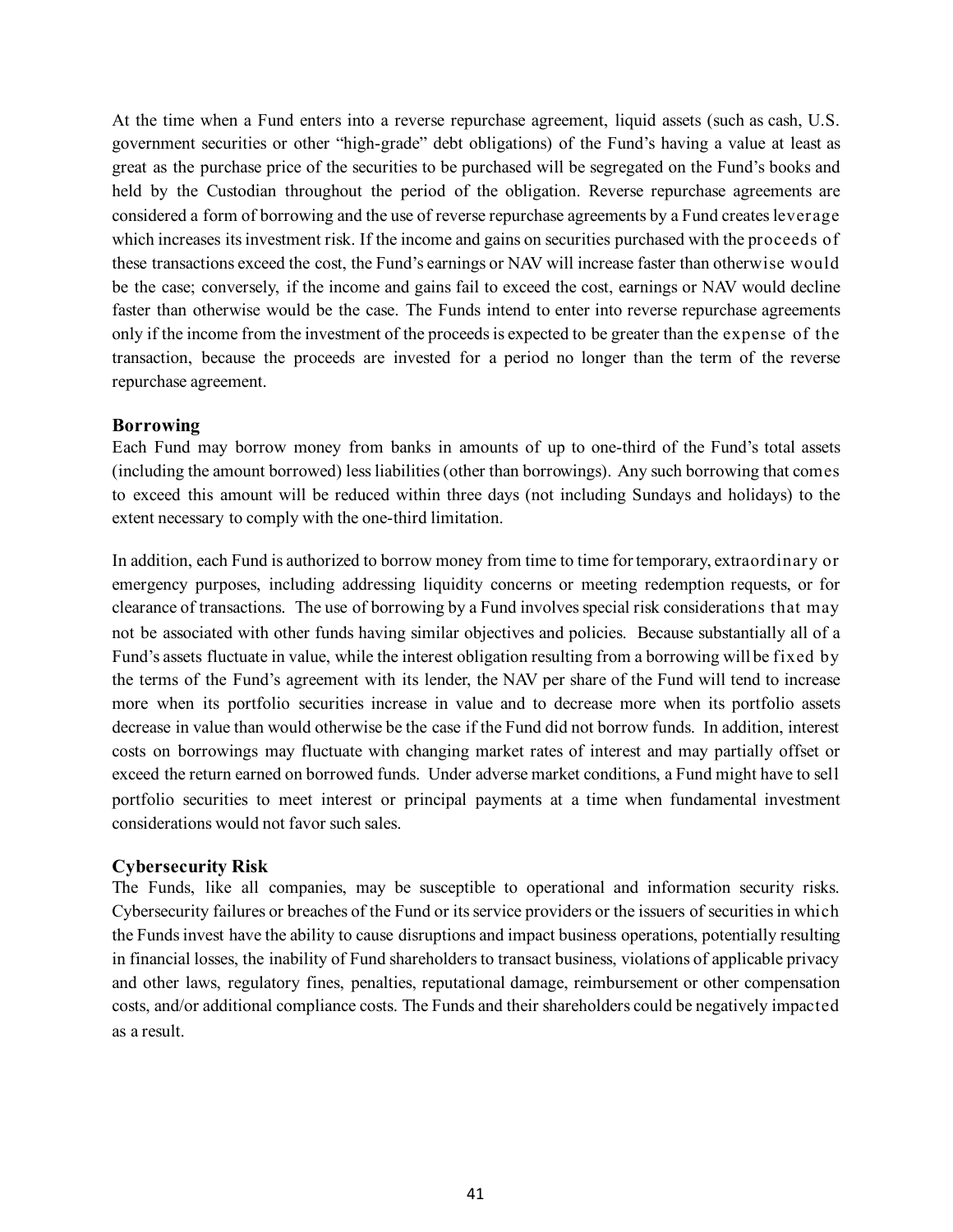At the time when a Fund enters into a reverse repurchase agreement, liquid assets (such as cash, U.S. government securities or other "high-grade" debt obligations) of the Fund's having a value at least as great as the purchase price of the securities to be purchased will be segregated on the Fund's books and held by the Custodian throughout the period of the obligation. Reverse repurchase agreements are considered a form of borrowing and the use of reverse repurchase agreements by a Fund creates leverage which increases its investment risk. If the income and gains on securities purchased with the proceeds of these transactions exceed the cost, the Fund's earnings or NAV will increase faster than otherwise would be the case; conversely, if the income and gains fail to exceed the cost, earnings or NAV would decline faster than otherwise would be the case. The Funds intend to enter into reverse repurchase agreements only if the income from the investment of the proceeds is expected to be greater than the expense of the transaction, because the proceeds are invested for a period no longer than the term of the reverse repurchase agreement.

#### **Borrowing**

Each Fund may borrow money from banks in amounts of up to one-third of the Fund's total assets (including the amount borrowed) less liabilities (other than borrowings). Any such borrowing that comes to exceed this amount will be reduced within three days (not including Sundays and holidays) to the extent necessary to comply with the one-third limitation.

In addition, each Fund is authorized to borrow money from time to time for temporary, extraordinary or emergency purposes, including addressing liquidity concerns or meeting redemption requests, or for clearance of transactions. The use of borrowing by a Fund involves special risk considerations that may not be associated with other funds having similar objectives and policies. Because substantially all of a Fund's assets fluctuate in value, while the interest obligation resulting from a borrowing will be fixed by the terms of the Fund's agreement with its lender, the NAV per share of the Fund will tend to increase more when its portfolio securities increase in value and to decrease more when its portfolio assets decrease in value than would otherwise be the case if the Fund did not borrow funds. In addition, interest costs on borrowings may fluctuate with changing market rates of interest and may partially offset or exceed the return earned on borrowed funds. Under adverse market conditions, a Fund might have to sell portfolio securities to meet interest or principal payments at a time when fundamental investment considerations would not favor such sales.

## **Cybersecurity Risk**

The Funds, like all companies, may be susceptible to operational and information security risks. Cybersecurity failures or breaches of the Fund or its service providers or the issuers of securities in which the Funds invest have the ability to cause disruptions and impact business operations, potentially resulting in financial losses, the inability of Fund shareholders to transact business, violations of applicable privacy and other laws, regulatory fines, penalties, reputational damage, reimbursement or other compensation costs, and/or additional compliance costs. The Funds and their shareholders could be negatively impacted as a result.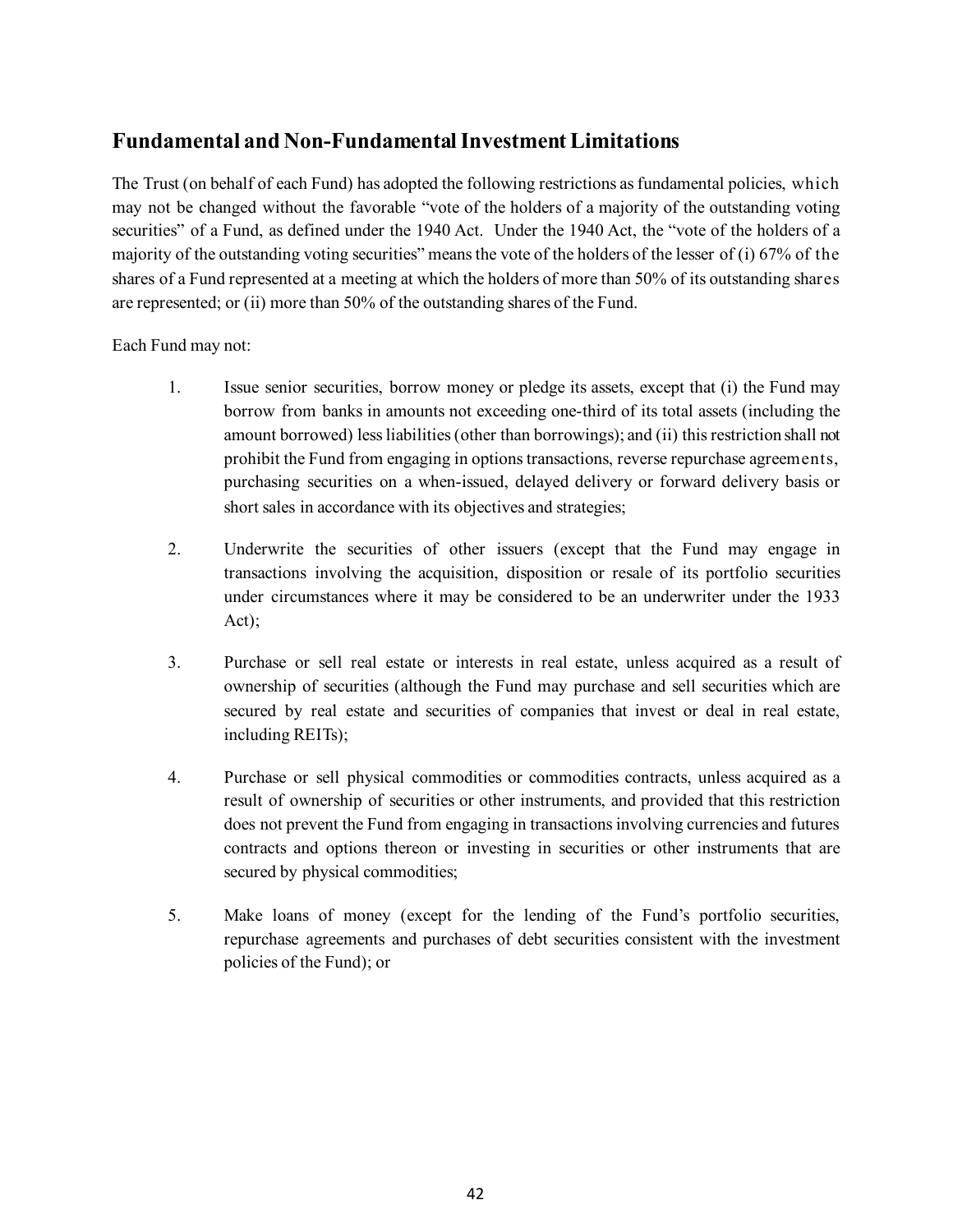# **Fundamental and Non-Fundamental Investment Limitations**

The Trust (on behalf of each Fund) has adopted the following restrictions as fundamental policies, which may not be changed without the favorable "vote of the holders of a majority of the outstanding voting securities" of a Fund, as defined under the 1940 Act. Under the 1940 Act, the "vote of the holders of a majority of the outstanding voting securities" means the vote of the holders of the lesser of (i) 67% of the shares of a Fund represented at a meeting at which the holders of more than 50% of its outstanding shares are represented; or (ii) more than 50% of the outstanding shares of the Fund.

Each Fund may not:

- 1. Issue senior securities, borrow money or pledge its assets, except that (i) the Fund may borrow from banks in amounts not exceeding one-third of its total assets (including the amount borrowed) less liabilities (other than borrowings); and (ii) this restriction shall not prohibit the Fund from engaging in options transactions, reverse repurchase agreements, purchasing securities on a when-issued, delayed delivery or forward delivery basis or short sales in accordance with its objectives and strategies;
- 2. Underwrite the securities of other issuers (except that the Fund may engage in transactions involving the acquisition, disposition or resale of its portfolio securities under circumstances where it may be considered to be an underwriter under the 1933 Act);
- 3. Purchase or sell real estate or interests in real estate, unless acquired as a result of ownership of securities (although the Fund may purchase and sell securities which are secured by real estate and securities of companies that invest or deal in real estate, including REITs);
- 4. Purchase or sell physical commodities or commodities contracts, unless acquired as a result of ownership of securities or other instruments, and provided that this restriction does not prevent the Fund from engaging in transactions involving currencies and futures contracts and options thereon or investing in securities or other instruments that are secured by physical commodities;
- 5. Make loans of money (except for the lending of the Fund's portfolio securities, repurchase agreements and purchases of debt securities consistent with the investment policies of the Fund); or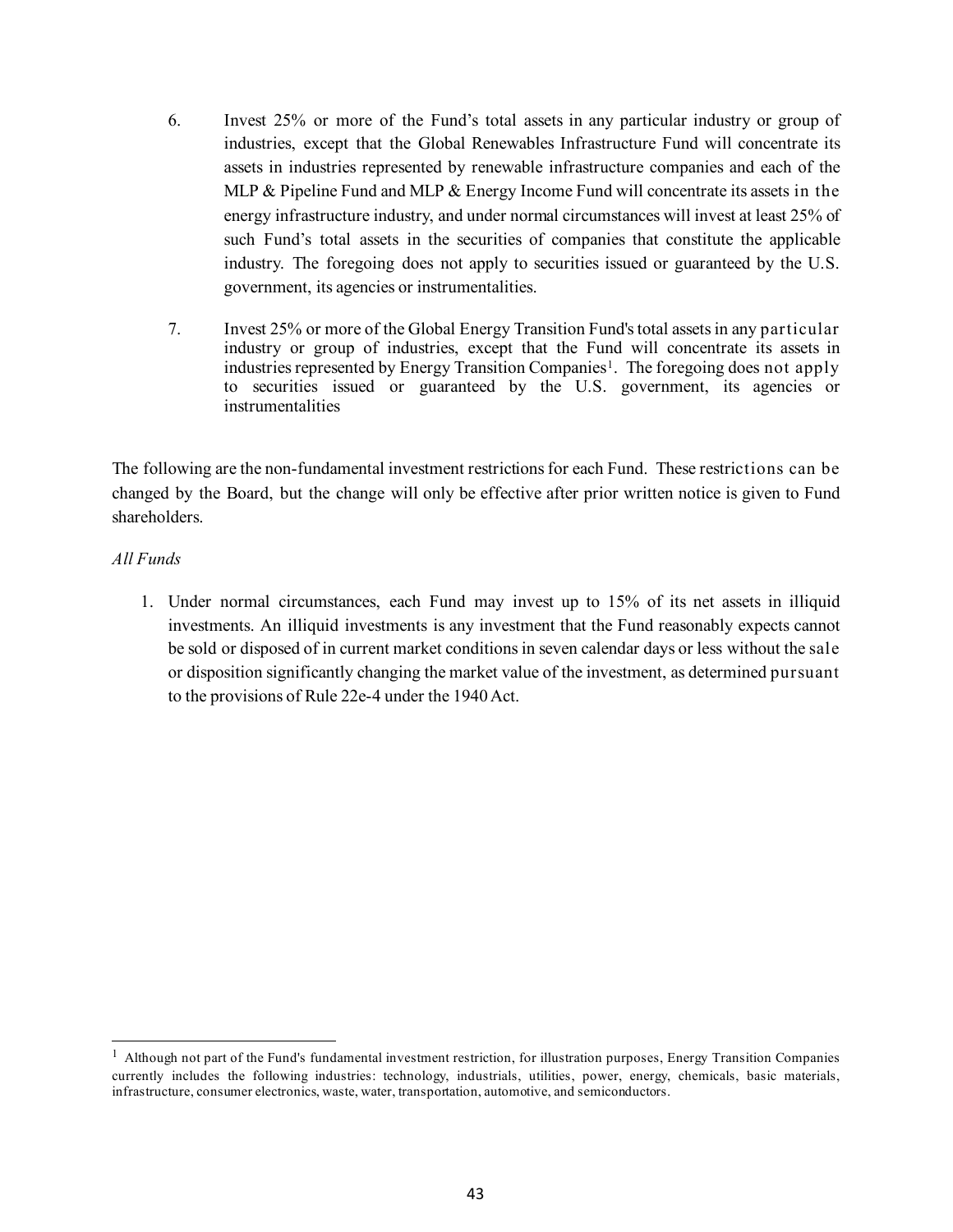- 6. Invest 25% or more of the Fund's total assets in any particular industry or group of industries, except that the Global Renewables Infrastructure Fund will concentrate its assets in industries represented by renewable infrastructure companies and each of the MLP  $\&$  Pipeline Fund and MLP  $\&$  Energy Income Fund will concentrate its assets in the energy infrastructure industry, and under normal circumstances will invest at least 25% of such Fund's total assets in the securities of companies that constitute the applicable industry. The foregoing does not apply to securities issued or guaranteed by the U.S. government, its agencies or instrumentalities.
- 7. Invest 25% or more of the Global Energy Transition Fund's total assets in any particular industry or group of industries, except that the Fund will concentrate its assets in industries represented by Energy Transition Companies<sup>[1](#page-42-0)</sup>. The foregoing does not apply to securities issued or guaranteed by the U.S. government, its agencies or instrumentalities

The following are the non-fundamental investment restrictions for each Fund. These restrictions can be changed by the Board, but the change will only be effective after prior written notice is given to Fund shareholders.

## *All Funds*

1. Under normal circumstances, each Fund may invest up to 15% of its net assets in illiquid investments. An illiquid investments is any investment that the Fund reasonably expects cannot be sold or disposed of in current market conditions in seven calendar days or less without the sale or disposition significantly changing the market value of the investment, as determined pursuant to the provisions of Rule 22e-4 under the 1940 Act.

<span id="page-42-0"></span> $1$  Although not part of the Fund's fundamental investment restriction, for illustration purposes, Energy Transition Companies currently includes the following industries: technology, industrials, utilities, power, energy, chemicals, basic materials, infrastructure, consumer electronics, waste, water, transportation, automotive, and semiconductors.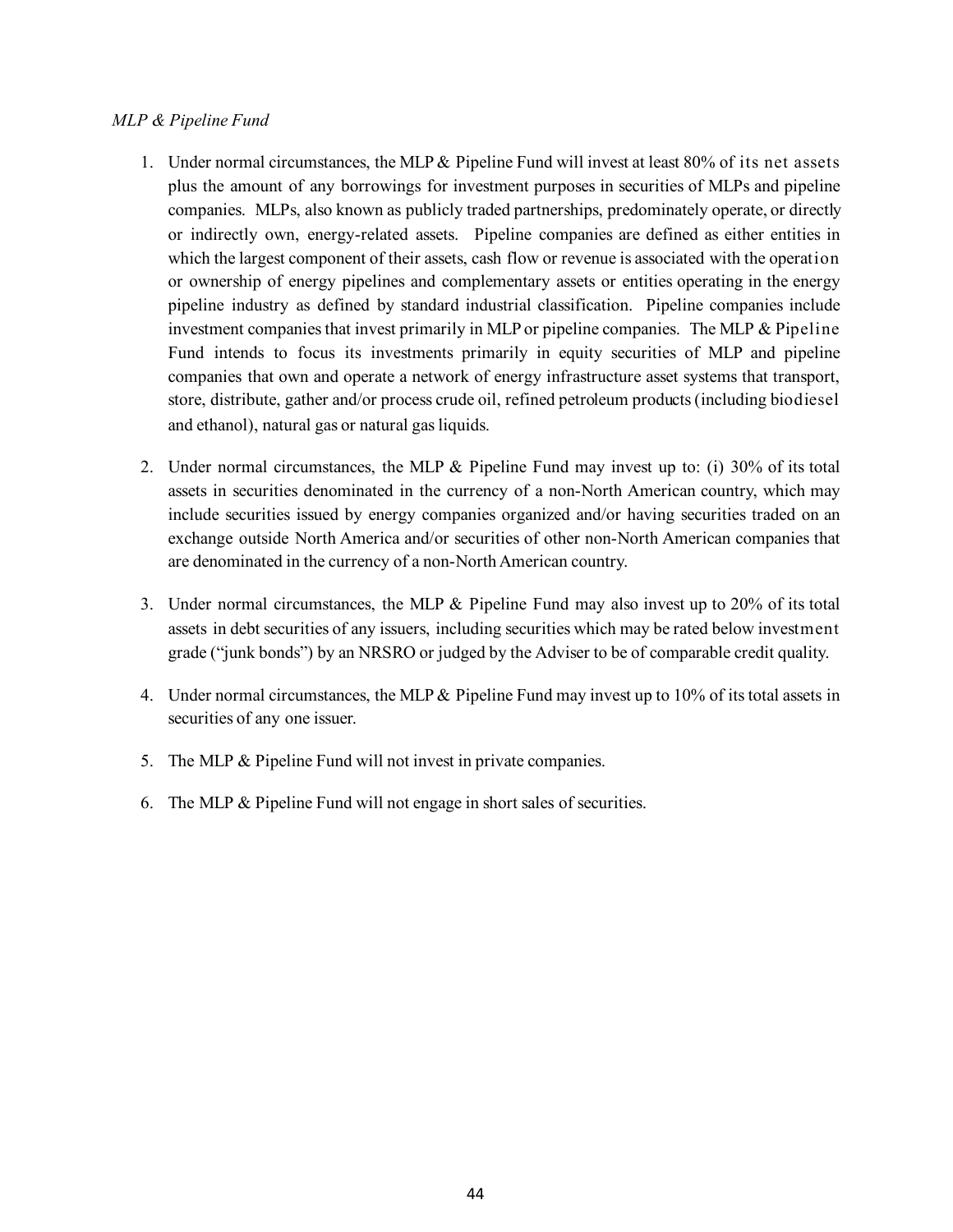### *MLP & Pipeline Fund*

- 1. Under normal circumstances, the MLP & Pipeline Fund will invest at least 80% of its net assets plus the amount of any borrowings for investment purposes in securities of MLPs and pipeline companies. MLPs, also known as publicly traded partnerships, predominately operate, or directly or indirectly own, energy-related assets. Pipeline companies are defined as either entities in which the largest component of their assets, cash flow or revenue is associated with the operation or ownership of energy pipelines and complementary assets or entities operating in the energy pipeline industry as defined by standard industrial classification. Pipeline companies include investment companies that invest primarily in MLP or pipeline companies. The MLP & Pipeline Fund intends to focus its investments primarily in equity securities of MLP and pipeline companies that own and operate a network of energy infrastructure asset systems that transport, store, distribute, gather and/or process crude oil, refined petroleum products (including biodiesel and ethanol), natural gas or natural gas liquids.
- 2. Under normal circumstances, the MLP & Pipeline Fund may invest up to: (i) 30% of its total assets in securities denominated in the currency of a non-North American country, which may include securities issued by energy companies organized and/or having securities traded on an exchange outside North America and/or securities of other non-North American companies that are denominated in the currency of a non-North American country.
- 3. Under normal circumstances, the MLP & Pipeline Fund may also invest up to 20% of its total assets in debt securities of any issuers, including securities which may be rated below investment grade ("junk bonds") by an NRSRO or judged by the Adviser to be of comparable credit quality.
- 4. Under normal circumstances, the MLP & Pipeline Fund may invest up to 10% of its total assets in securities of any one issuer.
- 5. The MLP & Pipeline Fund will not invest in private companies.
- 6. The MLP & Pipeline Fund will not engage in short sales of securities.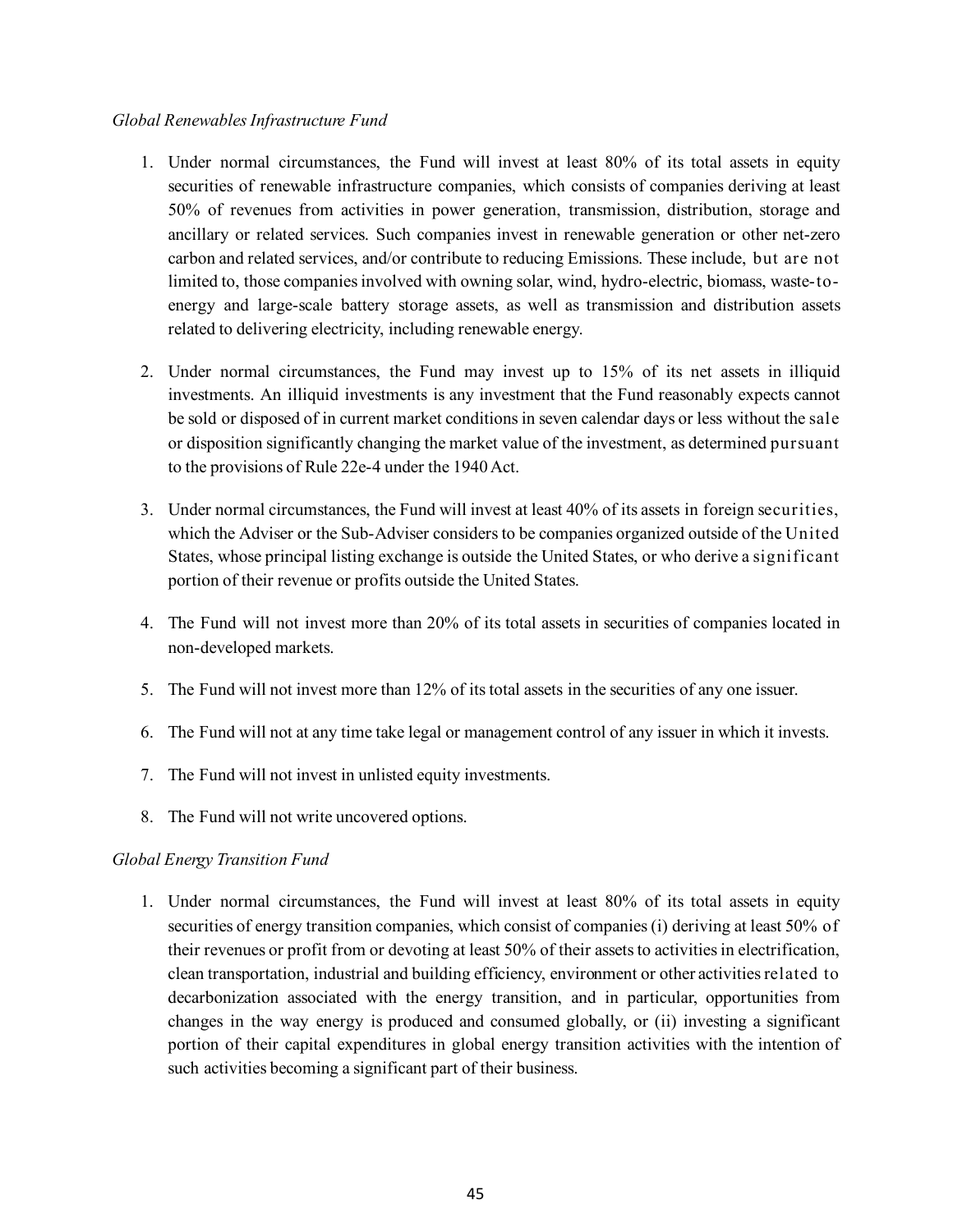#### *Global Renewables Infrastructure Fund*

- 1. Under normal circumstances, the Fund will invest at least 80% of its total assets in equity securities of renewable infrastructure companies, which consists of companies deriving at least 50% of revenues from activities in power generation, transmission, distribution, storage and ancillary or related services. Such companies invest in renewable generation or other net-zero carbon and related services, and/or contribute to reducing Emissions. These include, but are not limited to, those companies involved with owning solar, wind, hydro-electric, biomass, waste-toenergy and large-scale battery storage assets, as well as transmission and distribution assets related to delivering electricity, including renewable energy.
- 2. Under normal circumstances, the Fund may invest up to 15% of its net assets in illiquid investments. An illiquid investments is any investment that the Fund reasonably expects cannot be sold or disposed of in current market conditions in seven calendar days or less without the sale or disposition significantly changing the market value of the investment, as determined pursuant to the provisions of Rule 22e-4 under the 1940 Act.
- 3. Under normal circumstances, the Fund will invest at least 40% of its assets in foreign securities, which the Adviser or the Sub-Adviser considers to be companies organized outside of the United States, whose principal listing exchange is outside the United States, or who derive a significant portion of their revenue or profits outside the United States.
- 4. The Fund will not invest more than 20% of its total assets in securities of companies located in non-developed markets.
- 5. The Fund will not invest more than 12% of its total assets in the securities of any one issuer.
- 6. The Fund will not at any time take legal or management control of any issuer in which it invests.
- 7. The Fund will not invest in unlisted equity investments.
- 8. The Fund will not write uncovered options.

#### *Global Energy Transition Fund*

1. Under normal circumstances, the Fund will invest at least 80% of its total assets in equity securities of energy transition companies, which consist of companies (i) deriving at least 50% of their revenues or profit from or devoting at least 50% of their assets to activities in electrification, clean transportation, industrial and building efficiency, environment or other activities related to decarbonization associated with the energy transition, and in particular, opportunities from changes in the way energy is produced and consumed globally, or (ii) investing a significant portion of their capital expenditures in global energy transition activities with the intention of such activities becoming a significant part of their business.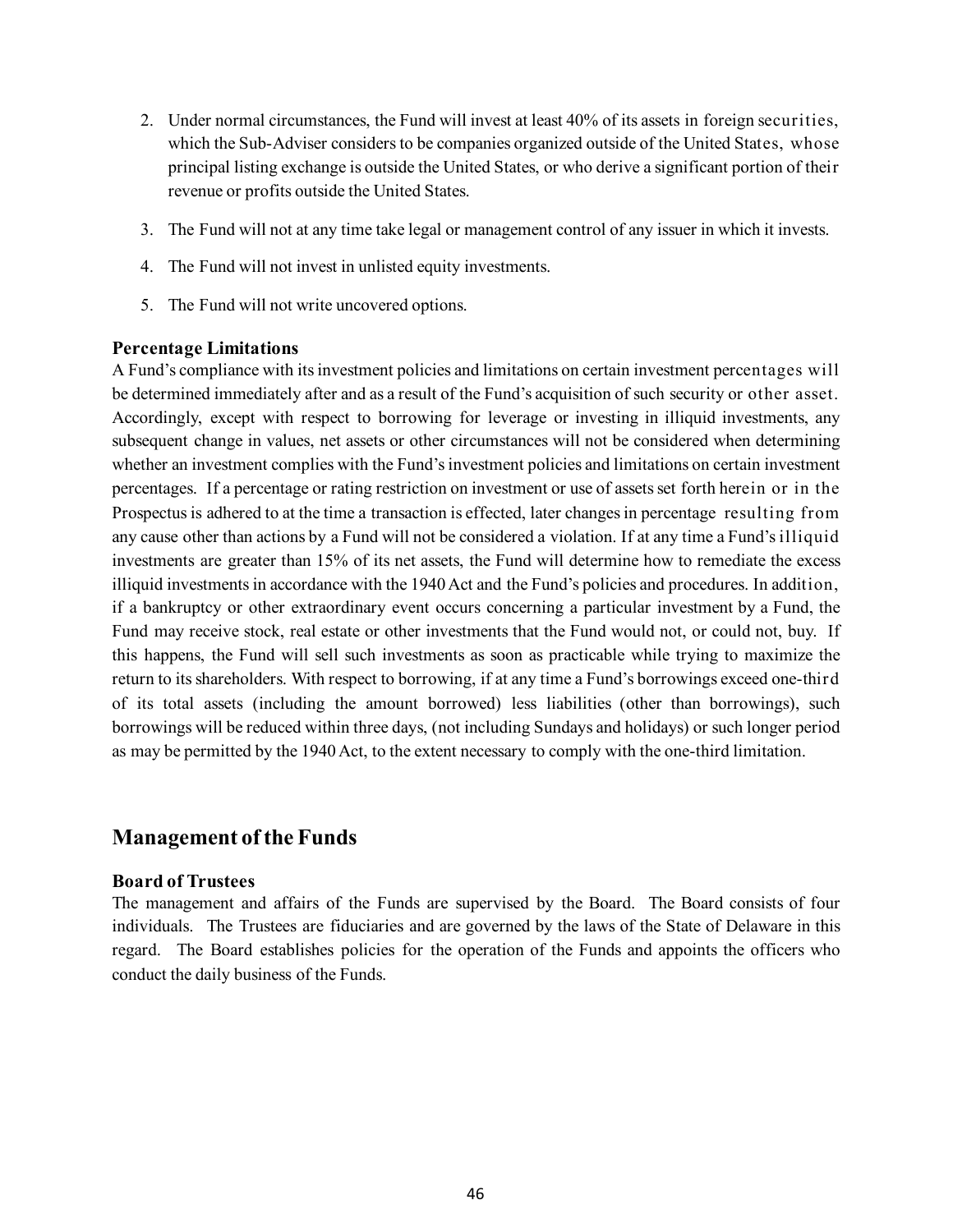- 2. Under normal circumstances, the Fund will invest at least 40% of its assets in foreign securities, which the Sub-Adviser considers to be companies organized outside of the United States, whose principal listing exchange is outside the United States, or who derive a significant portion of their revenue or profits outside the United States.
- 3. The Fund will not at any time take legal or management control of any issuer in which it invests.
- 4. The Fund will not invest in unlisted equity investments.
- 5. The Fund will not write uncovered options.

#### **Percentage Limitations**

A Fund's compliance with its investment policies and limitations on certain investment percentages will be determined immediately after and as a result of the Fund's acquisition of such security or other asset. Accordingly, except with respect to borrowing for leverage or investing in illiquid investments, any subsequent change in values, net assets or other circumstances will not be considered when determining whether an investment complies with the Fund's investment policies and limitations on certain investment percentages. If a percentage or rating restriction on investment or use of assets set forth herein or in the Prospectus is adhered to at the time a transaction is effected, later changes in percentage resulting from any cause other than actions by a Fund will not be considered a violation. If at any time a Fund's illiquid investments are greater than 15% of its net assets, the Fund will determine how to remediate the excess illiquid investments in accordance with the 1940 Act and the Fund's policies and procedures. In addition, if a bankruptcy or other extraordinary event occurs concerning a particular investment by a Fund, the Fund may receive stock, real estate or other investments that the Fund would not, or could not, buy. If this happens, the Fund will sell such investments as soon as practicable while trying to maximize the return to its shareholders. With respect to borrowing, if at any time a Fund's borrowings exceed one-third of its total assets (including the amount borrowed) less liabilities (other than borrowings), such borrowings will be reduced within three days, (not including Sundays and holidays) or such longer period as may be permitted by the 1940 Act, to the extent necessary to comply with the one-third limitation.

# **Management of the Funds**

#### **Board of Trustees**

The management and affairs of the Funds are supervised by the Board. The Board consists of four individuals. The Trustees are fiduciaries and are governed by the laws of the State of Delaware in this regard. The Board establishes policies for the operation of the Funds and appoints the officers who conduct the daily business of the Funds.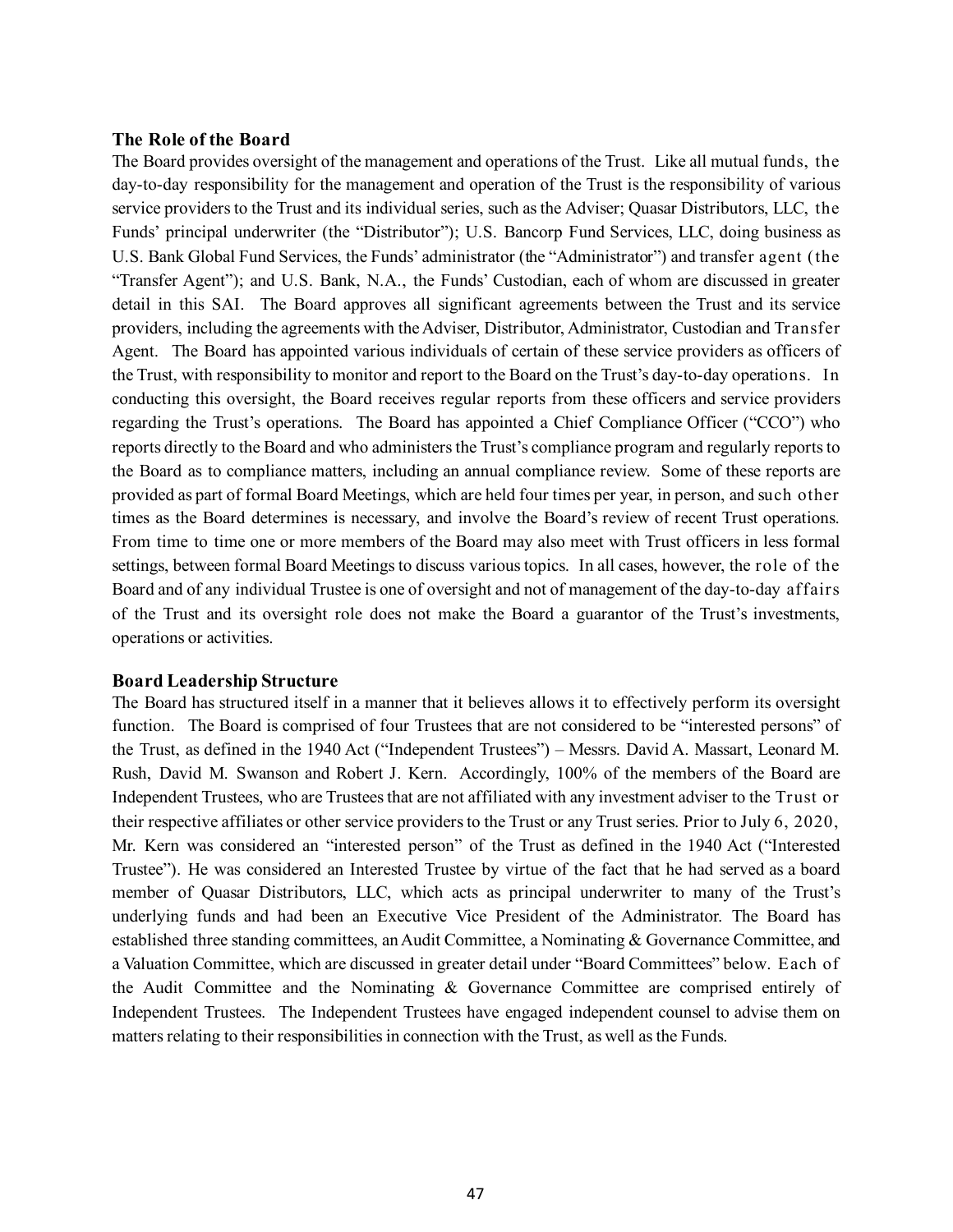#### **The Role of the Board**

The Board provides oversight of the management and operations of the Trust. Like all mutual funds, the day-to-day responsibility for the management and operation of the Trust is the responsibility of various service providers to the Trust and its individual series, such as the Adviser; Quasar Distributors, LLC, the Funds' principal underwriter (the "Distributor"); U.S. Bancorp Fund Services, LLC, doing business as U.S. Bank Global Fund Services, the Funds' administrator (the "Administrator") and transfer agent (the "Transfer Agent"); and U.S. Bank, N.A., the Funds' Custodian, each of whom are discussed in greater detail in this SAI. The Board approves all significant agreements between the Trust and its service providers, including the agreements with the Adviser, Distributor, Administrator, Custodian and Transfer Agent. The Board has appointed various individuals of certain of these service providers as officers of the Trust, with responsibility to monitor and report to the Board on the Trust's day-to-day operations. In conducting this oversight, the Board receives regular reports from these officers and service providers regarding the Trust's operations. The Board has appointed a Chief Compliance Officer ("CCO") who reports directly to the Board and who administers the Trust's compliance program and regularly reports to the Board as to compliance matters, including an annual compliance review. Some of these reports are provided as part of formal Board Meetings, which are held four times per year, in person, and such other times as the Board determines is necessary, and involve the Board's review of recent Trust operations. From time to time one or more members of the Board may also meet with Trust officers in less formal settings, between formal Board Meetings to discuss various topics. In all cases, however, the role of the Board and of any individual Trustee is one of oversight and not of management of the day-to-day affairs of the Trust and its oversight role does not make the Board a guarantor of the Trust's investments, operations or activities.

#### **Board Leadership Structure**

The Board has structured itself in a manner that it believes allows it to effectively perform its oversight function. The Board is comprised of four Trustees that are not considered to be "interested persons" of the Trust, as defined in the 1940 Act ("Independent Trustees") – Messrs. David A. Massart, Leonard M. Rush, David M. Swanson and Robert J. Kern. Accordingly, 100% of the members of the Board are Independent Trustees, who are Trustees that are not affiliated with any investment adviser to the Trust or their respective affiliates or other service providers to the Trust or any Trust series. Prior to July 6, 2020, Mr. Kern was considered an "interested person" of the Trust as defined in the 1940 Act ("Interested Trustee"). He was considered an Interested Trustee by virtue of the fact that he had served as a board member of Quasar Distributors, LLC, which acts as principal underwriter to many of the Trust's underlying funds and had been an Executive Vice President of the Administrator. The Board has established three standing committees, an Audit Committee, a Nominating & Governance Committee, and a Valuation Committee, which are discussed in greater detail under "Board Committees" below. Each of the Audit Committee and the Nominating & Governance Committee are comprised entirely of Independent Trustees. The Independent Trustees have engaged independent counsel to advise them on matters relating to their responsibilities in connection with the Trust, as well as the Funds.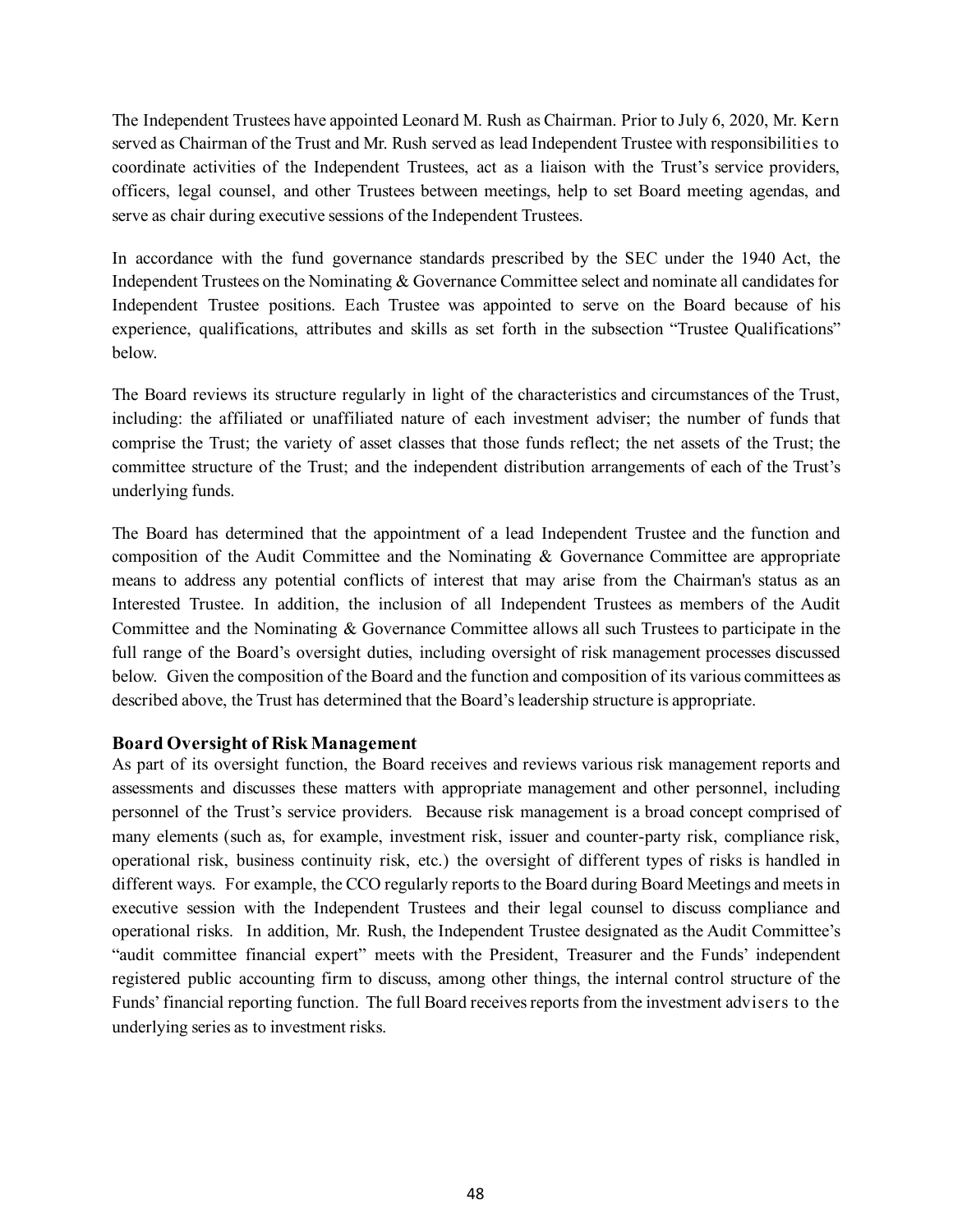The Independent Trustees have appointed Leonard M. Rush as Chairman. Prior to July 6, 2020, Mr. Kern served as Chairman of the Trust and Mr. Rush served as lead Independent Trustee with responsibilities to coordinate activities of the Independent Trustees, act as a liaison with the Trust's service providers, officers, legal counsel, and other Trustees between meetings, help to set Board meeting agendas, and serve as chair during executive sessions of the Independent Trustees.

In accordance with the fund governance standards prescribed by the SEC under the 1940 Act, the Independent Trustees on the Nominating & Governance Committee select and nominate all candidates for Independent Trustee positions. Each Trustee was appointed to serve on the Board because of his experience, qualifications, attributes and skills as set forth in the subsection "Trustee Qualifications" below.

The Board reviews its structure regularly in light of the characteristics and circumstances of the Trust, including: the affiliated or unaffiliated nature of each investment adviser; the number of funds that comprise the Trust; the variety of asset classes that those funds reflect; the net assets of the Trust; the committee structure of the Trust; and the independent distribution arrangements of each of the Trust's underlying funds.

The Board has determined that the appointment of a lead Independent Trustee and the function and composition of the Audit Committee and the Nominating & Governance Committee are appropriate means to address any potential conflicts of interest that may arise from the Chairman's status as an Interested Trustee. In addition, the inclusion of all Independent Trustees as members of the Audit Committee and the Nominating & Governance Committee allows all such Trustees to participate in the full range of the Board's oversight duties, including oversight of risk management processes discussed below. Given the composition of the Board and the function and composition of its various committees as described above, the Trust has determined that the Board's leadership structure is appropriate.

#### **Board Oversight of Risk Management**

As part of its oversight function, the Board receives and reviews various risk management reports and assessments and discusses these matters with appropriate management and other personnel, including personnel of the Trust's service providers. Because risk management is a broad concept comprised of many elements (such as, for example, investment risk, issuer and counter-party risk, compliance risk, operational risk, business continuity risk, etc.) the oversight of different types of risks is handled in different ways. For example, the CCO regularly reports to the Board during Board Meetings and meets in executive session with the Independent Trustees and their legal counsel to discuss compliance and operational risks. In addition, Mr. Rush, the Independent Trustee designated as the Audit Committee's "audit committee financial expert" meets with the President, Treasurer and the Funds' independent registered public accounting firm to discuss, among other things, the internal control structure of the Funds' financial reporting function. The full Board receives reports from the investment advisers to the underlying series as to investment risks.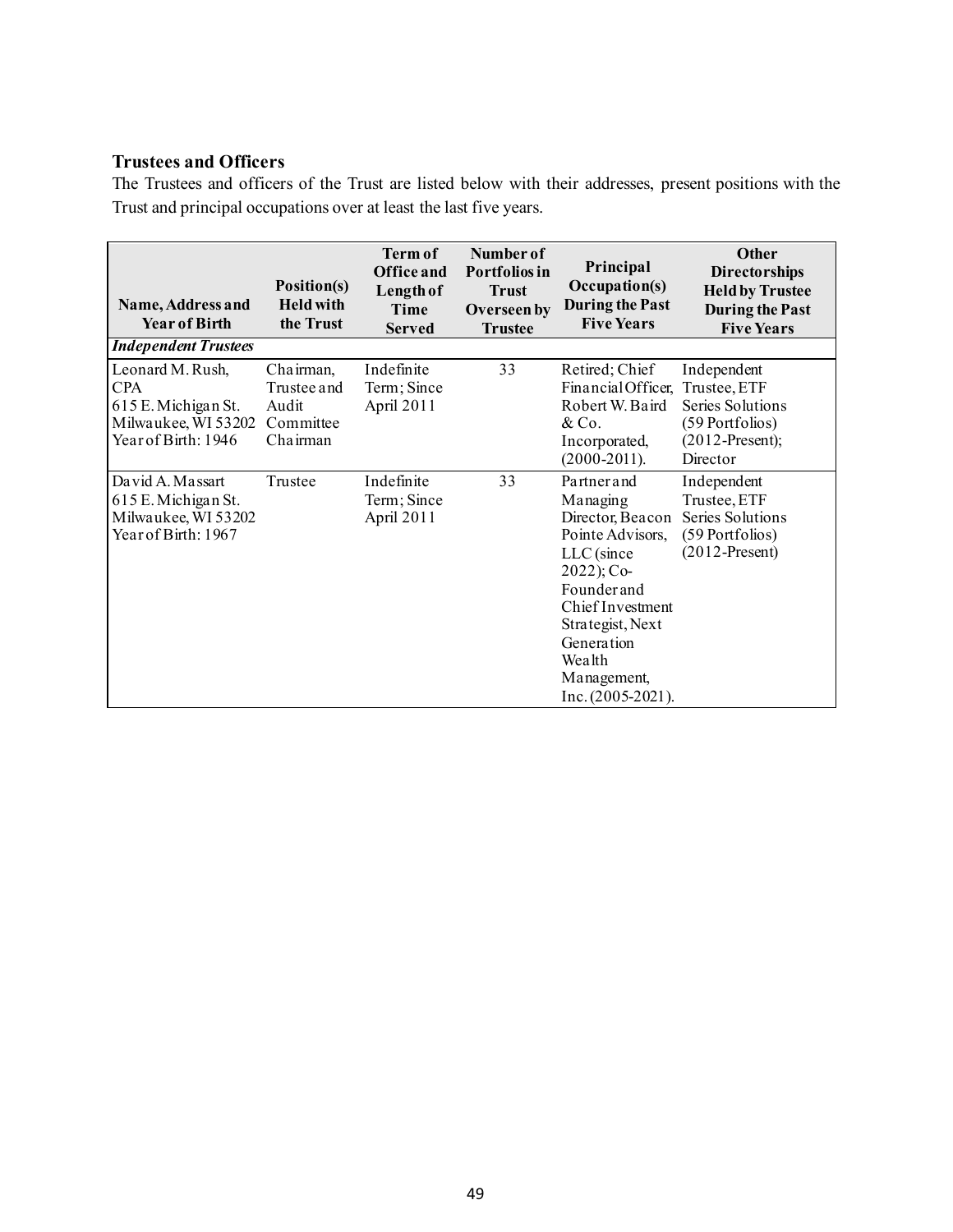# **Trustees and Officers**

The Trustees and officers of the Trust are listed below with their addresses, present positions with the Trust and principal occupations over at least the last five years.

| Name, Address and<br><b>Year of Birth</b>                                                           | Position(s)<br><b>Held with</b><br>the Trust               | <b>Term of</b><br><b>Office and</b><br>Length of<br>Time<br><b>Served</b> | Number of<br>Portfolios in<br><b>Trust</b><br>Overseen by<br><b>Trustee</b> | Principal<br>Occupation(s)<br><b>During the Past</b><br><b>Five Years</b>                                                                                                                                      | <b>Other</b><br><b>Directorships</b><br><b>Held by Trustee</b><br><b>During the Past</b><br><b>Five Years</b> |
|-----------------------------------------------------------------------------------------------------|------------------------------------------------------------|---------------------------------------------------------------------------|-----------------------------------------------------------------------------|----------------------------------------------------------------------------------------------------------------------------------------------------------------------------------------------------------------|---------------------------------------------------------------------------------------------------------------|
| <b>Independent Trustees</b>                                                                         |                                                            |                                                                           |                                                                             |                                                                                                                                                                                                                |                                                                                                               |
| Leonard M. Rush,<br><b>CPA</b><br>615 E. Michigan St.<br>Milwaukee, WI 53202<br>Year of Birth: 1946 | Chairman,<br>Trustee and<br>Audit<br>Committee<br>Chairman | Indefinite<br>Term; Since<br>April 2011                                   | 33                                                                          | Retired; Chief<br>Financial Officer, Trustee, ETF<br>Robert W. Baird<br>&Co.<br>Incorporated,<br>$(2000-2011).$                                                                                                | Independent<br>Series Solutions<br>(59 Portfolios)<br>$(2012\text{-Present});$<br>Director                    |
| David A. Massart<br>615 E. Michigan St.<br>Milwaukee, WI 53202<br>Year of Birth: 1967               | Trustee                                                    | Indefinite<br>Term; Since<br>April 2011                                   | 33                                                                          | Partner and<br>Managing<br>Director, Beacon<br>Pointe Advisors,<br>LLC (since<br>2022); Co-<br>Founder and<br>Chief Investment<br>Strategist, Next<br>Generation<br>Wealth<br>Management,<br>Inc. (2005-2021). | Independent<br>Trustee, ETF<br>Series Solutions<br>(59 Portfolios)<br>$(2012-Present)$                        |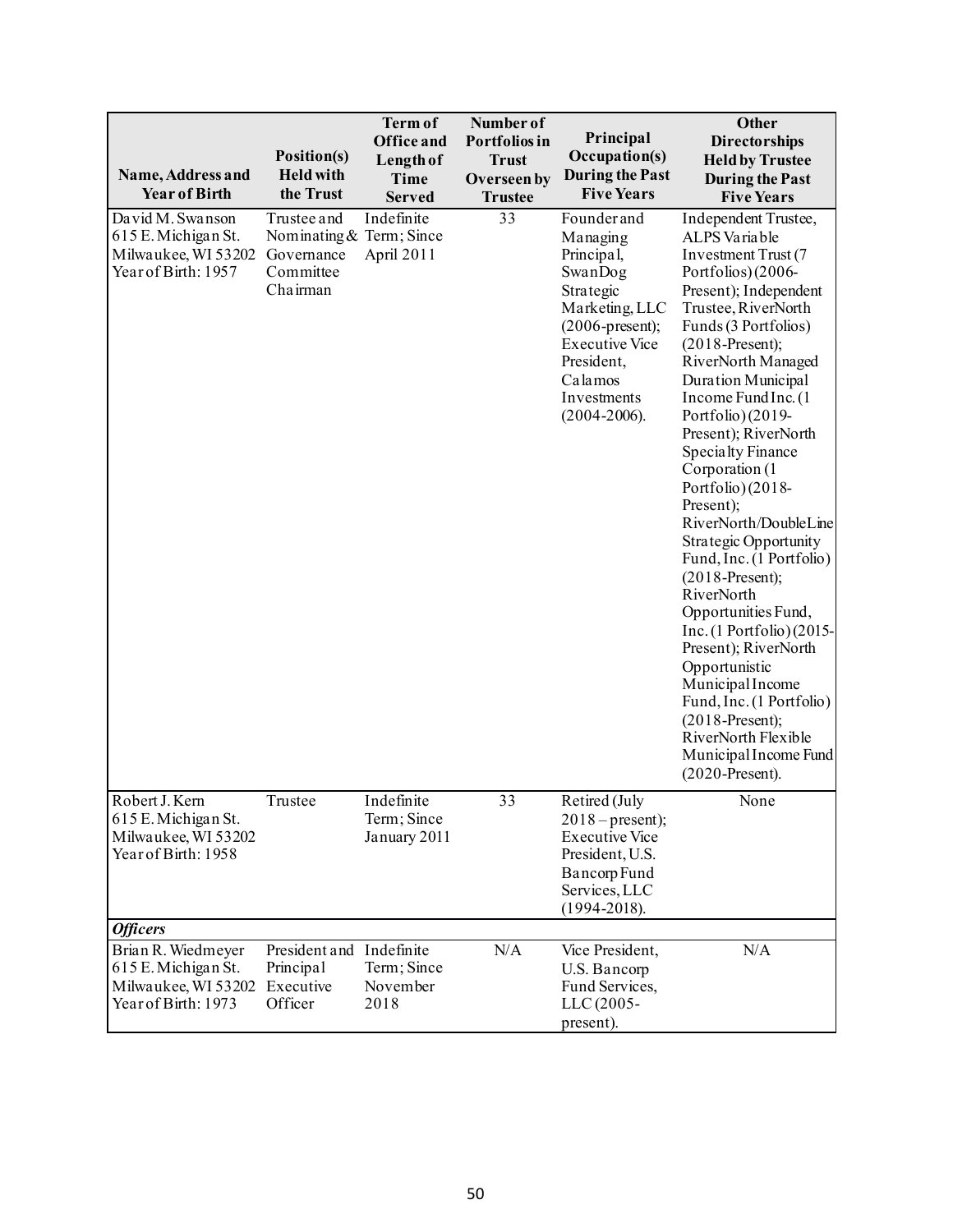|                                                                                         |                                                                                | Term of                                          | Number of                                                      |                                                                                                                                                                                            | <b>Other</b>                                                                                                                                                                                                                                                                                                                                                                                                                                                                                                                                                                                                                                                                                                                     |
|-----------------------------------------------------------------------------------------|--------------------------------------------------------------------------------|--------------------------------------------------|----------------------------------------------------------------|--------------------------------------------------------------------------------------------------------------------------------------------------------------------------------------------|----------------------------------------------------------------------------------------------------------------------------------------------------------------------------------------------------------------------------------------------------------------------------------------------------------------------------------------------------------------------------------------------------------------------------------------------------------------------------------------------------------------------------------------------------------------------------------------------------------------------------------------------------------------------------------------------------------------------------------|
| Name, Address and<br><b>Year of Birth</b>                                               | Position(s)<br><b>Held with</b><br>the Trust                                   | Office and<br>Length of<br>Time<br><b>Served</b> | Portfolios in<br><b>Trust</b><br>Overseen by<br><b>Trustee</b> | Principal<br>Occupation(s)<br><b>During the Past</b><br><b>Five Years</b>                                                                                                                  | <b>Directorships</b><br><b>Held by Trustee</b><br><b>During the Past</b><br><b>Five Years</b>                                                                                                                                                                                                                                                                                                                                                                                                                                                                                                                                                                                                                                    |
| David M. Swanson<br>615 E. Michigan St.<br>Milwaukee, WI 53202<br>Year of Birth: 1957   | Trustee and<br>Nominating & Term; Since<br>Governance<br>Committee<br>Chairman | Indefinite<br>April 2011                         | 33                                                             | Founder and<br>Managing<br>Principal,<br>SwanDog<br>Strategic<br>Marketing, LLC<br>$(2006$ -present);<br><b>Executive Vice</b><br>President,<br>Calamos<br>Investments<br>$(2004 - 2006).$ | Independent Trustee,<br>ALPS Variable<br>Investment Trust (7<br>Portfolios) (2006-<br>Present); Independent<br>Trustee, RiverNorth<br>Funds (3 Portfolios)<br>$(2018-Present);$<br>RiverNorth Managed<br>Duration Municipal<br>Income Fund Inc. (1)<br>Portfolio)(2019-<br>Present); RiverNorth<br>Specialty Finance<br>Corporation (1)<br>Portfolio)(2018-<br>Present);<br>RiverNorth/DoubleLine<br>Strategic Opportunity<br>Fund, Inc. (1 Portfolio)<br>$(2018-Present);$<br>RiverNorth<br>Opportunities Fund,<br>Inc. (1 Portfolio) (2015-<br>Present); RiverNorth<br>Opportunistic<br>MunicipalIncome<br>Fund, Inc. (1 Portfolio)<br>$(2018-Present);$<br>RiverNorth Flexible<br>Municipal Income Fund<br>$(2020$ -Present). |
| Robert J. Kern<br>615 E. Michigan St.<br>Milwaukee, WI 53202<br>Year of Birth: 1958     | Trustee                                                                        | Indefinite<br>Term; Since<br>January 2011        | 33                                                             | Retired (July<br>$2018$ – present);<br><b>Executive Vice</b><br>President, U.S.<br>Bancorp Fund<br>Services, LLC<br>$(1994 - 2018).$                                                       | None                                                                                                                                                                                                                                                                                                                                                                                                                                                                                                                                                                                                                                                                                                                             |
| <b>Officers</b>                                                                         |                                                                                |                                                  |                                                                |                                                                                                                                                                                            |                                                                                                                                                                                                                                                                                                                                                                                                                                                                                                                                                                                                                                                                                                                                  |
| Brian R. Wiedmeyer<br>615 E. Michigan St.<br>Milwaukee, WI 53202<br>Year of Birth: 1973 | President and<br>Principal<br>Executive<br>Officer                             | Indefinite<br>Term; Since<br>November<br>2018    | N/A                                                            | Vice President,<br>U.S. Bancorp<br>Fund Services,<br>LLC (2005-<br>present).                                                                                                               | N/A                                                                                                                                                                                                                                                                                                                                                                                                                                                                                                                                                                                                                                                                                                                              |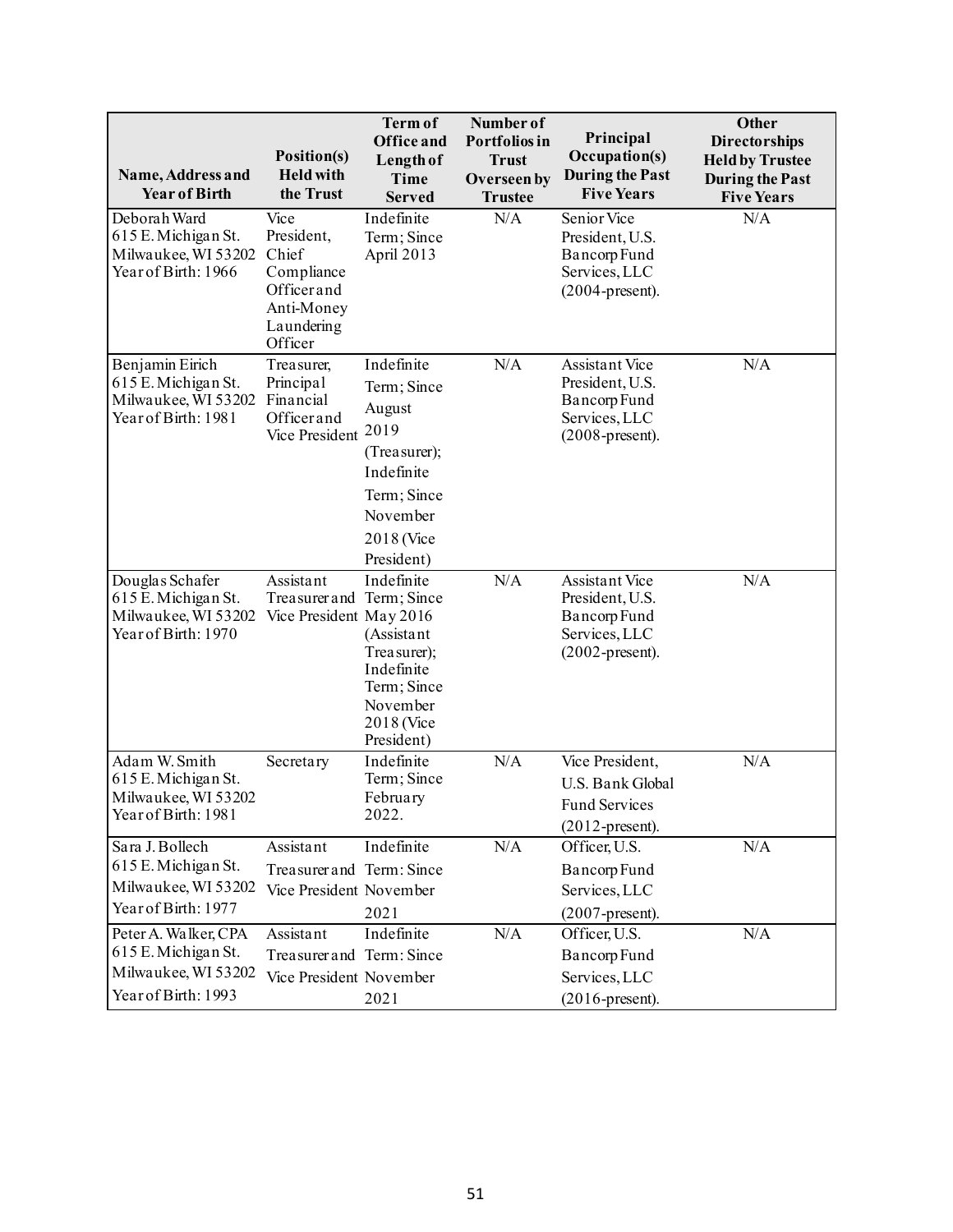| Name, Address and<br><b>Year of Birth</b>                                                 | Position(s)<br><b>Held with</b><br>the Trust                                                   | Term of<br><b>Office and</b><br>Length of<br>Time<br><b>Served</b>                                                               | Number of<br>Portfolios in<br><b>Trust</b><br>Overseen by<br><b>Trustee</b> | Principal<br>Occupation(s)<br><b>During the Past</b><br><b>Five Years</b>                | <b>Other</b><br><b>Directorships</b><br><b>Held by Trustee</b><br><b>During the Past</b><br><b>Five Years</b> |
|-------------------------------------------------------------------------------------------|------------------------------------------------------------------------------------------------|----------------------------------------------------------------------------------------------------------------------------------|-----------------------------------------------------------------------------|------------------------------------------------------------------------------------------|---------------------------------------------------------------------------------------------------------------|
| Deborah Ward<br>615 E. Michigan St.<br>Milwaukee, WI 53202<br>Year of Birth: 1966         | Vice<br>President,<br>Chief<br>Compliance<br>Officerand<br>Anti-Money<br>Laundering<br>Officer | Indefinite<br>Term; Since<br>April 2013                                                                                          | N/A                                                                         | Senior Vice<br>President, U.S.<br>Bancorp Fund<br>Services, LLC<br>$(2004$ -present).    | N/A                                                                                                           |
| Benjamin Eirich<br>615 E. Michigan St.<br>Milwaukee, WI 53202<br>Year of Birth: 1981      | Trea surer,<br>Principal<br>Financial<br>Officerand<br>Vice President                          | Indefinite<br>Term; Since<br>August<br>2019<br>(Treasurer);<br>Indefinite<br>Term; Since<br>November<br>2018 (Vice<br>President) | N/A                                                                         | Assistant Vice<br>President, U.S.<br>Bancorp Fund<br>Services, LLC<br>$(2008$ -present). | N/A                                                                                                           |
| Douglas Schafer<br>615 E. Michigan St.<br>Milwaukee, WI 53202<br>Year of Birth: 1970      | Assistant<br>Treasurer and Term; Since<br>Vice President May 2016                              | Indefinite<br>(Assistant<br>Treasurer);<br>Indefinite<br>Term; Since<br>November<br>2018 (Vice<br>President)                     | N/A                                                                         | Assistant Vice<br>President, U.S.<br>Bancorp Fund<br>Services, LLC<br>$(2002$ -present). | N/A                                                                                                           |
| Adam W. Smith<br>615 E. Michigan St.<br>Milwaukee, WI 53202<br>Year of Birth: 1981        | Secretary                                                                                      | Indefinite<br>Term; Since<br>February<br>2022.                                                                                   | N/A                                                                         | Vice President,<br>U.S. Bank Global<br>Fund Services<br>$(2012$ -present).               | N/A                                                                                                           |
| Sara J. Bollech<br>615 E. Michigan St.<br>Milwaukee, WI 53202<br>Year of Birth: 1977      | Assistant<br>Treasurer and Term: Since<br>Vice President November                              | Indefinite<br>2021                                                                                                               | $\rm N/A$                                                                   | Officer, U.S.<br>Bancorp Fund<br>Services, LLC<br>$(2007$ -present).                     | N/A                                                                                                           |
| Peter A. Walker, CPA<br>615 E. Michigan St.<br>Milwaukee, WI 53202<br>Year of Birth: 1993 | Assistant<br>Treasurer and Term: Since<br>Vice President November                              | Indefinite<br>2021                                                                                                               | N/A                                                                         | Officer, U.S.<br>Bancorp Fund<br>Services, LLC<br>$(2016$ -present).                     | N/A                                                                                                           |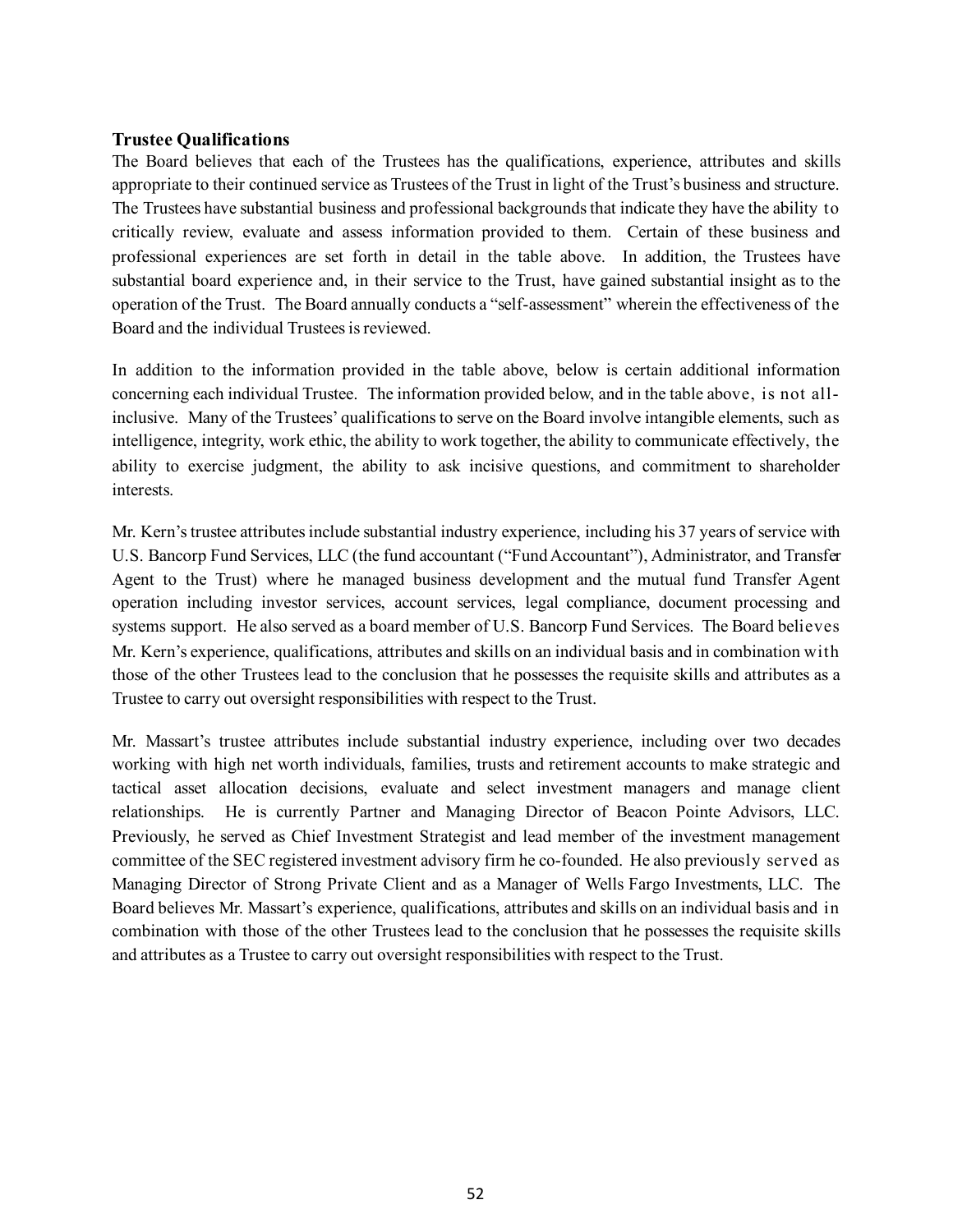#### **Trustee Qualifications**

The Board believes that each of the Trustees has the qualifications, experience, attributes and skills appropriate to their continued service as Trustees of the Trust in light of the Trust's business and structure. The Trustees have substantial business and professional backgrounds that indicate they have the ability to critically review, evaluate and assess information provided to them. Certain of these business and professional experiences are set forth in detail in the table above. In addition, the Trustees have substantial board experience and, in their service to the Trust, have gained substantial insight as to the operation of the Trust. The Board annually conducts a "self-assessment" wherein the effectiveness of the Board and the individual Trustees is reviewed.

In addition to the information provided in the table above, below is certain additional information concerning each individual Trustee. The information provided below, and in the table above, is not allinclusive. Many of the Trustees' qualifications to serve on the Board involve intangible elements, such as intelligence, integrity, work ethic, the ability to work together, the ability to communicate effectively, the ability to exercise judgment, the ability to ask incisive questions, and commitment to shareholder interests.

Mr. Kern's trustee attributes include substantial industry experience, including his 37 years of service with U.S. Bancorp Fund Services, LLC (the fund accountant ("Fund Accountant"), Administrator, and Transfer Agent to the Trust) where he managed business development and the mutual fund Transfer Agent operation including investor services, account services, legal compliance, document processing and systems support. He also served as a board member of U.S. Bancorp Fund Services. The Board believes Mr. Kern's experience, qualifications, attributes and skills on an individual basis and in combination with those of the other Trustees lead to the conclusion that he possesses the requisite skills and attributes as a Trustee to carry out oversight responsibilities with respect to the Trust.

Mr. Massart's trustee attributes include substantial industry experience, including over two decades working with high net worth individuals, families, trusts and retirement accounts to make strategic and tactical asset allocation decisions, evaluate and select investment managers and manage client relationships. He is currently Partner and Managing Director of Beacon Pointe Advisors, LLC. Previously, he served as Chief Investment Strategist and lead member of the investment management committee of the SEC registered investment advisory firm he co-founded. He also previously served as Managing Director of Strong Private Client and as a Manager of Wells Fargo Investments, LLC. The Board believes Mr. Massart's experience, qualifications, attributes and skills on an individual basis and in combination with those of the other Trustees lead to the conclusion that he possesses the requisite skills and attributes as a Trustee to carry out oversight responsibilities with respect to the Trust.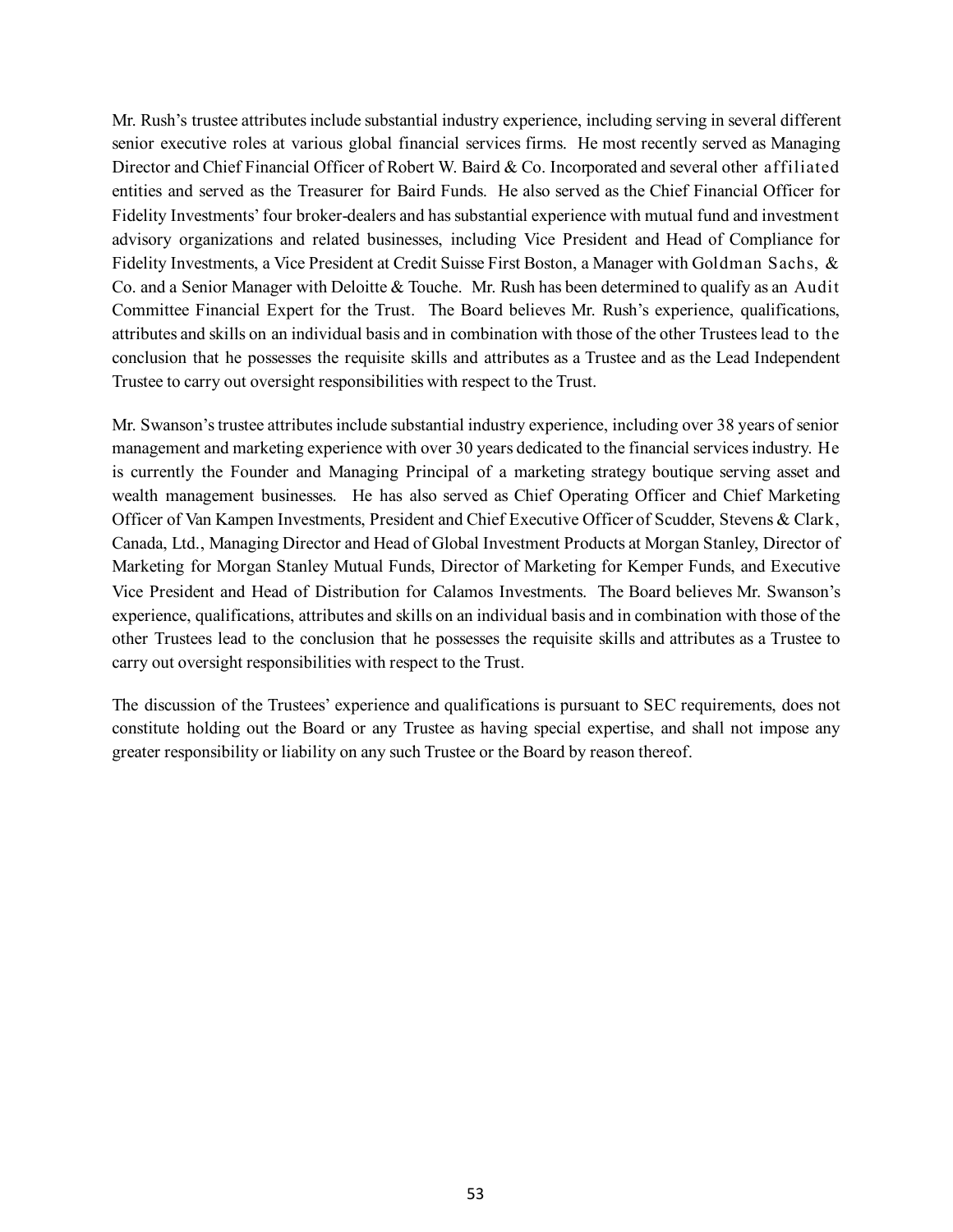Mr. Rush's trustee attributes include substantial industry experience, including serving in several different senior executive roles at various global financial services firms. He most recently served as Managing Director and Chief Financial Officer of Robert W. Baird & Co. Incorporated and several other affiliated entities and served as the Treasurer for Baird Funds. He also served as the Chief Financial Officer for Fidelity Investments' four broker-dealers and has substantial experience with mutual fund and investment advisory organizations and related businesses, including Vice President and Head of Compliance for Fidelity Investments, a Vice President at Credit Suisse First Boston, a Manager with Goldman Sachs, & Co. and a Senior Manager with Deloitte & Touche. Mr. Rush has been determined to qualify as an Audit Committee Financial Expert for the Trust. The Board believes Mr. Rush's experience, qualifications, attributes and skills on an individual basis and in combination with those of the other Trustees lead to the conclusion that he possesses the requisite skills and attributes as a Trustee and as the Lead Independent Trustee to carry out oversight responsibilities with respect to the Trust.

Mr. Swanson's trustee attributes include substantial industry experience, including over 38 years of senior management and marketing experience with over 30 years dedicated to the financial services industry. He is currently the Founder and Managing Principal of a marketing strategy boutique serving asset and wealth management businesses. He has also served as Chief Operating Officer and Chief Marketing Officer of Van Kampen Investments, President and Chief Executive Officer of Scudder, Stevens & Clark, Canada, Ltd., Managing Director and Head of Global Investment Products at Morgan Stanley, Director of Marketing for Morgan Stanley Mutual Funds, Director of Marketing for Kemper Funds, and Executive Vice President and Head of Distribution for Calamos Investments. The Board believes Mr. Swanson's experience, qualifications, attributes and skills on an individual basis and in combination with those of the other Trustees lead to the conclusion that he possesses the requisite skills and attributes as a Trustee to carry out oversight responsibilities with respect to the Trust.

The discussion of the Trustees' experience and qualifications is pursuant to SEC requirements, does not constitute holding out the Board or any Trustee as having special expertise, and shall not impose any greater responsibility or liability on any such Trustee or the Board by reason thereof.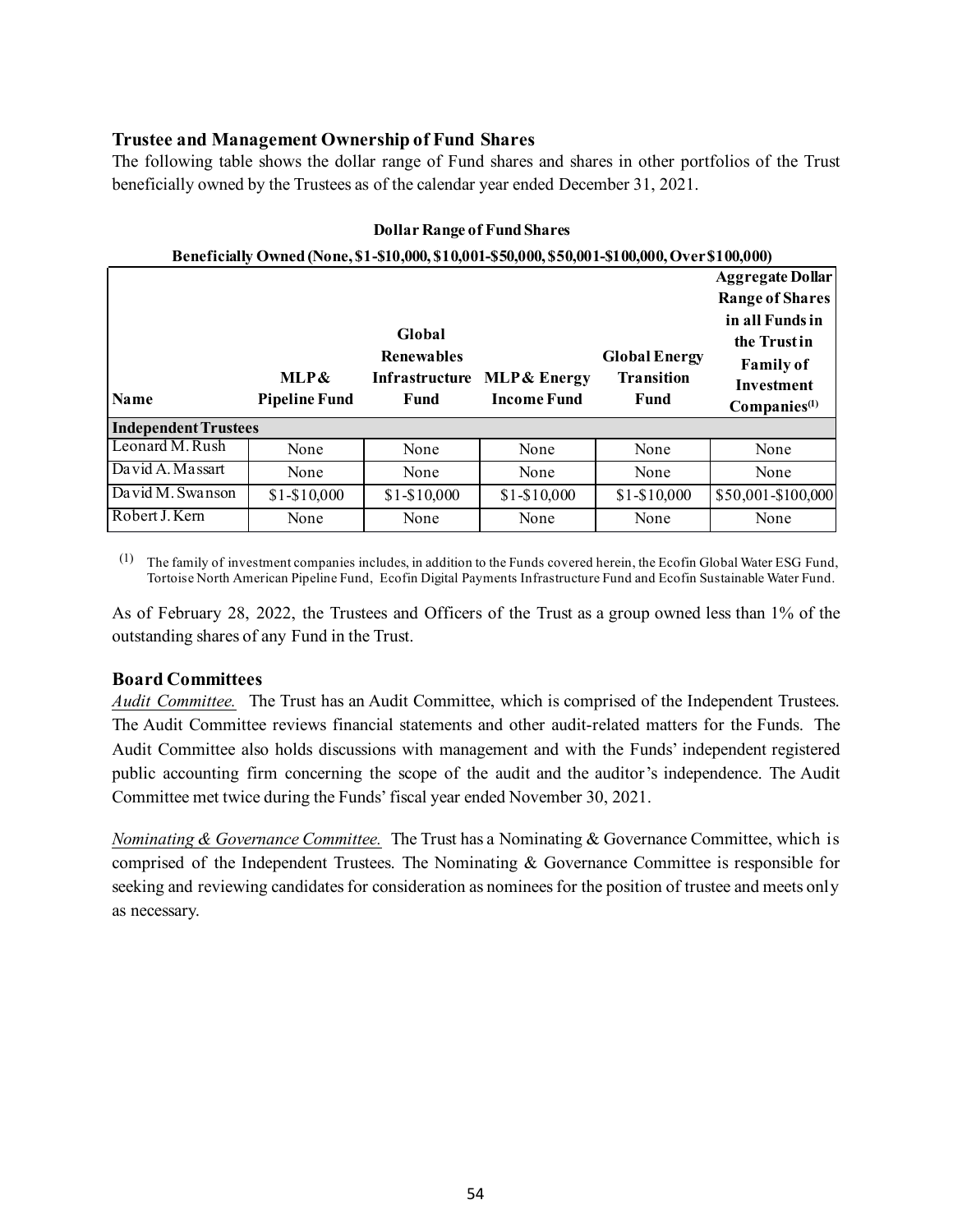# **Trustee and Management Ownership of Fund Shares**

The following table shows the dollar range of Fund shares and shares in other portfolios of the Trust beneficially owned by the Trustees as of the calendar year ended December 31, 2021.

|                             |                              |                                                       | Beneficially Owned (None, \$1-\$10,000, \$10,001-\$50,000, \$50,001-\$100,000, Over \$100,000) |                                                   |                                                                                                                              |
|-----------------------------|------------------------------|-------------------------------------------------------|------------------------------------------------------------------------------------------------|---------------------------------------------------|------------------------------------------------------------------------------------------------------------------------------|
| <b>Name</b>                 | MLP&<br><b>Pipeline Fund</b> | Global<br><b>Renewables</b><br>Infrastructure<br>Fund | <b>MLP &amp; Energy</b><br><b>Income Fund</b>                                                  | <b>Global Energy</b><br><b>Transition</b><br>Fund | <b>Aggregate Dollar</b><br><b>Range of Shares</b><br>in all Funds in<br>the Trustin<br><b>Family of</b><br><b>Investment</b> |
|                             |                              |                                                       |                                                                                                |                                                   | Companies <sup>(1)</sup>                                                                                                     |
| <b>Independent Trustees</b> |                              |                                                       |                                                                                                |                                                   |                                                                                                                              |
| Leonard M. Rush             | None                         | None                                                  | None                                                                                           | None                                              | None                                                                                                                         |
| David A. Massart            | None                         | None                                                  | None                                                                                           | None                                              | None                                                                                                                         |
| David M. Swanson            | $$1 - $10,000$               | $$1 - $10,000$                                        | $$1 - $10,000$                                                                                 | $$1 - $10,000$                                    | \$50,001-\$100,000                                                                                                           |
| Robert J. Kern              | None                         | None                                                  | None                                                                                           | None                                              | None                                                                                                                         |

#### **Dollar Range of Fund Shares**

(1) The family of investment companies includes, in addition to the Funds covered herein, the Ecofin Global Water ESG Fund, Tortoise North American Pipeline Fund, Ecofin Digital Payments Infrastructure Fund and Ecofin Sustainable Water Fund.

As of February 28, 2022, the Trustees and Officers of the Trust as a group owned less than 1% of the outstanding shares of any Fund in the Trust.

## **Board Committees**

*Audit Committee.* The Trust has an Audit Committee, which is comprised of the Independent Trustees. The Audit Committee reviews financial statements and other audit-related matters for the Funds. The Audit Committee also holds discussions with management and with the Funds' independent registered public accounting firm concerning the scope of the audit and the auditor's independence. The Audit Committee met twice during the Funds' fiscal year ended November 30, 2021.

*Nominating & Governance Committee.* The Trust has a Nominating & Governance Committee, which is comprised of the Independent Trustees. The Nominating & Governance Committee is responsible for seeking and reviewing candidates for consideration as nominees for the position of trustee and meets only as necessary.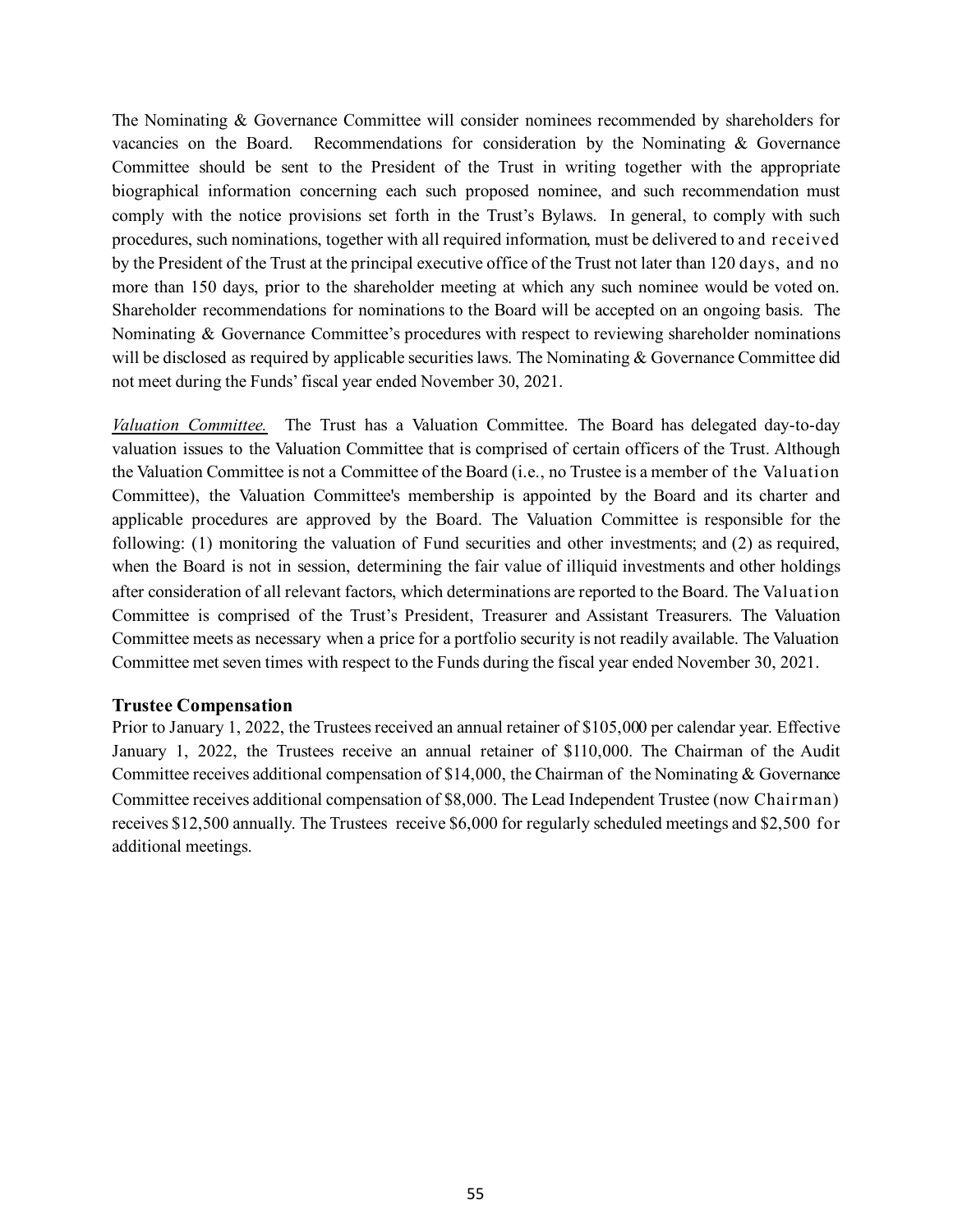The Nominating & Governance Committee will consider nominees recommended by shareholders for vacancies on the Board. Recommendations for consideration by the Nominating & Governance Committee should be sent to the President of the Trust in writing together with the appropriate biographical information concerning each such proposed nominee, and such recommendation must comply with the notice provisions set forth in the Trust's Bylaws. In general, to comply with such procedures, such nominations, together with all required information, must be delivered to and received by the President of the Trust at the principal executive office of the Trust not later than 120 days, and no more than 150 days, prior to the shareholder meeting at which any such nominee would be voted on. Shareholder recommendations for nominations to the Board will be accepted on an ongoing basis. The Nominating & Governance Committee's procedures with respect to reviewing shareholder nominations will be disclosed as required by applicable securities laws. The Nominating & Governance Committee did not meet during the Funds' fiscal year ended November 30, 2021.

*Valuation Committee.* The Trust has a Valuation Committee. The Board has delegated day-to-day valuation issues to the Valuation Committee that is comprised of certain officers of the Trust. Although the Valuation Committee is not a Committee of the Board (i.e., no Trustee is a member of the Valuation Committee), the Valuation Committee's membership is appointed by the Board and its charter and applicable procedures are approved by the Board. The Valuation Committee is responsible for the following: (1) monitoring the valuation of Fund securities and other investments; and (2) as required, when the Board is not in session, determining the fair value of illiquid investments and other holdings after consideration of all relevant factors, which determinations are reported to the Board. The Valuation Committee is comprised of the Trust's President, Treasurer and Assistant Treasurers. The Valuation Committee meets as necessary when a price for a portfolio security is not readily available. The Valuation Committee met seven times with respect to the Funds during the fiscal year ended November 30, 2021.

#### **Trustee Compensation**

Prior to January 1, 2022, the Trustees received an annual retainer of \$105,000 per calendar year. Effective January 1, 2022, the Trustees receive an annual retainer of \$110,000. The Chairman of the Audit Committee receives additional compensation of  $$14,000$ , the Chairman of the Nominating & Governance Committee receives additional compensation of \$8,000. The Lead Independent Trustee (now Chairman) receives \$12,500 annually. The Trustees receive \$6,000 for regularly scheduled meetings and \$2,500 for additional meetings.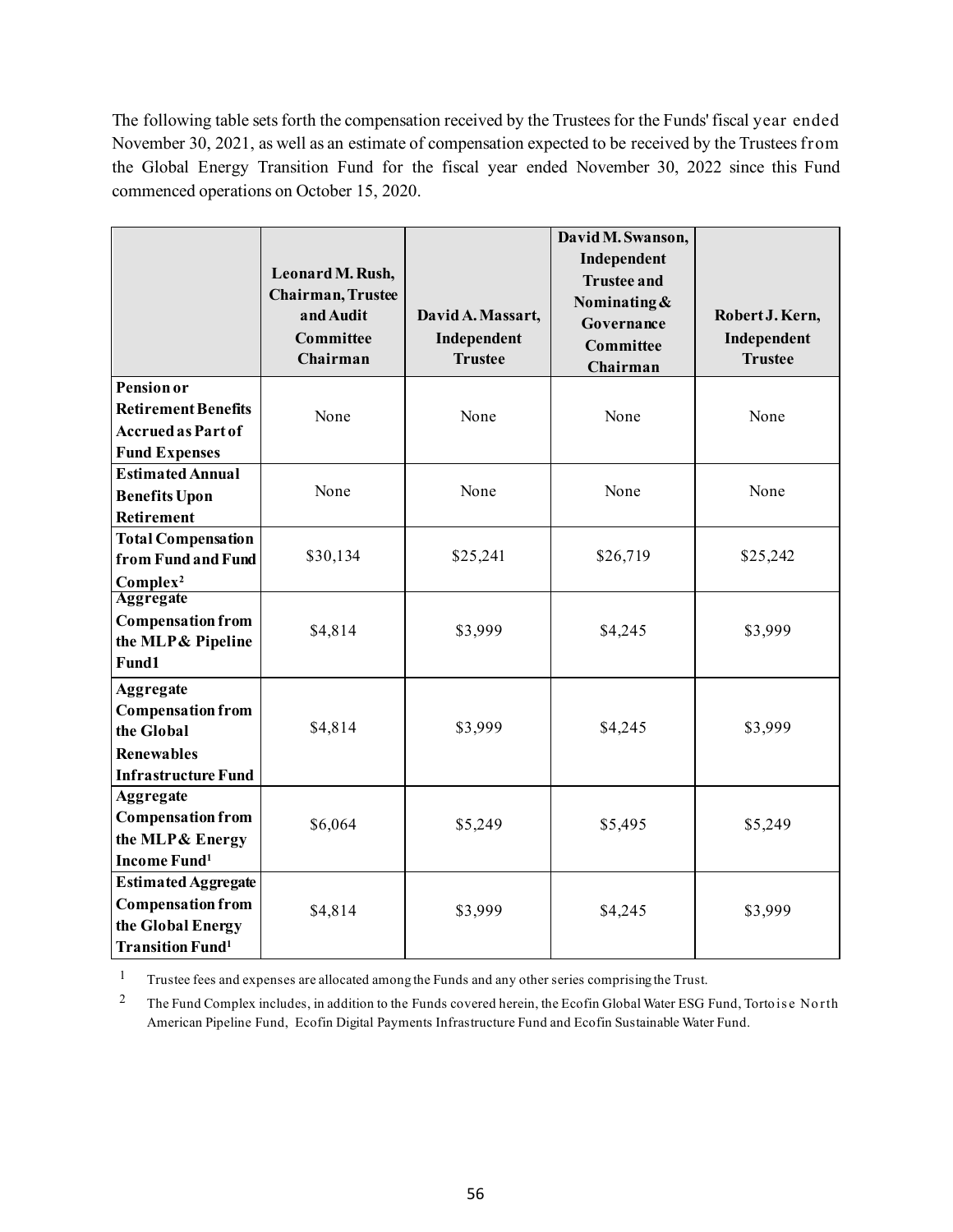The following table sets forth the compensation received by the Trustees for the Funds' fiscal year ended November 30, 2021, as well as an estimate of compensation expected to be received by the Trustees from the Global Energy Transition Fund for the fiscal year ended November 30, 2022 since this Fund commenced operations on October 15, 2020.

|                                                                                                                   | Leonard M. Rush,<br>Chairman, Trustee<br>and Audit<br>Committee<br>Chairman | David A. Massart,<br>Independent<br><b>Trustee</b> | David M. Swanson,<br>Independent<br><b>Trustee and</b><br>Nominating $&$<br>Governance<br>Committee<br>Chairman | Robert J. Kern,<br>Independent<br><b>Trustee</b> |
|-------------------------------------------------------------------------------------------------------------------|-----------------------------------------------------------------------------|----------------------------------------------------|-----------------------------------------------------------------------------------------------------------------|--------------------------------------------------|
| <b>Pension or</b><br><b>Retirement Benefits</b><br><b>Accrued as Part of</b><br><b>Fund Expenses</b>              | None                                                                        | None                                               | None                                                                                                            | None                                             |
| <b>Estimated Annual</b><br><b>Benefits Upon</b><br><b>Retirement</b>                                              | None                                                                        | None                                               | None                                                                                                            | None                                             |
| <b>Total Compensation</b><br>from Fund and Fund<br>Complex <sup>2</sup>                                           | \$30,134                                                                    | \$25,241                                           | \$26,719                                                                                                        | \$25,242                                         |
| <b>Aggregate</b><br><b>Compensation from</b><br>the MLP & Pipeline<br>Fund1                                       | \$4,814                                                                     | \$3,999                                            | \$4,245                                                                                                         | \$3,999                                          |
| Aggregate<br><b>Compensation from</b><br>the Global<br><b>Renewables</b><br><b>Infrastructure Fund</b>            | \$4,814                                                                     | \$3,999                                            | \$4,245                                                                                                         | \$3,999                                          |
| Aggregate<br><b>Compensation from</b><br>the MLP & Energy<br><b>Income Fund<sup>1</sup></b>                       | \$6,064                                                                     | \$5,249                                            | \$5,495                                                                                                         | \$5,249                                          |
| <b>Estimated Aggregate</b><br><b>Compensation from</b><br>the Global Energy<br><b>Transition Fund<sup>1</sup></b> | \$4,814                                                                     | \$3,999                                            | \$4,245                                                                                                         | \$3,999                                          |

1 Trustee fees and expenses are allocated among the Funds and any other series comprising the Trust.

<sup>2</sup> The Fund Complex includes, in addition to the Funds covered herein, the Ecofin Global Water ESG Fund, Torto is e North American Pipeline Fund, Ecofin Digital Payments Infrastructure Fund and Ecofin Sustainable Water Fund.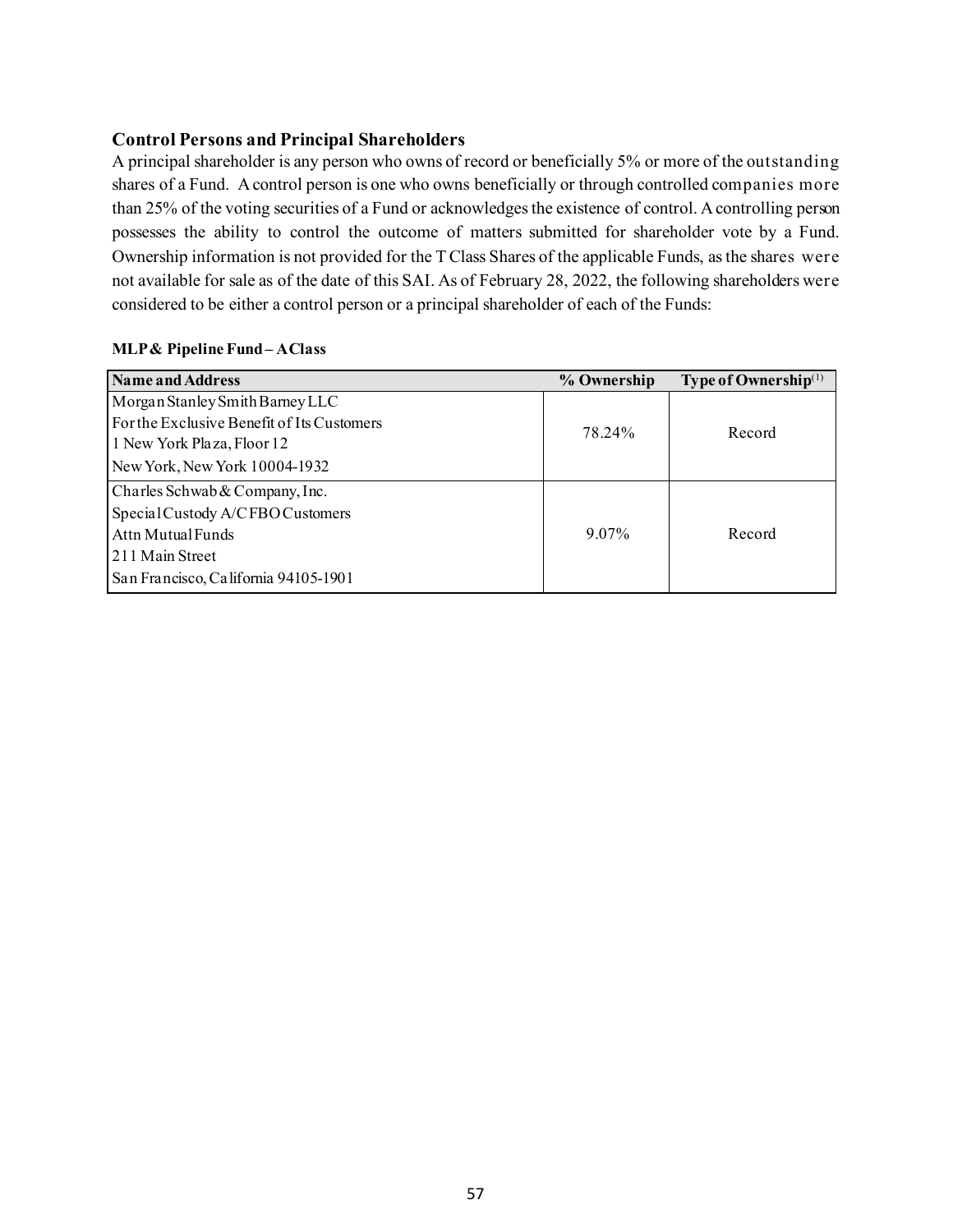## **Control Persons and Principal Shareholders**

A principal shareholder is any person who owns of record or beneficially 5% or more of the outstanding shares of a Fund. A control person is one who owns beneficially or through controlled companies more than 25% of the voting securities of a Fund or acknowledges the existence of control. A controlling person possesses the ability to control the outcome of matters submitted for shareholder vote by a Fund. Ownership information is not provided for the T Class Shares of the applicable Funds, as the shares were not available for sale as of the date of this SAI. As of February 28, 2022, the following shareholders were considered to be either a control person or a principal shareholder of each of the Funds:

#### **MLP & Pipeline Fund – A Class**

| <b>Name and Address</b>                    | % Ownership | Type of Ownership <sup>(1)</sup> |
|--------------------------------------------|-------------|----------------------------------|
| Morgan Stanley Smith Barney LLC            |             |                                  |
| For the Exclusive Benefit of Its Customers | 78.24%      | Record                           |
| 1 New York Plaza, Floor 12                 |             |                                  |
| New York, New York 10004-1932              |             |                                  |
| Charles Schwab & Company, Inc.             |             |                                  |
| Special Custody A/CFBO Customers           |             |                                  |
| Attn Mutual Funds                          | $9.07\%$    | Record                           |
| 211 Main Street                            |             |                                  |
| San Francisco, California 94105-1901       |             |                                  |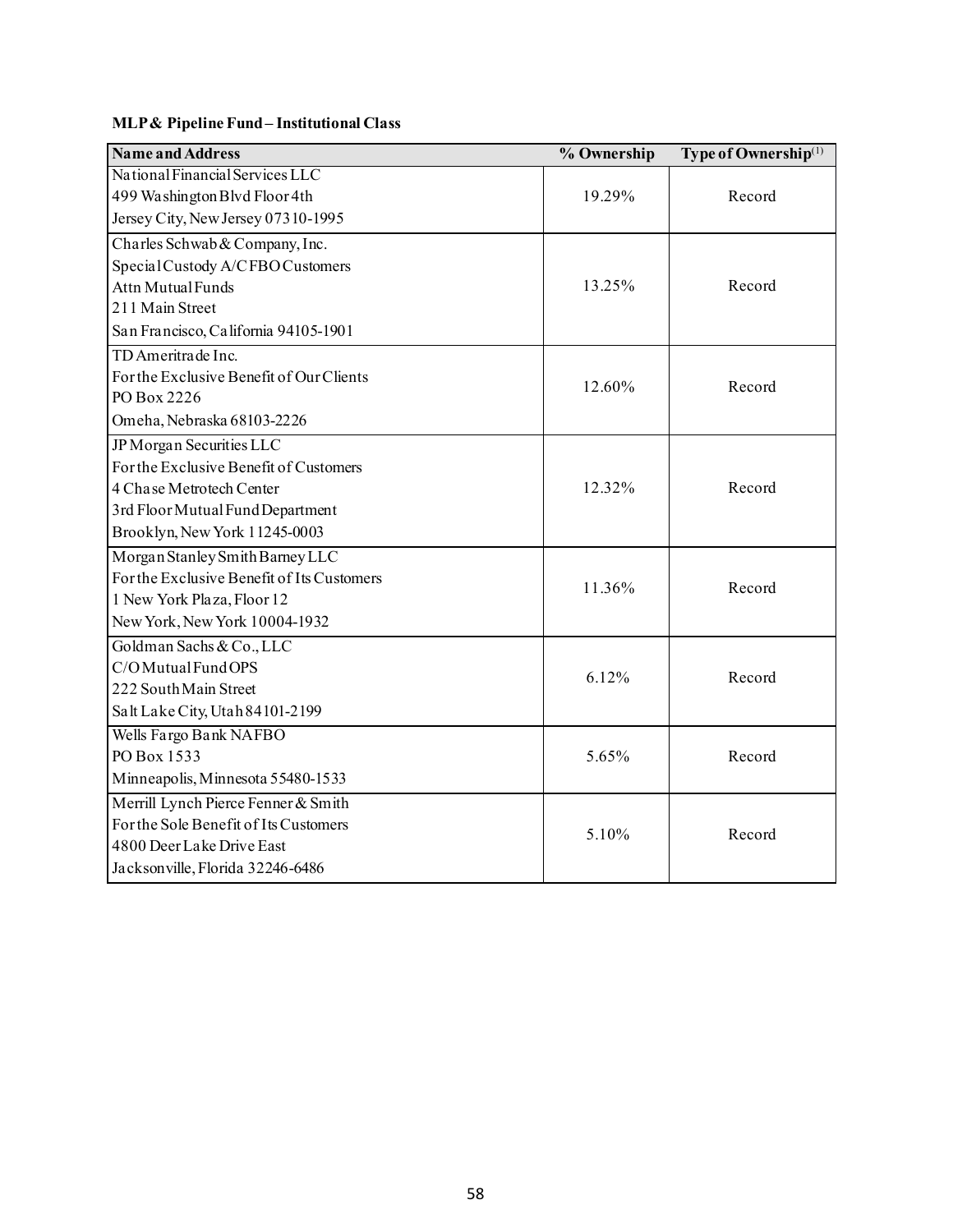# **MLP & Pipeline Fund – Institutional Class**

| <b>Name and Address</b>                    | % Ownership | Type of Ownership <sup>(1)</sup> |
|--------------------------------------------|-------------|----------------------------------|
| National Financial Services LLC            |             |                                  |
| 499 Washington Blvd Floor 4th              | 19.29%      | Record                           |
| Jersey City, New Jersey 07310-1995         |             |                                  |
| Charles Schwab & Company, Inc.             |             |                                  |
| Special Custody A/CFBO Customers           |             |                                  |
| Attn Mutual Funds                          | 13.25%      | Record                           |
| 211 Main Street                            |             |                                  |
| San Francisco, California 94105-1901       |             |                                  |
| TD Ameritra de Inc.                        |             |                                  |
| For the Exclusive Benefit of Our Clients   | 12.60%      | Record                           |
| PO Box 2226                                |             |                                  |
| Omeha, Nebraska 68103-2226                 |             |                                  |
| JP Morgan Securities LLC                   |             |                                  |
| For the Exclusive Benefit of Customers     |             |                                  |
| 4 Chase Metrotech Center                   | 12.32%      | Record                           |
| 3rd Floor Mutual Fund Department           |             |                                  |
| Brooklyn, New York 11245-0003              |             |                                  |
| Morgan Stanley Smith Barney LLC            |             |                                  |
| For the Exclusive Benefit of Its Customers | 11.36%      | Record                           |
| 1 New York Plaza, Floor 12                 |             |                                  |
| New York, New York 10004-1932              |             |                                  |
| Goldman Sachs & Co., LLC                   |             |                                  |
| C/O Mutual Fund OPS                        | 6.12%       | Record                           |
| 222 South Main Street                      |             |                                  |
| Salt Lake City, Utah 84101-2199            |             |                                  |
| Wells Fargo Bank NAFBO                     |             |                                  |
| PO Box 1533                                | 5.65%       | Record                           |
| Minneapolis, Minnesota 55480-1533          |             |                                  |
| Merrill Lynch Pierce Fenner & Smith        |             |                                  |
| For the Sole Benefit of Its Customers      | 5.10%       | Record                           |
| 4800 Deer Lake Drive East                  |             |                                  |
| Jacksonville, Florida 32246-6486           |             |                                  |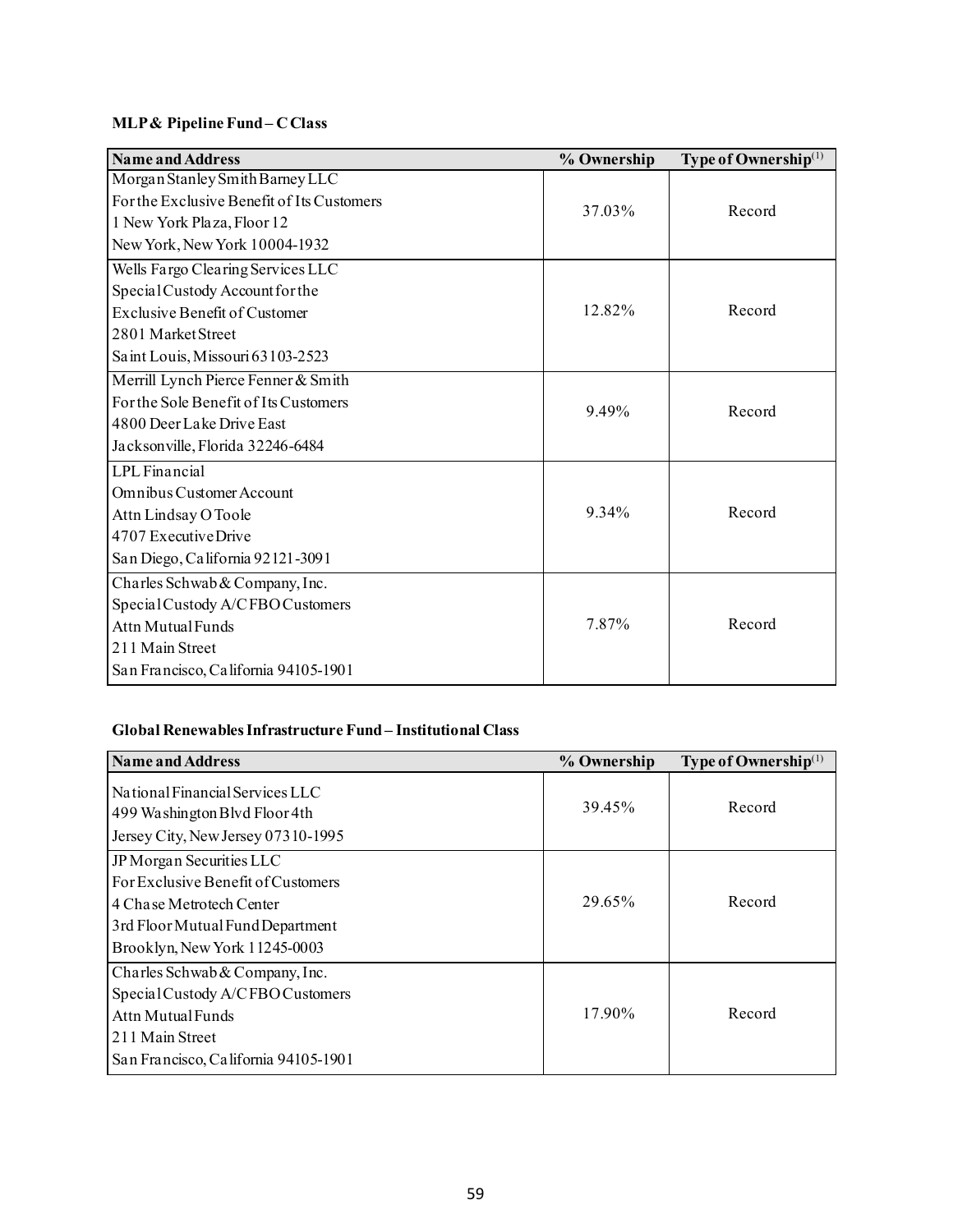# **MLP & Pipeline Fund – C Class**

| <b>Name and Address</b>                    | % Ownership | Type of Ownership <sup>(1)</sup> |
|--------------------------------------------|-------------|----------------------------------|
| Morgan Stanley Smith Barney LLC            |             |                                  |
| For the Exclusive Benefit of Its Customers | 37.03%      | Record                           |
| 1 New York Plaza, Floor 12                 |             |                                  |
| New York, New York 10004-1932              |             |                                  |
| Wells Fargo Clearing Services LLC          |             |                                  |
| Special Custody Account for the            |             |                                  |
| Exclusive Benefit of Customer              | 12.82%      | Record                           |
| 2801 Market Street                         |             |                                  |
| Saint Louis, Missouri 63103-2523           |             |                                  |
| Merrill Lynch Pierce Fenner & Smith        |             |                                  |
| For the Sole Benefit of Its Customers      | 9.49%       | Record                           |
| 4800 Deer Lake Drive East                  |             |                                  |
| Jacksonville, Florida 32246-6484           |             |                                  |
| <b>LPL</b> Financial                       |             |                                  |
| Omnibus Customer Account                   |             |                                  |
| Attn Lindsay O Toole                       | 9.34%       | Record                           |
| 4707 Executive Drive                       |             |                                  |
| San Diego, California 92121-3091           |             |                                  |
| Charles Schwab & Company, Inc.             |             |                                  |
| Special Custody A/CFBO Customers           |             |                                  |
| Attn Mutual Funds                          | 7.87%       | Record                           |
| 211 Main Street                            |             |                                  |
| San Francisco, California 94105-1901       |             |                                  |

### **Global Renewables Infrastructure Fund – Institutional Class**

| <b>Name and Address</b>                                                                                                                                         | % Ownership | Type of Ownership $(1)$ |
|-----------------------------------------------------------------------------------------------------------------------------------------------------------------|-------------|-------------------------|
| National Financial Services LLC<br>499 Washington Blvd Floor 4th<br>Jersey City, New Jersey 07310-1995                                                          | 39.45%      | Record                  |
| JP Morgan Securities LLC<br>For Exclusive Benefit of Customers<br>4 Chase Metrotech Center<br>3rd Floor Mutual Fund Department<br>Brooklyn, New York 11245-0003 | 29.65%      | Record                  |
| Charles Schwab & Company, Inc.<br>Special Custody A/CFBO Customers<br><b>Attn Mutual Funds</b><br>211 Main Street<br>San Francisco, California 94105-1901       | 17.90%      | Record                  |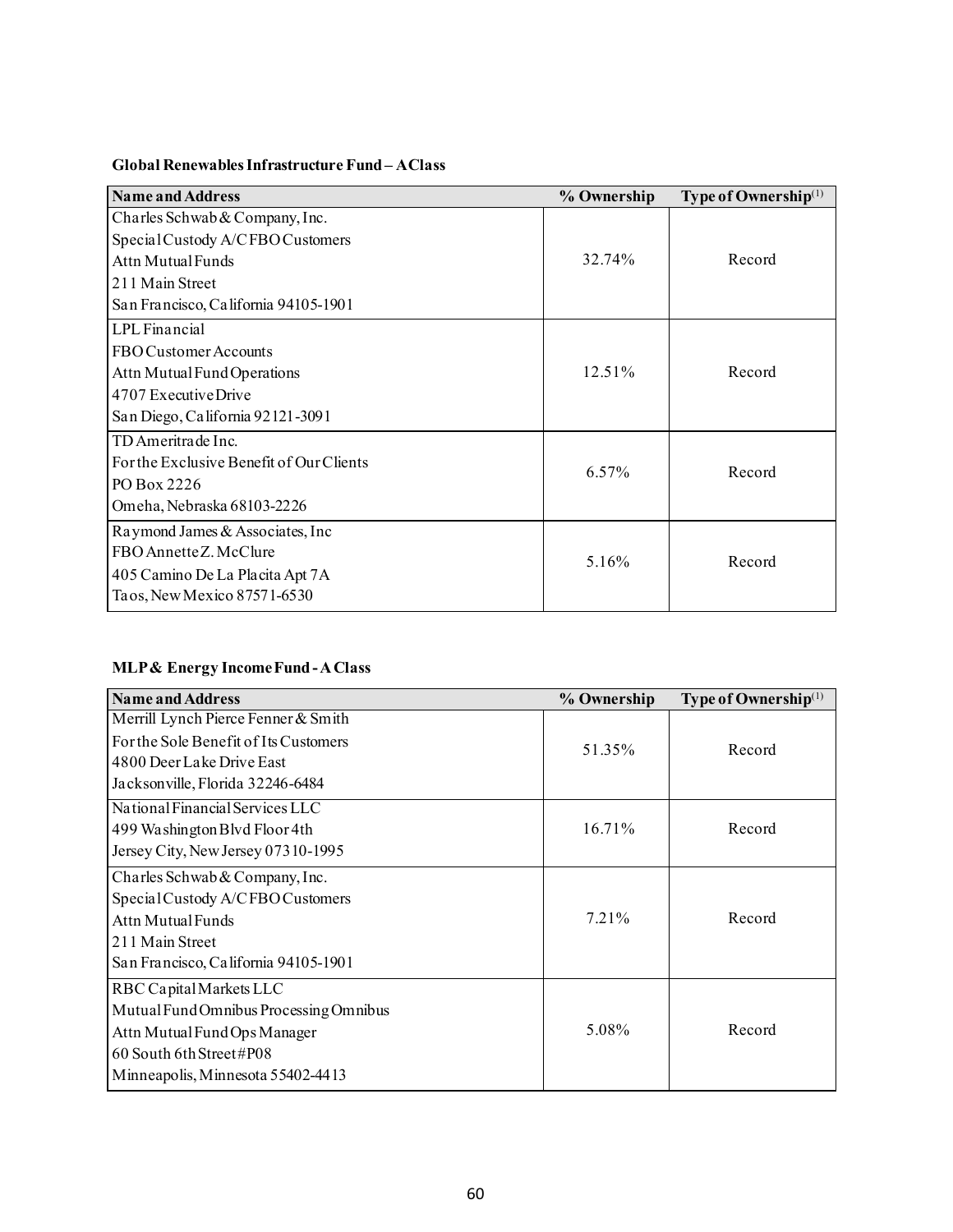# **Global Renewables Infrastructure Fund – A Class**

| <b>Name and Address</b>                  | % Ownership | <b>Type of Ownership</b> $(1)$ |
|------------------------------------------|-------------|--------------------------------|
| Charles Schwab & Company, Inc.           |             |                                |
| Special Custody A/CFBO Customers         |             |                                |
| <b>Attn Mutual Funds</b>                 | 32.74%      | Record                         |
| 211 Main Street                          |             |                                |
| San Francisco, California 94105-1901     |             |                                |
| LPL Financial                            |             |                                |
| FBO Customer Accounts                    |             |                                |
| Attn Mutual Fund Operations              | 12.51%      | Record                         |
| 4707 Executive Drive                     |             |                                |
| San Diego, California 92121-3091         |             |                                |
| TD Ameritra de Inc.                      |             |                                |
| For the Exclusive Benefit of Our Clients | 6.57%       | Record                         |
| PO Box 2226                              |             |                                |
| Omeha, Nebraska 68103-2226               |             |                                |
| Raymond James & Associates, Inc          |             |                                |
| FBO Annette Z. McClure                   | 5.16%       | Record                         |
| 405 Camino De La Placita Apt 7A          |             |                                |
| Taos, New Mexico 87571-6530              |             |                                |

# **MLP & Energy Income Fund -A Class**

| <b>Name and Address</b>                | % Ownership | Type of Ownership <sup>(1)</sup> |
|----------------------------------------|-------------|----------------------------------|
| Merrill Lynch Pierce Fenner & Smith    |             |                                  |
| For the Sole Benefit of Its Customers  | 51.35%      | Record                           |
| 4800 Deer Lake Drive East              |             |                                  |
| Jacksonville, Florida 32246-6484       |             |                                  |
| National Financial Services LLC        |             |                                  |
| 499 Washington Blvd Floor 4th          | 16.71%      | Record                           |
| Jersey City, New Jersey 07310-1995     |             |                                  |
| Charles Schwab & Company, Inc.         |             |                                  |
| Special Custody A/CFBO Customers       |             |                                  |
| Attn Mutual Funds                      | 7.21%       | Record                           |
| 211 Main Street                        |             |                                  |
| San Francisco, California 94105-1901   |             |                                  |
| RBC Capital Markets LLC                |             |                                  |
| Mutual Fund Omnibus Processing Omnibus |             |                                  |
| Attn Mutual Fund Ops Manager           | 5.08%       | Record                           |
| 60 South 6th Street#P08                |             |                                  |
| Minneapolis, Minnesota 55402-4413      |             |                                  |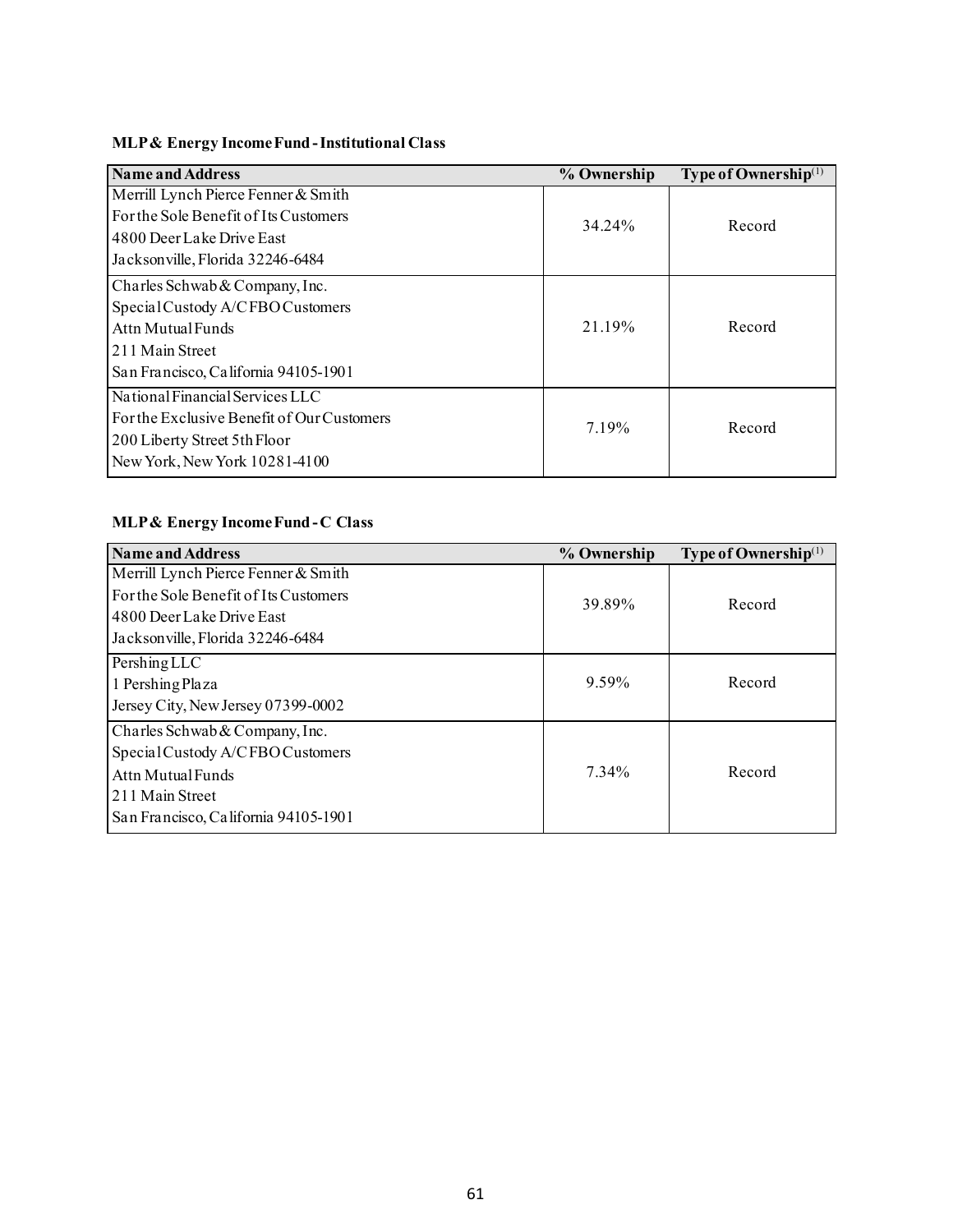# **MLP & Energy Income Fund -Institutional Class**

| <b>Name and Address</b>                                                                                                                            | % Ownership | Type of Ownership $(1)$ |
|----------------------------------------------------------------------------------------------------------------------------------------------------|-------------|-------------------------|
| Merrill Lynch Pierce Fenner & Smith<br>For the Sole Benefit of Its Customers<br>4800 Deer Lake Drive East<br>Jacksonville, Florida 32246-6484      | 34.24%      | Record                  |
| Charles Schwab & Company, Inc.<br>Special Custody A/CFBO Customers<br>Attn Mutual Funds<br>211 Main Street<br>San Francisco, California 94105-1901 | 21.19%      | Record                  |
| National Financial Services LLC<br>For the Exclusive Benefit of Our Customers<br>200 Liberty Street 5th Floor<br>New York, New York 10281-4100     | 7.19%       | Record                  |

# **MLP & Energy Income Fund -C Class**

| <b>Name and Address</b>               | % Ownership | Type of Ownership $(1)$ |
|---------------------------------------|-------------|-------------------------|
| Merrill Lynch Pierce Fenner & Smith   |             |                         |
| For the Sole Benefit of Its Customers | 39.89%      | Record                  |
| 4800 Deer Lake Drive East             |             |                         |
| Jacksonville, Florida 32246-6484      |             |                         |
| PershingLLC                           |             |                         |
| 1 Pershing Plaza                      | 9.59%       | Record                  |
| Jersey City, New Jersey 07399-0002    |             |                         |
| Charles Schwab & Company, Inc.        |             |                         |
| Special Custody A/CFBO Customers      |             |                         |
| <b>Attn Mutual Funds</b>              | 7.34%       | Record                  |
| 211 Main Street                       |             |                         |
| San Francisco, California 94105-1901  |             |                         |
|                                       |             |                         |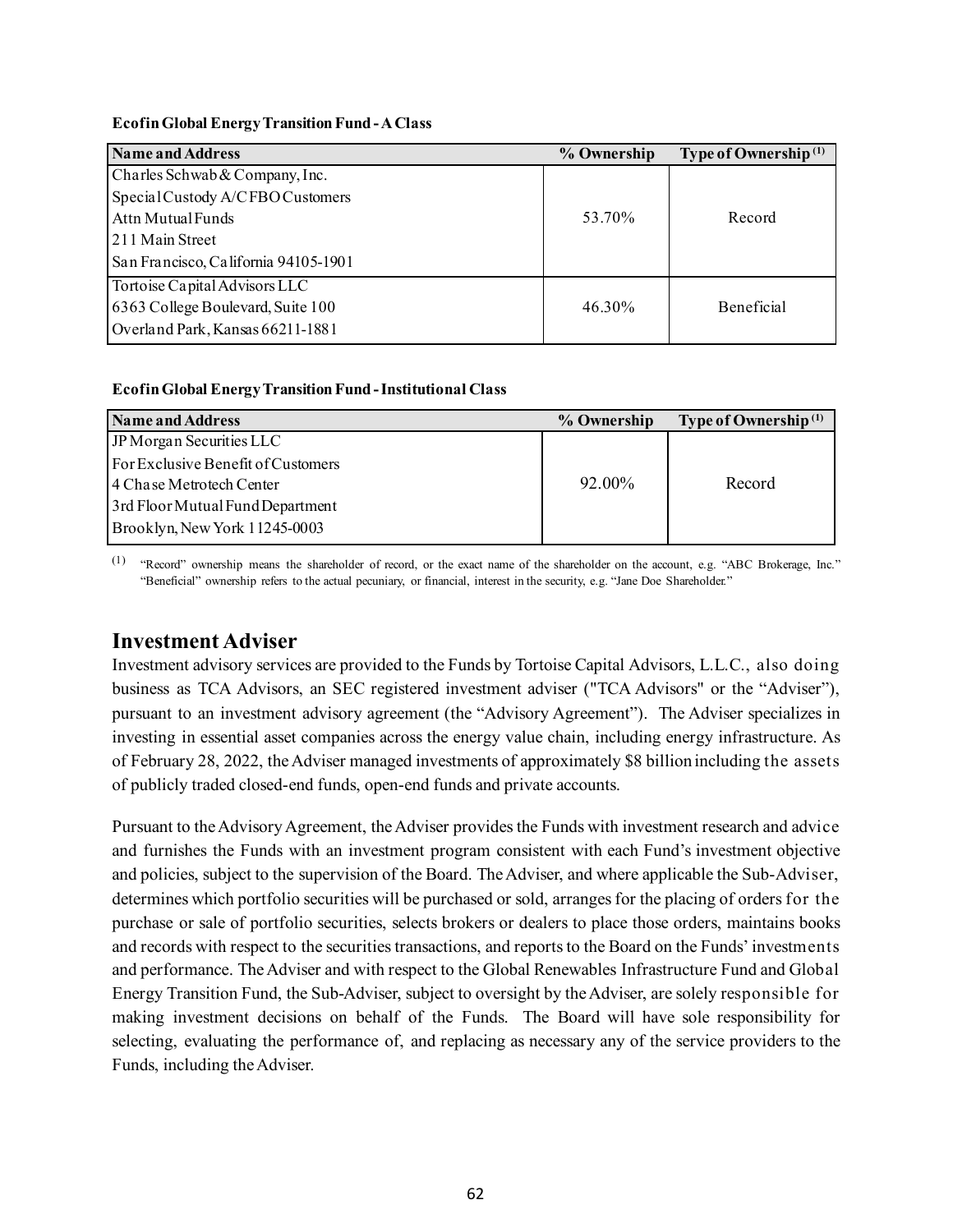#### **Ecofin Global Energy Transition Fund -A Class**

| <b>Name and Address</b>              | % Ownership | Type of Ownership <sup>(1)</sup> |
|--------------------------------------|-------------|----------------------------------|
| Charles Schwab & Company, Inc.       |             |                                  |
| Special Custody A/CFBO Customers     |             |                                  |
| Attn Mutual Funds                    | 53.70%      | Record                           |
| 211 Main Street                      |             |                                  |
| San Francisco, California 94105-1901 |             |                                  |
| Tortoise Capital Advisors LLC        |             |                                  |
| 6363 College Boulevard, Suite 100    | 46.30%      | <b>Beneficial</b>                |
| Overland Park, Kansas 66211-1881     |             |                                  |

#### **Ecofin Global Energy Transition Fund -Institutional Class**

| <b>Name and Address</b>            | % Ownership | Type of Ownership $(1)$ |
|------------------------------------|-------------|-------------------------|
| JP Morgan Securities LLC           |             |                         |
| For Exclusive Benefit of Customers |             |                         |
| 4 Chase Metrotech Center           | 92.00%      | Record                  |
| 3rd Floor Mutual Fund Department   |             |                         |
| Brooklyn, New York 11245-0003      |             |                         |

(1) "Record" ownership means the shareholder of record, or the exact name of the shareholder on the account, e.g. "ABC Brokerage, Inc." "Beneficial" ownership refers to the actual pecuniary, or financial, interest in the security, e.g. "Jane Doe Shareholder."

# **Investment Adviser**

Investment advisory services are provided to the Funds by Tortoise Capital Advisors, L.L.C., also doing business as TCA Advisors, an SEC registered investment adviser ("TCA Advisors" or the "Adviser"), pursuant to an investment advisory agreement (the "Advisory Agreement"). The Adviser specializes in investing in essential asset companies across the energy value chain, including energy infrastructure. As of February 28, 2022, the Adviser managed investments of approximately \$8 billion including the assets of publicly traded closed-end funds, open-end funds and private accounts.

Pursuant to the Advisory Agreement, the Adviser provides the Funds with investment research and advice and furnishes the Funds with an investment program consistent with each Fund's investment objective and policies, subject to the supervision of the Board. The Adviser, and where applicable the Sub-Adviser, determines which portfolio securities will be purchased or sold, arranges for the placing of orders for the purchase or sale of portfolio securities, selects brokers or dealers to place those orders, maintains books and records with respect to the securities transactions, and reports to the Board on the Funds' investments and performance. The Adviser and with respect to the Global Renewables Infrastructure Fund and Global Energy Transition Fund, the Sub-Adviser, subject to oversight by the Adviser, are solely responsible for making investment decisions on behalf of the Funds. The Board will have sole responsibility for selecting, evaluating the performance of, and replacing as necessary any of the service providers to the Funds, including the Adviser.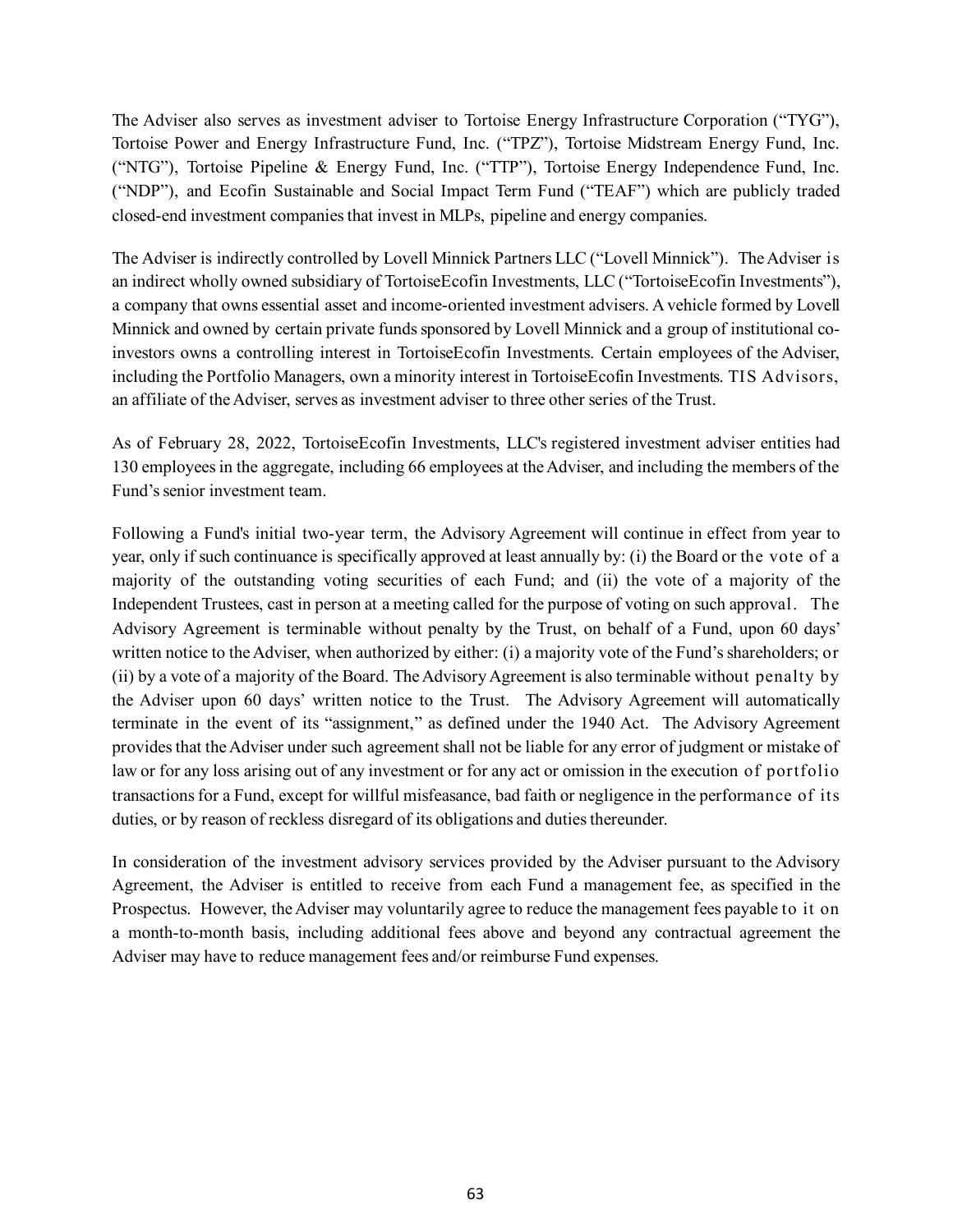The Adviser also serves as investment adviser to Tortoise Energy Infrastructure Corporation ("TYG"), Tortoise Power and Energy Infrastructure Fund, Inc. ("TPZ"), Tortoise Midstream Energy Fund, Inc. ("NTG"), Tortoise Pipeline & Energy Fund, Inc. ("TTP"), Tortoise Energy Independence Fund, Inc. ("NDP"), and Ecofin Sustainable and Social Impact Term Fund ("TEAF") which are publicly traded closed-end investment companies that invest in MLPs, pipeline and energy companies.

The Adviser is indirectly controlled by Lovell Minnick Partners LLC ("Lovell Minnick"). The Adviser is an indirect wholly owned subsidiary of TortoiseEcofin Investments, LLC ("TortoiseEcofin Investments"), a company that owns essential asset and income-oriented investment advisers. A vehicle formed by Lovell Minnick and owned by certain private funds sponsored by Lovell Minnick and a group of institutional coinvestors owns a controlling interest in TortoiseEcofin Investments. Certain employees of the Adviser, including the Portfolio Managers, own a minority interest in TortoiseEcofin Investments. TIS Advisors, an affiliate of the Adviser, serves as investment adviser to three other series of the Trust.

As of February 28, 2022, TortoiseEcofin Investments, LLC's registered investment adviser entities had 130 employees in the aggregate, including 66 employees at the Adviser, and including the members of the Fund's senior investment team.

Following a Fund's initial two-year term, the Advisory Agreement will continue in effect from year to year, only if such continuance is specifically approved at least annually by: (i) the Board or the vote of a majority of the outstanding voting securities of each Fund; and (ii) the vote of a majority of the Independent Trustees, cast in person at a meeting called for the purpose of voting on such approval. The Advisory Agreement is terminable without penalty by the Trust, on behalf of a Fund, upon 60 days' written notice to the Adviser, when authorized by either: (i) a majority vote of the Fund's shareholders; or (ii) by a vote of a majority of the Board. The Advisory Agreement is also terminable without penalty by the Adviser upon 60 days' written notice to the Trust. The Advisory Agreement will automatically terminate in the event of its "assignment," as defined under the 1940 Act. The Advisory Agreement provides that the Adviser under such agreement shall not be liable for any error of judgment or mistake of law or for any loss arising out of any investment or for any act or omission in the execution of portfolio transactions for a Fund, except for willful misfeasance, bad faith or negligence in the performance of its duties, or by reason of reckless disregard of its obligations and duties thereunder.

In consideration of the investment advisory services provided by the Adviser pursuant to the Advisory Agreement, the Adviser is entitled to receive from each Fund a management fee, as specified in the Prospectus. However, the Adviser may voluntarily agree to reduce the management fees payable to it on a month-to-month basis, including additional fees above and beyond any contractual agreement the Adviser may have to reduce management fees and/or reimburse Fund expenses.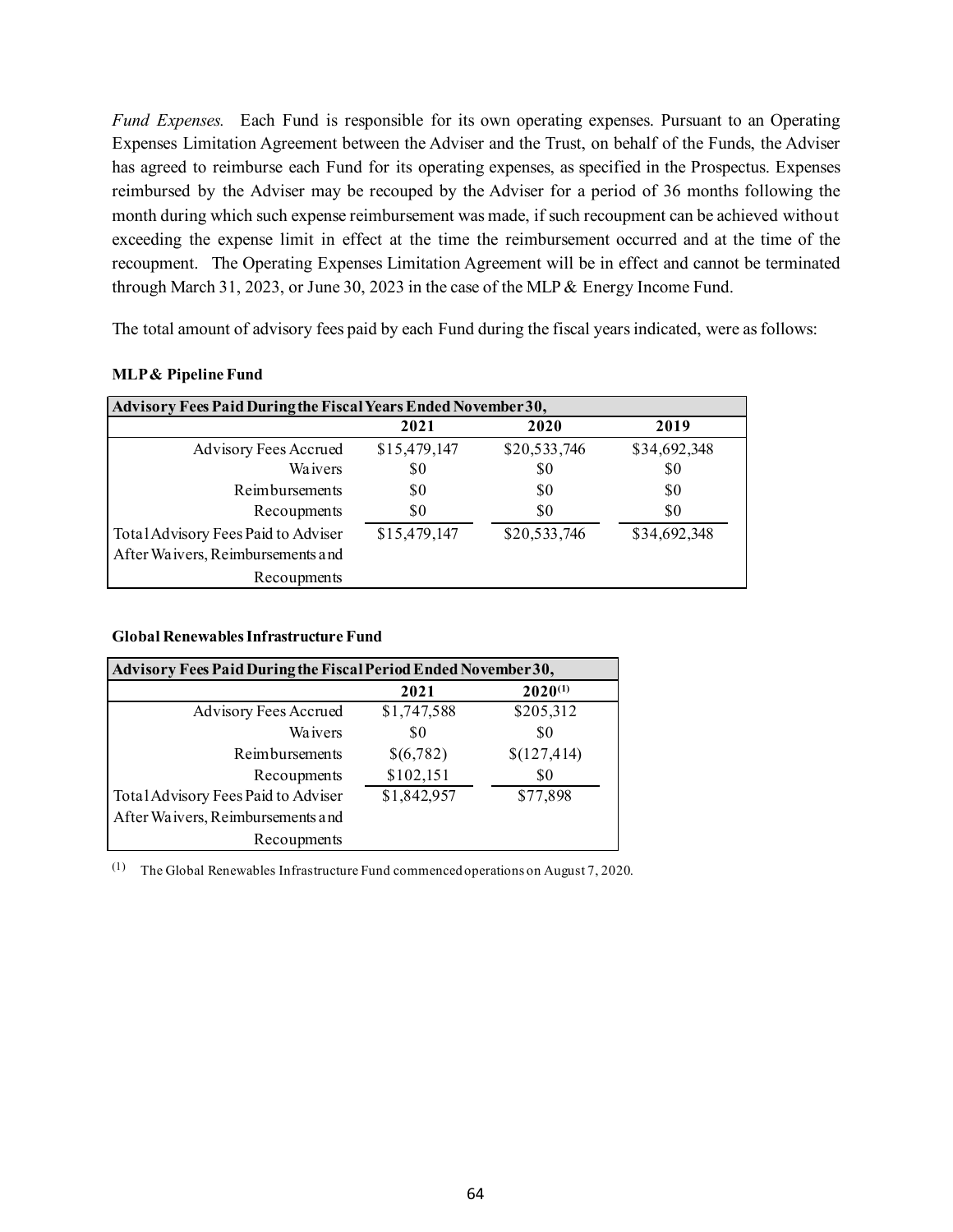*Fund Expenses.* Each Fund is responsible for its own operating expenses. Pursuant to an Operating Expenses Limitation Agreement between the Adviser and the Trust, on behalf of the Funds, the Adviser has agreed to reimburse each Fund for its operating expenses, as specified in the Prospectus. Expenses reimbursed by the Adviser may be recouped by the Adviser for a period of 36 months following the month during which such expense reimbursement was made, if such recoupment can be achieved without exceeding the expense limit in effect at the time the reimbursement occurred and at the time of the recoupment. The Operating Expenses Limitation Agreement will be in effect and cannot be terminated through March 31, 2023, or June 30, 2023 in the case of the MLP & Energy Income Fund.

The total amount of advisory fees paid by each Fund during the fiscal years indicated, were as follows:

| Advisory Fees Paid During the Fiscal Years Ended November 30, |              |              |              |  |  |  |
|---------------------------------------------------------------|--------------|--------------|--------------|--|--|--|
|                                                               | 2021         | 2020         | 2019         |  |  |  |
| Advisory Fees Accrued                                         | \$15,479,147 | \$20,533,746 | \$34,692,348 |  |  |  |
| Waivers                                                       | \$0          | \$0          | \$0          |  |  |  |
| Reimbursements                                                | \$0          | \$0          | \$0          |  |  |  |
| Recoupments                                                   | \$0          | \$0          | \$0          |  |  |  |
| Total Advisory Fees Paid to Adviser                           | \$15,479,147 | \$20,533,746 | \$34,692,348 |  |  |  |
| After Waivers, Reimbursements and                             |              |              |              |  |  |  |
| Recoupments                                                   |              |              |              |  |  |  |

#### **Global Renewables Infrastructure Fund**

| Advisory Fees Paid During the Fiscal Period Ended November 30, |             |              |  |  |  |
|----------------------------------------------------------------|-------------|--------------|--|--|--|
|                                                                | 2021        | $2020^{(1)}$ |  |  |  |
| Advisory Fees Accrued                                          | \$1,747,588 | \$205,312    |  |  |  |
| Waivers                                                        | \$0         | \$0          |  |  |  |
| Reimbursements                                                 | \$(6,782)   | \$(127,414)  |  |  |  |
| Recoupments                                                    | \$102,151   | \$0          |  |  |  |
| Total Advisory Fees Paid to Adviser                            | \$1,842,957 | \$77,898     |  |  |  |
| After Waivers, Reimbursements and                              |             |              |  |  |  |
| Recoupments                                                    |             |              |  |  |  |

(1) The Global Renewables Infrastructure Fund commenced operations on August 7, 2020.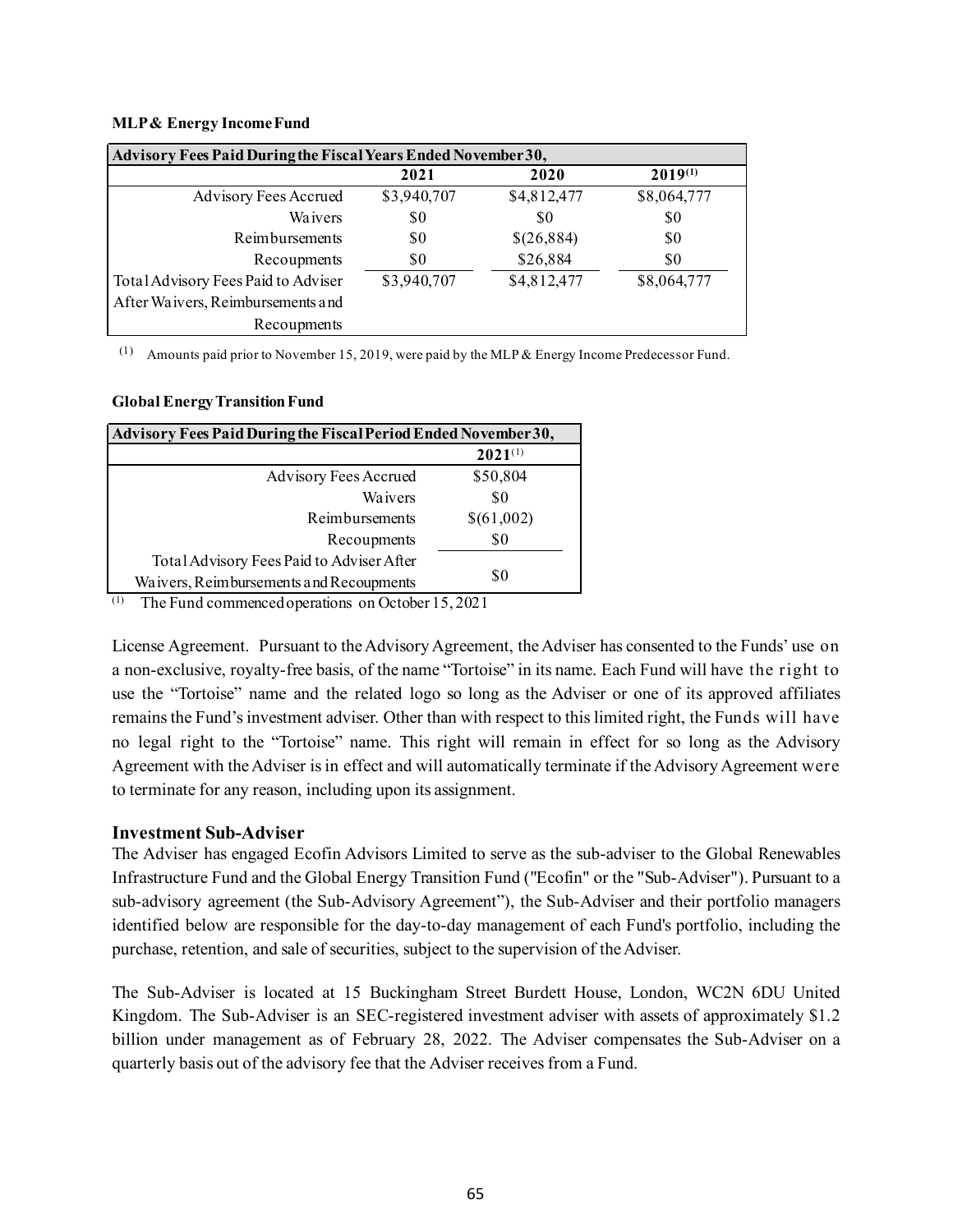#### **MLP & Energy Income Fund**

| Advisory Fees Paid During the Fiscal Years Ended November 30, |             |             |              |  |  |  |
|---------------------------------------------------------------|-------------|-------------|--------------|--|--|--|
|                                                               | 2021        | 2020        | $2019^{(1)}$ |  |  |  |
| Advisory Fees Accrued                                         | \$3,940,707 | \$4,812,477 | \$8,064,777  |  |  |  |
| Waivers                                                       | \$0         | S0          | \$0          |  |  |  |
| Reimbursements                                                | \$0         | \$(26,884)  | \$0          |  |  |  |
| Recoupments                                                   | \$0         | \$26,884    | \$0          |  |  |  |
| Total Advisory Fees Paid to Adviser                           | \$3,940,707 | \$4,812,477 | \$8,064,777  |  |  |  |
| After Waivers, Reimbursements and                             |             |             |              |  |  |  |
| Recoupments                                                   |             |             |              |  |  |  |

 $(1)$  Amounts paid prior to November 15, 2019, were paid by the MLP & Energy Income Predecessor Fund.

#### **Global Energy Transition Fund**

| Advisory Fees Paid During the Fiscal Period Ended November 30, |              |  |  |  |
|----------------------------------------------------------------|--------------|--|--|--|
|                                                                | $2021^{(1)}$ |  |  |  |
| Advisory Fees Accrued                                          | \$50,804     |  |  |  |
| <b>Wa</b> ivers                                                | \$0          |  |  |  |
| Reimbursements                                                 | \$(61,002)   |  |  |  |
| Recoupments                                                    | \$0          |  |  |  |
| Total Advisory Fees Paid to Adviser After                      |              |  |  |  |
| Waivers, Reimbursements and Recoupments                        | \$0          |  |  |  |

(1) The Fund commenced operations on October 15, 2021

License Agreement. Pursuant to the Advisory Agreement, the Adviser has consented to the Funds' use on a non-exclusive, royalty-free basis, of the name "Tortoise" in its name. Each Fund will have the right to use the "Tortoise" name and the related logo so long as the Adviser or one of its approved affiliates remains the Fund's investment adviser. Other than with respect to this limited right, the Funds will have no legal right to the "Tortoise" name. This right will remain in effect for so long as the Advisory Agreement with the Adviser is in effect and will automatically terminate if the Advisory Agreement were to terminate for any reason, including upon its assignment.

#### **Investment Sub-Adviser**

The Adviser has engaged Ecofin Advisors Limited to serve as the sub-adviser to the Global Renewables Infrastructure Fund and the Global Energy Transition Fund ("Ecofin" or the "Sub-Adviser"). Pursuant to a sub-advisory agreement (the Sub-Advisory Agreement"), the Sub-Adviser and their portfolio managers identified below are responsible for the day-to-day management of each Fund's portfolio, including the purchase, retention, and sale of securities, subject to the supervision of the Adviser.

The Sub-Adviser is located at 15 Buckingham Street Burdett House, London, WC2N 6DU United Kingdom. The Sub-Adviser is an SEC-registered investment adviser with assets of approximately \$1.2 billion under management as of February 28, 2022. The Adviser compensates the Sub-Adviser on a quarterly basis out of the advisory fee that the Adviser receives from a Fund.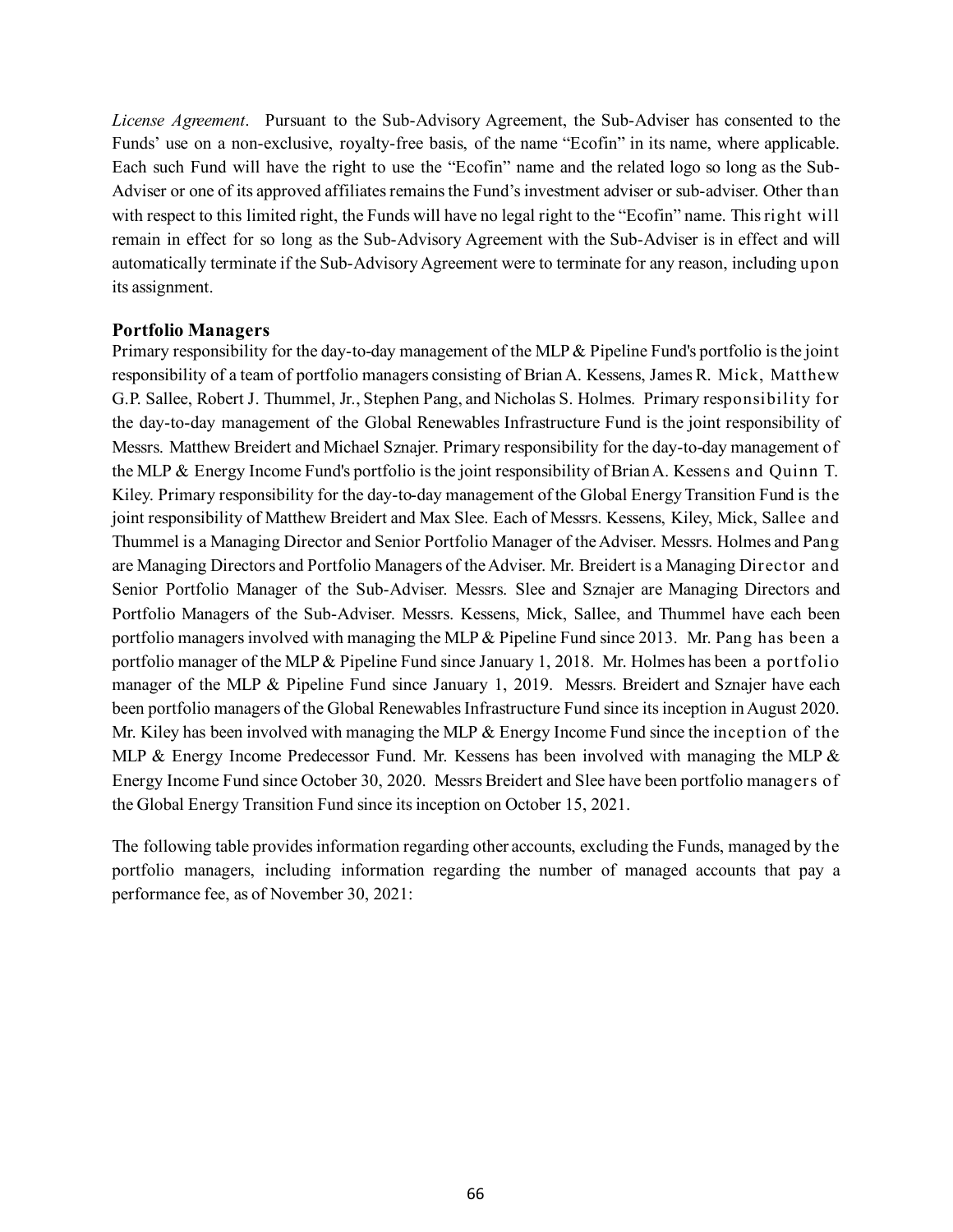*License Agreement*. Pursuant to the Sub-Advisory Agreement, the Sub-Adviser has consented to the Funds' use on a non-exclusive, royalty-free basis, of the name "Ecofin" in its name, where applicable. Each such Fund will have the right to use the "Ecofin" name and the related logo so long as the Sub-Adviser or one of its approved affiliates remains the Fund's investment adviser or sub-adviser. Other than with respect to this limited right, the Funds will have no legal right to the "Ecofin" name. This right will remain in effect for so long as the Sub-Advisory Agreement with the Sub-Adviser is in effect and will automatically terminate if the Sub-Advisory Agreement were to terminate for any reason, including upon its assignment.

### **Portfolio Managers**

Primary responsibility for the day-to-day management of the MLP & Pipeline Fund's portfolio is the joint responsibility of a team of portfolio managers consisting of Brian A. Kessens, James R. Mick, Matthew G.P. Sallee, Robert J. Thummel, Jr., Stephen Pang, and Nicholas S. Holmes. Primary responsibility for the day-to-day management of the Global Renewables Infrastructure Fund is the joint responsibility of Messrs. Matthew Breidert and Michael Sznajer. Primary responsibility for the day-to-day management of the MLP & Energy Income Fund's portfolio is the joint responsibility of Brian A. Kessens and Quinn T. Kiley. Primary responsibility for the day-to-day management of the Global Energy Transition Fund is the joint responsibility of Matthew Breidert and Max Slee. Each of Messrs. Kessens, Kiley, Mick, Sallee and Thummel is a Managing Director and Senior Portfolio Manager of the Adviser. Messrs. Holmes and Pang are Managing Directors and Portfolio Managers of the Adviser. Mr. Breidert is a Managing Director and Senior Portfolio Manager of the Sub-Adviser. Messrs. Slee and Sznajer are Managing Directors and Portfolio Managers of the Sub-Adviser. Messrs. Kessens, Mick, Sallee, and Thummel have each been portfolio managers involved with managing the MLP & Pipeline Fund since 2013. Mr. Pang has been a portfolio manager of the MLP & Pipeline Fund since January 1, 2018. Mr. Holmes has been a portfolio manager of the MLP & Pipeline Fund since January 1, 2019. Messrs. Breidert and Sznajer have each been portfolio managers of the Global Renewables Infrastructure Fund since its inception in August 2020. Mr. Kiley has been involved with managing the MLP & Energy Income Fund since the inception of the MLP & Energy Income Predecessor Fund. Mr. Kessens has been involved with managing the MLP & Energy Income Fund since October 30, 2020. Messrs Breidert and Slee have been portfolio managers of the Global Energy Transition Fund since its inception on October 15, 2021.

The following table provides information regarding other accounts, excluding the Funds, managed by the portfolio managers, including information regarding the number of managed accounts that pay a performance fee, as of November 30, 2021: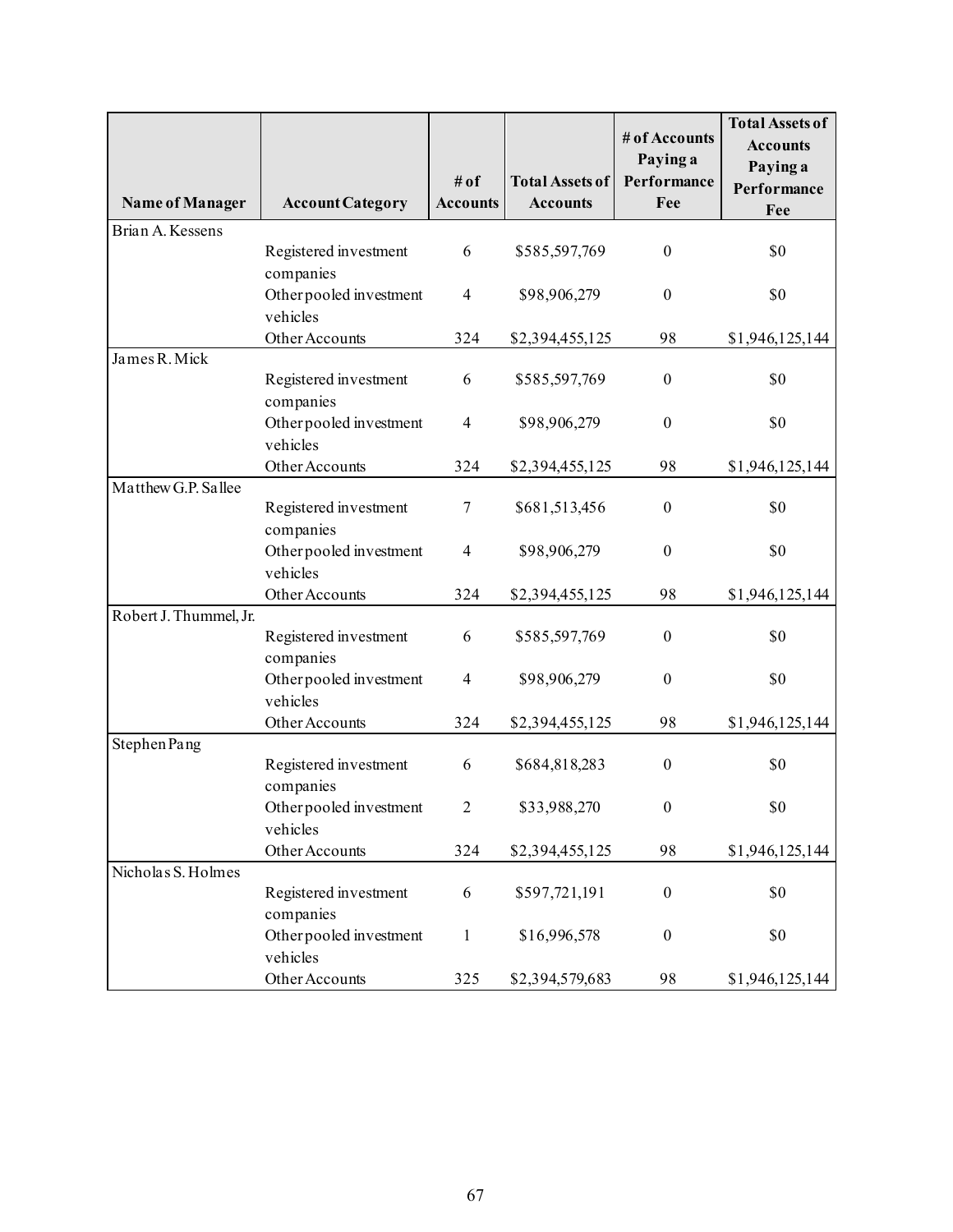|                        |                                                  | # of            | <b>Total Assets of</b> | # of Accounts<br>Paying a<br>Performance | <b>Total Assets of</b><br><b>Accounts</b><br>Paying a<br>Performance |
|------------------------|--------------------------------------------------|-----------------|------------------------|------------------------------------------|----------------------------------------------------------------------|
| <b>Name of Manager</b> | <b>Account Category</b>                          | <b>Accounts</b> | <b>Accounts</b>        | Fee                                      | Fee                                                                  |
| Brian A. Kessens       |                                                  |                 |                        |                                          |                                                                      |
|                        | Registered investment                            | 6               | \$585,597,769          | $\boldsymbol{0}$                         | \$0                                                                  |
|                        | companies<br>Other pooled investment<br>vehicles | $\overline{4}$  | \$98,906,279           | $\boldsymbol{0}$                         | \$0                                                                  |
|                        | Other Accounts                                   | 324             | \$2,394,455,125        | 98                                       | \$1,946,125,144                                                      |
| James R. Mick          |                                                  |                 |                        |                                          |                                                                      |
|                        | Registered investment                            | 6               | \$585,597,769          | $\boldsymbol{0}$                         | \$0                                                                  |
|                        | companies<br>Other pooled investment<br>vehicles | $\overline{4}$  | \$98,906,279           | $\boldsymbol{0}$                         | \$0                                                                  |
|                        | Other Accounts                                   | 324             | \$2,394,455,125        | 98                                       | \$1,946,125,144                                                      |
| Matthew G.P. Sallee    |                                                  |                 |                        |                                          |                                                                      |
|                        | Registered investment                            | 7               | \$681,513,456          | $\boldsymbol{0}$                         | \$0                                                                  |
|                        | companies<br>Other pooled investment<br>vehicles | $\overline{4}$  | \$98,906,279           | $\boldsymbol{0}$                         | \$0                                                                  |
|                        | Other Accounts                                   | 324             | \$2,394,455,125        | 98                                       | \$1,946,125,144                                                      |
| Robert J. Thummel, Jr. |                                                  |                 |                        |                                          |                                                                      |
|                        | Registered investment<br>companies               | 6               | \$585,597,769          | $\boldsymbol{0}$                         | \$0                                                                  |
|                        | Other pooled investment<br>vehicles              | $\overline{4}$  | \$98,906,279           | $\boldsymbol{0}$                         | \$0                                                                  |
|                        | Other Accounts                                   | 324             | \$2,394,455,125        | 98                                       | \$1,946,125,144                                                      |
| Stephen Pang           |                                                  |                 |                        |                                          |                                                                      |
|                        | Registered investment<br>companies               | 6               | \$684,818,283          | $\boldsymbol{0}$                         | \$0                                                                  |
|                        | Other pooled investment<br>vehicles              | $\overline{2}$  | \$33,988,270           | $\boldsymbol{0}$                         | \$0                                                                  |
|                        | Other Accounts                                   | 324             | \$2,394,455,125        | 98                                       | \$1,946,125,144                                                      |
| Nicholas S. Holmes     |                                                  |                 |                        |                                          |                                                                      |
|                        | Registered investment<br>companies               | 6               | \$597,721,191          | $\boldsymbol{0}$                         | \$0                                                                  |
|                        | Other pooled investment<br>vehicles              | $\mathbf{1}$    | \$16,996,578           | $\boldsymbol{0}$                         | \$0                                                                  |
|                        | Other Accounts                                   | 325             | \$2,394,579,683        | 98                                       | \$1,946,125,144                                                      |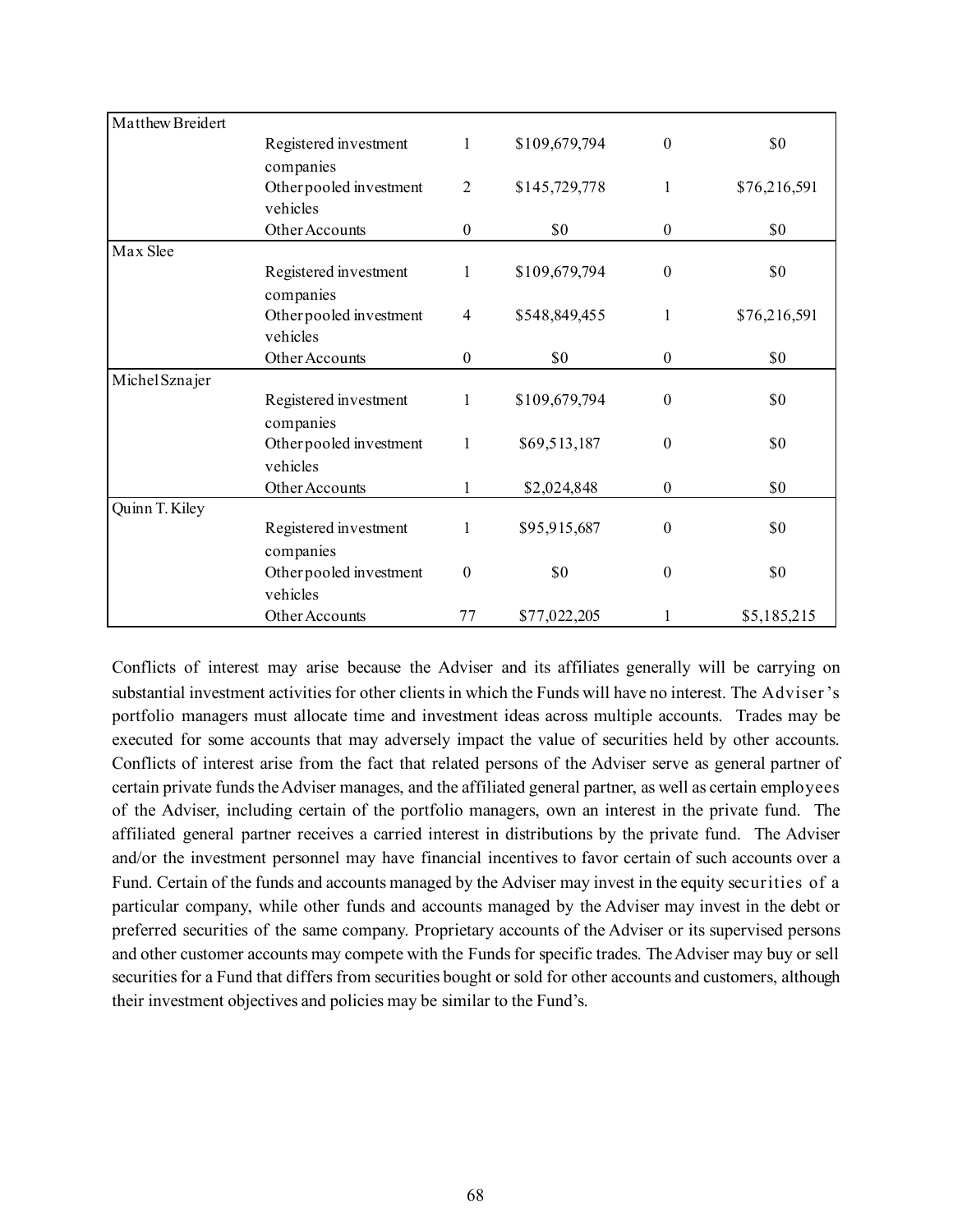| Matthew Breidert |                         |                  |               |                  |              |
|------------------|-------------------------|------------------|---------------|------------------|--------------|
|                  | Registered investment   | 1                | \$109,679,794 | $\boldsymbol{0}$ | \$0          |
|                  | companies               |                  |               |                  |              |
|                  | Other pooled investment | $\overline{2}$   | \$145,729,778 | 1                | \$76,216,591 |
|                  | vehicles                |                  |               |                  |              |
|                  | Other Accounts          | $\boldsymbol{0}$ | \$0           | $\boldsymbol{0}$ | \$0          |
| Max Slee         |                         |                  |               |                  |              |
|                  | Registered investment   | 1                | \$109,679,794 | $\boldsymbol{0}$ | \$0          |
|                  | companies               |                  |               |                  |              |
|                  | Other pooled investment | $\overline{4}$   | \$548,849,455 | $\mathbf{1}$     | \$76,216,591 |
|                  | vehicles                |                  |               |                  |              |
|                  | Other Accounts          | $\boldsymbol{0}$ | \$0           | $\boldsymbol{0}$ | \$0          |
| Michel Sznajer   |                         |                  |               |                  |              |
|                  | Registered investment   | $\mathbf{1}$     | \$109,679,794 | $\boldsymbol{0}$ | \$0          |
|                  | companies               |                  |               |                  |              |
|                  | Other pooled investment | $\mathbf{1}$     | \$69,513,187  | $\boldsymbol{0}$ | \$0          |
|                  | vehicles                |                  |               |                  |              |
|                  | Other Accounts          | 1                | \$2,024,848   | $\theta$         | \$0          |
| Quinn T. Kiley   |                         |                  |               |                  |              |
|                  | Registered investment   | 1                | \$95,915,687  | $\boldsymbol{0}$ | \$0          |
|                  | companies               |                  |               |                  |              |
|                  | Other pooled investment | $\boldsymbol{0}$ | \$0           | $\mathbf{0}$     | \$0          |
|                  | vehicles                |                  |               |                  |              |
|                  | Other Accounts          | 77               | \$77,022,205  | 1                | \$5,185,215  |

Conflicts of interest may arise because the Adviser and its affiliates generally will be carrying on substantial investment activities for other clients in which the Funds will have no interest. The Adviser 's portfolio managers must allocate time and investment ideas across multiple accounts. Trades may be executed for some accounts that may adversely impact the value of securities held by other accounts. Conflicts of interest arise from the fact that related persons of the Adviser serve as general partner of certain private funds the Adviser manages, and the affiliated general partner, as well as certain employees of the Adviser, including certain of the portfolio managers, own an interest in the private fund. The affiliated general partner receives a carried interest in distributions by the private fund. The Adviser and/or the investment personnel may have financial incentives to favor certain of such accounts over a Fund. Certain of the funds and accounts managed by the Adviser may invest in the equity securities of a particular company, while other funds and accounts managed by the Adviser may invest in the debt or preferred securities of the same company. Proprietary accounts of the Adviser or its supervised persons and other customer accounts may compete with the Funds for specific trades. The Adviser may buy or sell securities for a Fund that differs from securities bought or sold for other accounts and customers, although their investment objectives and policies may be similar to the Fund's.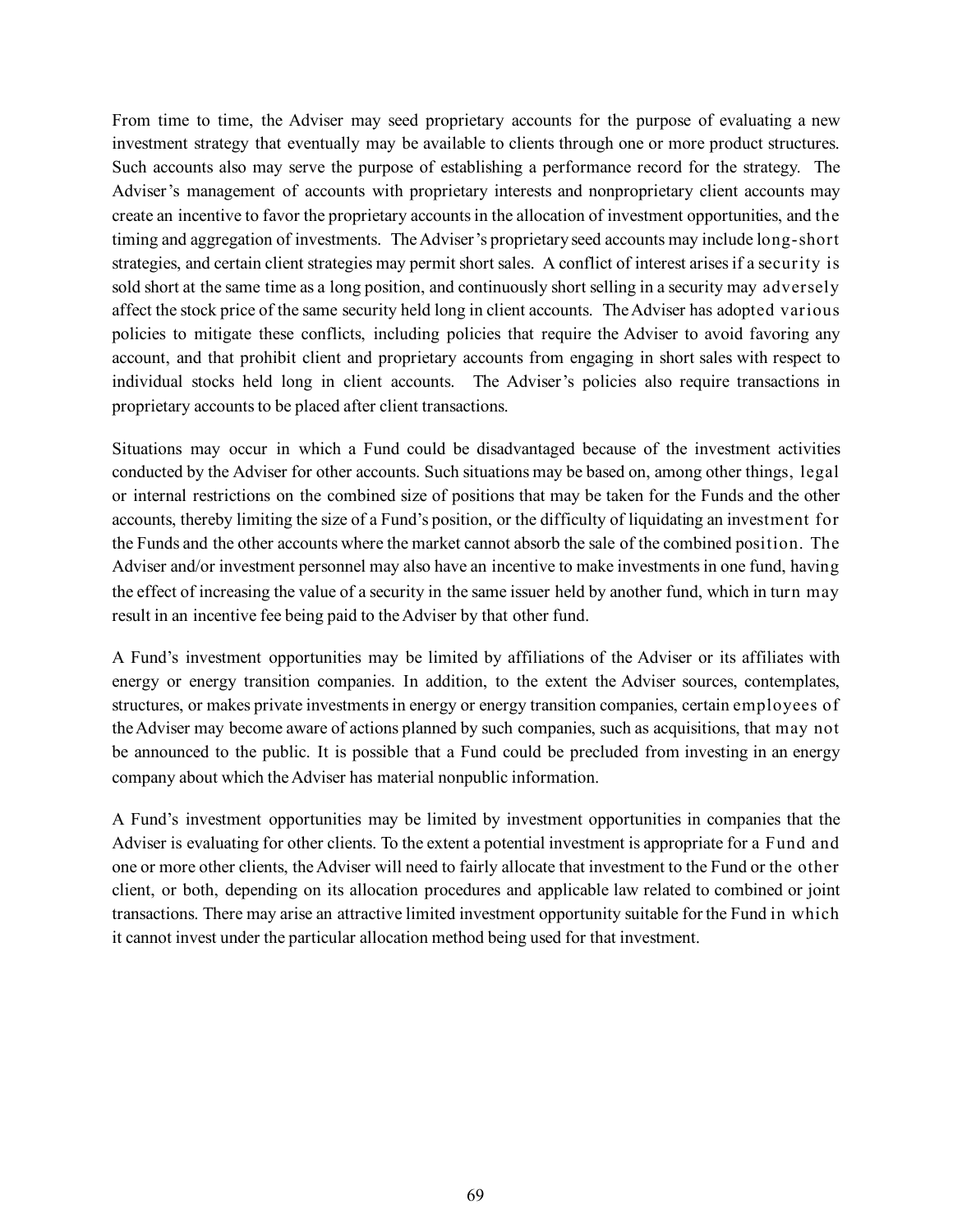From time to time, the Adviser may seed proprietary accounts for the purpose of evaluating a new investment strategy that eventually may be available to clients through one or more product structures. Such accounts also may serve the purpose of establishing a performance record for the strategy. The Adviser's management of accounts with proprietary interests and nonproprietary client accounts may create an incentive to favor the proprietary accounts in the allocation of investment opportunities, and the timing and aggregation of investments. The Adviser's proprietary seed accounts may include long-short strategies, and certain client strategies may permit short sales. A conflict of interest arises if a security is sold short at the same time as a long position, and continuously short selling in a security may adversely affect the stock price of the same security held long in client accounts. The Adviser has adopted various policies to mitigate these conflicts, including policies that require the Adviser to avoid favoring any account, and that prohibit client and proprietary accounts from engaging in short sales with respect to individual stocks held long in client accounts. The Adviser's policies also require transactions in proprietary accounts to be placed after client transactions.

Situations may occur in which a Fund could be disadvantaged because of the investment activities conducted by the Adviser for other accounts. Such situations may be based on, among other things, legal or internal restrictions on the combined size of positions that may be taken for the Funds and the other accounts, thereby limiting the size of a Fund's position, or the difficulty of liquidating an investment for the Funds and the other accounts where the market cannot absorb the sale of the combined position. The Adviser and/or investment personnel may also have an incentive to make investments in one fund, having the effect of increasing the value of a security in the same issuer held by another fund, which in turn may result in an incentive fee being paid to the Adviser by that other fund.

A Fund's investment opportunities may be limited by affiliations of the Adviser or its affiliates with energy or energy transition companies. In addition, to the extent the Adviser sources, contemplates, structures, or makes private investments in energy or energy transition companies, certain employees of the Adviser may become aware of actions planned by such companies, such as acquisitions, that may not be announced to the public. It is possible that a Fund could be precluded from investing in an energy company about which the Adviser has material nonpublic information.

A Fund's investment opportunities may be limited by investment opportunities in companies that the Adviser is evaluating for other clients. To the extent a potential investment is appropriate for a Fund and one or more other clients, the Adviser will need to fairly allocate that investment to the Fund or the other client, or both, depending on its allocation procedures and applicable law related to combined or joint transactions. There may arise an attractive limited investment opportunity suitable for the Fund in which it cannot invest under the particular allocation method being used for that investment.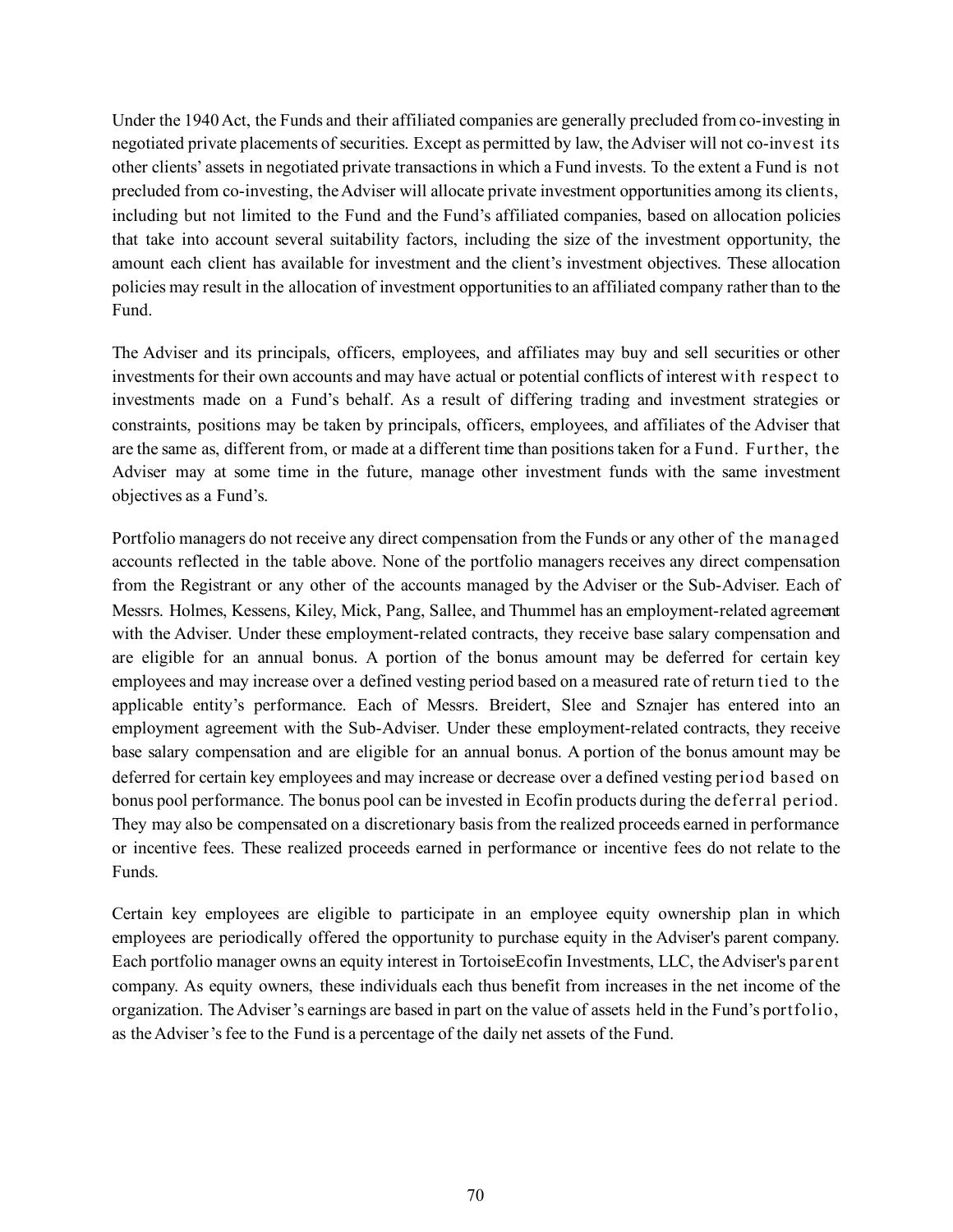Under the 1940 Act, the Funds and their affiliated companies are generally precluded from co-investing in negotiated private placements of securities. Except as permitted by law, the Adviser will not co-invest its other clients' assets in negotiated private transactions in which a Fund invests. To the extent a Fund is not precluded from co-investing, the Adviser will allocate private investment opportunities among its clients, including but not limited to the Fund and the Fund's affiliated companies, based on allocation policies that take into account several suitability factors, including the size of the investment opportunity, the amount each client has available for investment and the client's investment objectives. These allocation policies may result in the allocation of investment opportunities to an affiliated company rather than to the Fund.

The Adviser and its principals, officers, employees, and affiliates may buy and sell securities or other investments for their own accounts and may have actual or potential conflicts of interest with respect to investments made on a Fund's behalf. As a result of differing trading and investment strategies or constraints, positions may be taken by principals, officers, employees, and affiliates of the Adviser that are the same as, different from, or made at a different time than positions taken for a Fund. Further, the Adviser may at some time in the future, manage other investment funds with the same investment objectives as a Fund's.

Portfolio managers do not receive any direct compensation from the Funds or any other of the managed accounts reflected in the table above. None of the portfolio managers receives any direct compensation from the Registrant or any other of the accounts managed by the Adviser or the Sub-Adviser. Each of Messrs. Holmes, Kessens, Kiley, Mick, Pang, Sallee, and Thummel has an employment-related agreement with the Adviser. Under these employment-related contracts, they receive base salary compensation and are eligible for an annual bonus. A portion of the bonus amount may be deferred for certain key employees and may increase over a defined vesting period based on a measured rate of return tied to the applicable entity's performance. Each of Messrs. Breidert, Slee and Sznajer has entered into an employment agreement with the Sub-Adviser. Under these employment-related contracts, they receive base salary compensation and are eligible for an annual bonus. A portion of the bonus amount may be deferred for certain key employees and may increase or decrease over a defined vesting period based on bonus pool performance. The bonus pool can be invested in Ecofin products during the deferral period. They may also be compensated on a discretionary basis from the realized proceeds earned in performance or incentive fees. These realized proceeds earned in performance or incentive fees do not relate to the Funds.

Certain key employees are eligible to participate in an employee equity ownership plan in which employees are periodically offered the opportunity to purchase equity in the Adviser's parent company. Each portfolio manager owns an equity interest in TortoiseEcofin Investments, LLC, the Adviser's parent company. As equity owners, these individuals each thus benefit from increases in the net income of the organization. The Adviser's earnings are based in part on the value of assets held in the Fund's portfolio, as the Adviser's fee to the Fund is a percentage of the daily net assets of the Fund.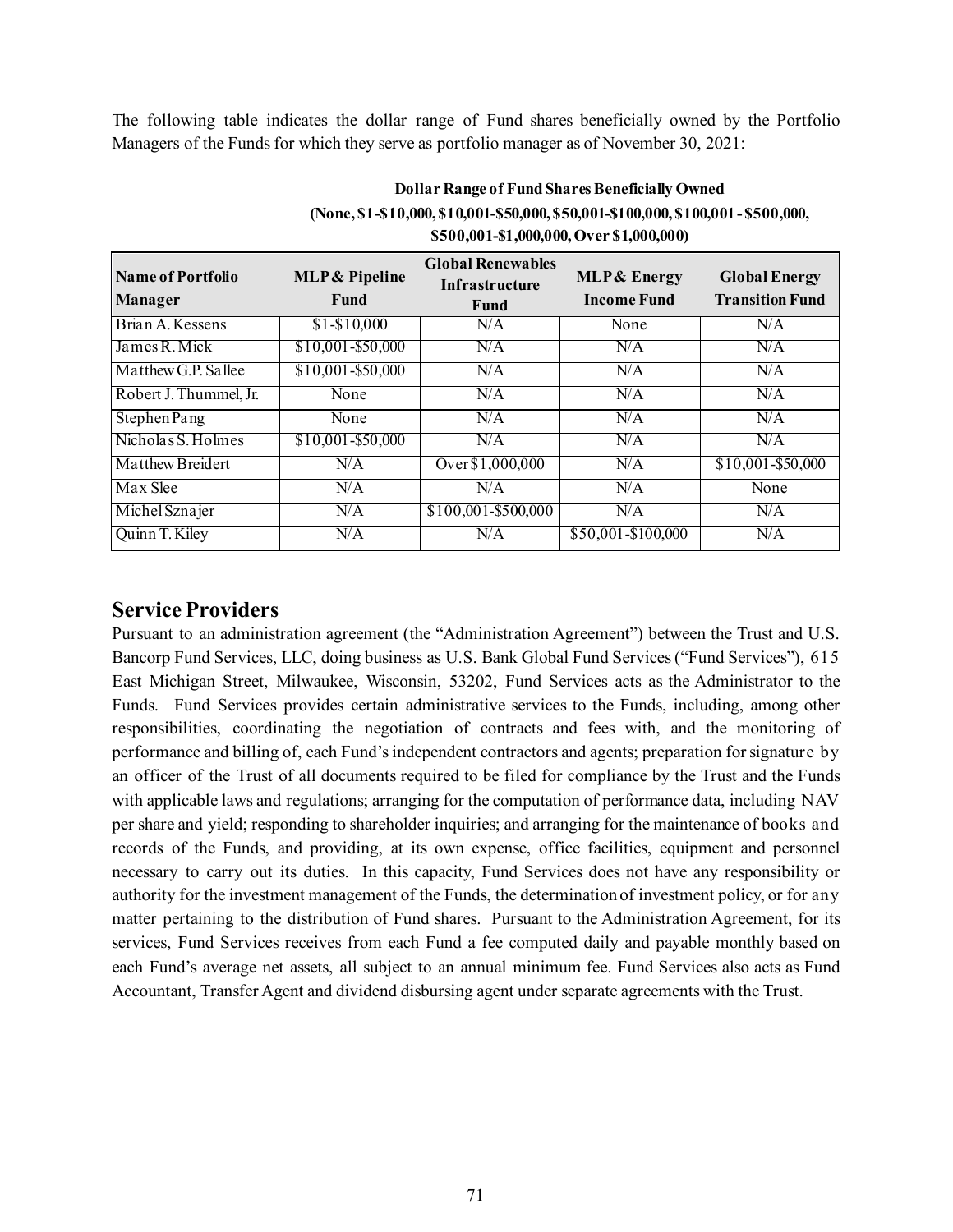The following table indicates the dollar range of Fund shares beneficially owned by the Portfolio Managers of the Funds for which they serve as portfolio manager as of November 30, 2021:

|                                     | $0.0000001$ -01.000.000.000.0001                                                                                                                       |                      |                                                |                   |  |  |
|-------------------------------------|--------------------------------------------------------------------------------------------------------------------------------------------------------|----------------------|------------------------------------------------|-------------------|--|--|
| Name of Portfolio<br><b>Manager</b> | <b>Global Renewables</b><br><b>MLP &amp; Pipeline</b><br><b>MLP &amp; Energy</b><br><b>Infrastructure</b><br><b>Income Fund</b><br><b>Fund</b><br>Fund |                      | <b>Global Energy</b><br><b>Transition Fund</b> |                   |  |  |
| Brian A. Kessens                    | $$1 - $10,000$                                                                                                                                         | N/A                  | None                                           | N/A               |  |  |
| James R. Mick                       | \$10,001-\$50,000                                                                                                                                      | N/A                  | N/A                                            | N/A               |  |  |
| Matthew G.P. Sallee                 | \$10,001-\$50,000                                                                                                                                      | N/A                  | N/A                                            | N/A               |  |  |
| Robert J. Thummel, Jr.              | None                                                                                                                                                   | N/A                  | N/A                                            | N/A               |  |  |
| Stephen Pang                        | None                                                                                                                                                   | N/A                  | N/A                                            | N/A               |  |  |
| Nicholas S. Holmes                  | \$10,001-\$50,000                                                                                                                                      | N/A                  | N/A                                            | N/A               |  |  |
| Matthew Breidert                    | N/A                                                                                                                                                    | Over \$1,000,000     | N/A                                            | \$10,001-\$50,000 |  |  |
| Max Slee                            | N/A                                                                                                                                                    | N/A                  | N/A                                            | None              |  |  |
| Michel Sznajer                      | N/A                                                                                                                                                    | $$100,001-\$500,000$ | N/A                                            | N/A               |  |  |
| Quinn T. Kiley                      | N/A                                                                                                                                                    | N/A                  | \$50,001-\$100,000                             | N/A               |  |  |

## **Dollar Range of Fund Shares Beneficially Owned (None, \$1-\$10,000, \$10,001-\$50,000, \$50,001-\$100,000, \$100,001 - \$500,000, \$500,001-\$1,000,000, Over \$1,000,000)**

# **Service Providers**

Pursuant to an administration agreement (the "Administration Agreement") between the Trust and U.S. Bancorp Fund Services, LLC, doing business as U.S. Bank Global Fund Services ("Fund Services"), 615 East Michigan Street, Milwaukee, Wisconsin, 53202, Fund Services acts as the Administrator to the Funds. Fund Services provides certain administrative services to the Funds, including, among other responsibilities, coordinating the negotiation of contracts and fees with, and the monitoring of performance and billing of, each Fund's independent contractors and agents; preparation for signature by an officer of the Trust of all documents required to be filed for compliance by the Trust and the Funds with applicable laws and regulations; arranging for the computation of performance data, including NAV per share and yield; responding to shareholder inquiries; and arranging for the maintenance of books and records of the Funds, and providing, at its own expense, office facilities, equipment and personnel necessary to carry out its duties. In this capacity, Fund Services does not have any responsibility or authority for the investment management of the Funds, the determination of investment policy, or for any matter pertaining to the distribution of Fund shares. Pursuant to the Administration Agreement, for its services, Fund Services receives from each Fund a fee computed daily and payable monthly based on each Fund's average net assets, all subject to an annual minimum fee. Fund Services also acts as Fund Accountant, Transfer Agent and dividend disbursing agent under separate agreements with the Trust.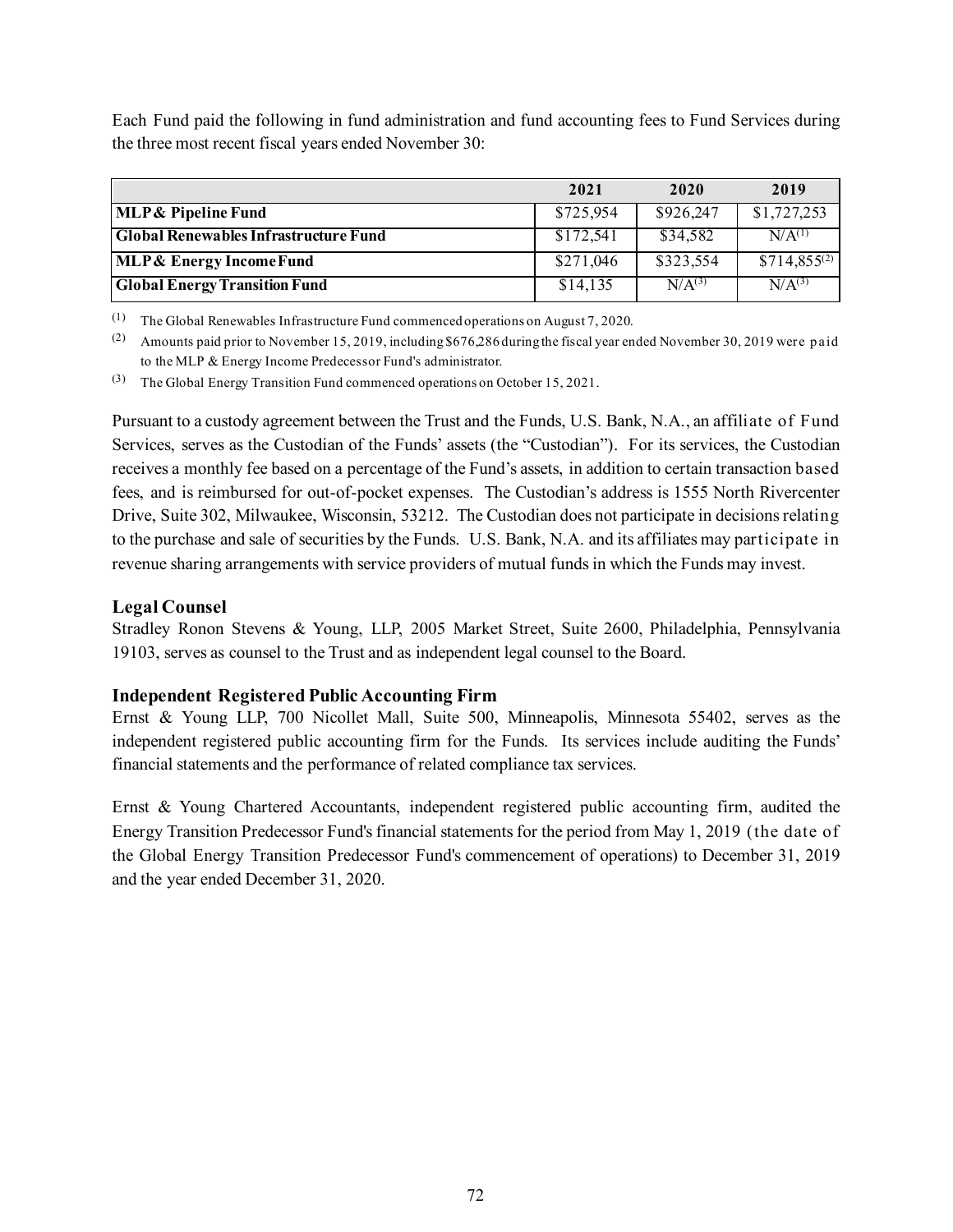Each Fund paid the following in fund administration and fund accounting fees to Fund Services during the three most recent fiscal years ended November 30:

|                                              | 2021      | 2020        | 2019             |
|----------------------------------------------|-----------|-------------|------------------|
| <b>MLP &amp; Pipeline Fund</b>               | \$725,954 | \$926,247   | \$1,727,253      |
| <b>Global Renewables Infrastructure Fund</b> | \$172,541 | \$34,582    | $N/A^{(1)}$      |
| <b>MLP &amp; Energy Income Fund</b>          | \$271,046 | \$323,554   | $$714,855^{(2)}$ |
| <b>Global Energy Transition Fund</b>         | \$14,135  | $N/A^{(3)}$ | $N/A^{(3)}$      |

(1) The Global Renewables Infrastructure Fund commenced operations on August 7, 2020.

(3) The Global Energy Transition Fund commenced operations on October 15, 2021.

Pursuant to a custody agreement between the Trust and the Funds, U.S. Bank, N.A., an affiliate of Fund Services, serves as the Custodian of the Funds' assets (the "Custodian"). For its services, the Custodian receives a monthly fee based on a percentage of the Fund's assets, in addition to certain transaction based fees, and is reimbursed for out-of-pocket expenses. The Custodian's address is 1555 North Rivercenter Drive, Suite 302, Milwaukee, Wisconsin, 53212. The Custodian does not participate in decisions relating to the purchase and sale of securities by the Funds. U.S. Bank, N.A. and its affiliates may participate in revenue sharing arrangements with service providers of mutual funds in which the Funds may invest.

## **Legal Counsel**

Stradley Ronon Stevens & Young, LLP, 2005 Market Street, Suite 2600, Philadelphia, Pennsylvania 19103, serves as counsel to the Trust and as independent legal counsel to the Board.

## **Independent Registered Public Accounting Firm**

Ernst & Young LLP, 700 Nicollet Mall, Suite 500, Minneapolis, Minnesota 55402, serves as the independent registered public accounting firm for the Funds. Its services include auditing the Funds' financial statements and the performance of related compliance tax services.

Ernst & Young Chartered Accountants, independent registered public accounting firm, audited the Energy Transition Predecessor Fund's financial statements for the period from May 1, 2019 (the date of the Global Energy Transition Predecessor Fund's commencement of operations) to December 31, 2019 and the year ended December 31, 2020.

<sup>(2)</sup> Amounts paid prior to November 15, 2019, including \$676,286 during the fiscal year ended November 30, 2019 were p aid to the MLP & Energy Income Predecessor Fund's administrator.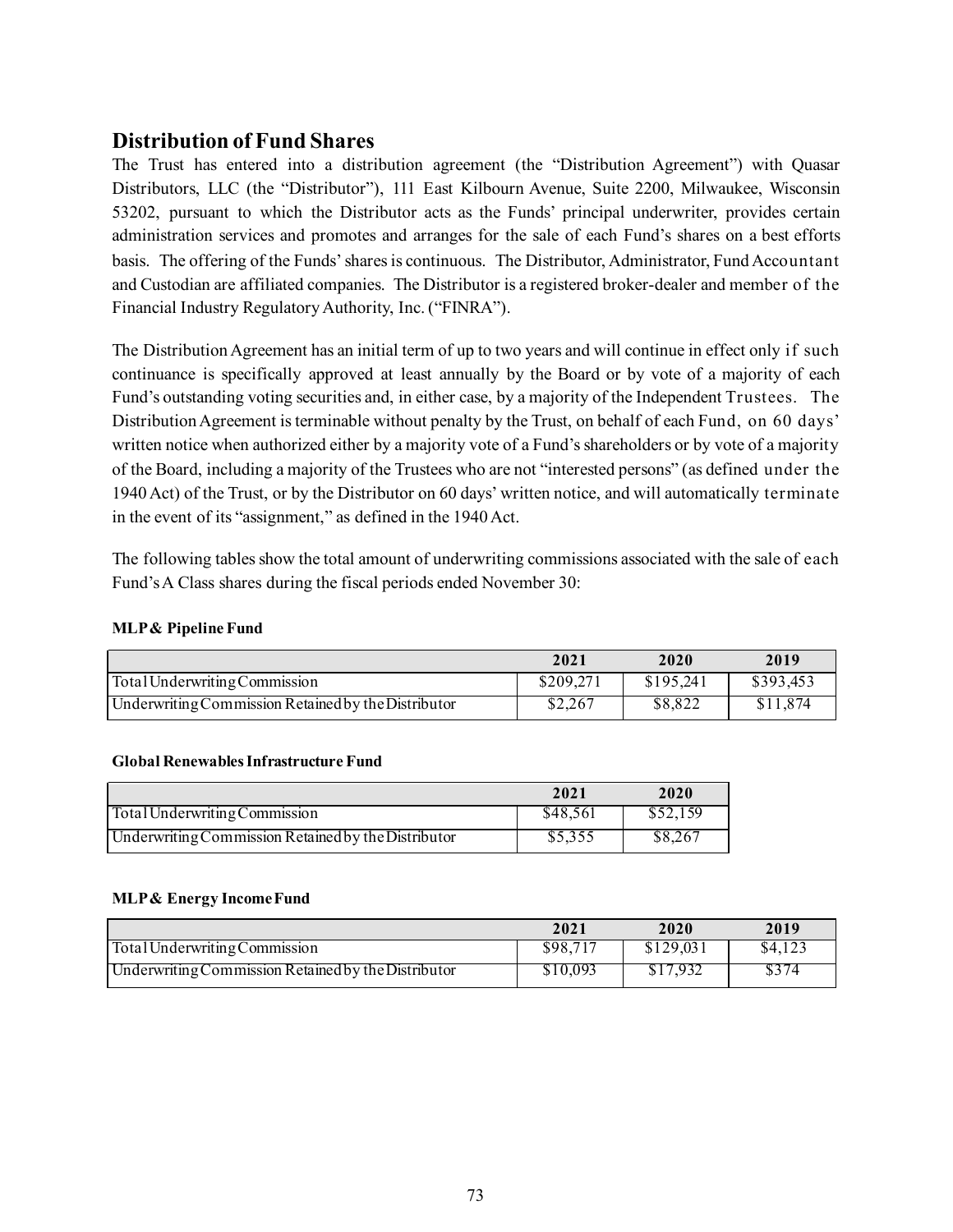## **Distribution of Fund Shares**

The Trust has entered into a distribution agreement (the "Distribution Agreement") with Quasar Distributors, LLC (the "Distributor"), 111 East Kilbourn Avenue, Suite 2200, Milwaukee, Wisconsin 53202, pursuant to which the Distributor acts as the Funds' principal underwriter, provides certain administration services and promotes and arranges for the sale of each Fund's shares on a best efforts basis. The offering of the Funds' shares is continuous. The Distributor, Administrator, Fund Accountant and Custodian are affiliated companies. The Distributor is a registered broker-dealer and member of the Financial Industry Regulatory Authority, Inc. ("FINRA").

The Distribution Agreement has an initial term of up to two years and will continue in effect only if such continuance is specifically approved at least annually by the Board or by vote of a majority of each Fund's outstanding voting securities and, in either case, by a majority of the Independent Trustees. The Distribution Agreement is terminable without penalty by the Trust, on behalf of each Fund, on 60 days' written notice when authorized either by a majority vote of a Fund's shareholders or by vote of a majority of the Board, including a majority of the Trustees who are not "interested persons" (as defined under the 1940Act) of the Trust, or by the Distributor on 60 days' written notice, and will automatically terminate in the event of its "assignment," as defined in the 1940 Act.

The following tables show the total amount of underwriting commissions associated with the sale of each Fund's A Class shares during the fiscal periods ended November 30:

|  | <b>MLP &amp; Pipeline Fund</b> |  |
|--|--------------------------------|--|
|--|--------------------------------|--|

|                                                     | 2021      | 2020      | 2019      |
|-----------------------------------------------------|-----------|-----------|-----------|
| Total Underwriting Commission                       | \$209,271 | \$195.241 | \$393,453 |
| Underwriting Commission Retained by the Distributor | \$2,267   | \$8,822   | \$11,874  |

### **Global Renewables Infrastructure Fund**

|                                                     | 2021     | 2020     |
|-----------------------------------------------------|----------|----------|
| Total Underwriting Commission                       | \$48.561 | \$52,159 |
| Underwriting Commission Retained by the Distributor | \$5,355  | \$8,267  |

### **MLP & Energy Income Fund**

|                                                     | 2021     | 2020     | 2019    |
|-----------------------------------------------------|----------|----------|---------|
| Total Underwriting Commission                       | \$98.717 | \$129.03 | \$4,123 |
| Underwriting Commission Retained by the Distributor | \$10,093 | \$17.932 | \$374   |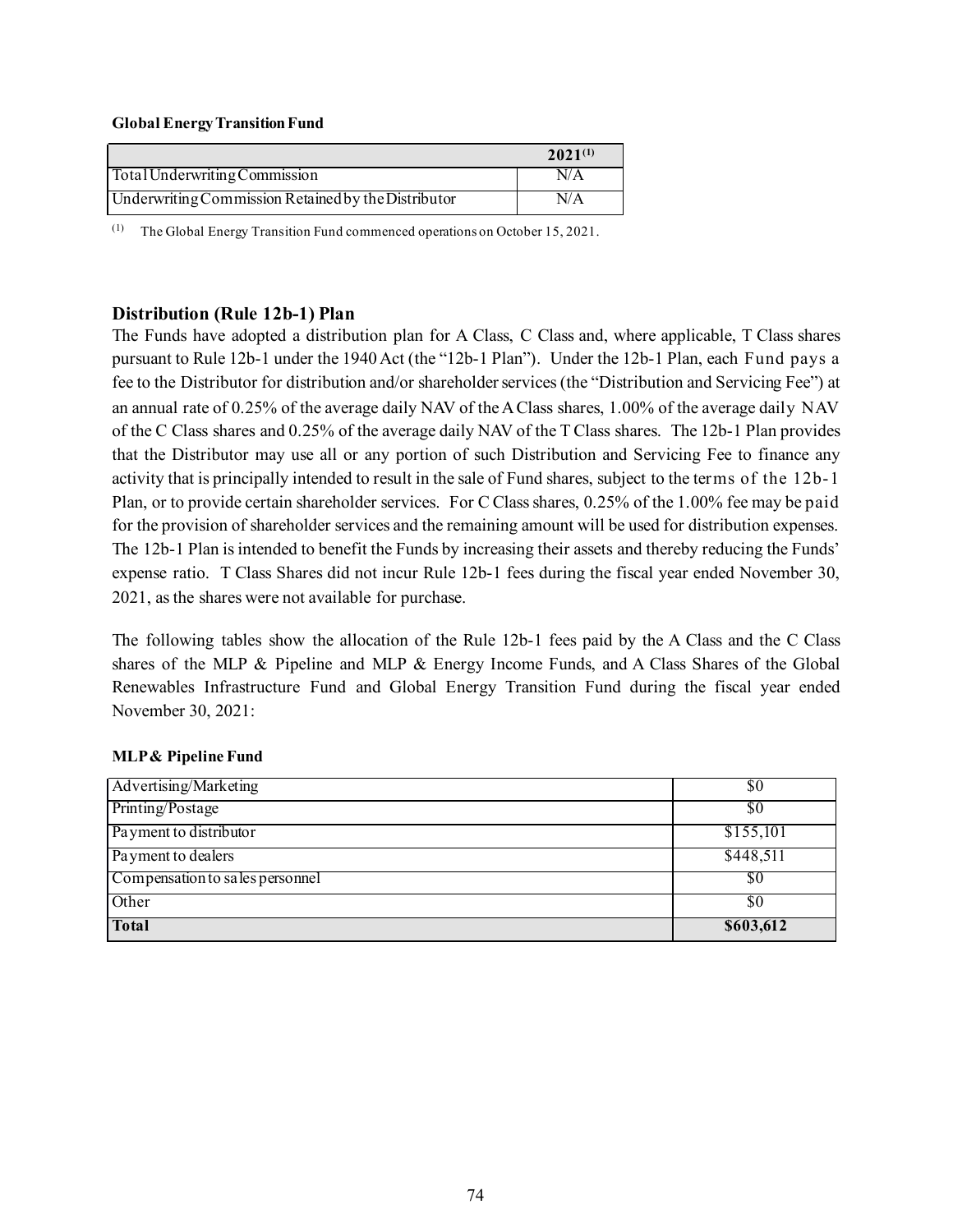#### **Global Energy Transition Fund**

|                                                     | $2021^{(1)}$ |
|-----------------------------------------------------|--------------|
| Total Underwriting Commission                       | N/A          |
| Underwriting Commission Retained by the Distributor | N/A          |

(1) The Global Energy Transition Fund commenced operations on October 15, 2021.

### **Distribution (Rule 12b-1) Plan**

The Funds have adopted a distribution plan for A Class, C Class and, where applicable, T Class shares pursuant to Rule 12b-1 under the 1940 Act (the "12b-1 Plan"). Under the 12b-1 Plan, each Fund pays a fee to the Distributor for distribution and/or shareholder services (the "Distribution and Servicing Fee") at an annual rate of 0.25% of the average daily NAV of the A Class shares, 1.00% of the average daily NAV of the C Class shares and 0.25% of the average daily NAV of the T Class shares. The 12b-1 Plan provides that the Distributor may use all or any portion of such Distribution and Servicing Fee to finance any activity that is principally intended to result in the sale of Fund shares, subject to the terms of the 12b-1 Plan, or to provide certain shareholder services. For C Class shares, 0.25% of the 1.00% fee may be paid for the provision of shareholder services and the remaining amount will be used for distribution expenses. The 12b-1 Plan is intended to benefit the Funds by increasing their assets and thereby reducing the Funds' expense ratio. T Class Shares did not incur Rule 12b-1 fees during the fiscal year ended November 30, 2021, as the shares were not available for purchase.

The following tables show the allocation of the Rule 12b-1 fees paid by the A Class and the C Class shares of the MLP & Pipeline and MLP & Energy Income Funds, and A Class Shares of the Global Renewables Infrastructure Fund and Global Energy Transition Fund during the fiscal year ended November 30, 2021:

| Advertising/Marketing           | \$0       |
|---------------------------------|-----------|
| Printing/Postage                | \$0       |
| Payment to distributor          | \$155,101 |
| Payment to dealers              | \$448,511 |
| Compensation to sales personnel | \$0       |
| Other                           | \$0       |
| <b>Total</b>                    | \$603,612 |

### **MLP & Pipeline Fund**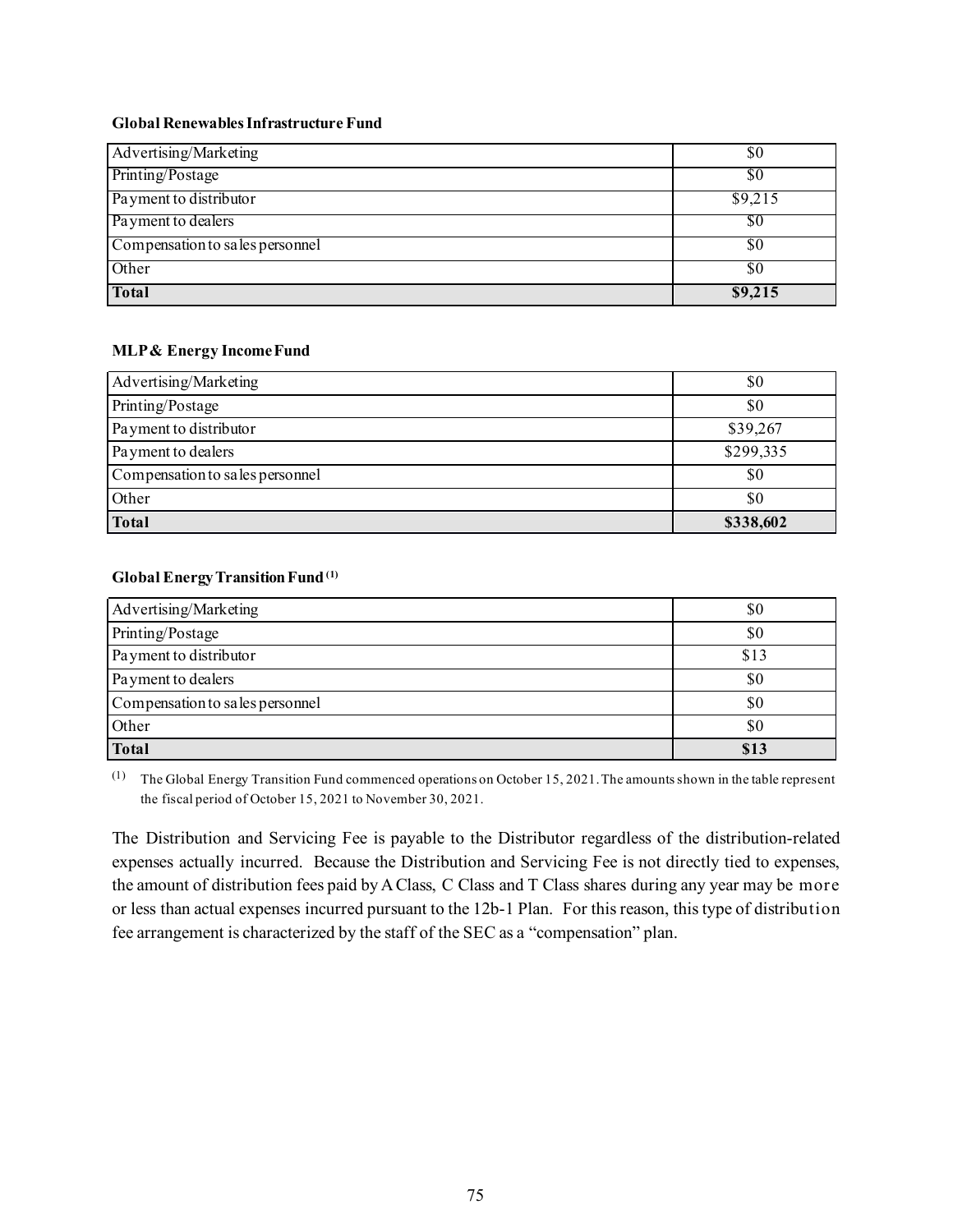#### **Global Renewables Infrastructure Fund**

| Advertising/Marketing           | \$0     |
|---------------------------------|---------|
| Printing/Postage                | \$0     |
| Payment to distributor          | \$9,215 |
| Payment to dealers              | YC.     |
| Compensation to sales personnel | \$0     |
| Other                           | \$0     |
| <b>Total</b>                    | \$9,215 |

### **MLP & Energy Income Fund**

| Advertising/Marketing           | \$0       |
|---------------------------------|-----------|
| Printing/Postage                | \$0       |
| Payment to distributor          | \$39,267  |
| Payment to dealers              | \$299,335 |
| Compensation to sales personnel | \$0       |
| Other                           | \$0       |
| <b>Total</b>                    | \$338,602 |

### **Global Energy Transition Fund (1)**

| Advertising/Marketing           | \$0  |
|---------------------------------|------|
| Printing/Postage                | \$0  |
| Payment to distributor          | \$13 |
| Payment to dealers              | \$0  |
| Compensation to sales personnel | \$0  |
| Other                           | \$0  |
| <b>Total</b>                    | \$13 |

 $(1)$  The Global Energy Transition Fund commenced operations on October 15, 2021. The amounts shown in the table represent the fiscal period of October 15, 2021 to November 30, 2021.

The Distribution and Servicing Fee is payable to the Distributor regardless of the distribution-related expenses actually incurred. Because the Distribution and Servicing Fee is not directly tied to expenses, the amount of distribution fees paid by A Class, C Class and T Class shares during any year may be more or less than actual expenses incurred pursuant to the 12b-1 Plan. For this reason, this type of distribution fee arrangement is characterized by the staff of the SEC as a "compensation" plan.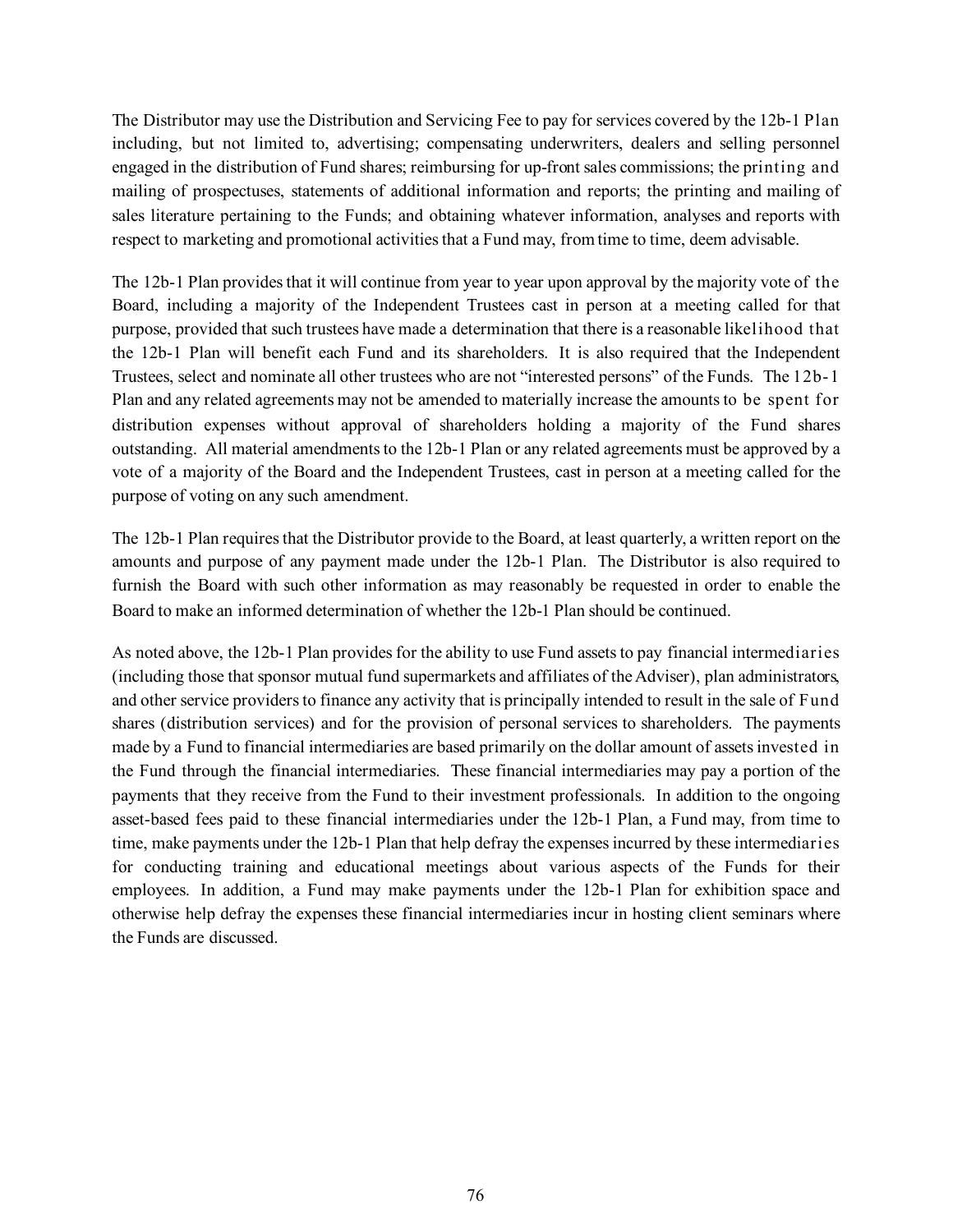The Distributor may use the Distribution and Servicing Fee to pay for services covered by the 12b-1 Plan including, but not limited to, advertising; compensating underwriters, dealers and selling personnel engaged in the distribution of Fund shares; reimbursing for up-front sales commissions; the printing and mailing of prospectuses, statements of additional information and reports; the printing and mailing of sales literature pertaining to the Funds; and obtaining whatever information, analyses and reports with respect to marketing and promotional activities that a Fund may, from time to time, deem advisable.

The 12b-1 Plan provides that it will continue from year to year upon approval by the majority vote of the Board, including a majority of the Independent Trustees cast in person at a meeting called for that purpose, provided that such trustees have made a determination that there is a reasonable likelihood that the 12b-1 Plan will benefit each Fund and its shareholders. It is also required that the Independent Trustees, select and nominate all other trustees who are not "interested persons" of the Funds. The 12b-1 Plan and any related agreements may not be amended to materially increase the amounts to be spent for distribution expenses without approval of shareholders holding a majority of the Fund shares outstanding. All material amendments to the 12b-1 Plan or any related agreements must be approved by a vote of a majority of the Board and the Independent Trustees, cast in person at a meeting called for the purpose of voting on any such amendment.

The 12b-1 Plan requires that the Distributor provide to the Board, at least quarterly, a written report on the amounts and purpose of any payment made under the 12b-1 Plan. The Distributor is also required to furnish the Board with such other information as may reasonably be requested in order to enable the Board to make an informed determination of whether the 12b-1 Plan should be continued.

As noted above, the 12b-1 Plan provides for the ability to use Fund assets to pay financial intermediaries (including those that sponsor mutual fund supermarkets and affiliates of the Adviser), plan administrators, and other service providers to finance any activity that is principally intended to result in the sale of Fund shares (distribution services) and for the provision of personal services to shareholders. The payments made by a Fund to financial intermediaries are based primarily on the dollar amount of assets invested in the Fund through the financial intermediaries. These financial intermediaries may pay a portion of the payments that they receive from the Fund to their investment professionals. In addition to the ongoing asset-based fees paid to these financial intermediaries under the 12b-1 Plan, a Fund may, from time to time, make payments under the 12b-1 Plan that help defray the expenses incurred by these intermediaries for conducting training and educational meetings about various aspects of the Funds for their employees. In addition, a Fund may make payments under the 12b-1 Plan for exhibition space and otherwise help defray the expenses these financial intermediaries incur in hosting client seminars where the Funds are discussed.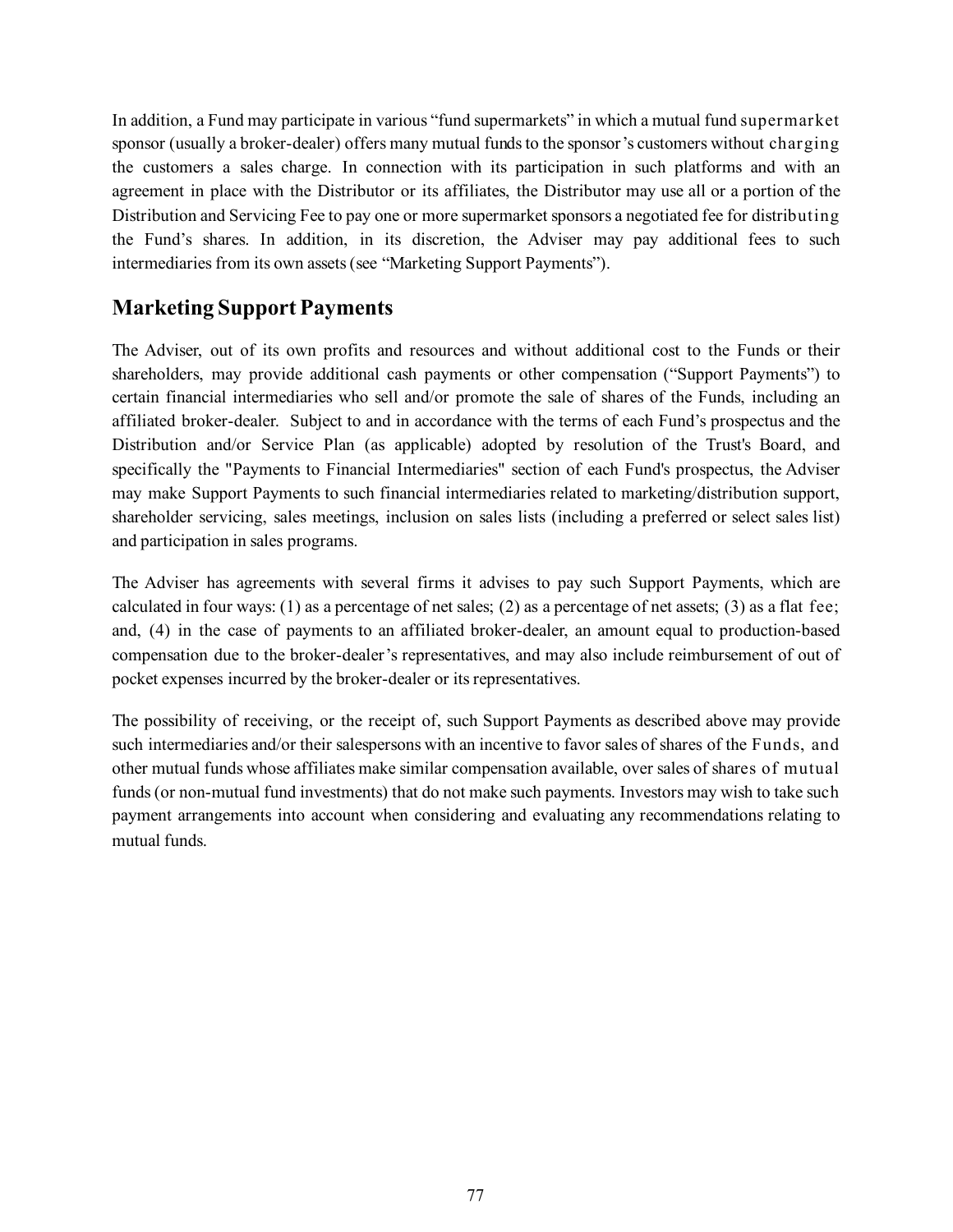In addition, a Fund may participate in various "fund supermarkets" in which a mutual fund supermarket sponsor (usually a broker-dealer) offers many mutual funds to the sponsor's customers without charging the customers a sales charge. In connection with its participation in such platforms and with an agreement in place with the Distributor or its affiliates, the Distributor may use all or a portion of the Distribution and Servicing Fee to pay one or more supermarket sponsors a negotiated fee for distributing the Fund's shares. In addition, in its discretion, the Adviser may pay additional fees to such intermediaries from its own assets (see "Marketing Support Payments").

# **Marketing Support Payments**

The Adviser, out of its own profits and resources and without additional cost to the Funds or their shareholders, may provide additional cash payments or other compensation ("Support Payments") to certain financial intermediaries who sell and/or promote the sale of shares of the Funds, including an affiliated broker-dealer. Subject to and in accordance with the terms of each Fund's prospectus and the Distribution and/or Service Plan (as applicable) adopted by resolution of the Trust's Board, and specifically the "Payments to Financial Intermediaries" section of each Fund's prospectus, the Adviser may make Support Payments to such financial intermediaries related to marketing/distribution support, shareholder servicing, sales meetings, inclusion on sales lists (including a preferred or select sales list) and participation in sales programs.

The Adviser has agreements with several firms it advises to pay such Support Payments, which are calculated in four ways: (1) as a percentage of net sales; (2) as a percentage of net assets; (3) as a flat fee; and, (4) in the case of payments to an affiliated broker-dealer, an amount equal to production-based compensation due to the broker-dealer's representatives, and may also include reimbursement of out of pocket expenses incurred by the broker-dealer or its representatives.

The possibility of receiving, or the receipt of, such Support Payments as described above may provide such intermediaries and/or their salespersons with an incentive to favor sales of shares of the Funds, and other mutual funds whose affiliates make similar compensation available, over sales of shares of mutual funds (or non-mutual fund investments) that do not make such payments. Investors may wish to take such payment arrangements into account when considering and evaluating any recommendations relating to mutual funds.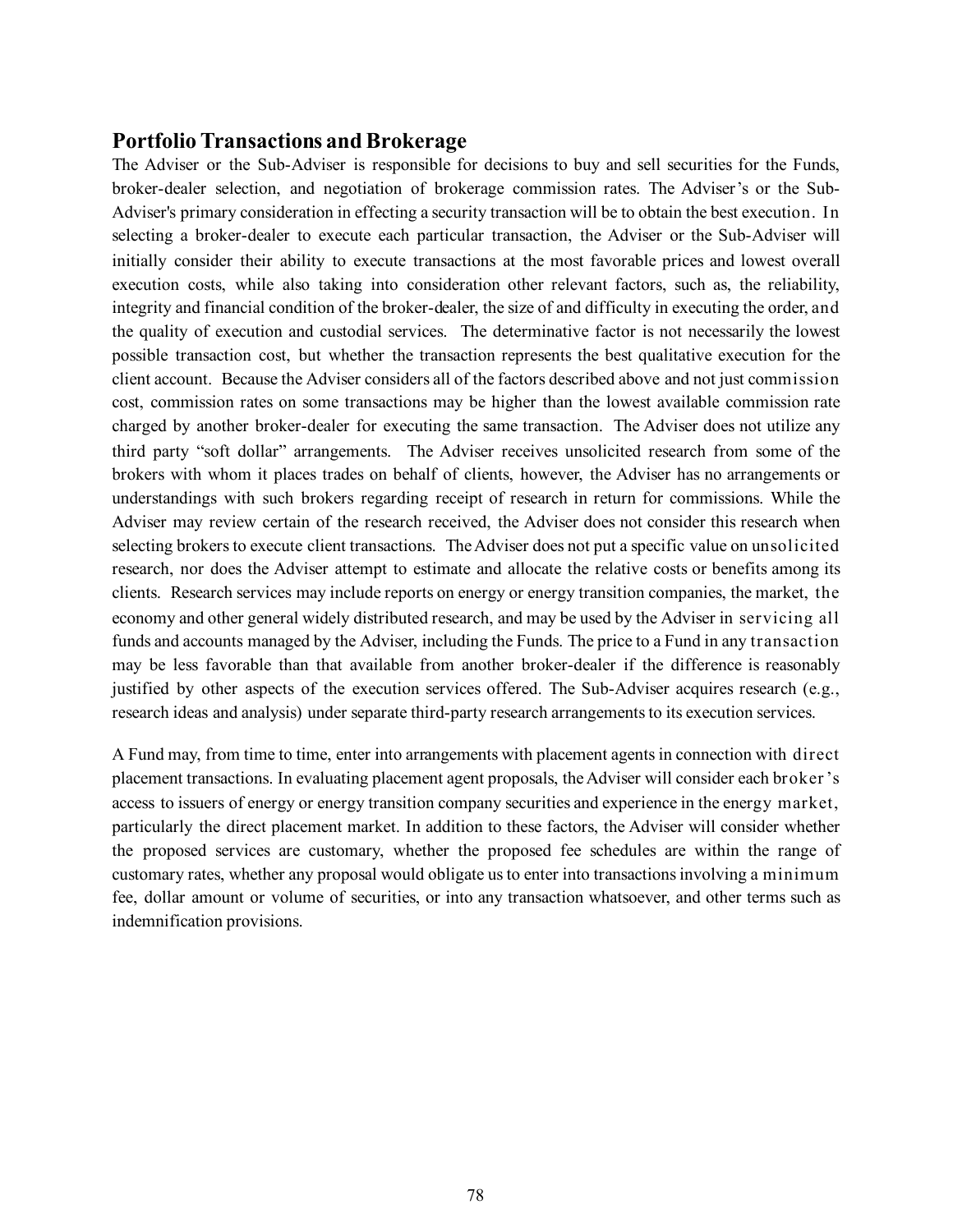### **Portfolio Transactions and Brokerage**

The Adviser or the Sub-Adviser is responsible for decisions to buy and sell securities for the Funds, broker-dealer selection, and negotiation of brokerage commission rates. The Adviser's or the Sub-Adviser's primary consideration in effecting a security transaction will be to obtain the best execution. In selecting a broker-dealer to execute each particular transaction, the Adviser or the Sub-Adviser will initially consider their ability to execute transactions at the most favorable prices and lowest overall execution costs, while also taking into consideration other relevant factors, such as, the reliability, integrity and financial condition of the broker-dealer, the size of and difficulty in executing the order, and the quality of execution and custodial services. The determinative factor is not necessarily the lowest possible transaction cost, but whether the transaction represents the best qualitative execution for the client account. Because the Adviser considers all of the factors described above and not just commission cost, commission rates on some transactions may be higher than the lowest available commission rate charged by another broker-dealer for executing the same transaction. The Adviser does not utilize any third party "soft dollar" arrangements. The Adviser receives unsolicited research from some of the brokers with whom it places trades on behalf of clients, however, the Adviser has no arrangements or understandings with such brokers regarding receipt of research in return for commissions. While the Adviser may review certain of the research received, the Adviser does not consider this research when selecting brokers to execute client transactions. The Adviser does not put a specific value on unsolicited research, nor does the Adviser attempt to estimate and allocate the relative costs or benefits among its clients. Research services may include reports on energy or energy transition companies, the market, the economy and other general widely distributed research, and may be used by the Adviser in servicing all funds and accounts managed by the Adviser, including the Funds. The price to a Fund in any transaction may be less favorable than that available from another broker-dealer if the difference is reasonably justified by other aspects of the execution services offered. The Sub-Adviser acquires research (e.g., research ideas and analysis) under separate third-party research arrangements to its execution services.

A Fund may, from time to time, enter into arrangements with placement agents in connection with direct placement transactions. In evaluating placement agent proposals, the Adviser will consider each broker 's access to issuers of energy or energy transition company securities and experience in the energy market, particularly the direct placement market. In addition to these factors, the Adviser will consider whether the proposed services are customary, whether the proposed fee schedules are within the range of customary rates, whether any proposal would obligate us to enter into transactions involving a minimum fee, dollar amount or volume of securities, or into any transaction whatsoever, and other terms such as indemnification provisions.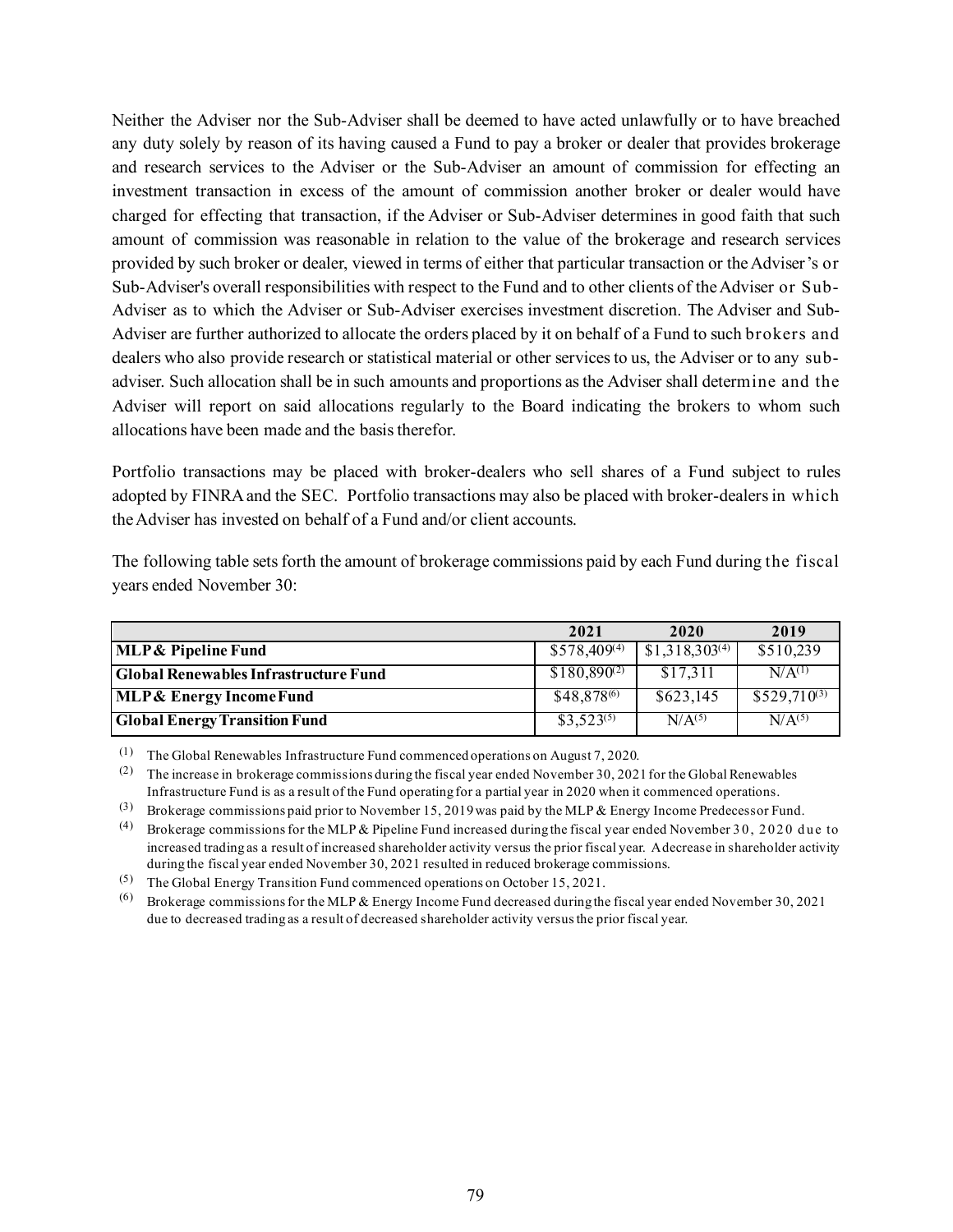Neither the Adviser nor the Sub-Adviser shall be deemed to have acted unlawfully or to have breached any duty solely by reason of its having caused a Fund to pay a broker or dealer that provides brokerage and research services to the Adviser or the Sub-Adviser an amount of commission for effecting an investment transaction in excess of the amount of commission another broker or dealer would have charged for effecting that transaction, if the Adviser or Sub-Adviser determines in good faith that such amount of commission was reasonable in relation to the value of the brokerage and research services provided by such broker or dealer, viewed in terms of either that particular transaction or the Adviser's or Sub-Adviser's overall responsibilities with respect to the Fund and to other clients of the Adviser or Sub-Adviser as to which the Adviser or Sub-Adviser exercises investment discretion. The Adviser and Sub-Adviser are further authorized to allocate the orders placed by it on behalf of a Fund to such brokers and dealers who also provide research or statistical material or other services to us, the Adviser or to any subadviser. Such allocation shall be in such amounts and proportions as the Adviser shall determine and the Adviser will report on said allocations regularly to the Board indicating the brokers to whom such allocations have been made and the basis therefor.

Portfolio transactions may be placed with broker-dealers who sell shares of a Fund subject to rules adopted by FINRA and the SEC. Portfolio transactions may also be placed with broker-dealers in which the Adviser has invested on behalf of a Fund and/or client accounts.

The following table sets forth the amount of brokerage commissions paid by each Fund during the fiscal years ended November 30:

|                                              | 2021                    | 2020               | 2019               |
|----------------------------------------------|-------------------------|--------------------|--------------------|
| <b>MLP &amp; Pipeline Fund</b>               | \$578,409(4)            | $$1,318,303^{(4)}$ | \$510,239          |
| <b>Global Renewables Infrastructure Fund</b> | $$180,890^{(2)}$        | \$17,311           | $N/A^{(1)}$        |
| <b>MLP&amp; Energy Income Fund</b>           | \$48,878 <sup>(6)</sup> | \$623,145          | $$529,710^{(3)}$   |
| <b>Global Energy Transition Fund</b>         | $$3,523^{(5)}$$         | N/A <sup>(5)</sup> | N/A <sup>(5)</sup> |

(1) The Global Renewables Infrastructure Fund commenced operations on August 7, 2020.

(2) The increase in brokerage commissions during the fiscal year ended November 30, 2021 for the Global Renewables Infrastructure Fund is as a result of the Fund operating for a partial year in 2020 when it commenced operations.

(3) Brokerage commissions paid prior to November 15, 2019 was paid by the MLP & Energy Income Predecessor Fund.

(4) Brokerage commissions for the MLP & Pipeline Fund increased during the fiscal year ended November 30, 2020 due to increased trading as a result of increased shareholder activity versus the prior fiscal year. A decrease in shareholder activity during the fiscal year ended November 30, 2021 resulted in reduced brokerage commissions.

(5) The Global Energy Transition Fund commenced operations on October 15, 2021.

(6) Brokerage commissions for the MLP & Energy Income Fund decreased during the fiscal year ended November 30, 2021 due to decreased trading as a result of decreased shareholder activity versus the prior fiscal year.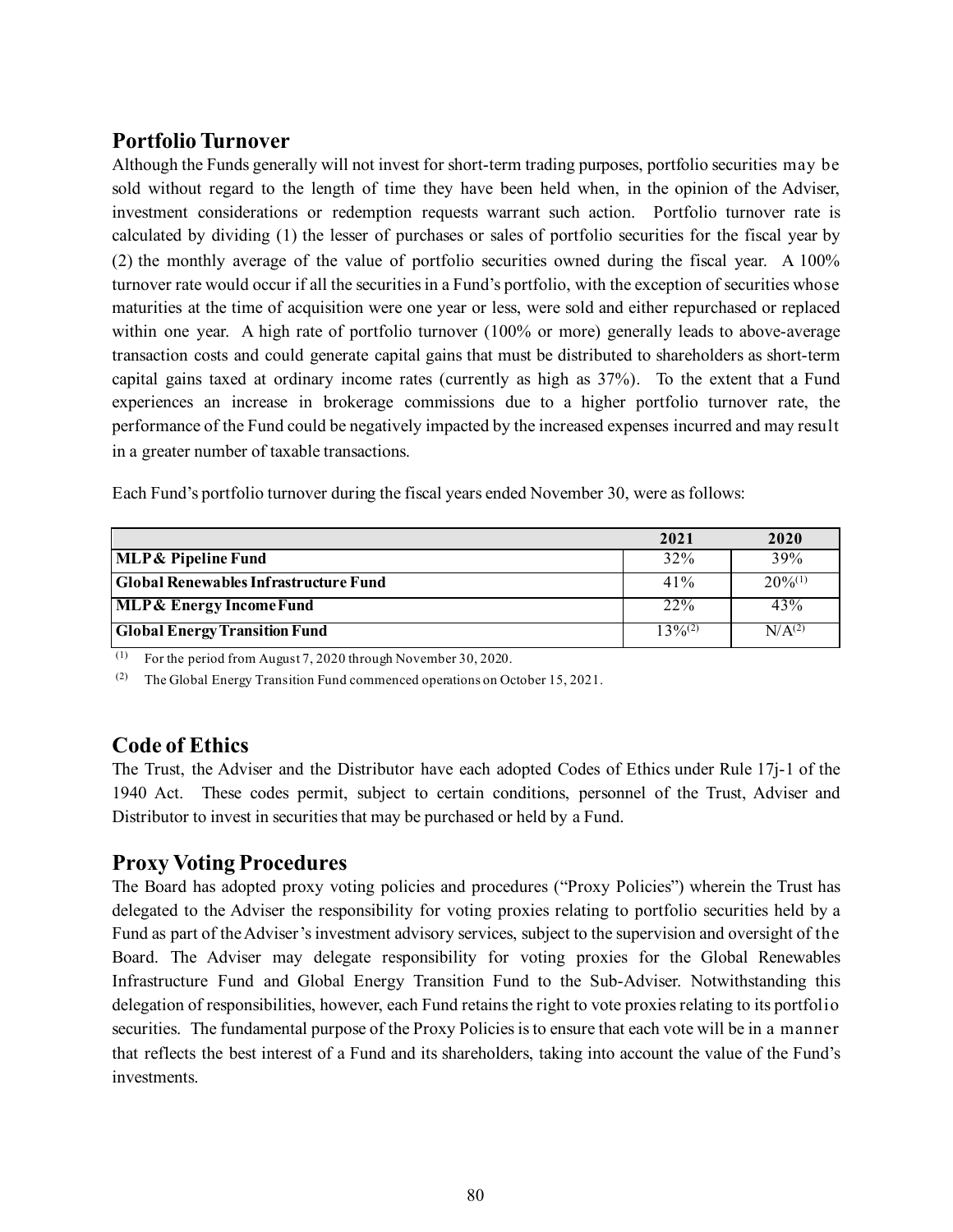## **Portfolio Turnover**

Although the Funds generally will not invest for short-term trading purposes, portfolio securities may be sold without regard to the length of time they have been held when, in the opinion of the Adviser, investment considerations or redemption requests warrant such action. Portfolio turnover rate is calculated by dividing (1) the lesser of purchases or sales of portfolio securities for the fiscal year by (2) the monthly average of the value of portfolio securities owned during the fiscal year. A 100% turnover rate would occur if all the securities in a Fund's portfolio, with the exception of securities whose maturities at the time of acquisition were one year or less, were sold and either repurchased or replaced within one year. A high rate of portfolio turnover (100% or more) generally leads to above-average transaction costs and could generate capital gains that must be distributed to shareholders as short-term capital gains taxed at ordinary income rates (currently as high as 37%). To the extent that a Fund experiences an increase in brokerage commissions due to a higher portfolio turnover rate, the performance of the Fund could be negatively impacted by the increased expenses incurred and may result in a greater number of taxable transactions.

|                                       | 2021      | 2020               |
|---------------------------------------|-----------|--------------------|
| <b>MLP &amp; Pipeline Fund</b>        | 32%       | 39%                |
| Global Renewables Infrastructure Fund | $41\%$    | $20\%^{(1)}$       |
| <b>MLP &amp; Energy Income Fund</b>   | $22\%$    | 43%                |
| <b>Global Energy Transition Fund</b>  | $13\%/2)$ | N/A <sup>(2)</sup> |

Each Fund's portfolio turnover during the fiscal years ended November 30, were as follows:

(1) For the period from August 7, 2020 through November 30, 2020.

(2) The Global Energy Transition Fund commenced operations on October 15, 2021.

## **Code of Ethics**

The Trust, the Adviser and the Distributor have each adopted Codes of Ethics under Rule 17j-1 of the 1940 Act. These codes permit, subject to certain conditions, personnel of the Trust, Adviser and Distributor to invest in securities that may be purchased or held by a Fund.

# **Proxy Voting Procedures**

The Board has adopted proxy voting policies and procedures ("Proxy Policies") wherein the Trust has delegated to the Adviser the responsibility for voting proxies relating to portfolio securities held by a Fund as part of the Adviser's investment advisory services, subject to the supervision and oversight of the Board. The Adviser may delegate responsibility for voting proxies for the Global Renewables Infrastructure Fund and Global Energy Transition Fund to the Sub-Adviser. Notwithstanding this delegation of responsibilities, however, each Fund retains the right to vote proxies relating to its portfolio securities. The fundamental purpose of the Proxy Policies is to ensure that each vote will be in a manner that reflects the best interest of a Fund and its shareholders, taking into account the value of the Fund's investments.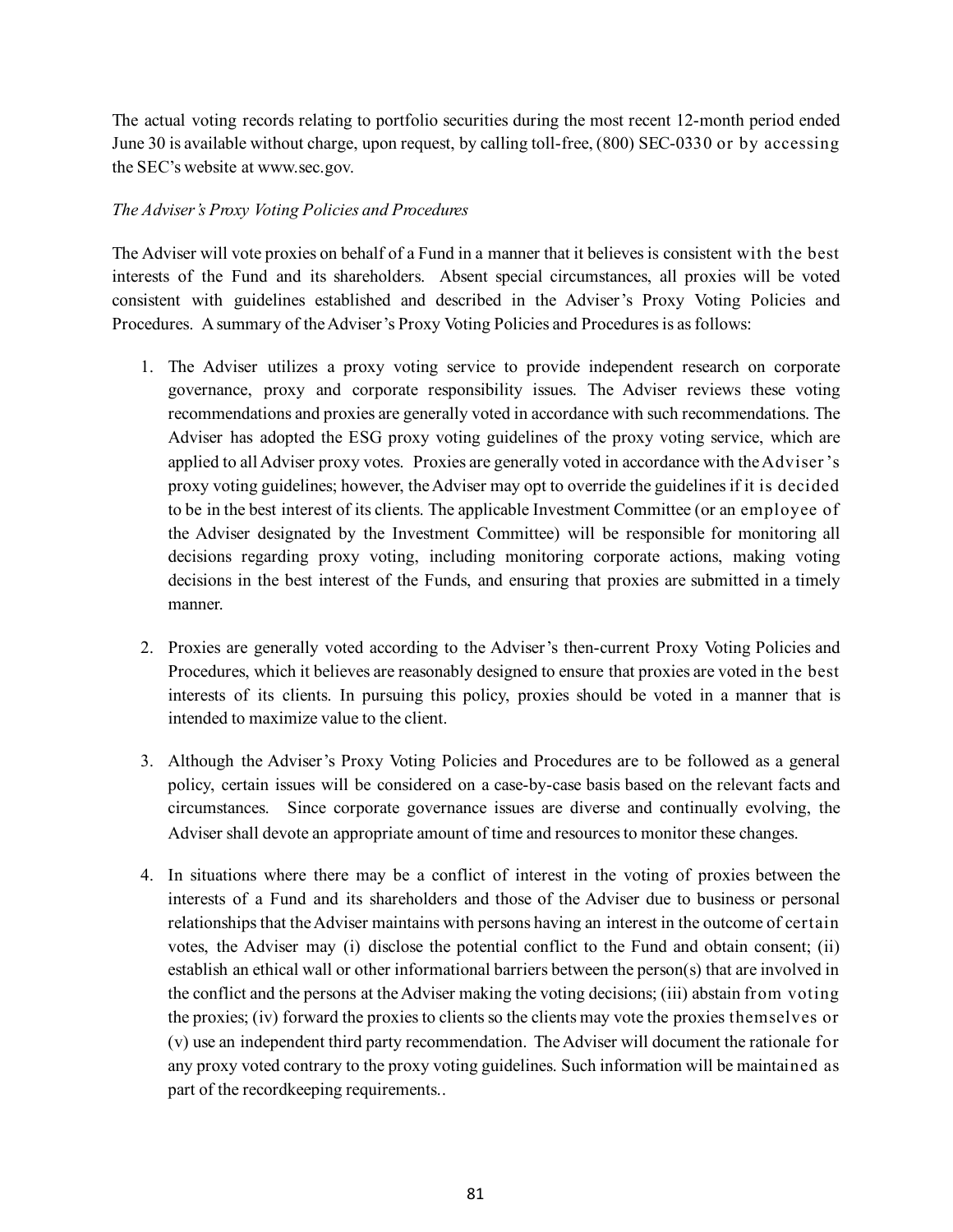The actual voting records relating to portfolio securities during the most recent 12-month period ended June 30 is available without charge, upon request, by calling toll-free, (800) SEC-0330 or by accessing the SEC's website at www.sec.gov.

### *The Adviser's Proxy Voting Policies and Procedures*

The Adviser will vote proxies on behalf of a Fund in a manner that it believes is consistent with the best interests of the Fund and its shareholders. Absent special circumstances, all proxies will be voted consistent with guidelines established and described in the Adviser's Proxy Voting Policies and Procedures. A summary of the Adviser's Proxy Voting Policies and Procedures is as follows:

- 1. The Adviser utilizes a proxy voting service to provide independent research on corporate governance, proxy and corporate responsibility issues. The Adviser reviews these voting recommendations and proxies are generally voted in accordance with such recommendations. The Adviser has adopted the ESG proxy voting guidelines of the proxy voting service, which are applied to all Adviser proxy votes. Proxies are generally voted in accordance with the Adviser 's proxy voting guidelines; however, the Adviser may opt to override the guidelines if it is decided to be in the best interest of its clients. The applicable Investment Committee (or an employee of the Adviser designated by the Investment Committee) will be responsible for monitoring all decisions regarding proxy voting, including monitoring corporate actions, making voting decisions in the best interest of the Funds, and ensuring that proxies are submitted in a timely manner.
- 2. Proxies are generally voted according to the Adviser's then-current Proxy Voting Policies and Procedures, which it believes are reasonably designed to ensure that proxies are voted in the best interests of its clients. In pursuing this policy, proxies should be voted in a manner that is intended to maximize value to the client.
- 3. Although the Adviser's Proxy Voting Policies and Procedures are to be followed as a general policy, certain issues will be considered on a case-by-case basis based on the relevant facts and circumstances. Since corporate governance issues are diverse and continually evolving, the Adviser shall devote an appropriate amount of time and resources to monitor these changes.
- 4. In situations where there may be a conflict of interest in the voting of proxies between the interests of a Fund and its shareholders and those of the Adviser due to business or personal relationships that the Adviser maintains with persons having an interest in the outcome of certain votes, the Adviser may (i) disclose the potential conflict to the Fund and obtain consent; (ii) establish an ethical wall or other informational barriers between the person(s) that are involved in the conflict and the persons at the Adviser making the voting decisions; (iii) abstain from voting the proxies; (iv) forward the proxies to clients so the clients may vote the proxies themselves or (v) use an independent third party recommendation. The Adviser will document the rationale for any proxy voted contrary to the proxy voting guidelines. Such information will be maintained as part of the recordkeeping requirements..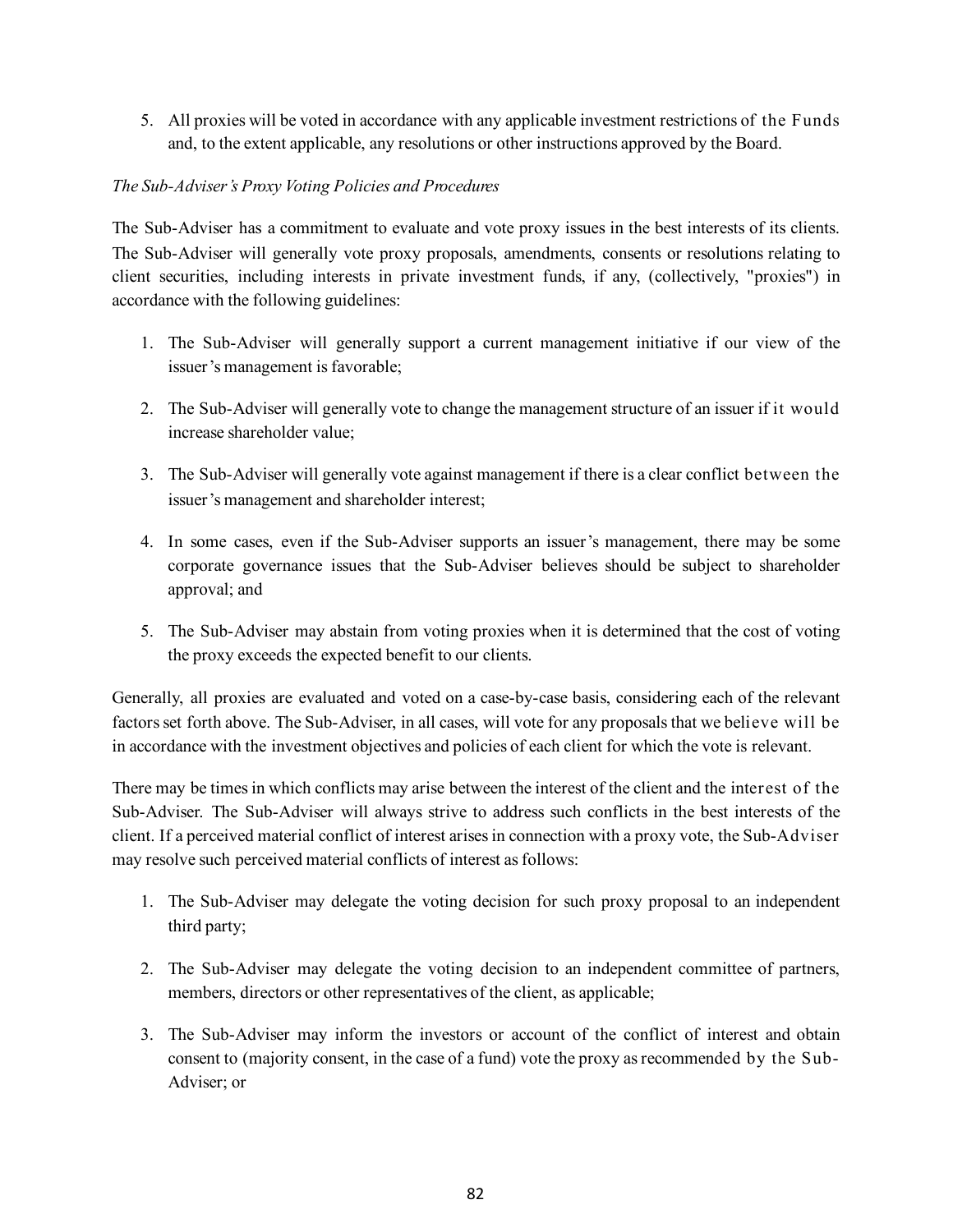5. All proxies will be voted in accordance with any applicable investment restrictions of the Funds and, to the extent applicable, any resolutions or other instructions approved by the Board.

### *The Sub-Adviser's Proxy Voting Policies and Procedures*

The Sub-Adviser has a commitment to evaluate and vote proxy issues in the best interests of its clients. The Sub-Adviser will generally vote proxy proposals, amendments, consents or resolutions relating to client securities, including interests in private investment funds, if any, (collectively, "proxies") in accordance with the following guidelines:

- 1. The Sub-Adviser will generally support a current management initiative if our view of the issuer's management is favorable;
- 2. The Sub-Adviser will generally vote to change the management structure of an issuer if it would increase shareholder value;
- 3. The Sub-Adviser will generally vote against management if there is a clear conflict between the issuer's management and shareholder interest;
- 4. In some cases, even if the Sub-Adviser supports an issuer's management, there may be some corporate governance issues that the Sub-Adviser believes should be subject to shareholder approval; and
- 5. The Sub-Adviser may abstain from voting proxies when it is determined that the cost of voting the proxy exceeds the expected benefit to our clients.

Generally, all proxies are evaluated and voted on a case-by-case basis, considering each of the relevant factors set forth above. The Sub-Adviser, in all cases, will vote for any proposals that we believe will be in accordance with the investment objectives and policies of each client for which the vote is relevant.

There may be times in which conflicts may arise between the interest of the client and the interest of the Sub-Adviser. The Sub-Adviser will always strive to address such conflicts in the best interests of the client. If a perceived material conflict of interest arises in connection with a proxy vote, the Sub-Adviser may resolve such perceived material conflicts of interest as follows:

- 1. The Sub-Adviser may delegate the voting decision for such proxy proposal to an independent third party;
- 2. The Sub-Adviser may delegate the voting decision to an independent committee of partners, members, directors or other representatives of the client, as applicable;
- 3. The Sub-Adviser may inform the investors or account of the conflict of interest and obtain consent to (majority consent, in the case of a fund) vote the proxy as recommended by the Sub-Adviser; or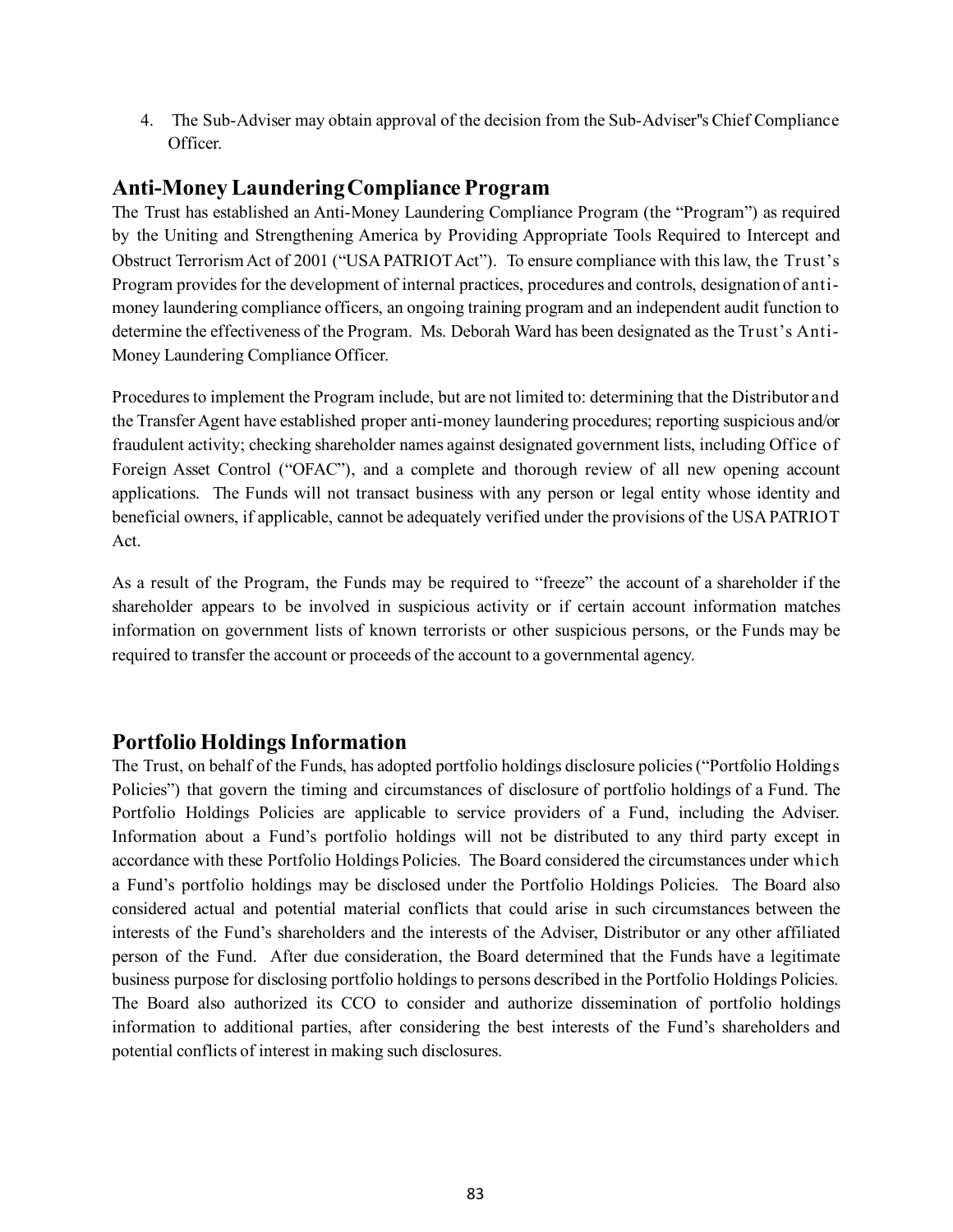4. The Sub-Adviser may obtain approval of the decision from the Sub-Adviser''s Chief Compliance Officer.

## **Anti-Money Laundering Compliance Program**

The Trust has established an Anti-Money Laundering Compliance Program (the "Program") as required by the Uniting and Strengthening America by Providing Appropriate Tools Required to Intercept and Obstruct Terrorism Act of 2001 ("USA PATRIOT Act"). To ensure compliance with this law, the Trust's Program provides for the development of internal practices, procedures and controls, designation of antimoney laundering compliance officers, an ongoing training program and an independent audit function to determine the effectiveness of the Program. Ms. Deborah Ward has been designated as the Trust's Anti-Money Laundering Compliance Officer.

Procedures to implement the Program include, but are not limited to: determining that the Distributor and the Transfer Agent have established proper anti-money laundering procedures; reporting suspicious and/or fraudulent activity; checking shareholder names against designated government lists, including Office of Foreign Asset Control ("OFAC"), and a complete and thorough review of all new opening account applications. The Funds will not transact business with any person or legal entity whose identity and beneficial owners, if applicable, cannot be adequately verified under the provisions of the USA PATRIOT Act.

As a result of the Program, the Funds may be required to "freeze" the account of a shareholder if the shareholder appears to be involved in suspicious activity or if certain account information matches information on government lists of known terrorists or other suspicious persons, or the Funds may be required to transfer the account or proceeds of the account to a governmental agency.

## **Portfolio Holdings Information**

The Trust, on behalf of the Funds, has adopted portfolio holdings disclosure policies ("Portfolio Holdings Policies") that govern the timing and circumstances of disclosure of portfolio holdings of a Fund. The Portfolio Holdings Policies are applicable to service providers of a Fund, including the Adviser. Information about a Fund's portfolio holdings will not be distributed to any third party except in accordance with these Portfolio Holdings Policies. The Board considered the circumstances under which a Fund's portfolio holdings may be disclosed under the Portfolio Holdings Policies. The Board also considered actual and potential material conflicts that could arise in such circumstances between the interests of the Fund's shareholders and the interests of the Adviser, Distributor or any other affiliated person of the Fund. After due consideration, the Board determined that the Funds have a legitimate business purpose for disclosing portfolio holdings to persons described in the Portfolio Holdings Policies. The Board also authorized its CCO to consider and authorize dissemination of portfolio holdings information to additional parties, after considering the best interests of the Fund's shareholders and potential conflicts of interest in making such disclosures.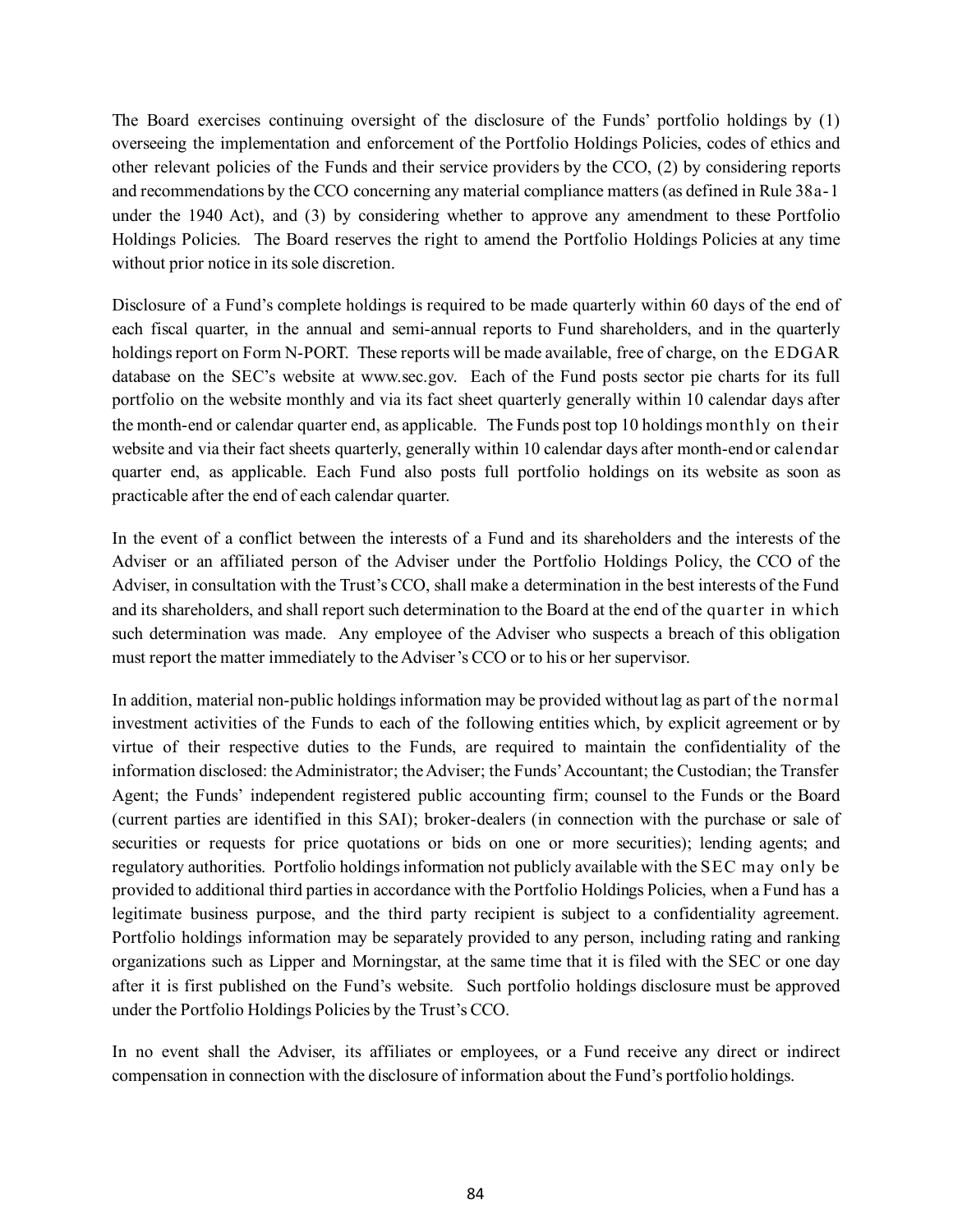The Board exercises continuing oversight of the disclosure of the Funds' portfolio holdings by (1) overseeing the implementation and enforcement of the Portfolio Holdings Policies, codes of ethics and other relevant policies of the Funds and their service providers by the CCO, (2) by considering reports and recommendations by the CCO concerning any material compliance matters (as defined in Rule 38a-1 under the 1940 Act), and (3) by considering whether to approve any amendment to these Portfolio Holdings Policies. The Board reserves the right to amend the Portfolio Holdings Policies at any time without prior notice in its sole discretion.

Disclosure of a Fund's complete holdings is required to be made quarterly within 60 days of the end of each fiscal quarter, in the annual and semi-annual reports to Fund shareholders, and in the quarterly holdings report on Form N-PORT. These reports will be made available, free of charge, on the EDGAR database on the SEC's website at www.sec.gov. Each of the Fund posts sector pie charts for its full portfolio on the website monthly and via its fact sheet quarterly generally within 10 calendar days after the month-end or calendar quarter end, as applicable. The Funds post top 10 holdings monthly on their website and via their fact sheets quarterly, generally within 10 calendar days after month-end or calendar quarter end, as applicable. Each Fund also posts full portfolio holdings on its website as soon as practicable after the end of each calendar quarter.

In the event of a conflict between the interests of a Fund and its shareholders and the interests of the Adviser or an affiliated person of the Adviser under the Portfolio Holdings Policy, the CCO of the Adviser, in consultation with the Trust's CCO, shall make a determination in the best interests of the Fund and its shareholders, and shall report such determination to the Board at the end of the quarter in which such determination was made. Any employee of the Adviser who suspects a breach of this obligation must report the matter immediately to the Adviser's CCO or to his or her supervisor.

In addition, material non-public holdings information may be provided without lag as part of the normal investment activities of the Funds to each of the following entities which, by explicit agreement or by virtue of their respective duties to the Funds, are required to maintain the confidentiality of the information disclosed: the Administrator; the Adviser; the Funds' Accountant; the Custodian; the Transfer Agent; the Funds' independent registered public accounting firm; counsel to the Funds or the Board (current parties are identified in this SAI); broker-dealers (in connection with the purchase or sale of securities or requests for price quotations or bids on one or more securities); lending agents; and regulatory authorities. Portfolio holdings information not publicly available with the SEC may only be provided to additional third parties in accordance with the Portfolio Holdings Policies, when a Fund has a legitimate business purpose, and the third party recipient is subject to a confidentiality agreement. Portfolio holdings information may be separately provided to any person, including rating and ranking organizations such as Lipper and Morningstar, at the same time that it is filed with the SEC or one day after it is first published on the Fund's website. Such portfolio holdings disclosure must be approved under the Portfolio Holdings Policies by the Trust's CCO.

In no event shall the Adviser, its affiliates or employees, or a Fund receive any direct or indirect compensation in connection with the disclosure of information about the Fund's portfolio holdings.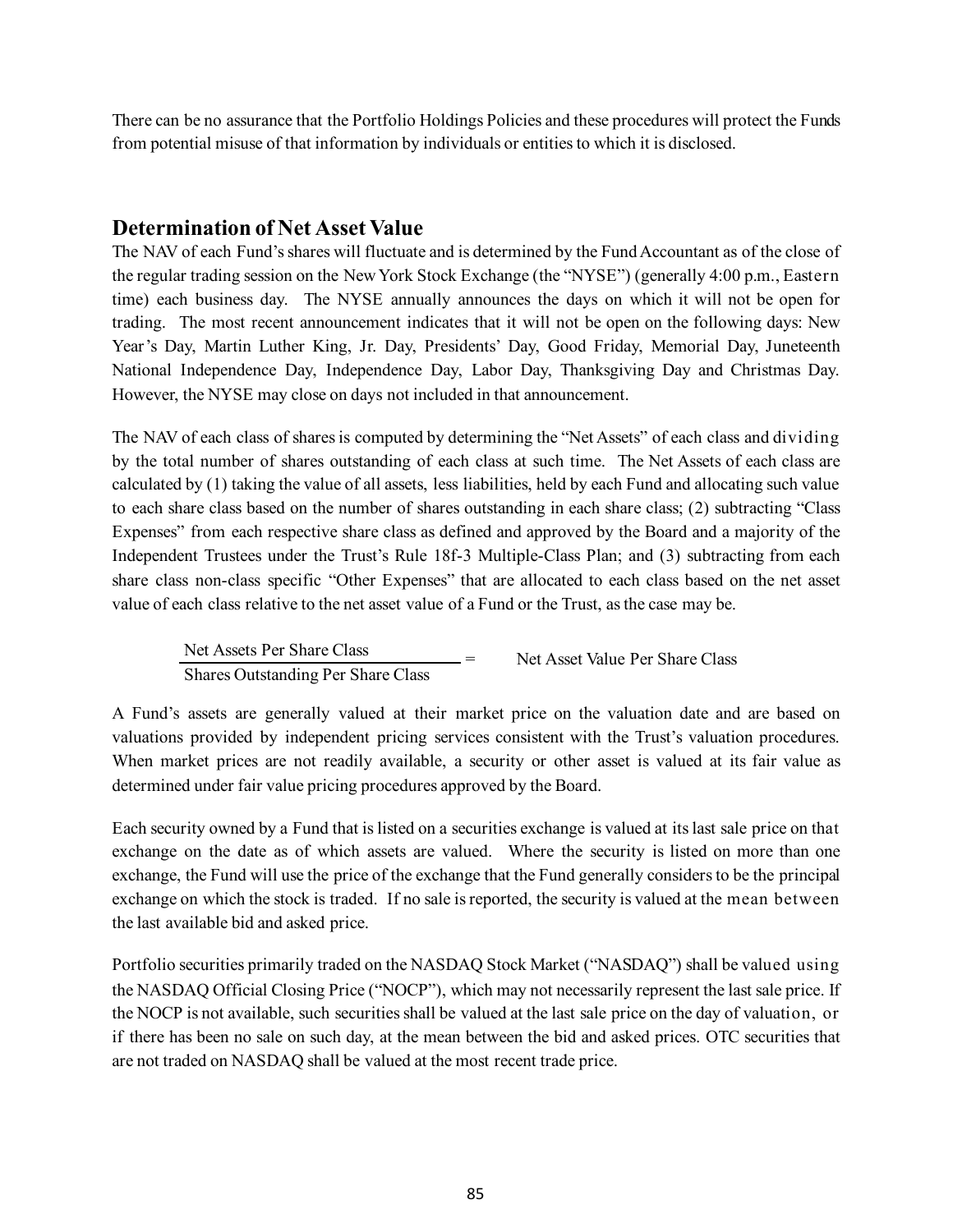There can be no assurance that the Portfolio Holdings Policies and these procedures will protect the Funds from potential misuse of that information by individuals or entities to which it is disclosed.

# **Determination of Net Asset Value**

The NAV of each Fund's shares will fluctuate and is determined by the Fund Accountant as of the close of the regular trading session on the New York Stock Exchange (the "NYSE") (generally 4:00 p.m., Eastern time) each business day. The NYSE annually announces the days on which it will not be open for trading. The most recent announcement indicates that it will not be open on the following days: New Year's Day, Martin Luther King, Jr. Day, Presidents' Day, Good Friday, Memorial Day, Juneteenth National Independence Day, Independence Day, Labor Day, Thanksgiving Day and Christmas Day. However, the NYSE may close on days not included in that announcement.

The NAV of each class of shares is computed by determining the "Net Assets" of each class and dividing by the total number of shares outstanding of each class at such time. The Net Assets of each class are calculated by (1) taking the value of all assets, less liabilities, held by each Fund and allocating such value to each share class based on the number of shares outstanding in each share class; (2) subtracting "Class Expenses" from each respective share class as defined and approved by the Board and a majority of the Independent Trustees under the Trust's Rule 18f-3 Multiple-Class Plan; and (3) subtracting from each share class non-class specific "Other Expenses" that are allocated to each class based on the net asset value of each class relative to the net asset value of a Fund or the Trust, as the case may be.

Net Assets Per Share Class  $\frac{1}{1}$  = Net Asset Value Per Share Class Shares Outstanding Per Share Class

A Fund's assets are generally valued at their market price on the valuation date and are based on valuations provided by independent pricing services consistent with the Trust's valuation procedures. When market prices are not readily available, a security or other asset is valued at its fair value as determined under fair value pricing procedures approved by the Board.

Each security owned by a Fund that is listed on a securities exchange is valued at its last sale price on that exchange on the date as of which assets are valued. Where the security is listed on more than one exchange, the Fund will use the price of the exchange that the Fund generally considers to be the principal exchange on which the stock is traded. If no sale is reported, the security is valued at the mean between the last available bid and asked price.

Portfolio securities primarily traded on the NASDAQ Stock Market ("NASDAQ") shall be valued using the NASDAQ Official Closing Price ("NOCP"), which may not necessarily represent the last sale price. If the NOCP is not available, such securities shall be valued at the last sale price on the day of valuation, or if there has been no sale on such day, at the mean between the bid and asked prices. OTC securities that are not traded on NASDAQ shall be valued at the most recent trade price.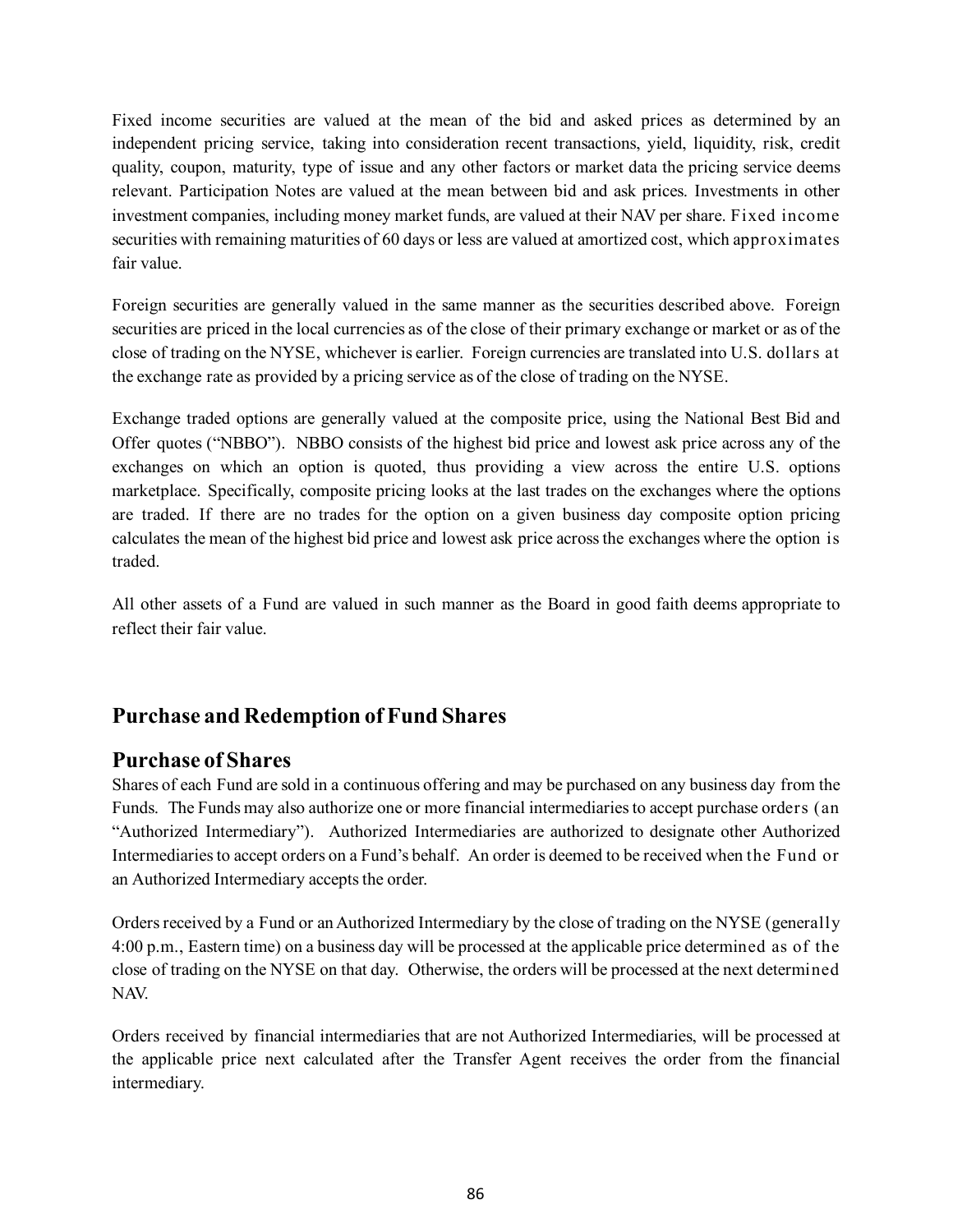Fixed income securities are valued at the mean of the bid and asked prices as determined by an independent pricing service, taking into consideration recent transactions, yield, liquidity, risk, credit quality, coupon, maturity, type of issue and any other factors or market data the pricing service deems relevant. Participation Notes are valued at the mean between bid and ask prices. Investments in other investment companies, including money market funds, are valued at their NAV per share. Fixed income securities with remaining maturities of 60 days or less are valued at amortized cost, which approximates fair value.

Foreign securities are generally valued in the same manner as the securities described above. Foreign securities are priced in the local currencies as of the close of their primary exchange or market or as of the close of trading on the NYSE, whichever is earlier. Foreign currencies are translated into U.S. dollars at the exchange rate as provided by a pricing service as of the close of trading on the NYSE.

Exchange traded options are generally valued at the composite price, using the National Best Bid and Offer quotes ("NBBO"). NBBO consists of the highest bid price and lowest ask price across any of the exchanges on which an option is quoted, thus providing a view across the entire U.S. options marketplace. Specifically, composite pricing looks at the last trades on the exchanges where the options are traded. If there are no trades for the option on a given business day composite option pricing calculates the mean of the highest bid price and lowest ask price across the exchanges where the option is traded.

All other assets of a Fund are valued in such manner as the Board in good faith deems appropriate to reflect their fair value.

# **Purchase and Redemption of Fund Shares**

## **Purchase of Shares**

Shares of each Fund are sold in a continuous offering and may be purchased on any business day from the Funds. The Funds may also authorize one or more financial intermediaries to accept purchase orders (an "Authorized Intermediary"). Authorized Intermediaries are authorized to designate other Authorized Intermediaries to accept orders on a Fund's behalf. An order is deemed to be received when the Fund or an Authorized Intermediary accepts the order.

Orders received by a Fund or an Authorized Intermediary by the close of trading on the NYSE (generally 4:00 p.m., Eastern time) on a business day will be processed at the applicable price determined as of the close of trading on the NYSE on that day. Otherwise, the orders will be processed at the next determined NAV.

Orders received by financial intermediaries that are not Authorized Intermediaries, will be processed at the applicable price next calculated after the Transfer Agent receives the order from the financial intermediary.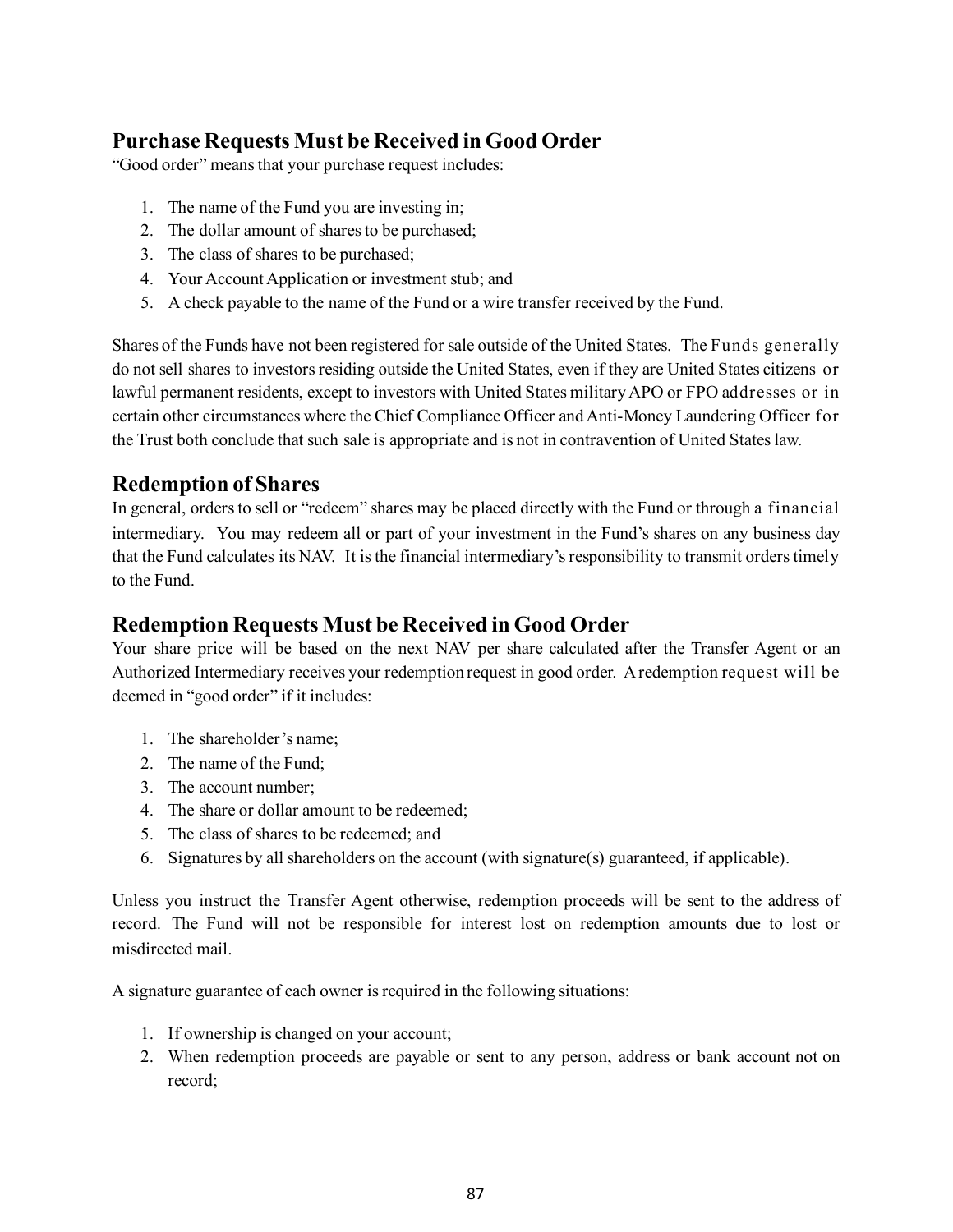# **Purchase Requests Must be Received in Good Order**

"Good order" means that your purchase request includes:

- 1. The name of the Fund you are investing in;
- 2. The dollar amount of shares to be purchased;
- 3. The class of shares to be purchased;
- 4. Your Account Application or investment stub; and
- 5. A check payable to the name of the Fund or a wire transfer received by the Fund.

Shares of the Funds have not been registered for sale outside of the United States. The Funds generally do not sell shares to investors residing outside the United States, even if they are United States citizens or lawful permanent residents, except to investors with United States military APO or FPO addresses or in certain other circumstances where the Chief Compliance Officer and Anti-Money Laundering Officer for the Trust both conclude that such sale is appropriate and is not in contravention of United States law.

## **Redemption of Shares**

In general, orders to sell or "redeem" shares may be placed directly with the Fund or through a financial intermediary. You may redeem all or part of your investment in the Fund's shares on any business day that the Fund calculates its NAV. It is the financial intermediary's responsibility to transmit orders timely to the Fund.

## **Redemption Requests Must be Received in Good Order**

Your share price will be based on the next NAV per share calculated after the Transfer Agent or an Authorized Intermediary receives your redemption request in good order. A redemption request will be deemed in "good order" if it includes:

- 1. The shareholder's name;
- 2. The name of the Fund;
- 3. The account number;
- 4. The share or dollar amount to be redeemed;
- 5. The class of shares to be redeemed; and
- 6. Signatures by all shareholders on the account (with signature(s) guaranteed, if applicable).

Unless you instruct the Transfer Agent otherwise, redemption proceeds will be sent to the address of record. The Fund will not be responsible for interest lost on redemption amounts due to lost or misdirected mail.

A signature guarantee of each owner is required in the following situations:

- 1. If ownership is changed on your account;
- 2. When redemption proceeds are payable or sent to any person, address or bank account not on record;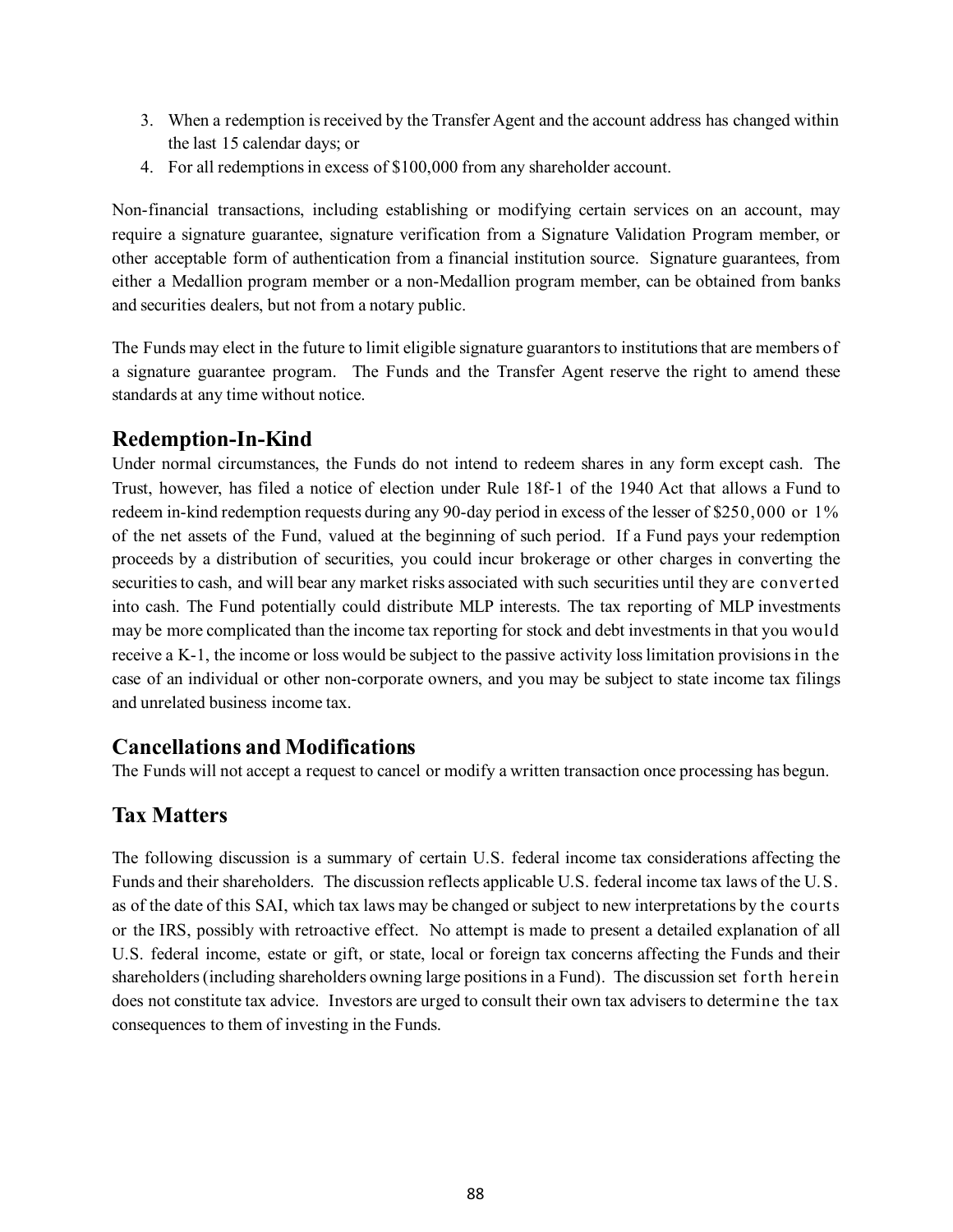- 3. When a redemption is received by the Transfer Agent and the account address has changed within the last 15 calendar days; or
- 4. For all redemptions in excess of \$100,000 from any shareholder account.

Non-financial transactions, including establishing or modifying certain services on an account, may require a signature guarantee, signature verification from a Signature Validation Program member, or other acceptable form of authentication from a financial institution source. Signature guarantees, from either a Medallion program member or a non-Medallion program member, can be obtained from banks and securities dealers, but not from a notary public.

The Funds may elect in the future to limit eligible signature guarantors to institutions that are members of a signature guarantee program. The Funds and the Transfer Agent reserve the right to amend these standards at any time without notice.

# **Redemption-In-Kind**

Under normal circumstances, the Funds do not intend to redeem shares in any form except cash. The Trust, however, has filed a notice of election under Rule 18f-1 of the 1940 Act that allows a Fund to redeem in-kind redemption requests during any 90-day period in excess of the lesser of \$250,000 or 1% of the net assets of the Fund, valued at the beginning of such period. If a Fund pays your redemption proceeds by a distribution of securities, you could incur brokerage or other charges in converting the securities to cash, and will bear any market risks associated with such securities until they are converted into cash. The Fund potentially could distribute MLP interests. The tax reporting of MLP investments may be more complicated than the income tax reporting for stock and debt investments in that you would receive a K-1, the income or loss would be subject to the passive activity loss limitation provisions in the case of an individual or other non-corporate owners, and you may be subject to state income tax filings and unrelated business income tax.

# **Cancellations and Modifications**

The Funds will not accept a request to cancel or modify a written transaction once processing has begun.

# **Tax Matters**

The following discussion is a summary of certain U.S. federal income tax considerations affecting the Funds and their shareholders. The discussion reflects applicable U.S. federal income tax laws of the U.S. as of the date of this SAI, which tax laws may be changed or subject to new interpretations by the courts or the IRS, possibly with retroactive effect. No attempt is made to present a detailed explanation of all U.S. federal income, estate or gift, or state, local or foreign tax concerns affecting the Funds and their shareholders (including shareholders owning large positions in a Fund). The discussion set forth herein does not constitute tax advice. Investors are urged to consult their own tax advisers to determine the tax consequences to them of investing in the Funds.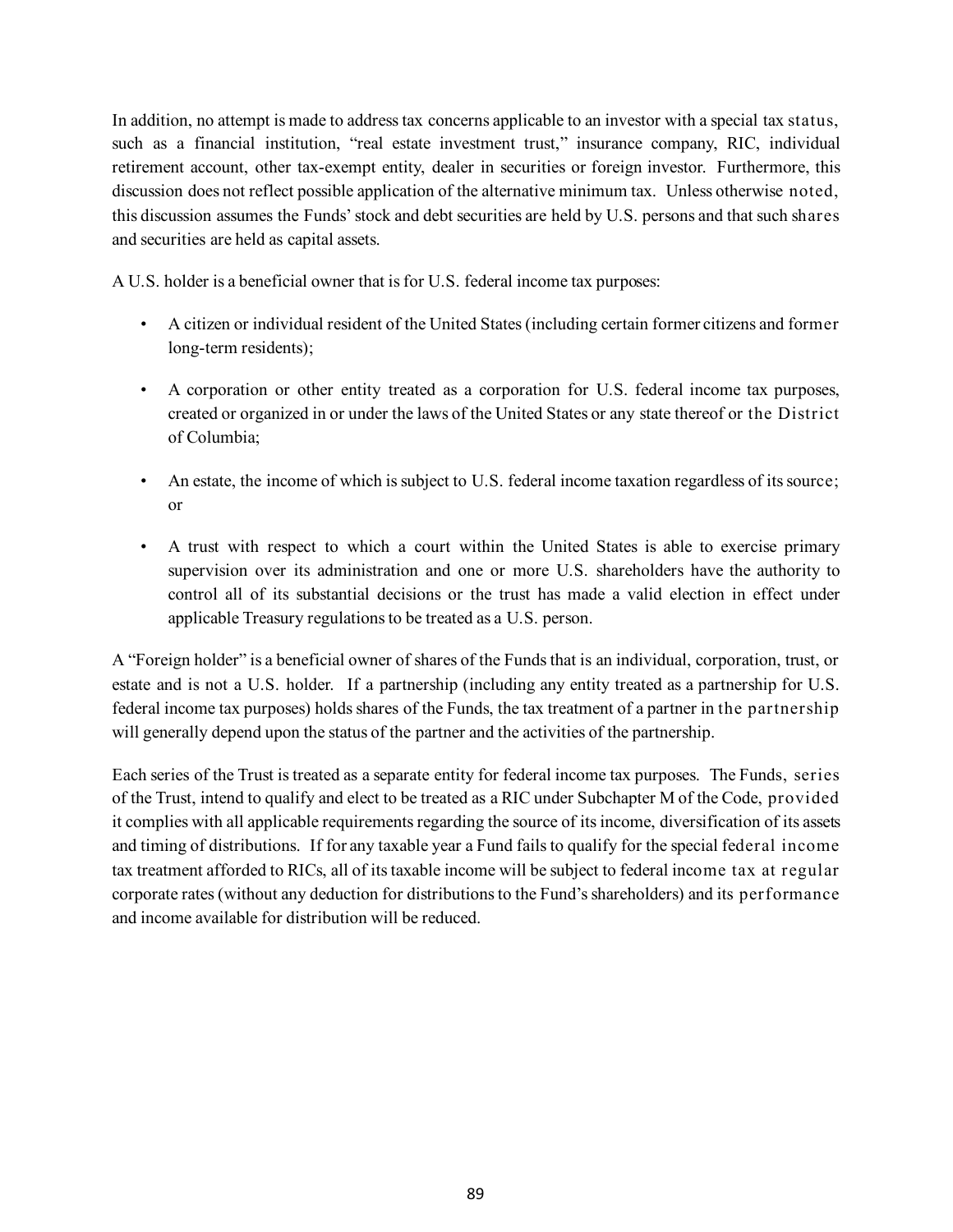In addition, no attempt is made to address tax concerns applicable to an investor with a special tax status, such as a financial institution, "real estate investment trust," insurance company, RIC, individual retirement account, other tax-exempt entity, dealer in securities or foreign investor. Furthermore, this discussion does not reflect possible application of the alternative minimum tax. Unless otherwise noted, this discussion assumes the Funds' stock and debt securities are held by U.S. persons and that such shares and securities are held as capital assets.

A U.S. holder is a beneficial owner that is for U.S. federal income tax purposes:

- A citizen or individual resident of the United States (including certain former citizens and former long-term residents);
- A corporation or other entity treated as a corporation for U.S. federal income tax purposes, created or organized in or under the laws of the United States or any state thereof or the District of Columbia;
- An estate, the income of which is subject to U.S. federal income taxation regardless of its source; or
- A trust with respect to which a court within the United States is able to exercise primary supervision over its administration and one or more U.S. shareholders have the authority to control all of its substantial decisions or the trust has made a valid election in effect under applicable Treasury regulations to be treated as a U.S. person.

A "Foreign holder" is a beneficial owner of shares of the Funds that is an individual, corporation, trust, or estate and is not a U.S. holder. If a partnership (including any entity treated as a partnership for U.S. federal income tax purposes) holds shares of the Funds, the tax treatment of a partner in the partnership will generally depend upon the status of the partner and the activities of the partnership.

Each series of the Trust is treated as a separate entity for federal income tax purposes. The Funds, series of the Trust, intend to qualify and elect to be treated as a RIC under Subchapter M of the Code, provided it complies with all applicable requirements regarding the source of its income, diversification of its assets and timing of distributions. If for any taxable year a Fund fails to qualify for the special federal income tax treatment afforded to RICs, all of its taxable income will be subject to federal income tax at regular corporate rates (without any deduction for distributions to the Fund's shareholders) and its performance and income available for distribution will be reduced.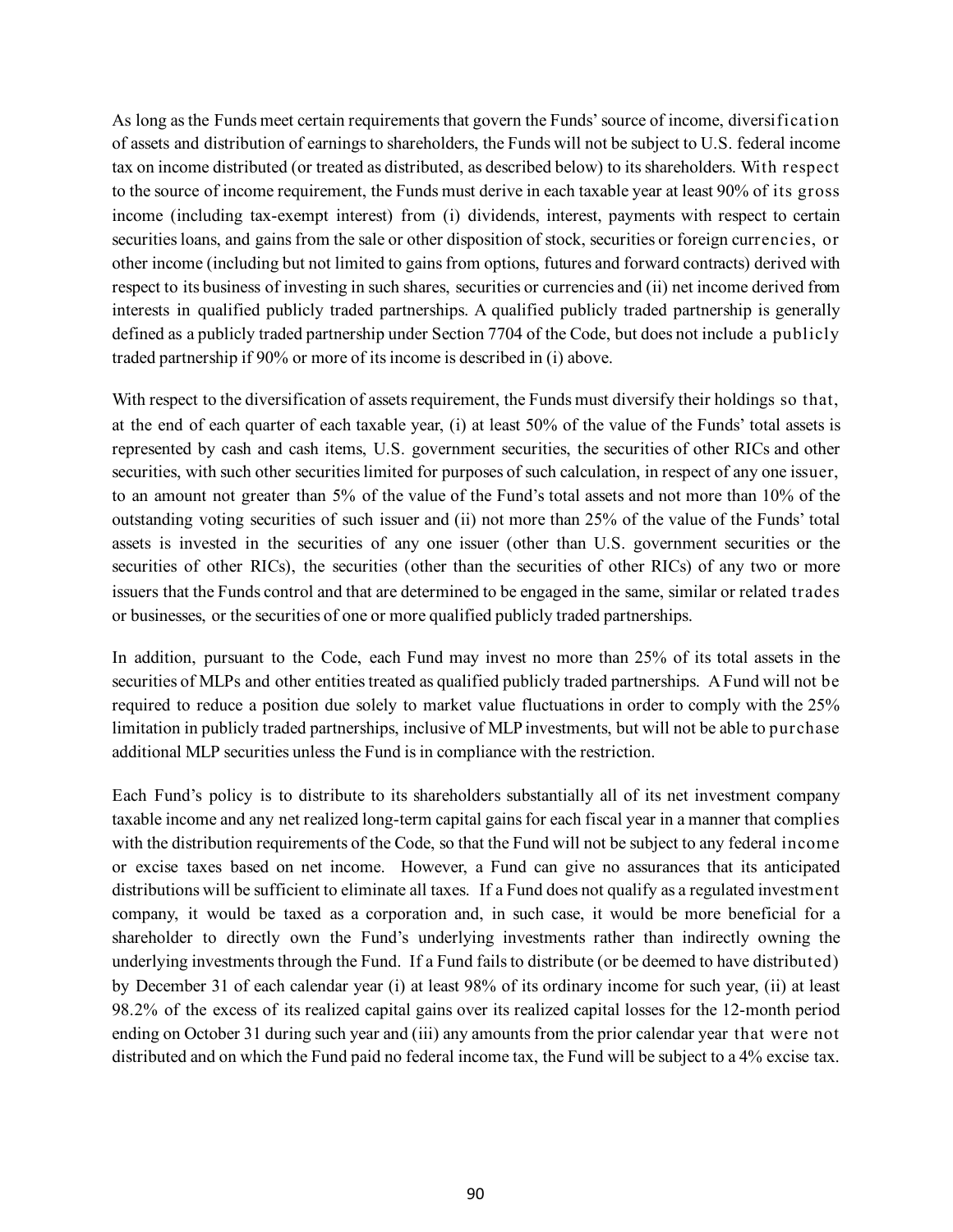As long as the Funds meet certain requirements that govern the Funds' source of income, diversification of assets and distribution of earnings to shareholders, the Funds will not be subject to U.S. federal income tax on income distributed (or treated as distributed, as described below) to its shareholders. With respect to the source of income requirement, the Funds must derive in each taxable year at least 90% of its gross income (including tax-exempt interest) from (i) dividends, interest, payments with respect to certain securities loans, and gains from the sale or other disposition of stock, securities or foreign currencies, or other income (including but not limited to gains from options, futures and forward contracts) derived with respect to its business of investing in such shares, securities or currencies and (ii) net income derived from interests in qualified publicly traded partnerships. A qualified publicly traded partnership is generally defined as a publicly traded partnership under Section 7704 of the Code, but does not include a publicly traded partnership if 90% or more of its income is described in (i) above.

With respect to the diversification of assets requirement, the Funds must diversify their holdings so that, at the end of each quarter of each taxable year, (i) at least 50% of the value of the Funds' total assets is represented by cash and cash items, U.S. government securities, the securities of other RICs and other securities, with such other securities limited for purposes of such calculation, in respect of any one issuer, to an amount not greater than 5% of the value of the Fund's total assets and not more than 10% of the outstanding voting securities of such issuer and (ii) not more than 25% of the value of the Funds' total assets is invested in the securities of any one issuer (other than U.S. government securities or the securities of other RICs), the securities (other than the securities of other RICs) of any two or more issuers that the Funds control and that are determined to be engaged in the same, similar or related trades or businesses, or the securities of one or more qualified publicly traded partnerships.

In addition, pursuant to the Code, each Fund may invest no more than 25% of its total assets in the securities of MLPs and other entities treated as qualified publicly traded partnerships. A Fund will not be required to reduce a position due solely to market value fluctuations in order to comply with the 25% limitation in publicly traded partnerships, inclusive of MLP investments, but will not be able to purchase additional MLP securities unless the Fund is in compliance with the restriction.

Each Fund's policy is to distribute to its shareholders substantially all of its net investment company taxable income and any net realized long-term capital gains for each fiscal year in a manner that complies with the distribution requirements of the Code, so that the Fund will not be subject to any federal income or excise taxes based on net income. However, a Fund can give no assurances that its anticipated distributions will be sufficient to eliminate all taxes. If a Fund does not qualify as a regulated investment company, it would be taxed as a corporation and, in such case, it would be more beneficial for a shareholder to directly own the Fund's underlying investments rather than indirectly owning the underlying investments through the Fund. If a Fund fails to distribute (or be deemed to have distributed) by December 31 of each calendar year (i) at least 98% of its ordinary income for such year, (ii) at least 98.2% of the excess of its realized capital gains over its realized capital losses for the 12-month period ending on October 31 during such year and (iii) any amounts from the prior calendar year that were not distributed and on which the Fund paid no federal income tax, the Fund will be subject to a 4% excise tax.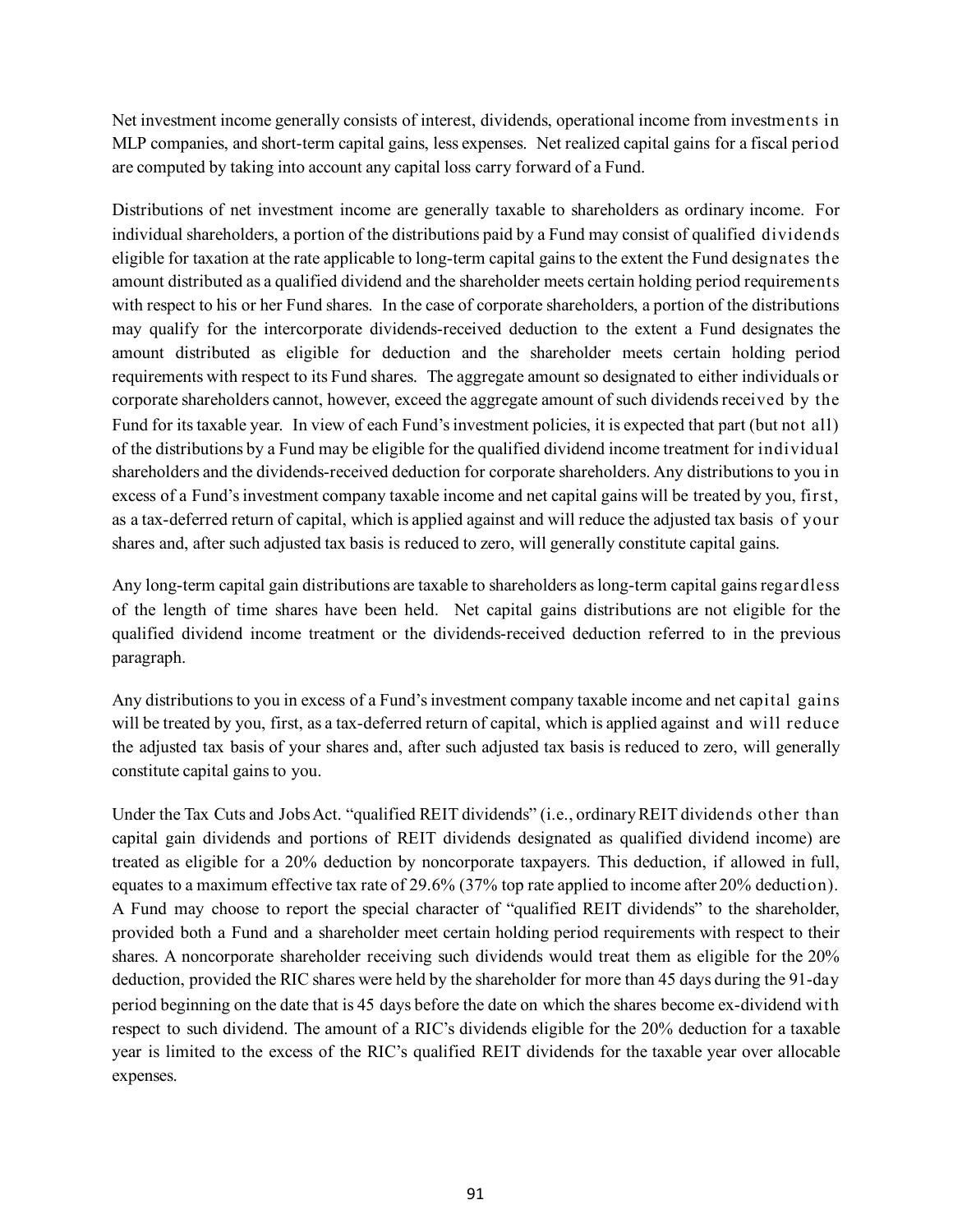Net investment income generally consists of interest, dividends, operational income from investments in MLP companies, and short-term capital gains, less expenses. Net realized capital gains for a fiscal period are computed by taking into account any capital loss carry forward of a Fund.

Distributions of net investment income are generally taxable to shareholders as ordinary income. For individual shareholders, a portion of the distributions paid by a Fund may consist of qualified dividends eligible for taxation at the rate applicable to long-term capital gains to the extent the Fund designates the amount distributed as a qualified dividend and the shareholder meets certain holding period requirements with respect to his or her Fund shares. In the case of corporate shareholders, a portion of the distributions may qualify for the intercorporate dividends-received deduction to the extent a Fund designates the amount distributed as eligible for deduction and the shareholder meets certain holding period requirements with respect to its Fund shares. The aggregate amount so designated to either individuals or corporate shareholders cannot, however, exceed the aggregate amount of such dividends received by the Fund for its taxable year. In view of each Fund's investment policies, it is expected that part (but not all) of the distributions by a Fund may be eligible for the qualified dividend income treatment for individual shareholders and the dividends-received deduction for corporate shareholders. Any distributions to you in excess of a Fund's investment company taxable income and net capital gains will be treated by you, first, as a tax-deferred return of capital, which is applied against and will reduce the adjusted tax basis of your shares and, after such adjusted tax basis is reduced to zero, will generally constitute capital gains.

Any long-term capital gain distributions are taxable to shareholders as long-term capital gains regardless of the length of time shares have been held. Net capital gains distributions are not eligible for the qualified dividend income treatment or the dividends-received deduction referred to in the previous paragraph.

Any distributions to you in excess of a Fund's investment company taxable income and net capital gains will be treated by you, first, as a tax-deferred return of capital, which is applied against and will reduce the adjusted tax basis of your shares and, after such adjusted tax basis is reduced to zero, will generally constitute capital gains to you.

Under the Tax Cuts and Jobs Act. "qualified REIT dividends" (i.e., ordinary REIT dividends other than capital gain dividends and portions of REIT dividends designated as qualified dividend income) are treated as eligible for a 20% deduction by noncorporate taxpayers. This deduction, if allowed in full, equates to a maximum effective tax rate of 29.6% (37% top rate applied to income after 20% deduction). A Fund may choose to report the special character of "qualified REIT dividends" to the shareholder, provided both a Fund and a shareholder meet certain holding period requirements with respect to their shares. A noncorporate shareholder receiving such dividends would treat them as eligible for the 20% deduction, provided the RIC shares were held by the shareholder for more than 45 days during the 91-day period beginning on the date that is 45 days before the date on which the shares become ex-dividend with respect to such dividend. The amount of a RIC's dividends eligible for the 20% deduction for a taxable year is limited to the excess of the RIC's qualified REIT dividends for the taxable year over allocable expenses.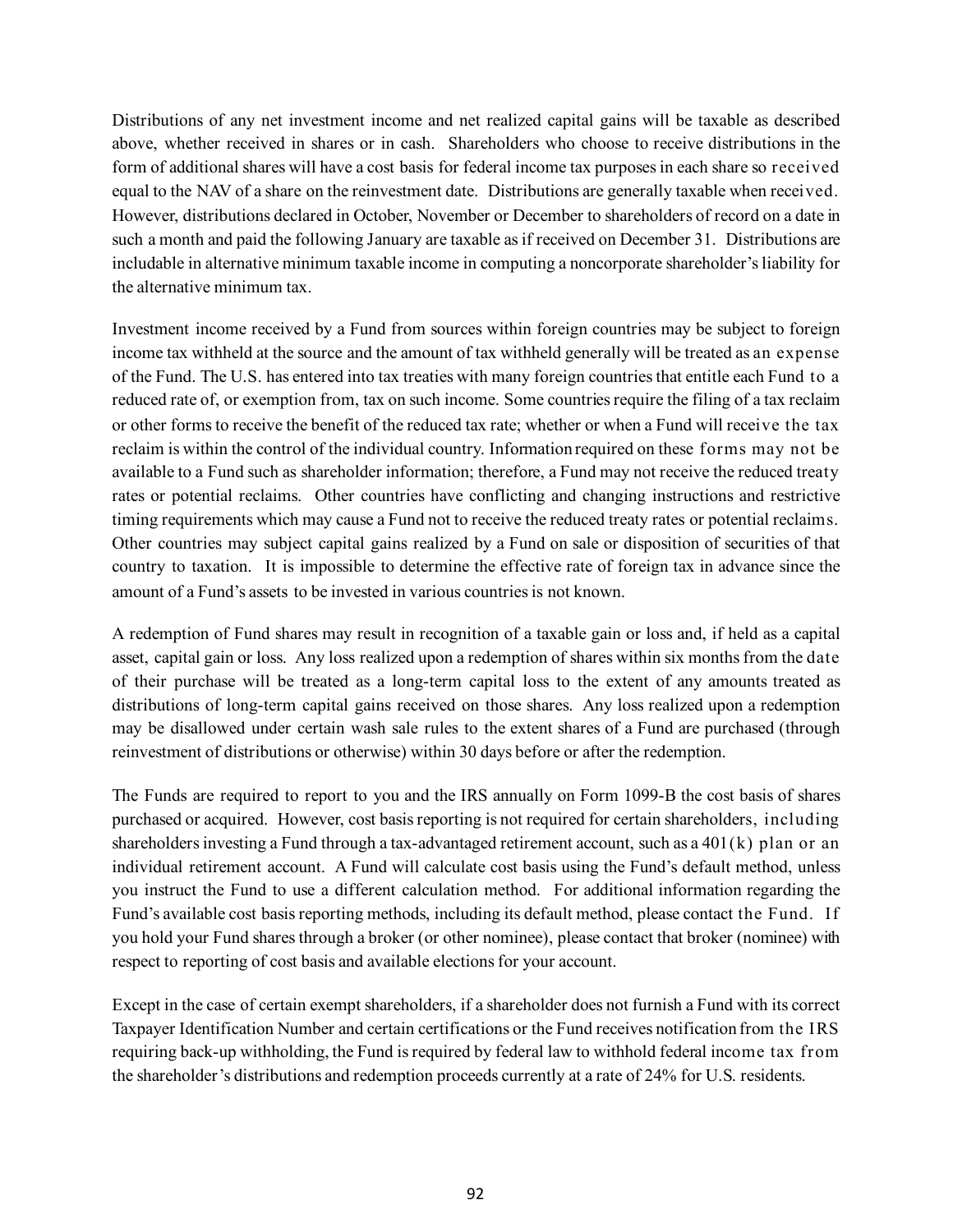Distributions of any net investment income and net realized capital gains will be taxable as described above, whether received in shares or in cash. Shareholders who choose to receive distributions in the form of additional shares will have a cost basis for federal income tax purposes in each share so received equal to the NAV of a share on the reinvestment date. Distributions are generally taxable when received. However, distributions declared in October, November or December to shareholders of record on a date in such a month and paid the following January are taxable as if received on December 31. Distributions are includable in alternative minimum taxable income in computing a noncorporate shareholder's liability for the alternative minimum tax.

Investment income received by a Fund from sources within foreign countries may be subject to foreign income tax withheld at the source and the amount of tax withheld generally will be treated as an expense of the Fund. The U.S. has entered into tax treaties with many foreign countries that entitle each Fund to a reduced rate of, or exemption from, tax on such income. Some countries require the filing of a tax reclaim or other forms to receive the benefit of the reduced tax rate; whether or when a Fund will receive the tax reclaim is within the control of the individual country. Information required on these forms may not be available to a Fund such as shareholder information; therefore, a Fund may not receive the reduced treaty rates or potential reclaims. Other countries have conflicting and changing instructions and restrictive timing requirements which may cause a Fund not to receive the reduced treaty rates or potential reclaims. Other countries may subject capital gains realized by a Fund on sale or disposition of securities of that country to taxation. It is impossible to determine the effective rate of foreign tax in advance since the amount of a Fund's assets to be invested in various countries is not known.

A redemption of Fund shares may result in recognition of a taxable gain or loss and, if held as a capital asset, capital gain or loss. Any loss realized upon a redemption of shares within six months from the date of their purchase will be treated as a long-term capital loss to the extent of any amounts treated as distributions of long-term capital gains received on those shares. Any loss realized upon a redemption may be disallowed under certain wash sale rules to the extent shares of a Fund are purchased (through reinvestment of distributions or otherwise) within 30 days before or after the redemption.

The Funds are required to report to you and the IRS annually on Form 1099-B the cost basis of shares purchased or acquired. However, cost basis reporting is not required for certain shareholders, including shareholders investing a Fund through a tax-advantaged retirement account, such as a  $401(k)$  plan or an individual retirement account. A Fund will calculate cost basis using the Fund's default method, unless you instruct the Fund to use a different calculation method. For additional information regarding the Fund's available cost basis reporting methods, including its default method, please contact the Fund. If you hold your Fund shares through a broker (or other nominee), please contact that broker (nominee) with respect to reporting of cost basis and available elections for your account.

Except in the case of certain exempt shareholders, if a shareholder does not furnish a Fund with its correct Taxpayer Identification Number and certain certifications or the Fund receives notification from the IRS requiring back-up withholding, the Fund is required by federal law to withhold federal income tax from the shareholder's distributions and redemption proceeds currently at a rate of 24% for U.S. residents.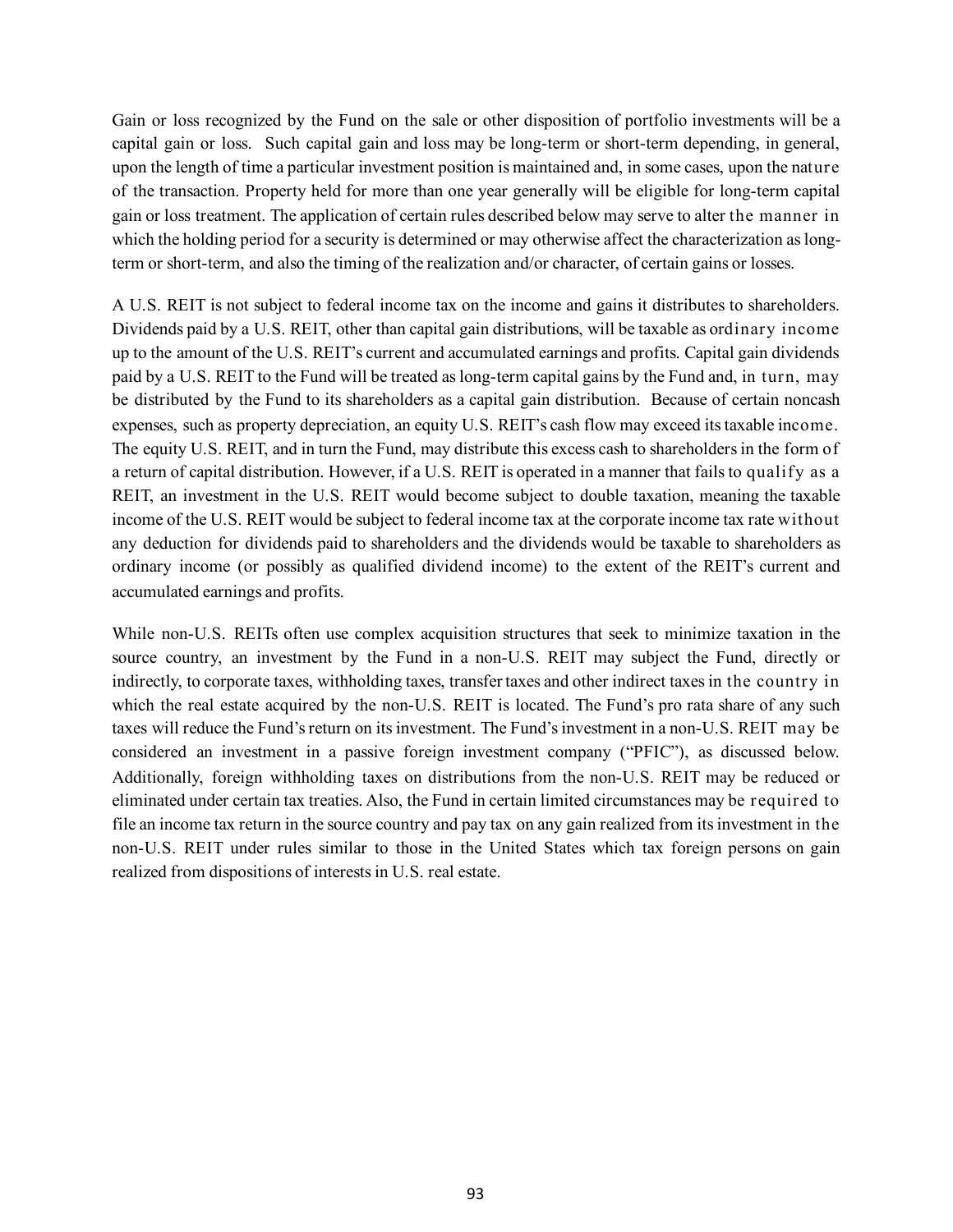Gain or loss recognized by the Fund on the sale or other disposition of portfolio investments will be a capital gain or loss. Such capital gain and loss may be long-term or short-term depending, in general, upon the length of time a particular investment position is maintained and, in some cases, upon the nature of the transaction. Property held for more than one year generally will be eligible for long-term capital gain or loss treatment. The application of certain rules described below may serve to alter the manner in which the holding period for a security is determined or may otherwise affect the characterization as longterm or short-term, and also the timing of the realization and/or character, of certain gains or losses.

A U.S. REIT is not subject to federal income tax on the income and gains it distributes to shareholders. Dividends paid by a U.S. REIT, other than capital gain distributions, will be taxable as ordinary income up to the amount of the U.S. REIT's current and accumulated earnings and profits. Capital gain dividends paid by a U.S. REIT to the Fund will be treated as long-term capital gains by the Fund and, in turn, may be distributed by the Fund to its shareholders as a capital gain distribution. Because of certain noncash expenses, such as property depreciation, an equity U.S. REIT's cash flow may exceed its taxable income. The equity U.S. REIT, and in turn the Fund, may distribute this excess cash to shareholders in the form of a return of capital distribution. However, if a U.S. REIT is operated in a manner that fails to qualify as a REIT, an investment in the U.S. REIT would become subject to double taxation, meaning the taxable income of the U.S. REIT would be subject to federal income tax at the corporate income tax rate without any deduction for dividends paid to shareholders and the dividends would be taxable to shareholders as ordinary income (or possibly as qualified dividend income) to the extent of the REIT's current and accumulated earnings and profits.

While non-U.S. REITs often use complex acquisition structures that seek to minimize taxation in the source country, an investment by the Fund in a non-U.S. REIT may subject the Fund, directly or indirectly, to corporate taxes, withholding taxes, transfer taxes and other indirect taxes in the country in which the real estate acquired by the non-U.S. REIT is located. The Fund's pro rata share of any such taxes will reduce the Fund's return on its investment. The Fund's investment in a non-U.S. REIT may be considered an investment in a passive foreign investment company ("PFIC"), as discussed below. Additionally, foreign withholding taxes on distributions from the non-U.S. REIT may be reduced or eliminated under certain tax treaties. Also, the Fund in certain limited circumstances may be required to file an income tax return in the source country and pay tax on any gain realized from its investment in the non-U.S. REIT under rules similar to those in the United States which tax foreign persons on gain realized from dispositions of interests in U.S. real estate.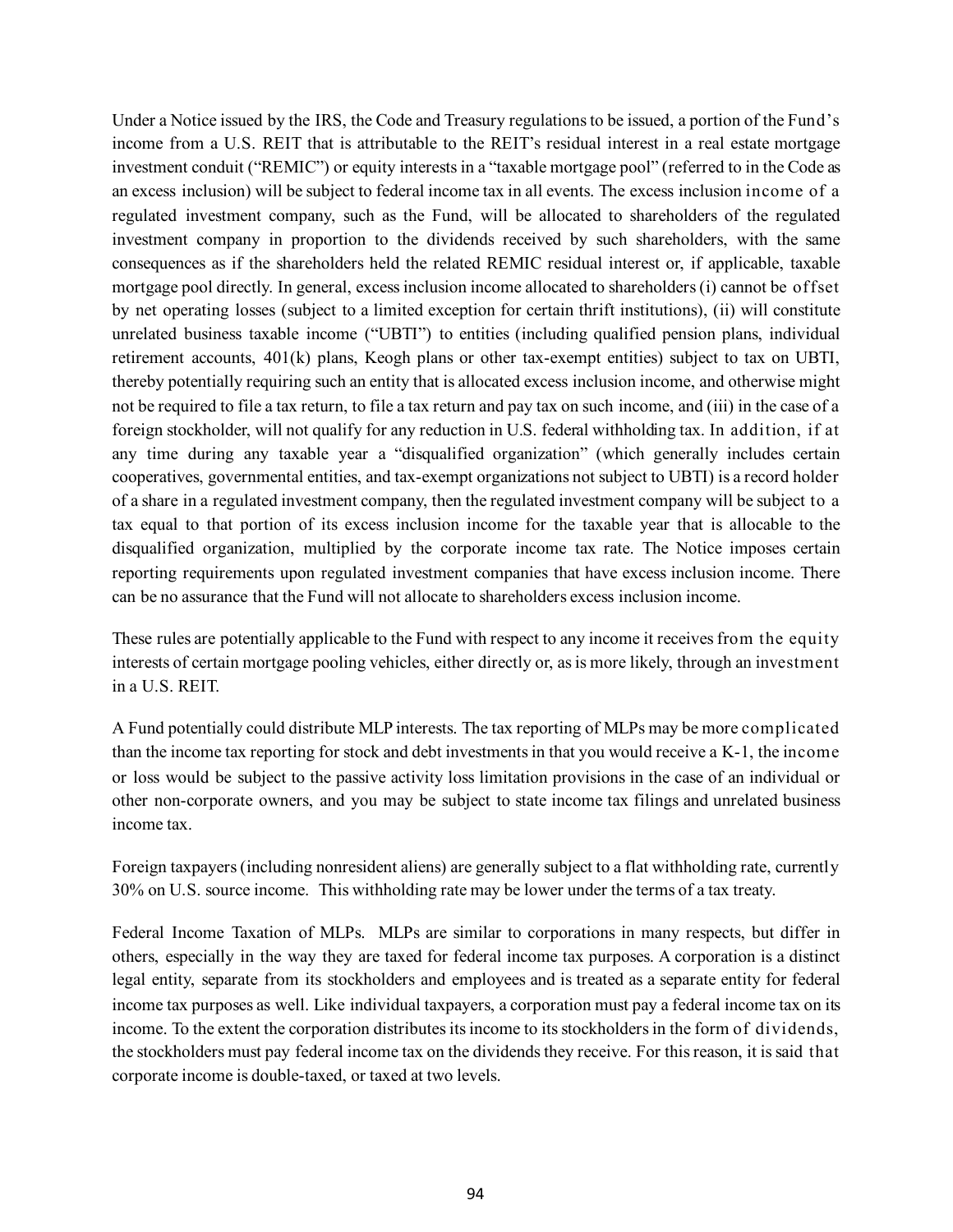Under a Notice issued by the IRS, the Code and Treasury regulations to be issued, a portion of the Fund's income from a U.S. REIT that is attributable to the REIT's residual interest in a real estate mortgage investment conduit ("REMIC") or equity interests in a "taxable mortgage pool" (referred to in the Code as an excess inclusion) will be subject to federal income tax in all events. The excess inclusion income of a regulated investment company, such as the Fund, will be allocated to shareholders of the regulated investment company in proportion to the dividends received by such shareholders, with the same consequences as if the shareholders held the related REMIC residual interest or, if applicable, taxable mortgage pool directly. In general, excess inclusion income allocated to shareholders (i) cannot be offset by net operating losses (subject to a limited exception for certain thrift institutions), (ii) will constitute unrelated business taxable income ("UBTI") to entities (including qualified pension plans, individual retirement accounts, 401(k) plans, Keogh plans or other tax-exempt entities) subject to tax on UBTI, thereby potentially requiring such an entity that is allocated excess inclusion income, and otherwise might not be required to file a tax return, to file a tax return and pay tax on such income, and (iii) in the case of a foreign stockholder, will not qualify for any reduction in U.S. federal withholding tax. In addition, if at any time during any taxable year a "disqualified organization" (which generally includes certain cooperatives, governmental entities, and tax-exempt organizations not subject to UBTI) is a record holder of a share in a regulated investment company, then the regulated investment company will be subject to a tax equal to that portion of its excess inclusion income for the taxable year that is allocable to the disqualified organization, multiplied by the corporate income tax rate. The Notice imposes certain reporting requirements upon regulated investment companies that have excess inclusion income. There can be no assurance that the Fund will not allocate to shareholders excess inclusion income.

These rules are potentially applicable to the Fund with respect to any income it receives from the equity interests of certain mortgage pooling vehicles, either directly or, as is more likely, through an investment in a U.S. REIT.

A Fund potentially could distribute MLP interests. The tax reporting of MLPs may be more complicated than the income tax reporting for stock and debt investments in that you would receive a K-1, the income or loss would be subject to the passive activity loss limitation provisions in the case of an individual or other non-corporate owners, and you may be subject to state income tax filings and unrelated business income tax.

Foreign taxpayers (including nonresident aliens) are generally subject to a flat withholding rate, currently 30% on U.S. source income. This withholding rate may be lower under the terms of a tax treaty.

Federal Income Taxation of MLPs. MLPs are similar to corporations in many respects, but differ in others, especially in the way they are taxed for federal income tax purposes. A corporation is a distinct legal entity, separate from its stockholders and employees and is treated as a separate entity for federal income tax purposes as well. Like individual taxpayers, a corporation must pay a federal income tax on its income. To the extent the corporation distributes its income to its stockholders in the form of dividends, the stockholders must pay federal income tax on the dividends they receive. For this reason, it is said that corporate income is double-taxed, or taxed at two levels.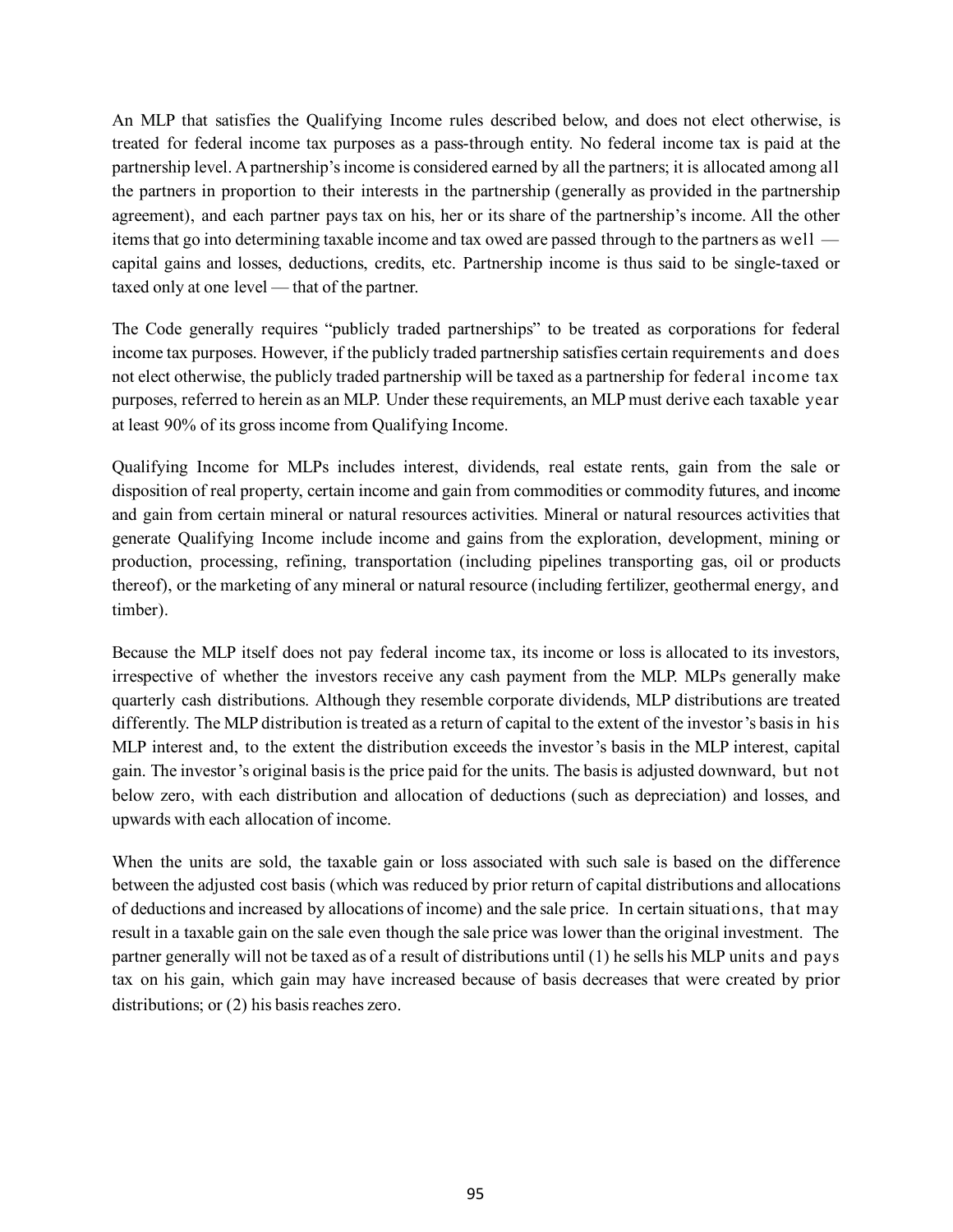An MLP that satisfies the Qualifying Income rules described below, and does not elect otherwise, is treated for federal income tax purposes as a pass-through entity. No federal income tax is paid at the partnership level. A partnership's income is considered earned by all the partners; it is allocated among all the partners in proportion to their interests in the partnership (generally as provided in the partnership agreement), and each partner pays tax on his, her or its share of the partnership's income. All the other items that go into determining taxable income and tax owed are passed through to the partners as well capital gains and losses, deductions, credits, etc. Partnership income is thus said to be single-taxed or taxed only at one level — that of the partner.

The Code generally requires "publicly traded partnerships" to be treated as corporations for federal income tax purposes. However, if the publicly traded partnership satisfies certain requirements and does not elect otherwise, the publicly traded partnership will be taxed as a partnership for federal income tax purposes, referred to herein as an MLP. Under these requirements, an MLP must derive each taxable year at least 90% of its gross income from Qualifying Income.

Qualifying Income for MLPs includes interest, dividends, real estate rents, gain from the sale or disposition of real property, certain income and gain from commodities or commodity futures, and income and gain from certain mineral or natural resources activities. Mineral or natural resources activities that generate Qualifying Income include income and gains from the exploration, development, mining or production, processing, refining, transportation (including pipelines transporting gas, oil or products thereof), or the marketing of any mineral or natural resource (including fertilizer, geothermal energy, and timber).

Because the MLP itself does not pay federal income tax, its income or loss is allocated to its investors, irrespective of whether the investors receive any cash payment from the MLP. MLPs generally make quarterly cash distributions. Although they resemble corporate dividends, MLP distributions are treated differently. The MLP distribution is treated as a return of capital to the extent of the investor's basis in his MLP interest and, to the extent the distribution exceeds the investor's basis in the MLP interest, capital gain. The investor's original basis is the price paid for the units. The basis is adjusted downward, but not below zero, with each distribution and allocation of deductions (such as depreciation) and losses, and upwards with each allocation of income.

When the units are sold, the taxable gain or loss associated with such sale is based on the difference between the adjusted cost basis (which was reduced by prior return of capital distributions and allocations of deductions and increased by allocations of income) and the sale price. In certain situations, that may result in a taxable gain on the sale even though the sale price was lower than the original investment. The partner generally will not be taxed as of a result of distributions until (1) he sells his MLP units and pays tax on his gain, which gain may have increased because of basis decreases that were created by prior distributions; or (2) his basis reaches zero.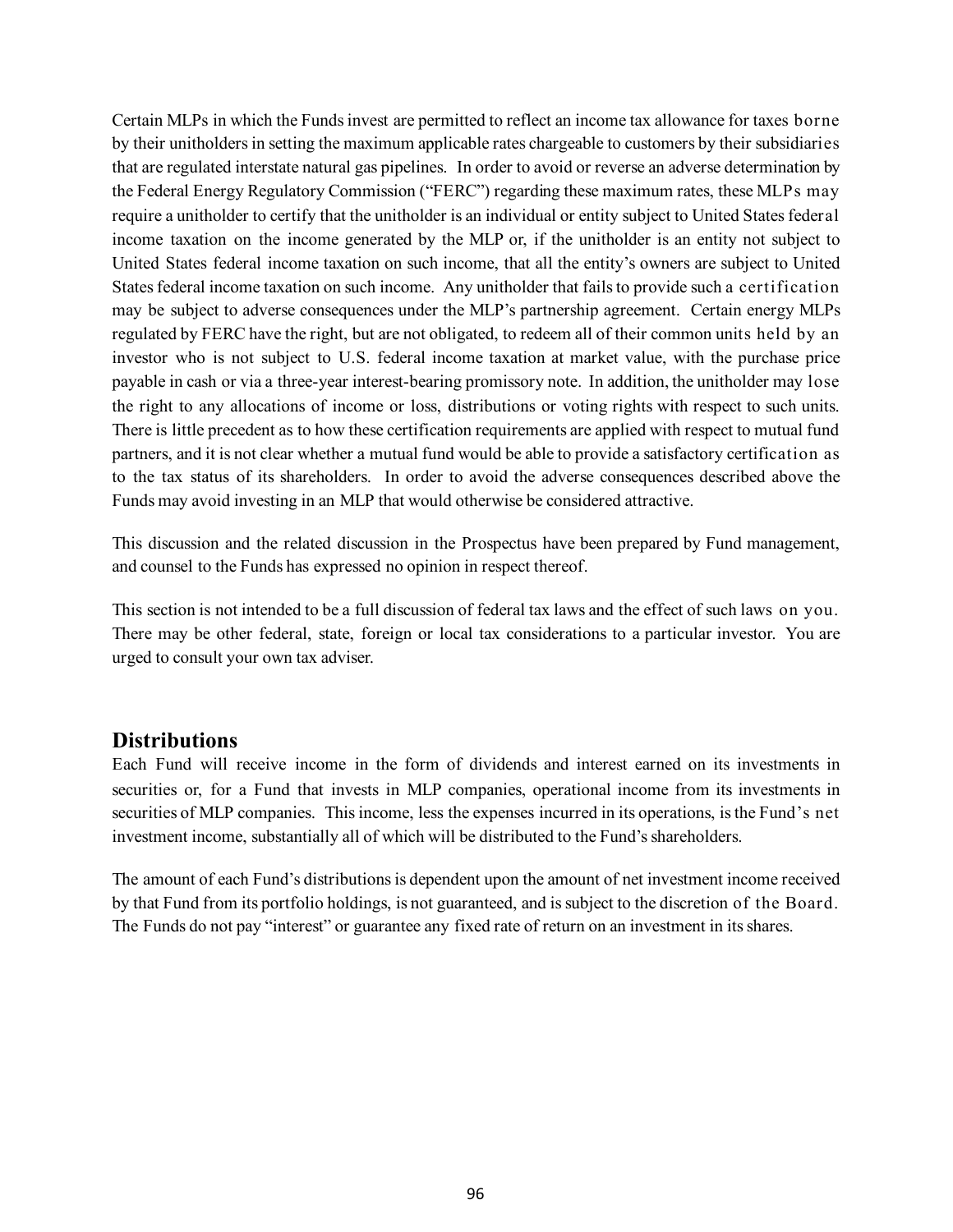Certain MLPs in which the Funds invest are permitted to reflect an income tax allowance for taxes borne by their unitholders in setting the maximum applicable rates chargeable to customers by their subsidiaries that are regulated interstate natural gas pipelines. In order to avoid or reverse an adverse determination by the Federal Energy Regulatory Commission ("FERC") regarding these maximum rates, these MLPs may require a unitholder to certify that the unitholder is an individual or entity subject to United States federal income taxation on the income generated by the MLP or, if the unitholder is an entity not subject to United States federal income taxation on such income, that all the entity's owners are subject to United States federal income taxation on such income. Any unitholder that fails to provide such a certification may be subject to adverse consequences under the MLP's partnership agreement. Certain energy MLPs regulated by FERC have the right, but are not obligated, to redeem all of their common units held by an investor who is not subject to U.S. federal income taxation at market value, with the purchase price payable in cash or via a three-year interest-bearing promissory note. In addition, the unitholder may lose the right to any allocations of income or loss, distributions or voting rights with respect to such units. There is little precedent as to how these certification requirements are applied with respect to mutual fund partners, and it is not clear whether a mutual fund would be able to provide a satisfactory certification as to the tax status of its shareholders. In order to avoid the adverse consequences described above the Funds may avoid investing in an MLP that would otherwise be considered attractive.

This discussion and the related discussion in the Prospectus have been prepared by Fund management, and counsel to the Funds has expressed no opinion in respect thereof.

This section is not intended to be a full discussion of federal tax laws and the effect of such laws on you. There may be other federal, state, foreign or local tax considerations to a particular investor. You are urged to consult your own tax adviser.

## **Distributions**

Each Fund will receive income in the form of dividends and interest earned on its investments in securities or, for a Fund that invests in MLP companies, operational income from its investments in securities of MLP companies. This income, less the expenses incurred in its operations, is the Fund's net investment income, substantially all of which will be distributed to the Fund's shareholders.

The amount of each Fund's distributions is dependent upon the amount of net investment income received by that Fund from its portfolio holdings, is not guaranteed, and is subject to the discretion of the Board. The Funds do not pay "interest" or guarantee any fixed rate of return on an investment in its shares.